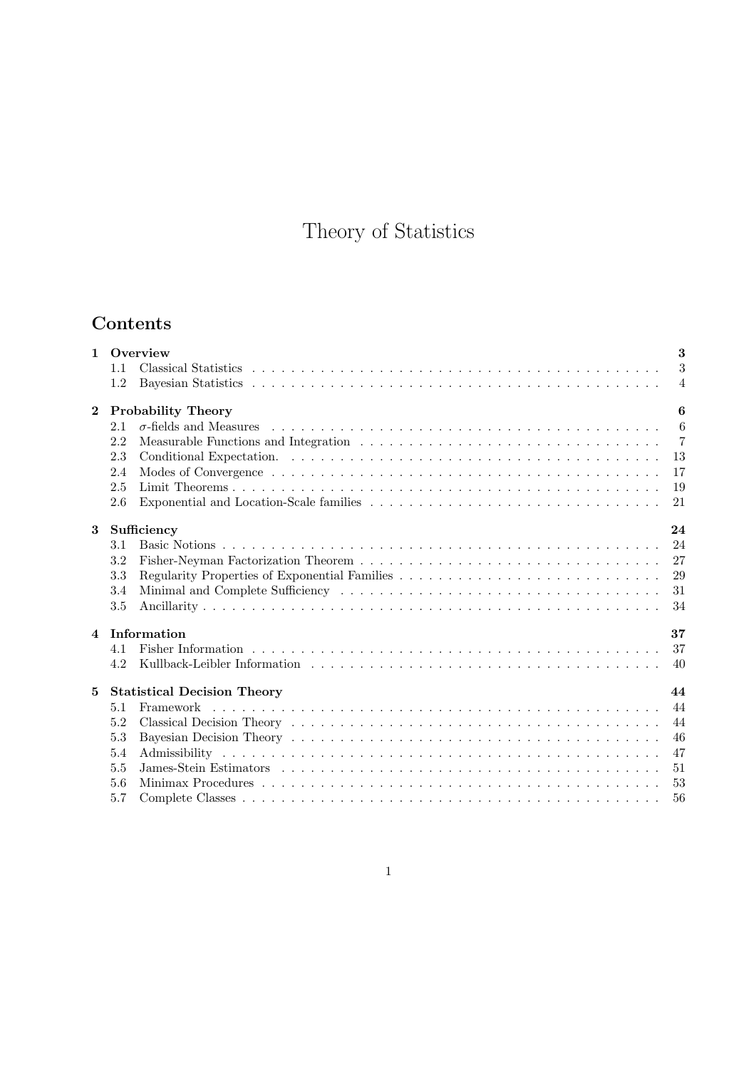# Theory of Statistics

## Contents

|                                           |                                          | 3<br>1 Overview |                |  |  |  |
|-------------------------------------------|------------------------------------------|-----------------|----------------|--|--|--|
|                                           | 1.1                                      |                 | 3              |  |  |  |
|                                           | 1.2                                      |                 | $\overline{4}$ |  |  |  |
| <b>Probability Theory</b><br>$\mathbf{2}$ |                                          |                 | 6              |  |  |  |
|                                           | 2.1                                      |                 | $\overline{6}$ |  |  |  |
|                                           | 2.2                                      |                 | $\overline{7}$ |  |  |  |
|                                           | 2.3                                      |                 | 13             |  |  |  |
|                                           | 2.4                                      |                 | 17             |  |  |  |
|                                           | 2.5                                      |                 | 19             |  |  |  |
|                                           | 2.6                                      |                 | 21             |  |  |  |
| 3                                         |                                          | Sufficiency     | 24             |  |  |  |
|                                           | 3.1                                      |                 | 24             |  |  |  |
|                                           | 3.2                                      |                 | 27             |  |  |  |
|                                           | 3.3                                      |                 | 29             |  |  |  |
|                                           | 3.4                                      |                 | 31             |  |  |  |
|                                           | 3.5                                      |                 | 34             |  |  |  |
|                                           |                                          | 4 Information   | 37             |  |  |  |
|                                           | 4.1                                      |                 | 37             |  |  |  |
|                                           | 4.2                                      |                 | 40             |  |  |  |
| 5                                         | 44<br><b>Statistical Decision Theory</b> |                 |                |  |  |  |
|                                           | 5.1                                      | Framework       | 44             |  |  |  |
|                                           | 5.2                                      |                 | 44             |  |  |  |
|                                           | 5.3                                      |                 | 46             |  |  |  |
|                                           | 5.4                                      |                 | 47             |  |  |  |
|                                           | 5.5                                      |                 | 51             |  |  |  |
|                                           | 5.6                                      |                 | 53             |  |  |  |
|                                           | 5.7                                      |                 | 56             |  |  |  |
|                                           |                                          |                 |                |  |  |  |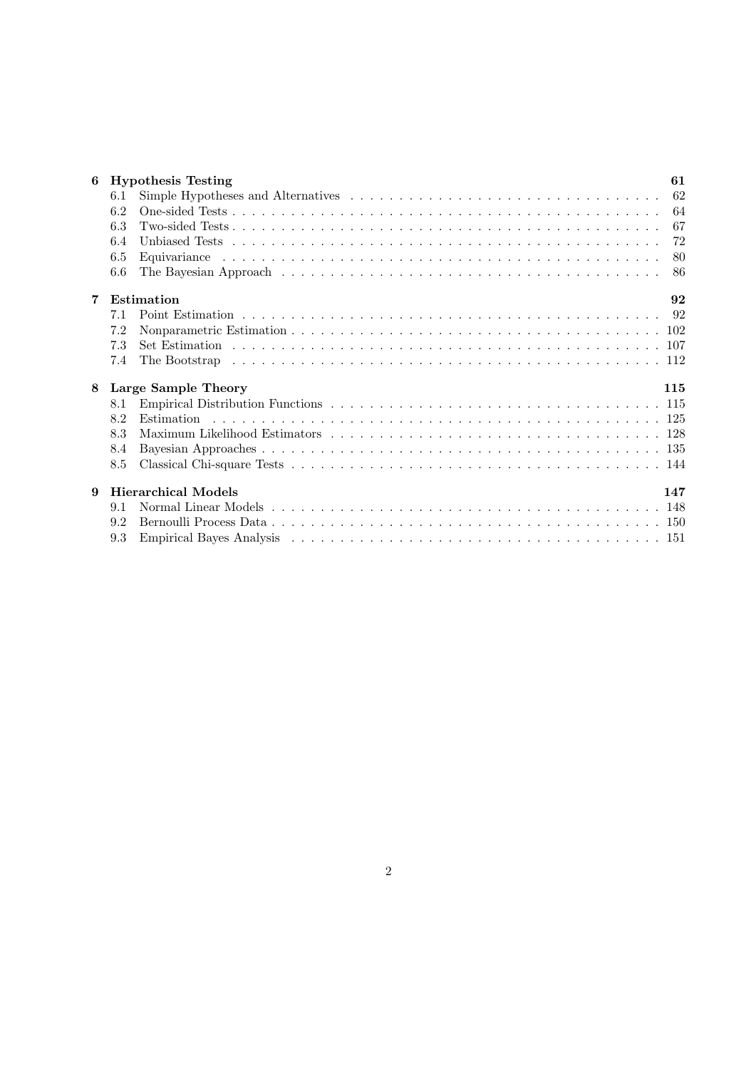| 6 | <b>Hypothesis Testing</b><br>61 |                            |     |  |  |
|---|---------------------------------|----------------------------|-----|--|--|
|   | 6.1                             |                            | 62  |  |  |
|   | 6.2                             |                            | 64  |  |  |
|   | 6.3                             |                            | 67  |  |  |
|   | 6.4                             |                            | 72  |  |  |
|   | 6.5                             |                            | -80 |  |  |
|   | 6.6                             |                            | 86  |  |  |
| 7 | Estimation                      |                            |     |  |  |
|   | 7.1                             |                            |     |  |  |
|   | 7.2                             |                            |     |  |  |
|   | 7.3                             |                            |     |  |  |
|   | 7.4                             |                            |     |  |  |
| 8 |                                 | Large Sample Theory        | 115 |  |  |
|   | 8.1                             |                            |     |  |  |
|   | 8.2                             |                            |     |  |  |
|   | 8.3                             |                            |     |  |  |
|   | 8.4                             |                            |     |  |  |
|   | 8.5                             |                            |     |  |  |
| 9 |                                 | <b>Hierarchical Models</b> | 147 |  |  |
|   | 9.1                             |                            |     |  |  |
|   | 9.2                             |                            |     |  |  |
|   | 9.3                             |                            |     |  |  |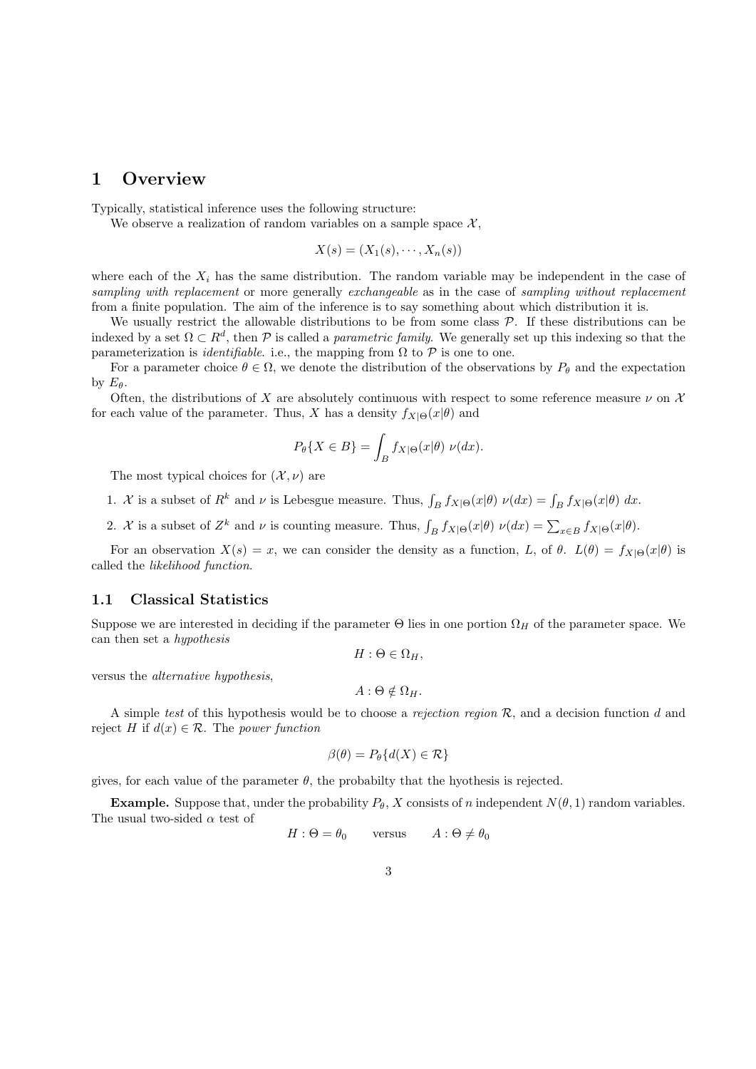## 1 Overview

Typically, statistical inference uses the following structure:

We observe a realization of random variables on a sample space  $\mathcal{X},$ 

$$
X(s) = (X_1(s), \cdots, X_n(s))
$$

where each of the  $X_i$  has the same distribution. The random variable may be independent in the case of sampling with replacement or more generally exchangeable as in the case of sampling without replacement from a finite population. The aim of the inference is to say something about which distribution it is.

We usually restrict the allowable distributions to be from some class  $P$ . If these distributions can be indexed by a set  $\Omega \subset R^d$ , then P is called a *parametric family*. We generally set up this indexing so that the parameterization is *identifiable*. i.e., the mapping from  $\Omega$  to  $\mathcal P$  is one to one.

For a parameter choice  $\theta \in \Omega$ , we denote the distribution of the observations by  $P_{\theta}$  and the expectation by  $E_{\theta}$ .

Often, the distributions of X are absolutely continuous with respect to some reference measure  $\nu$  on X for each value of the parameter. Thus, X has a density  $f_{X|\Theta}(x|\theta)$  and

$$
P_{\theta}\{X \in B\} = \int_{B} f_{X|\Theta}(x|\theta) \ \nu(dx).
$$

The most typical choices for  $(\mathcal{X}, \nu)$  are

- 1. X is a subset of  $R^k$  and  $\nu$  is Lebesgue measure. Thus,  $\int_B f_{X|\Theta}(x|\theta) \nu(dx) = \int_B f_{X|\Theta}(x|\theta) dx$ .
- 2. X is a subset of  $Z^k$  and  $\nu$  is counting measure. Thus,  $\int_B f_{X|\Theta}(x|\theta) \nu(dx) = \sum_{x \in B} f_{X|\Theta}(x|\theta)$ .

For an observation  $X(s) = x$ , we can consider the density as a function, L, of  $\theta$ .  $L(\theta) = f_{X|\Theta}(x|\theta)$  is called the likelihood function.

#### 1.1 Classical Statistics

Suppose we are interested in deciding if the parameter  $\Theta$  lies in one portion  $\Omega_H$  of the parameter space. We can then set a hypothesis

$$
H: \Theta \in \Omega_H,
$$

versus the alternative hypothesis,

$$
A: \Theta \notin \Omega_H
$$

A simple test of this hypothesis would be to choose a rejection region  $R$ , and a decision function d and reject H if  $d(x) \in \mathcal{R}$ . The power function

$$
\beta(\theta) = P_{\theta}\{d(X) \in \mathcal{R}\}\
$$

gives, for each value of the parameter  $\theta$ , the probabilty that the hyothesis is rejected.

**Example.** Suppose that, under the probability  $P_{\theta}$ , X consists of n independent  $N(\theta, 1)$  random variables. The usual two-sided  $\alpha$  test of

$$
H: \Theta = \theta_0 \qquad \text{versus} \qquad A: \Theta \neq \theta_0
$$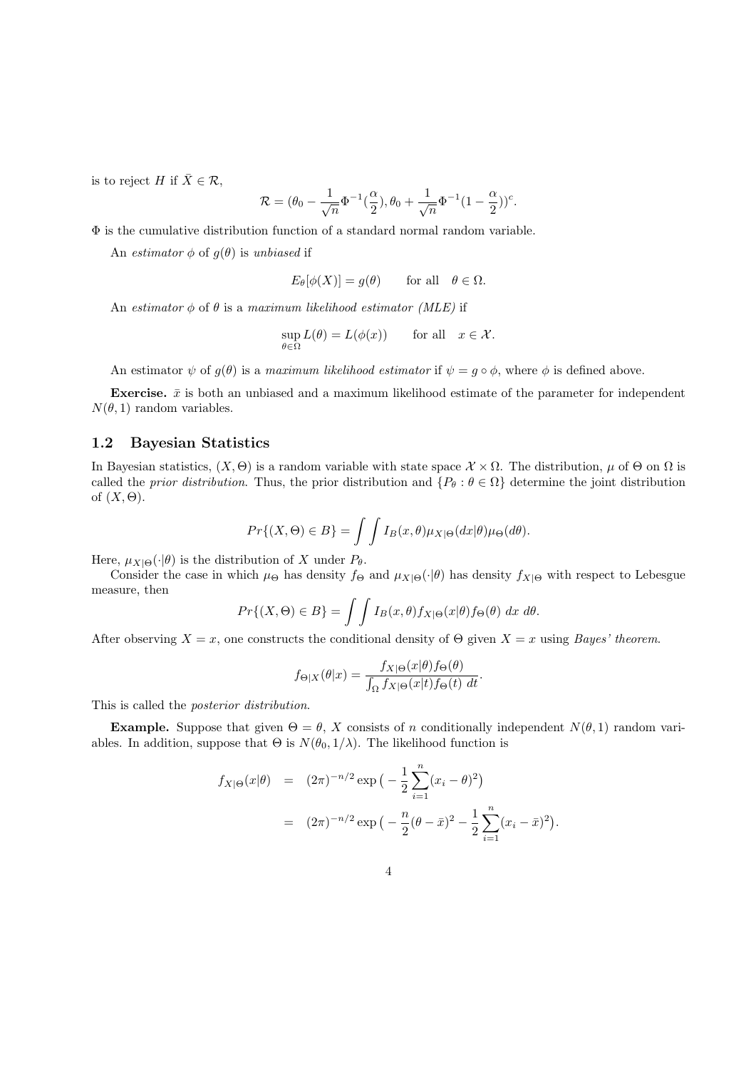is to reject H if  $\bar{X} \in \mathcal{R}$ ,

$$
\mathcal{R} = (\theta_0 - \frac{1}{\sqrt{n}} \Phi^{-1}(\frac{\alpha}{2}), \theta_0 + \frac{1}{\sqrt{n}} \Phi^{-1} (1 - \frac{\alpha}{2}))^c.
$$

Φ is the cumulative distribution function of a standard normal random variable.

An estimator  $\phi$  of  $g(\theta)$  is unbiased if

$$
E_{\theta}[\phi(X)] = g(\theta) \quad \text{for all} \quad \theta \in \Omega.
$$

An estimator  $\phi$  of  $\theta$  is a maximum likelihood estimator (MLE) if

$$
\sup_{\theta \in \Omega} L(\theta) = L(\phi(x)) \qquad \text{for all} \quad x \in \mathcal{X}.
$$

An estimator  $\psi$  of  $q(\theta)$  is a maximum likelihood estimator if  $\psi = q \circ \phi$ , where  $\phi$  is defined above.

**Exercise.**  $\bar{x}$  is both an unbiased and a maximum likelihood estimate of the parameter for independent  $N(\theta, 1)$  random variables.

## 1.2 Bayesian Statistics

In Bayesian statistics,  $(X, \Theta)$  is a random variable with state space  $\mathcal{X} \times \Omega$ . The distribution,  $\mu$  of  $\Theta$  on  $\Omega$  is called the prior distribution. Thus, the prior distribution and  $\{P_\theta : \theta \in \Omega\}$  determine the joint distribution of  $(X, \Theta)$ .

$$
Pr\{(X,\Theta) \in B\} = \int \int I_B(x,\theta) \mu_{X|\Theta}(dx|\theta) \mu_{\Theta}(d\theta).
$$

Here,  $\mu_{X|\Theta}(\cdot|\theta)$  is the distribution of X under  $P_{\theta}$ .

Consider the case in which  $\mu_{\Theta}$  has density  $f_{\Theta}$  and  $\mu_{X|\Theta}(\cdot|\theta)$  has density  $f_{X|\Theta}$  with respect to Lebesgue measure, then

$$
Pr\{(X,\Theta) \in B\} = \int \int I_B(x,\theta) f_{X|\Theta}(x|\theta) f_{\Theta}(\theta) dx d\theta.
$$

After observing  $X = x$ , one constructs the conditional density of  $\Theta$  given  $X = x$  using Bayes' theorem.

$$
f_{\Theta|X}(\theta|x) = \frac{f_{X|\Theta}(x|\theta) f_{\Theta}(\theta)}{\int_{\Omega} f_{X|\Theta}(x|t) f_{\Theta}(t) dt}.
$$

This is called the posterior distribution.

**Example.** Suppose that given  $\Theta = \theta$ , X consists of n conditionally independent  $N(\theta, 1)$  random variables. In addition, suppose that  $\Theta$  is  $N(\theta_0, 1/\lambda)$ . The likelihood function is

$$
f_{X|\Theta}(x|\theta) = (2\pi)^{-n/2} \exp\left(-\frac{1}{2}\sum_{i=1}^{n} (x_i - \theta)^2\right)
$$
  
= 
$$
(2\pi)^{-n/2} \exp\left(-\frac{n}{2}(\theta - \bar{x})^2 - \frac{1}{2}\sum_{i=1}^{n} (x_i - \bar{x})^2\right).
$$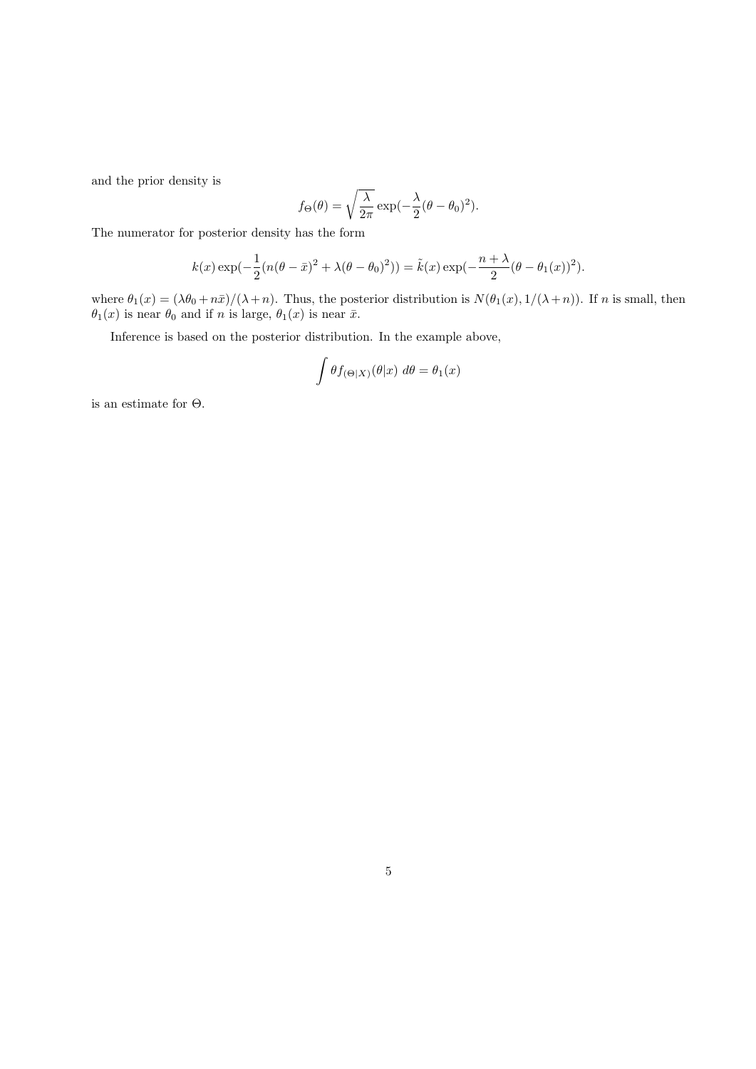and the prior density is

$$
f_{\Theta}(\theta) = \sqrt{\frac{\lambda}{2\pi}} \exp(-\frac{\lambda}{2}(\theta - \theta_0)^2).
$$

The numerator for posterior density has the form

$$
k(x) \exp(-\frac{1}{2}(n(\theta - \bar{x})^2 + \lambda(\theta - \theta_0)^2)) = \tilde{k}(x) \exp(-\frac{n + \lambda}{2}(\theta - \theta_1(x))^2).
$$

where  $\theta_1(x) = (\lambda \theta_0 + n\bar{x})/(\lambda + n)$ . Thus, the posterior distribution is  $N(\theta_1(x), 1/(\lambda + n))$ . If n is small, then  $\theta_1(x)$  is near  $\theta_0$  and if n is large,  $\theta_1(x)$  is near  $\bar{x}$ .

Inference is based on the posterior distribution. In the example above,

$$
\int \theta f_{(\Theta|X)}(\theta|x) \ d\theta = \theta_1(x)
$$

is an estimate for Θ.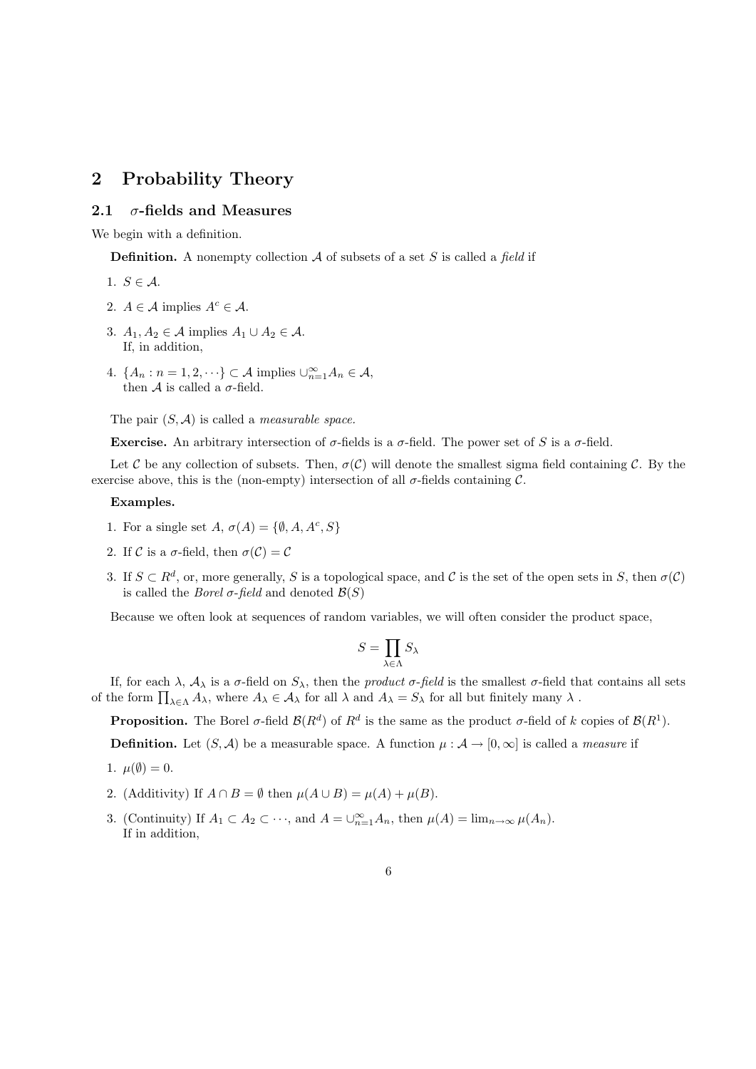## 2 Probability Theory

## 2.1  $\sigma$ -fields and Measures

We begin with a definition.

**Definition.** A nonempty collection  $A$  of subsets of a set  $S$  is called a field if

- 1.  $S \in \mathcal{A}$ .
- 2.  $A \in \mathcal{A}$  implies  $A^c \in \mathcal{A}$ .
- 3.  $A_1, A_2 \in \mathcal{A}$  implies  $A_1 \cup A_2 \in \mathcal{A}$ . If, in addition,
- 4.  ${A_n : n = 1, 2, \dots} \subset A$  implies  $\bigcup_{n=1}^{\infty} A_n \in A$ , then A is called a  $\sigma$ -field.

The pair  $(S, \mathcal{A})$  is called a *measurable space*.

Exercise. An arbitrary intersection of  $\sigma$ -fields is a  $\sigma$ -field. The power set of S is a  $\sigma$ -field.

Let C be any collection of subsets. Then,  $\sigma(C)$  will denote the smallest sigma field containing C. By the exercise above, this is the (non-empty) intersection of all  $\sigma$ -fields containing  $\mathcal{C}$ .

#### Examples.

- 1. For a single set  $A, \sigma(A) = \{ \emptyset, A, A^c, S \}$
- 2. If C is a  $\sigma$ -field, then  $\sigma(\mathcal{C}) = \mathcal{C}$
- 3. If  $S \subset R^d$ , or, more generally, S is a topological space, and C is the set of the open sets in S, then  $\sigma(\mathcal{C})$ is called the *Borel*  $\sigma$ *-field* and denoted  $\mathcal{B}(S)$

Because we often look at sequences of random variables, we will often consider the product space,

$$
S=\prod_{\lambda\in\Lambda}S_\lambda
$$

If, for each  $\lambda$ ,  $\mathcal{A}_{\lambda}$  is a  $\sigma$ -field on  $S_{\lambda}$ , then the *product*  $\sigma$ -field is the smallest  $\sigma$ -field that contains all sets of the form  $\prod_{\lambda \in \Lambda} A_{\lambda}$ , where  $A_{\lambda} \in A_{\lambda}$  for all  $\lambda$  and  $A_{\lambda} = S_{\lambda}$  for all but finitely many  $\lambda$ .

**Proposition.** The Borel  $\sigma$ -field  $\mathcal{B}(R^d)$  of  $R^d$  is the same as the product  $\sigma$ -field of k copies of  $\mathcal{B}(R^1)$ .

**Definition.** Let  $(S, \mathcal{A})$  be a measurable space. A function  $\mu : \mathcal{A} \to [0, \infty]$  is called a *measure* if

- 1.  $\mu(\emptyset) = 0$ .
- 2. (Additivity) If  $A \cap B = \emptyset$  then  $\mu(A \cup B) = \mu(A) + \mu(B)$ .
- 3. (Continuity) If  $A_1 \subset A_2 \subset \cdots$ , and  $A = \bigcup_{n=1}^{\infty} A_n$ , then  $\mu(A) = \lim_{n \to \infty} \mu(A_n)$ . If in addition,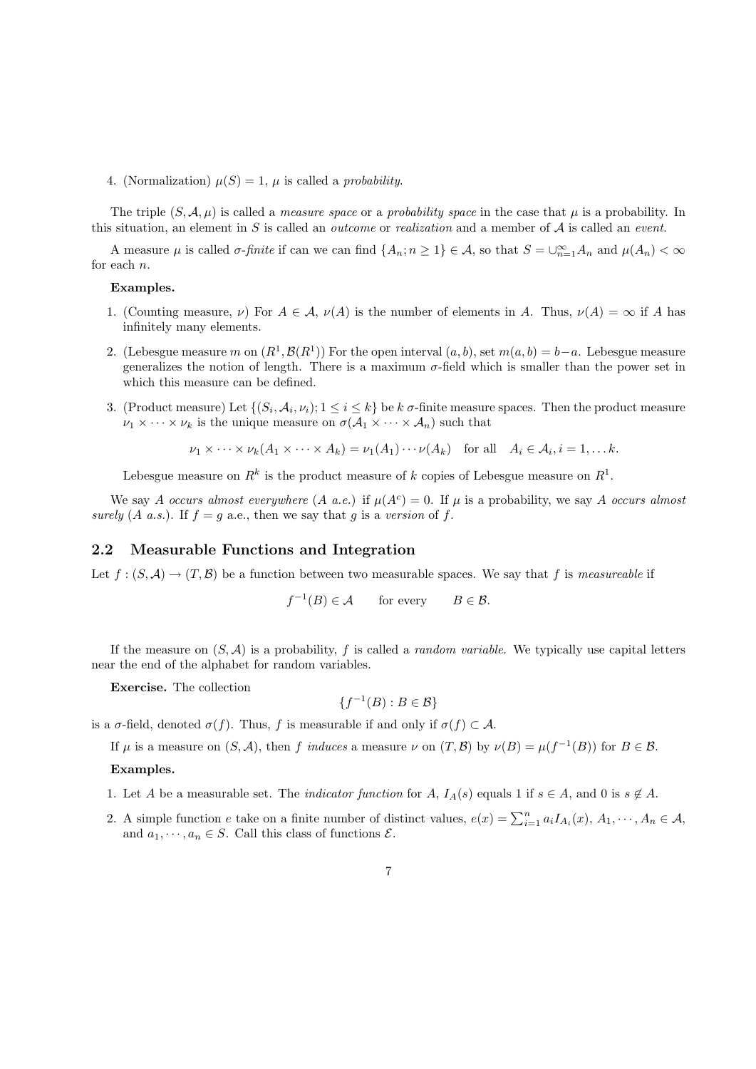4. (Normalization)  $\mu(S) = 1$ ,  $\mu$  is called a *probability*.

The triple  $(S, \mathcal{A}, \mu)$  is called a *measure space* or a *probability space* in the case that  $\mu$  is a probability. In this situation, an element in S is called an *outcome* or *realization* and a member of  $A$  is called an *event.* 

A measure  $\mu$  is called  $\sigma$ -finite if can we can find  $\{A_n; n \geq 1\} \in \mathcal{A}$ , so that  $S = \bigcup_{n=1}^{\infty} A_n$  and  $\mu(A_n) < \infty$ for each n.

#### Examples.

- 1. (Counting measure,  $\nu$ ) For  $A \in \mathcal{A}$ ,  $\nu(A)$  is the number of elements in A. Thus,  $\nu(A) = \infty$  if A has infinitely many elements.
- 2. (Lebesgue measure m on  $(R^1, \mathcal{B}(R^1))$  For the open interval  $(a, b)$ , set  $m(a, b) = b-a$ . Lebesgue measure generalizes the notion of length. There is a maximum  $\sigma$ -field which is smaller than the power set in which this measure can be defined.
- 3. (Product measure) Let  $\{(S_i, \mathcal{A}_i, \nu_i); 1 \leq i \leq k\}$  be  $k$   $\sigma$ -finite measure spaces. Then the product measure  $\nu_1 \times \cdots \times \nu_k$  is the unique measure on  $\sigma(A_1 \times \cdots \times A_n)$  such that

$$
\nu_1 \times \cdots \times \nu_k (A_1 \times \cdots \times A_k) = \nu_1(A_1) \cdots \nu(A_k)
$$
 for all  $A_i \in A_i, i = 1, \ldots k$ .

Lebesgue measure on  $R^k$  is the product measure of k copies of Lebesgue measure on  $R^1$ .

We say A occurs almost everywhere  $(A \ a.e.)$  if  $\mu(A^c) = 0$ . If  $\mu$  is a probability, we say A occurs almost surely  $(A \ a.s.)$ . If  $f = g \ a.e.,$  then we say that g is a version of f.

## 2.2 Measurable Functions and Integration

Let  $f : (S, \mathcal{A}) \to (T, \mathcal{B})$  be a function between two measurable spaces. We say that f is measureable if

$$
f^{-1}(B) \in \mathcal{A} \qquad \text{for every} \qquad B \in \mathcal{B}.
$$

If the measure on  $(S, \mathcal{A})$  is a probability, f is called a *random variable*. We typically use capital letters near the end of the alphabet for random variables.

Exercise. The collection

$$
\{f^{-1}(B) : B \in \mathcal{B}\}
$$

is a  $\sigma$ -field, denoted  $\sigma(f)$ . Thus, f is measurable if and only if  $\sigma(f) \subset A$ .

If  $\mu$  is a measure on  $(S, \mathcal{A})$ , then f induces a measure  $\nu$  on  $(T, \mathcal{B})$  by  $\nu(B) = \mu(f^{-1}(B))$  for  $B \in \mathcal{B}$ .

#### Examples.

- 1. Let A be a measurable set. The *indicator function* for A,  $I_A(s)$  equals 1 if  $s \in A$ , and 0 is  $s \notin A$ .
- 2. A simple function e take on a finite number of distinct values,  $e(x) = \sum_{i=1}^{n} a_i I_{A_i}(x), A_1, \dots, A_n \in \mathcal{A}$ , and  $a_1, \dots, a_n \in S$ . Call this class of functions  $\mathcal{E}$ .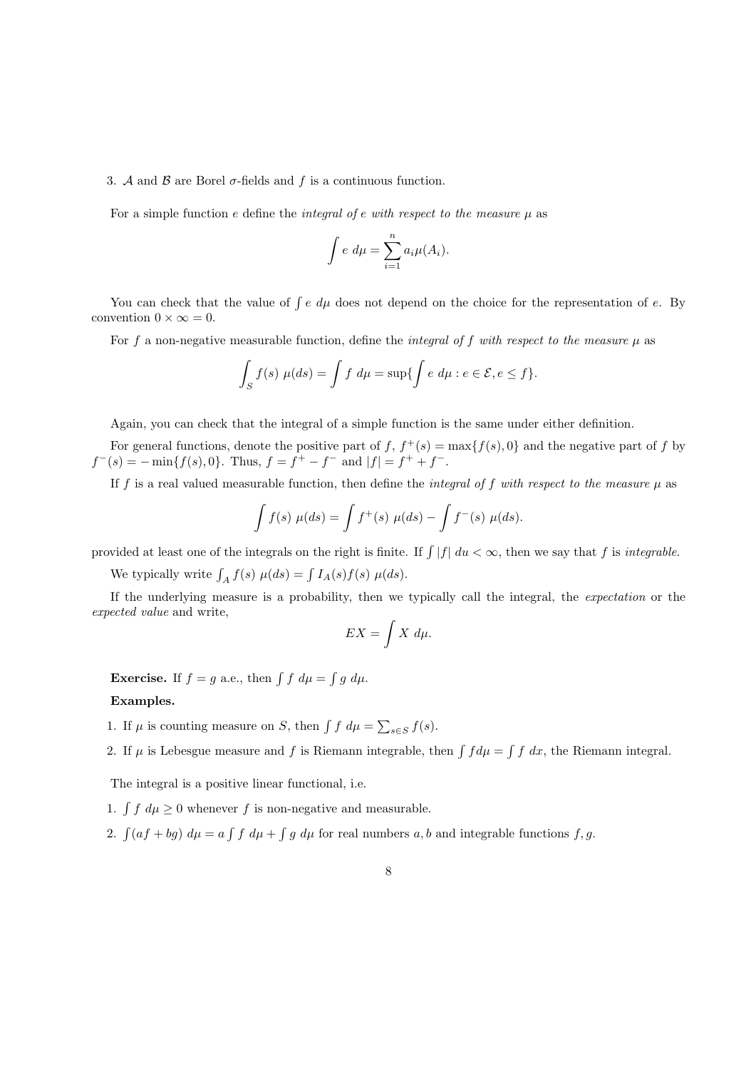#### 3. A and B are Borel  $\sigma$ -fields and f is a continuous function.

For a simple function e define the *integral of e with respect to the measure*  $\mu$  as

$$
\int e \ d\mu = \sum_{i=1}^n a_i \mu(A_i).
$$

You can check that the value of  $\int e \, d\mu$  does not depend on the choice for the representation of e. By convention  $0 \times \infty = 0$ .

For f a non-negative measurable function, define the *integral of f with respect to the measure*  $\mu$  as

$$
\int_{S} f(s) \mu(ds) = \int f \ d\mu = \sup \{ \int e \ d\mu : e \in \mathcal{E}, e \le f \}.
$$

Again, you can check that the integral of a simple function is the same under either definition.

For general functions, denote the positive part of f,  $f^+(s) = \max\{f(s), 0\}$  and the negative part of f by  $f^-(s) = -\min\{f(s), 0\}.$  Thus,  $f = f^+ - f^-$  and  $|f| = f^+ + f^-$ .

If f is a real valued measurable function, then define the integral of f with respect to the measure  $\mu$  as

$$
\int f(s) \ \mu(ds) = \int f^+(s) \ \mu(ds) - \int f^-(s) \ \mu(ds).
$$

provided at least one of the integrals on the right is finite. If  $\int |f| du < \infty$ , then we say that f is *integrable*.

We typically write  $\int_A f(s) \mu(ds) = \int I_A(s) f(s) \mu(ds)$ .

If the underlying measure is a probability, then we typically call the integral, the expectation or the expected value and write,

$$
EX = \int X \ d\mu.
$$

**Exercise.** If  $f = g$  a.e., then  $\int f d\mu = \int g d\mu$ .

#### Examples.

1. If  $\mu$  is counting measure on S, then  $\int f d\mu = \sum_{s \in S} f(s)$ .

2. If  $\mu$  is Lebesgue measure and f is Riemann integrable, then  $\int f d\mu = \int f dx$ , the Riemann integral.

The integral is a positive linear functional, i.e.

1.  $\int f d\mu \geq 0$  whenever f is non-negative and measurable.

2.  $\int (af + bg) d\mu = a \int f d\mu + \int g d\mu$  for real numbers a, b and integrable functions f, g.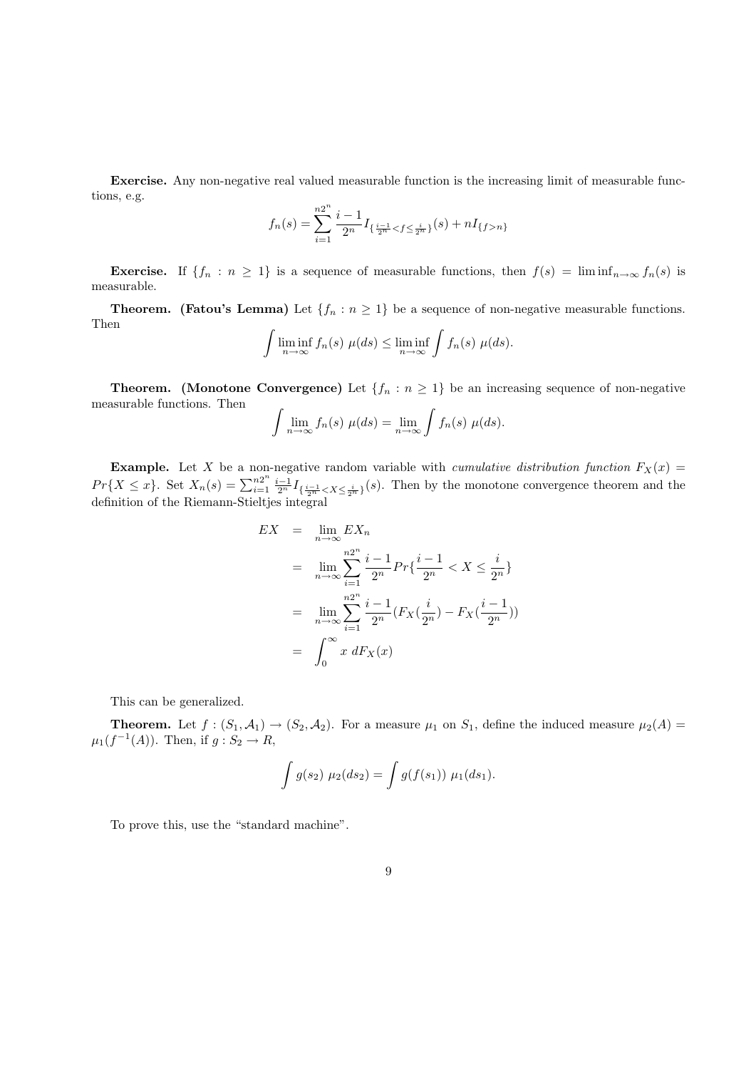Exercise. Any non-negative real valued measurable function is the increasing limit of measurable functions, e.g.

$$
f_n(s) = \sum_{i=1}^{n2^n} \frac{i-1}{2^n} I_{\{\frac{i-1}{2^n} < f \le \frac{i}{2^n}\}}(s) + n I_{\{f > n\}}
$$

**Exercise.** If  $\{f_n : n \geq 1\}$  is a sequence of measurable functions, then  $f(s) = \liminf_{n \to \infty} f_n(s)$  is measurable.

**Theorem.** (Fatou's Lemma) Let  $\{f_n : n \geq 1\}$  be a sequence of non-negative measurable functions. Then

$$
\int \liminf_{n \to \infty} f_n(s) \ \mu(ds) \leq \liminf_{n \to \infty} \int f_n(s) \ \mu(ds).
$$

**Theorem.** (Monotone Convergence) Let  $\{f_n : n \geq 1\}$  be an increasing sequence of non-negative measurable functions. Then

$$
\int \lim_{n \to \infty} f_n(s) \mu(ds) = \lim_{n \to \infty} \int f_n(s) \mu(ds).
$$

**Example.** Let X be a non-negative random variable with *cumulative distribution function*  $F_X(x)$  $Pr{X \leq x}$ . Set  $X_n(s) = \sum_{i=1}^{n2^n}$  $\frac{n2^n}{i=1} \frac{i-1}{2^n} I_{\{\frac{i-1}{2^n} \lt X \leq \frac{i}{2^n}\}}(s)$ . Then by the monotone convergence theorem and the definition of the Riemann-Stieltjes integral

$$
EX = \lim_{n \to \infty} EX_n
$$
  
= 
$$
\lim_{n \to \infty} \sum_{i=1}^{n2^n} \frac{i-1}{2^n} Pr\{\frac{i-1}{2^n} < X \le \frac{i}{2^n}\}
$$
  
= 
$$
\lim_{n \to \infty} \sum_{i=1}^{n2^n} \frac{i-1}{2^n} (F_X(\frac{i}{2^n}) - F_X(\frac{i-1}{2^n}))
$$
  
= 
$$
\int_0^\infty x \, dF_X(x)
$$

This can be generalized.

**Theorem.** Let  $f : (S_1, \mathcal{A}_1) \to (S_2, \mathcal{A}_2)$ . For a measure  $\mu_1$  on  $S_1$ , define the induced measure  $\mu_2(A)$  $\mu_1(f^{-1}(A))$ . Then, if  $g: S_2 \to R$ ,

$$
\int g(s_2) \mu_2(ds_2) = \int g(f(s_1)) \mu_1(ds_1).
$$

To prove this, use the "standard machine".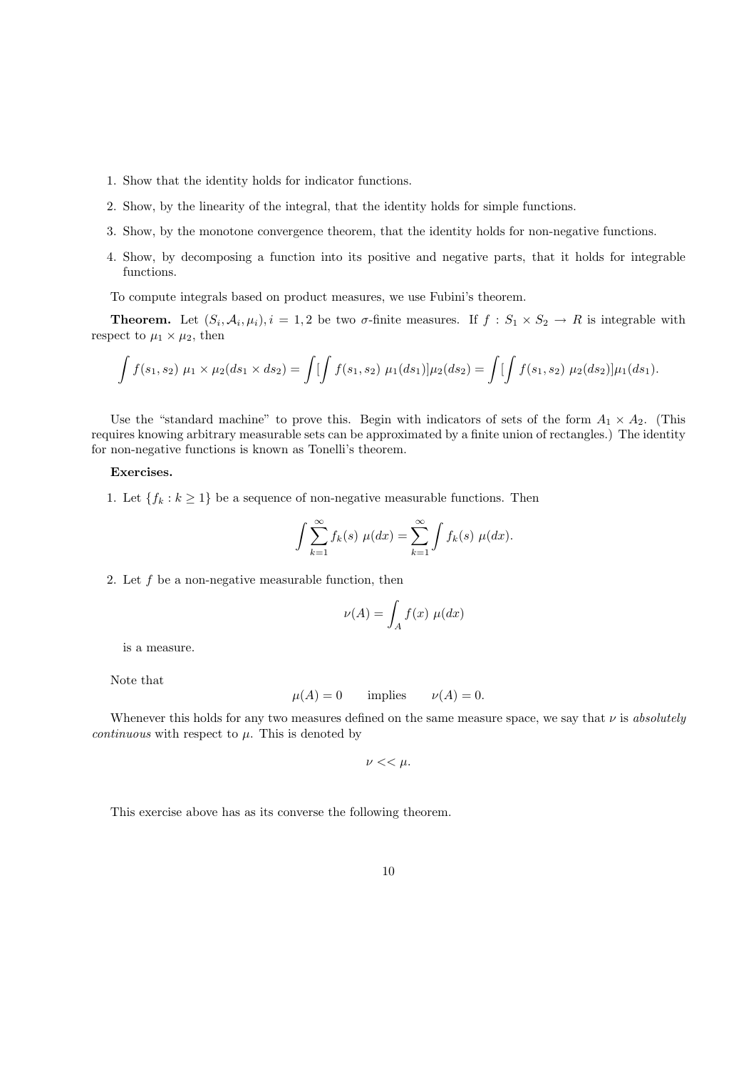- 1. Show that the identity holds for indicator functions.
- 2. Show, by the linearity of the integral, that the identity holds for simple functions.
- 3. Show, by the monotone convergence theorem, that the identity holds for non-negative functions.
- 4. Show, by decomposing a function into its positive and negative parts, that it holds for integrable functions.

To compute integrals based on product measures, we use Fubini's theorem.

**Theorem.** Let  $(S_i, \mathcal{A}_i, \mu_i), i = 1, 2$  be two  $\sigma$ -finite measures. If  $f : S_1 \times S_2 \to R$  is integrable with respect to  $\mu_1 \times \mu_2$ , then

$$
\int f(s_1, s_2) \mu_1 \times \mu_2(ds_1 \times ds_2) = \int \left[ \int f(s_1, s_2) \mu_1(ds_1) \right] \mu_2(ds_2) = \int \left[ \int f(s_1, s_2) \mu_2(ds_2) \right] \mu_1(ds_1).
$$

Use the "standard machine" to prove this. Begin with indicators of sets of the form  $A_1 \times A_2$ . (This requires knowing arbitrary measurable sets can be approximated by a finite union of rectangles.) The identity for non-negative functions is known as Tonelli's theorem.

#### Exercises.

1. Let  $\{f_k : k \geq 1\}$  be a sequence of non-negative measurable functions. Then

$$
\int \sum_{k=1}^{\infty} f_k(s) \mu(dx) = \sum_{k=1}^{\infty} \int f_k(s) \mu(dx).
$$

2. Let  $f$  be a non-negative measurable function, then

$$
\nu(A) = \int_A f(x) \ \mu(dx)
$$

is a measure.

Note that

$$
\mu(A) = 0
$$
 implies  $\nu(A) = 0$ .

Whenever this holds for any two measures defined on the same measure space, we say that  $\nu$  is absolutely continuous with respect to  $\mu$ . This is denoted by

$$
\nu << \mu.
$$

This exercise above has as its converse the following theorem.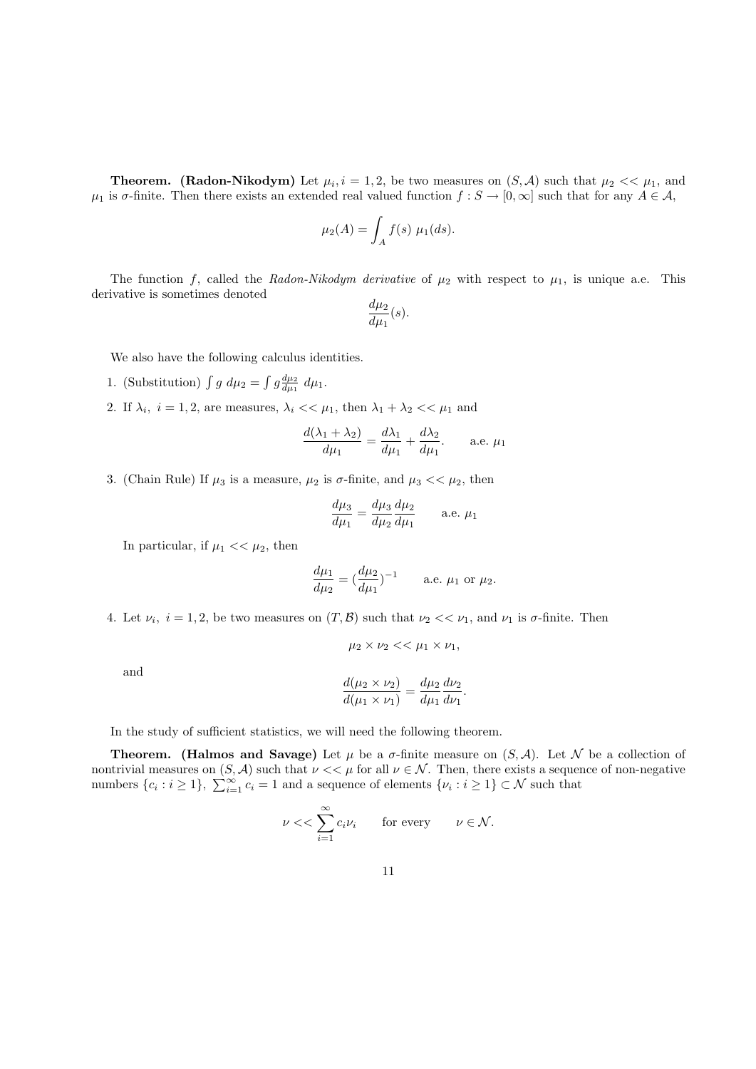**Theorem.** (Radon-Nikodym) Let  $\mu_i$ ,  $i = 1, 2$ , be two measures on  $(S, \mathcal{A})$  such that  $\mu_2 \ll \mu_1$ , and  $\mu_1$  is  $\sigma$ -finite. Then there exists an extended real valued function  $f : S \to [0, \infty]$  such that for any  $A \in \mathcal{A}$ ,

$$
\mu_2(A) = \int_A f(s) \mu_1(ds).
$$

The function f, called the Radon-Nikodym derivative of  $\mu_2$  with respect to  $\mu_1$ , is unique a.e. This derivative is sometimes denoted

$$
\frac{d\mu_2}{d\mu_1}(s).
$$

We also have the following calculus identities.

- 1. (Substitution)  $\int g \ d\mu_2 = \int g \frac{d\mu_2}{d\mu_1} \ d\mu_1$ .
- 2. If  $\lambda_i$ ,  $i = 1, 2$ , are measures,  $\lambda_i \ll \mu_1$ , then  $\lambda_1 + \lambda_2 \ll \mu_1$  and

$$
\frac{d(\lambda_1 + \lambda_2)}{d\mu_1} = \frac{d\lambda_1}{d\mu_1} + \frac{d\lambda_2}{d\mu_1}.
$$
 a.e.  $\mu_1$ 

3. (Chain Rule) If  $\mu_3$  is a measure,  $\mu_2$  is  $\sigma$ -finite, and  $\mu_3 \ll \mu_2$ , then

$$
\frac{d\mu_3}{d\mu_1} = \frac{d\mu_3}{d\mu_2} \frac{d\mu_2}{d\mu_1}
$$
 a.e.  $\mu_1$ 

In particular, if  $\mu_1 \ll \mu_2$ , then

$$
\frac{d\mu_1}{d\mu_2} = \left(\frac{d\mu_2}{d\mu_1}\right)^{-1}
$$
 a.e.  $\mu_1$  or  $\mu_2$ .

4. Let  $\nu_i$ ,  $i = 1, 2$ , be two measures on  $(T, \mathcal{B})$  such that  $\nu_2 \ll \nu_1$ , and  $\nu_1$  is  $\sigma$ -finite. Then

$$
\mu_2 \times \nu_2 \ll \mu_1 \times \nu_1,
$$

and

$$
\frac{d(\mu_2 \times \nu_2)}{d(\mu_1 \times \nu_1)} = \frac{d\mu_2}{d\mu_1} \frac{d\nu_2}{d\nu_1}.
$$

In the study of sufficient statistics, we will need the following theorem.

**Theorem.** (Halmos and Savage) Let  $\mu$  be a  $\sigma$ -finite measure on  $(S, \mathcal{A})$ . Let N be a collection of nontrivial measures on  $(S, \mathcal{A})$  such that  $\nu \ll \mu$  for all  $\nu \in \mathcal{N}$ . Then, there exists a sequence of non-negative numbers  $\{c_i : i \geq 1\}$ ,  $\sum_{i=1}^{\infty} c_i = 1$  and a sequence of elements  $\{\nu_i : i \geq 1\} \subset \mathcal{N}$  such that

$$
\nu << \sum_{i=1}^{\infty} c_i \nu_i \quad \text{for every} \quad \nu \in \mathcal{N}.
$$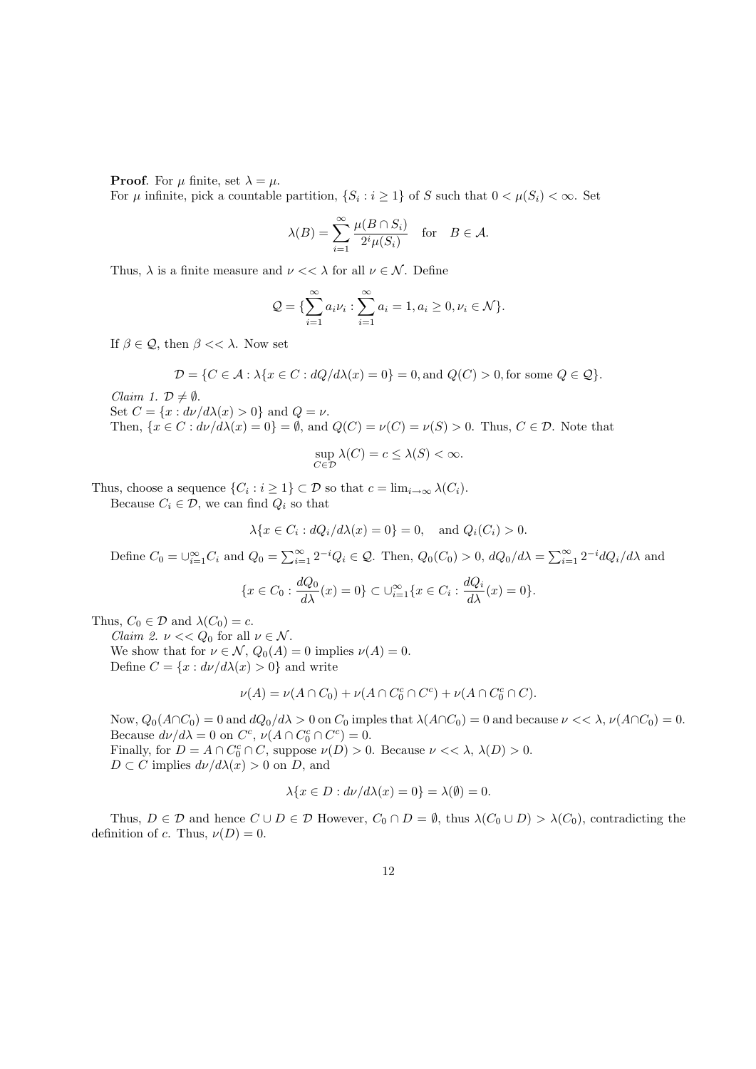**Proof.** For  $\mu$  finite, set  $\lambda = \mu$ .

For  $\mu$  infinite, pick a countable partition,  $\{S_i : i \geq 1\}$  of S such that  $0 < \mu(S_i) < \infty$ . Set

$$
\lambda(B) = \sum_{i=1}^{\infty} \frac{\mu(B \cap S_i)}{2^i \mu(S_i)} \quad \text{for} \quad B \in \mathcal{A}.
$$

Thus,  $\lambda$  is a finite measure and  $\nu \ll \lambda$  for all  $\nu \in \mathcal{N}$ . Define

$$
Q = \{ \sum_{i=1}^{\infty} a_i \nu_i : \sum_{i=1}^{\infty} a_i = 1, a_i \ge 0, \nu_i \in \mathcal{N} \}.
$$

If  $\beta \in \mathcal{Q}$ , then  $\beta \ll \lambda$ . Now set

$$
\mathcal{D} = \{C \in \mathcal{A} : \lambda \{x \in C : dQ/d\lambda(x) = 0\} = 0, \text{and } Q(C) > 0, \text{for some } Q \in \mathcal{Q}\}.
$$

Claim 1.  $\mathcal{D} \neq \emptyset$ . Set  $C = \{x : d\nu/d\lambda(x) > 0\}$  and  $Q = \nu$ . Then,  $\{x \in C : d\nu/d\lambda(x) = 0\} = \emptyset$ , and  $Q(C) = \nu(C) = \nu(S) > 0$ . Thus,  $C \in \mathcal{D}$ . Note that

$$
\sup_{C \in \mathcal{D}} \lambda(C) = c \le \lambda(S) < \infty.
$$

Thus, choose a sequence  $\{C_i : i \geq 1\} \subset \mathcal{D}$  so that  $c = \lim_{i \to \infty} \lambda(C_i)$ .

Because  $C_i \in \mathcal{D}$ , we can find  $Q_i$  so that

$$
\lambda \{x \in C_i : dQ_i/d\lambda(x) = 0\} = 0, \text{ and } Q_i(C_i) > 0.
$$

Define  $C_0 = \bigcup_{i=1}^{\infty} C_i$  and  $Q_0 = \sum_{i=1}^{\infty} 2^{-i} Q_i \in \mathcal{Q}$ . Then,  $Q_0(C_0) > 0$ ,  $dQ_0/d\lambda = \sum_{i=1}^{\infty} 2^{-i} dQ_i/d\lambda$  and

$$
\{x \in C_0 : \frac{dQ_0}{d\lambda}(x) = 0\} \subset \bigcup_{i=1}^{\infty} \{x \in C_i : \frac{dQ_i}{d\lambda}(x) = 0\}.
$$

Thus,  $C_0 \in \mathcal{D}$  and  $\lambda(C_0) = c$ .

Claim 2.  $\nu << Q_0$  for all  $\nu \in \mathcal{N}$ . We show that for  $\nu \in \mathcal{N}$ ,  $Q_0(A) = 0$  implies  $\nu(A) = 0$ . Define  $C = \{x : d\nu/d\lambda(x) > 0\}$  and write

$$
\nu(A) = \nu(A \cap C_0) + \nu(A \cap C_0^c \cap C^c) + \nu(A \cap C_0^c \cap C).
$$

Now,  $Q_0(A \cap C_0) = 0$  and  $dQ_0/d\lambda > 0$  on  $C_0$  imples that  $\lambda(A \cap C_0) = 0$  and because  $\nu \ll \lambda$ ,  $\nu(A \cap C_0) = 0$ . Because  $d\nu/d\lambda = 0$  on  $C^c$ ,  $\nu(A \cap C_0^c \cap C^c) = 0$ . Finally, for  $D = A \cap C_0^c \cap C$ , suppose  $\nu(D) > 0$ . Because  $\nu \ll \lambda$ ,  $\lambda(D) > 0$ .  $D \subset C$  implies  $d\nu/d\lambda(x) > 0$  on D, and

$$
\lambda \{x \in D : d\nu/d\lambda(x) = 0\} = \lambda(\emptyset) = 0.
$$

Thus,  $D \in \mathcal{D}$  and hence  $C \cup D \in \mathcal{D}$  However,  $C_0 \cap D = \emptyset$ , thus  $\lambda(C_0 \cup D) > \lambda(C_0)$ , contradicting the definition of c. Thus,  $\nu(D) = 0$ .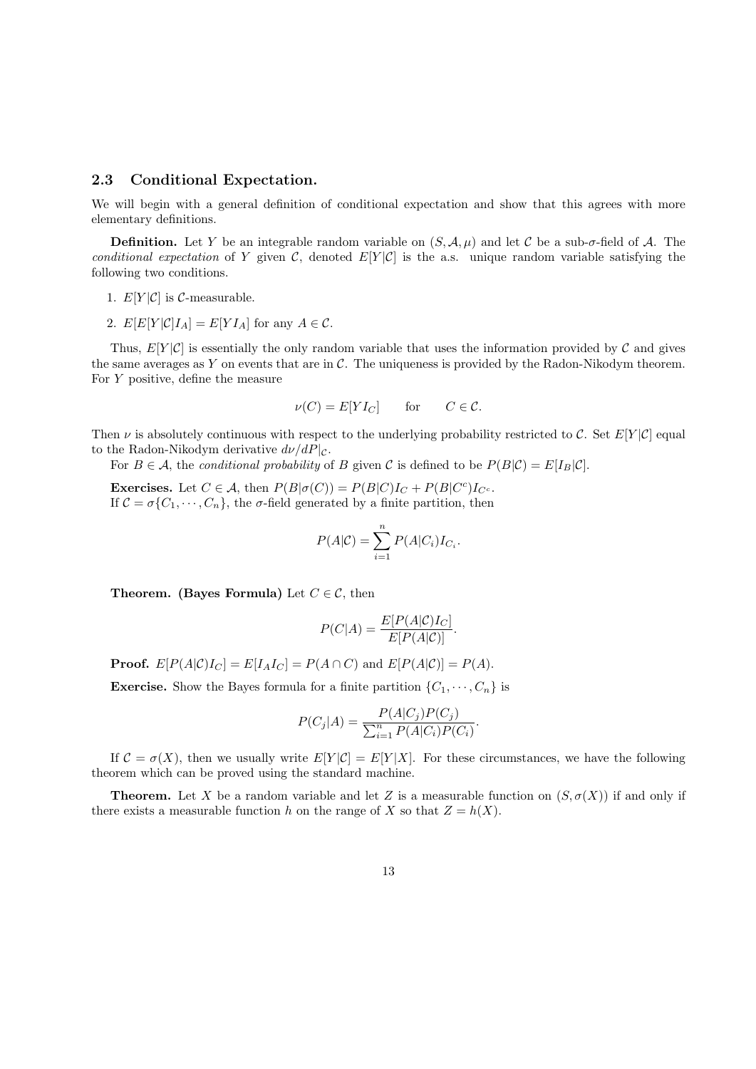#### 2.3 Conditional Expectation.

We will begin with a general definition of conditional expectation and show that this agrees with more elementary definitions.

**Definition.** Let Y be an integrable random variable on  $(S, \mathcal{A}, \mu)$  and let C be a sub- $\sigma$ -field of A. The conditional expectation of Y given C, denoted  $E[Y|\mathcal{C}]$  is the a.s. unique random variable satisfying the following two conditions.

- 1.  $E[Y|\mathcal{C}]$  is  $\mathcal{C}\text{-measurable.}$
- 2.  $E[E[Y|C]I_A] = E[YI_A]$  for any  $A \in \mathcal{C}$ .

Thus,  $E[Y|\mathcal{C}]$  is essentially the only random variable that uses the information provided by  $\mathcal C$  and gives the same averages as Y on events that are in  $\mathcal{C}$ . The uniqueness is provided by the Radon-Nikodym theorem. For  $Y$  positive, define the measure

$$
\nu(C) = E[YI_C] \quad \text{for} \quad C \in \mathcal{C}.
$$

Then  $\nu$  is absolutely continuous with respect to the underlying probability restricted to C. Set  $E[Y|\mathcal{C}]$  equal to the Radon-Nikodym derivative  $d\nu/dP|_{\mathcal{C}}$ .

For  $B \in \mathcal{A}$ , the conditional probability of B given C is defined to be  $P(B|\mathcal{C}) = E[I_B|\mathcal{C}]$ .

**Exercises.** Let  $C \in \mathcal{A}$ , then  $P(B|\sigma(C)) = P(B|C)I_C + P(B|C^c)I_{C^c}$ . If  $C = \sigma\{C_1, \dots, C_n\}$ , the  $\sigma$ -field generated by a finite partition, then

$$
P(A|C) = \sum_{i=1}^{n} P(A|C_i)I_{C_i}.
$$

**Theorem.** (Bayes Formula) Let  $C \in \mathcal{C}$ , then

$$
P(C|A) = \frac{E[P(A|C)I_C]}{E[P(A|C)]}
$$

**Proof.**  $E[P(A|C)I_C] = E[I_A I_C] = P(A \cap C)$  and  $E[P(A|C)] = P(A)$ .

**Exercise.** Show the Bayes formula for a finite partition  $\{C_1, \dots, C_n\}$  is

$$
P(C_j|A) = \frac{P(A|C_j)P(C_j)}{\sum_{i=1}^{n} P(A|C_i)P(C_i)}.
$$

If  $C = \sigma(X)$ , then we usually write  $E[Y|C] = E[Y|X]$ . For these circumstances, we have the following theorem which can be proved using the standard machine.

**Theorem.** Let X be a random variable and let Z is a measurable function on  $(S, \sigma(X))$  if and only if there exists a measurable function h on the range of X so that  $Z = h(X)$ .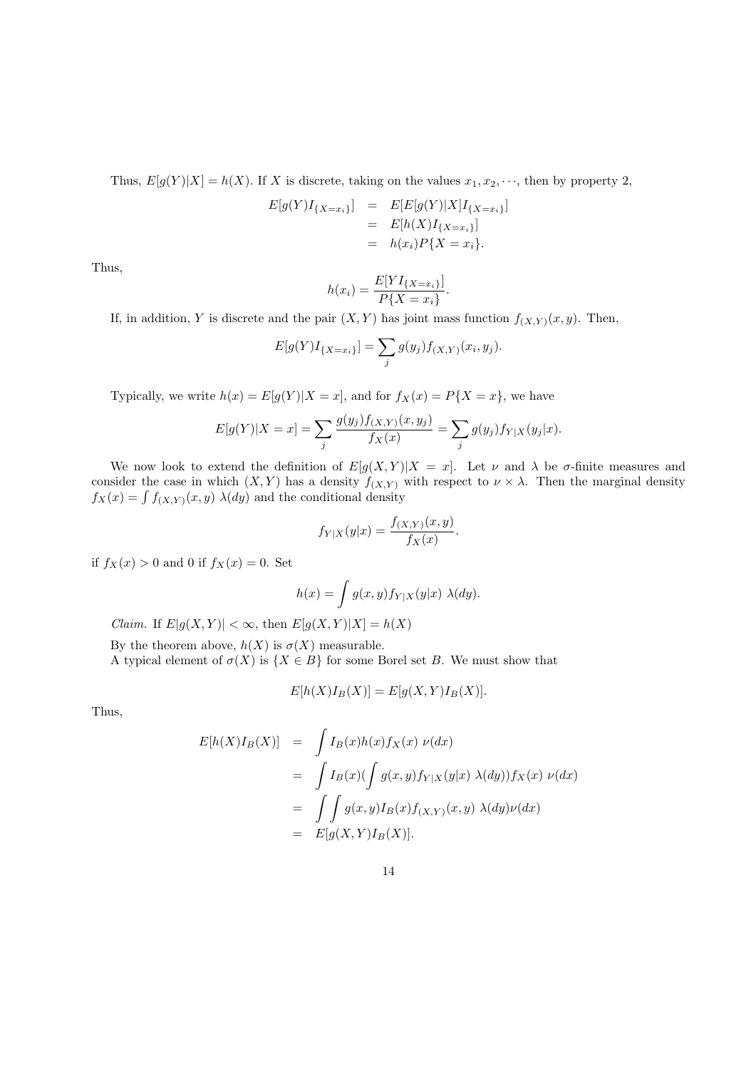Thus,  $E[g(Y)|X] = h(X)$ . If X is discrete, taking on the values  $x_1, x_2, \dots$ , then by property 2,

$$
E[g(Y)I_{\{X=x_i\}}] = E[E[g(Y)|X]I_{\{X=x_i\}}]
$$
  
=  $E[h(X)I_{\{X=x_i\}}]$   
=  $h(x_i)P\{X=x_i\}.$ 

Thus,

$$
h(x_i) = \frac{E[YI_{\{X=x_i\}}]}{P\{X=x_i\}}
$$

.

If, in addition, Y is discrete and the pair  $(X, Y)$  has joint mass function  $f_{(X, Y)}(x, y)$ . Then,

$$
E[g(Y)I_{\{X=x_i\}}] = \sum_j g(y_j) f_{(X,Y)}(x_i, y_j).
$$

Typically, we write  $h(x) = E[g(Y)|X=x]$ , and for  $f_X(x) = P\{X=x\}$ , we have

$$
E[g(Y)|X = x] = \sum_{j} \frac{g(y_j)f(x, y_j)}{f_X(x)} = \sum_{j} g(y_j)f_{Y|X}(y_j|x).
$$

We now look to extend the definition of  $E[g(X, Y)|X = x]$ . Let  $\nu$  and  $\lambda$  be  $\sigma$ -finite measures and consider the case in which  $(X, Y)$  has a density  $f_{(X, Y)}$  with respect to  $\nu \times \lambda$ . Then the marginal density  $f_X(x) = \int f_{(X,Y)}(x, y) \lambda(dy)$  and the conditional density

$$
f_{Y|X}(y|x) = \frac{f_{(X,Y)}(x,y)}{f_X(x)}
$$
.

if  $f_X(x) > 0$  and 0 if  $f_X(x) = 0$ . Set

$$
h(x) = \int g(x, y) f_{Y|X}(y|x) \lambda(dy).
$$

*Claim.* If  $E|g(X, Y)| < \infty$ , then  $E[g(X, Y)|X] = h(X)$ 

By the theorem above,  $h(X)$  is  $\sigma(X)$  measurable.

A typical element of  $\sigma(X)$  is  $\{X \in B\}$  for some Borel set B. We must show that

$$
E[h(X)I_B(X)] = E[g(X,Y)I_B(X)].
$$

Thus,

$$
E[h(X)I_B(X)] = \int I_B(x)h(x)f_X(x) \nu(dx)
$$
  
= 
$$
\int I_B(x) (\int g(x,y)f_{Y|X}(y|x) \lambda(dy)) f_X(x) \nu(dx)
$$
  
= 
$$
\int \int g(x,y)I_B(x)f_{(X,Y)}(x,y) \lambda(dy)\nu(dx)
$$
  
= 
$$
E[g(X,Y)I_B(X)].
$$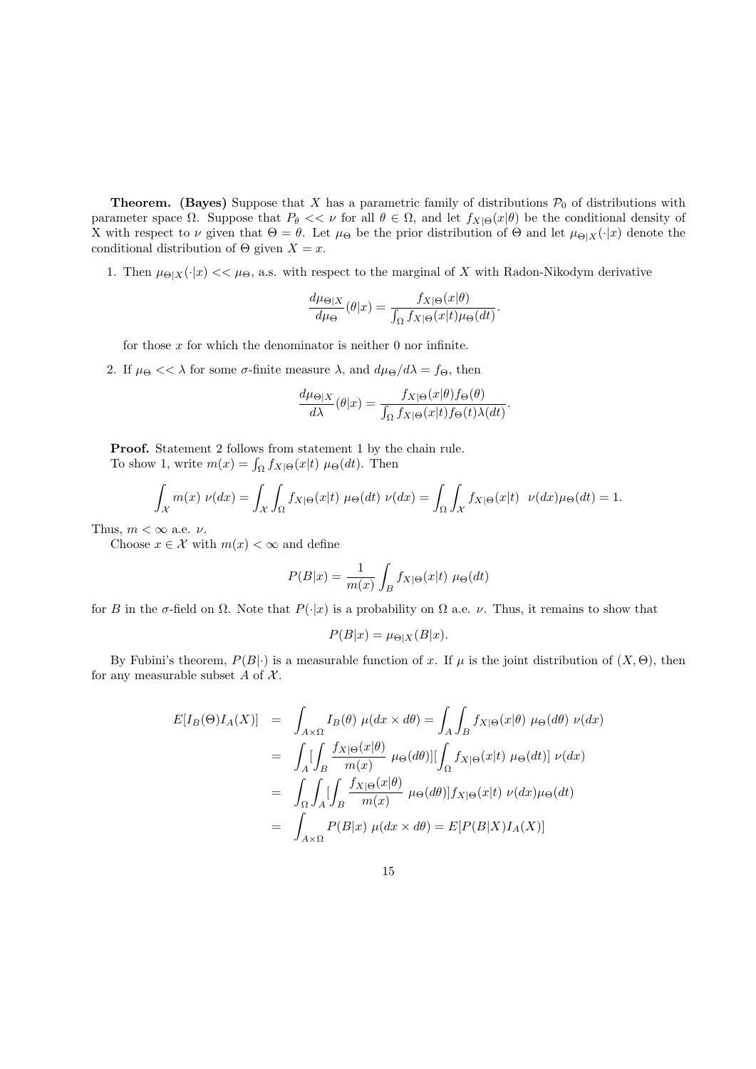**Theorem.** (Bayes) Suppose that X has a parametric family of distributions  $\mathcal{P}_0$  of distributions with parameter space  $\Omega$ . Suppose that  $P_{\theta} << \nu$  for all  $\theta \in \Omega$ , and let  $f_{X|\Theta}(x|\theta)$  be the conditional density of X with respect to  $\nu$  given that  $\Theta = \theta$ . Let  $\mu_{\Theta}$  be the prior distribution of  $\Theta$  and let  $\mu_{\Theta|X}(\cdot|x)$  denote the conditional distribution of  $\Theta$  given  $X = x$ .

1. Then  $\mu_{\Theta|X}(\cdot|x) \ll \mu_{\Theta}$ , a.s. with respect to the marginal of X with Radon-Nikodym derivative

$$
\frac{d\mu_{\Theta|X}}{d\mu_{\Theta}}(\theta|x) = \frac{f_{X|\Theta}(x|\theta)}{\int_{\Omega} f_{X|\Theta}(x|t)\mu_{\Theta}(dt)}.
$$

for those  $x$  for which the denominator is neither  $0$  nor infinite.

2. If  $\mu_{\Theta} << \lambda$  for some  $\sigma$ -finite measure  $\lambda$ , and  $d\mu_{\Theta}/d\lambda = f_{\Theta}$ , then

$$
\frac{d\mu_{\Theta|X}}{d\lambda}(\theta|x) = \frac{f_{X|\Theta}(x|\theta)f_{\Theta}(\theta)}{\int_{\Omega} f_{X|\Theta}(x|t)f_{\Theta}(t)\lambda(dt)}.
$$

Proof. Statement 2 follows from statement 1 by the chain rule. To show 1, write  $m(x) = \int_{\Omega} f_{X|\Theta}(x|t) \mu_{\Theta}(dt)$ . Then

$$
\int_{\mathcal{X}} m(x) \ \nu(dx) = \int_{\mathcal{X}} \int_{\Omega} f_{X|\Theta}(x|t) \ \mu_{\Theta}(dt) \ \nu(dx) = \int_{\Omega} \int_{\mathcal{X}} f_{X|\Theta}(x|t) \ \nu(dx)\mu_{\Theta}(dt) = 1.
$$

Thus,  $m < \infty$  a.e.  $\nu$ .

Choose  $x \in \mathcal{X}$  with  $m(x) < \infty$  and define

$$
P(B|x) = \frac{1}{m(x)} \int_B f_{X|\Theta}(x|t) \mu_{\Theta}(dt)
$$

for B in the  $\sigma$ -field on  $\Omega$ . Note that  $P(\cdot|x)$  is a probability on  $\Omega$  a.e.  $\nu$ . Thus, it remains to show that

$$
P(B|x) = \mu_{\Theta|X}(B|x).
$$

By Fubini's theorem,  $P(B|\cdot)$  is a measurable function of x. If  $\mu$  is the joint distribution of  $(X, \Theta)$ , then for any measurable subset  $A$  of  $X$ .

$$
E[I_B(\Theta)I_A(X)] = \int_{A \times \Omega} I_B(\theta) \mu(dx \times d\theta) = \int_A \int_B f_{X|\Theta}(x|\theta) \mu_{\Theta}(d\theta) \nu(dx)
$$
  
\n
$$
= \int_A \left[ \int_B \frac{f_{X|\Theta}(x|\theta)}{m(x)} \mu_{\Theta}(d\theta) \right] \left[ \int_{\Omega} f_{X|\Theta}(x|t) \mu_{\Theta}(dt) \right] \nu(dx)
$$
  
\n
$$
= \int_{\Omega} \int_A \left[ \int_B \frac{f_{X|\Theta}(x|\theta)}{m(x)} \mu_{\Theta}(d\theta) \right] f_{X|\Theta}(x|t) \nu(dx) \mu_{\Theta}(dt)
$$
  
\n
$$
= \int_{A \times \Omega} P(B|x) \mu(dx \times d\theta) = E[P(B|X)I_A(X)]
$$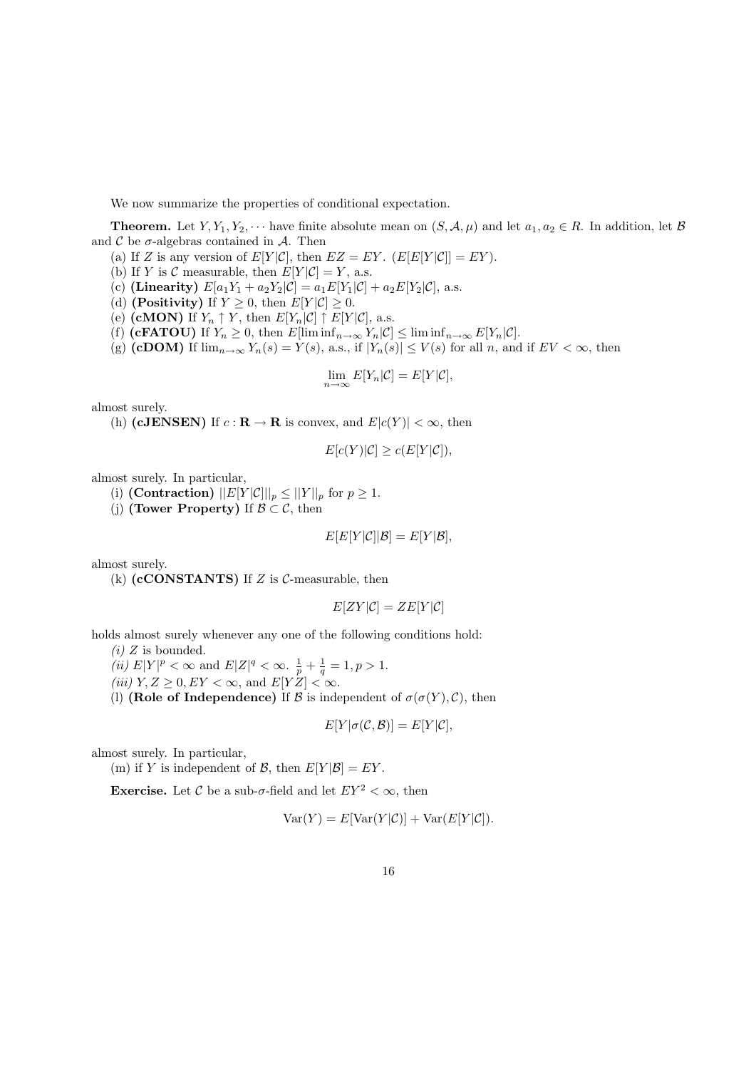We now summarize the properties of conditional expectation.

**Theorem.** Let  $Y, Y_1, Y_2, \cdots$  have finite absolute mean on  $(S, \mathcal{A}, \mu)$  and let  $a_1, a_2 \in R$ . In addition, let  $\mathcal{B}$ and  $\mathcal C$  be  $\sigma$ -algebras contained in  $\mathcal A$ . Then

- (a) If Z is any version of  $E[Y|\mathcal{C}]$ , then  $EZ = EY$ .  $(E[E[Y|\mathcal{C}]] = EY)$ .
- (b) If Y is C measurable, then  $E[Y|\mathcal{C}] = Y$ , a.s.
- (c) (Linearity)  $E[a_1Y_1 + a_2Y_2|\mathcal{C}] = a_1E[Y_1|\mathcal{C}] + a_2E[Y_2|\mathcal{C}]$ , a.s.
- (d) (**Positivity**) If  $Y \geq 0$ , then  $E[Y|\mathcal{C}] \geq 0$ .
- (e) (cMON) If  $Y_n \uparrow Y$ , then  $E[Y_n|\mathcal{C}] \uparrow E[Y|\mathcal{C}]$ , a.s.
- (f) (**cFATOU**) If  $Y_n \geq 0$ , then  $E[\liminf_{n\to\infty} Y_n|\mathcal{C}] \leq \liminf_{n\to\infty} E[Y_n|\mathcal{C}]$ .
- (g) (cDOM) If  $\lim_{n\to\infty} Y_n(s) = Y(s)$ , a.s., if  $|Y_n(s)| \leq V(s)$  for all n, and if  $EV < \infty$ , then

$$
\lim_{n \to \infty} E[Y_n|C] = E[Y|C],
$$

almost surely.

(h) (cJENSEN) If  $c : \mathbf{R} \to \mathbf{R}$  is convex, and  $E|c(Y)| < \infty$ , then

$$
E[c(Y)|\mathcal{C}] \ge c(E[Y|\mathcal{C}]),
$$

almost surely. In particular,

- (i) (Contraction)  $||E[Y|\mathcal{C}]||_p \le ||Y||_p$  for  $p \ge 1$ .
- (i) (Tower Property) If  $\mathcal{B} \subset \mathcal{C}$ , then

$$
E[E[Y|\mathcal{C}]|\mathcal{B}] = E[Y|\mathcal{B}],
$$

almost surely.

(k)  $(c\text{CONSTANTS})$  If Z is C-measurable, then

$$
E[ZY|\mathcal{C}] = ZE[Y|\mathcal{C}]
$$

holds almost surely whenever any one of the following conditions hold:

 $(i)$  Z is bounded.

(*ii*)  $E|Y|^p < \infty$  and  $E|Z|^q < \infty$ .  $\frac{1}{p} + \frac{1}{q} = 1, p > 1$ .

(iii)  $Y, Z \geq 0, EY < \infty$ , and  $E[Y|Z] < \infty$ .

(l) (Role of Independence) If  $\mathcal B$  is independent of  $\sigma(\sigma(Y), \mathcal C)$ , then

$$
E[Y|\sigma(\mathcal{C},\mathcal{B})] = E[Y|\mathcal{C}],
$$

almost surely. In particular,

(m) if Y is independent of B, then  $E[Y|\mathcal{B}] = EY$ .

**Exercise.** Let C be a sub- $\sigma$ -field and let  $EY^2 < \infty$ , then

$$
Var(Y) = E[Var(Y|\mathcal{C})] + Var(E[Y|\mathcal{C}]).
$$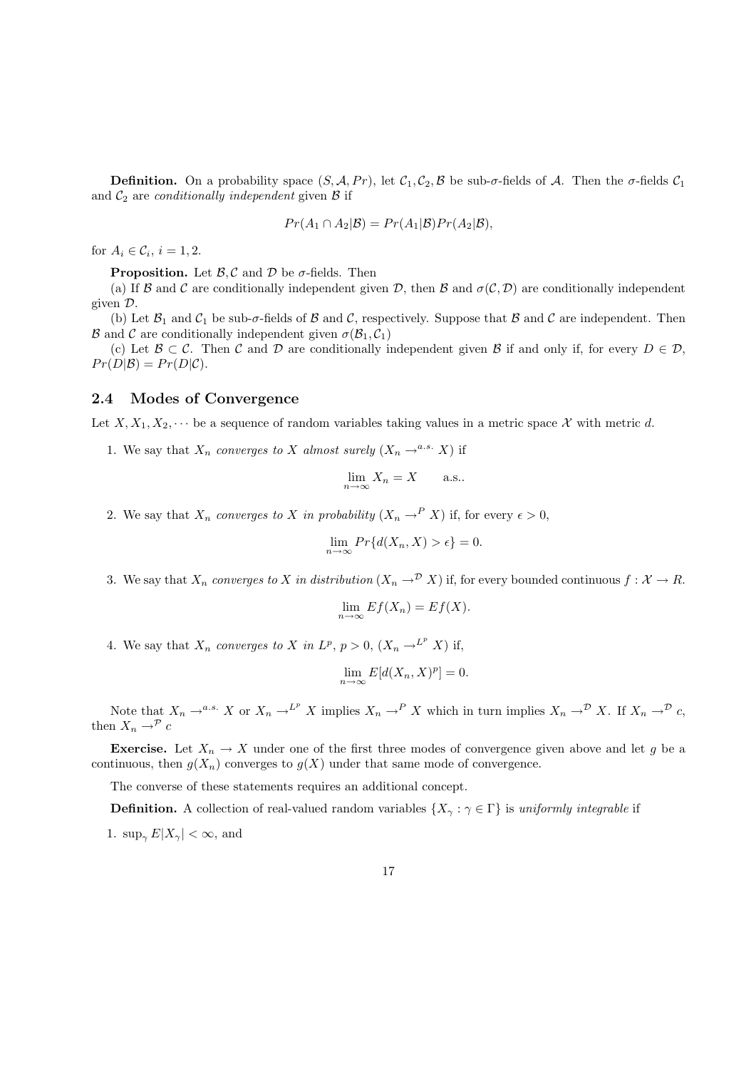**Definition.** On a probability space  $(S, \mathcal{A}, Pr)$ , let  $\mathcal{C}_1, \mathcal{C}_2, \mathcal{B}$  be sub- $\sigma$ -fields of  $\mathcal{A}$ . Then the  $\sigma$ -fields  $\mathcal{C}_1$ and  $C_2$  are *conditionally independent* given  $\beta$  if

$$
Pr(A_1 \cap A_2 | \mathcal{B}) = Pr(A_1 | \mathcal{B}) Pr(A_2 | \mathcal{B}),
$$

for  $A_i \in \mathcal{C}_i$ ,  $i = 1, 2$ .

**Proposition.** Let  $\beta$ , C and D be  $\sigma$ -fields. Then

(a) If B and C are conditionally independent given D, then B and  $\sigma(C, D)$  are conditionally independent given D.

(b) Let  $\mathcal{B}_1$  and  $\mathcal{C}_1$  be sub- $\sigma$ -fields of  $\mathcal{B}$  and  $\mathcal{C}$ , respectively. Suppose that  $\mathcal{B}$  and  $\mathcal{C}$  are independent. Then  $\mathcal B$  and  $\mathcal C$  are conditionally independent given  $\sigma(\mathcal B_1, \mathcal C_1)$ 

(c) Let  $\mathcal{B} \subset \mathcal{C}$ . Then  $\mathcal{C}$  and  $\mathcal{D}$  are conditionally independent given  $\mathcal{B}$  if and only if, for every  $D \in \mathcal{D}$ ,  $Pr(D|\mathcal{B}) = Pr(D|\mathcal{C}).$ 

#### 2.4 Modes of Convergence

Let  $X, X_1, X_2, \cdots$  be a sequence of random variables taking values in a metric space X with metric d.

1. We say that  $X_n$  converges to X almost surely  $(X_n \rightarrow^{a.s.} X)$  if

$$
\lim_{n \to \infty} X_n = X \quad \text{a.s.}.
$$

2. We say that  $X_n$  converges to X in probability  $(X_n \to^P X)$  if, for every  $\epsilon > 0$ ,

$$
\lim_{n \to \infty} Pr\{d(X_n, X) > \epsilon\} = 0.
$$

3. We say that  $X_n$  converges to X in distribution  $(X_n \to^{\mathcal{D}} X)$  if, for every bounded continuous  $f: X \to R$ .

$$
\lim_{n \to \infty} Ef(X_n) = Ef(X).
$$

4. We say that  $X_n$  converges to X in  $L^p$ ,  $p > 0$ ,  $(X_n \to L^p X)$  if,

$$
\lim_{n \to \infty} E[d(X_n, X)^p] = 0.
$$

Note that  $X_n \to^{a.s.} X$  or  $X_n \to^{L^p} X$  implies  $X_n \to^P X$  which in turn implies  $X_n \to^{\mathcal{D}} X$ . If  $X_n \to^{\mathcal{D}} C$ , then  $X_n \to^{\mathcal{P}} c$ 

**Exercise.** Let  $X_n \to X$  under one of the first three modes of convergence given above and let g be a continuous, then  $g(X_n)$  converges to  $g(X)$  under that same mode of convergence.

The converse of these statements requires an additional concept.

**Definition.** A collection of real-valued random variables  $\{X_\gamma : \gamma \in \Gamma\}$  is uniformly integrable if

1.  $\sup_{\gamma} E|X_{\gamma}| < \infty$ , and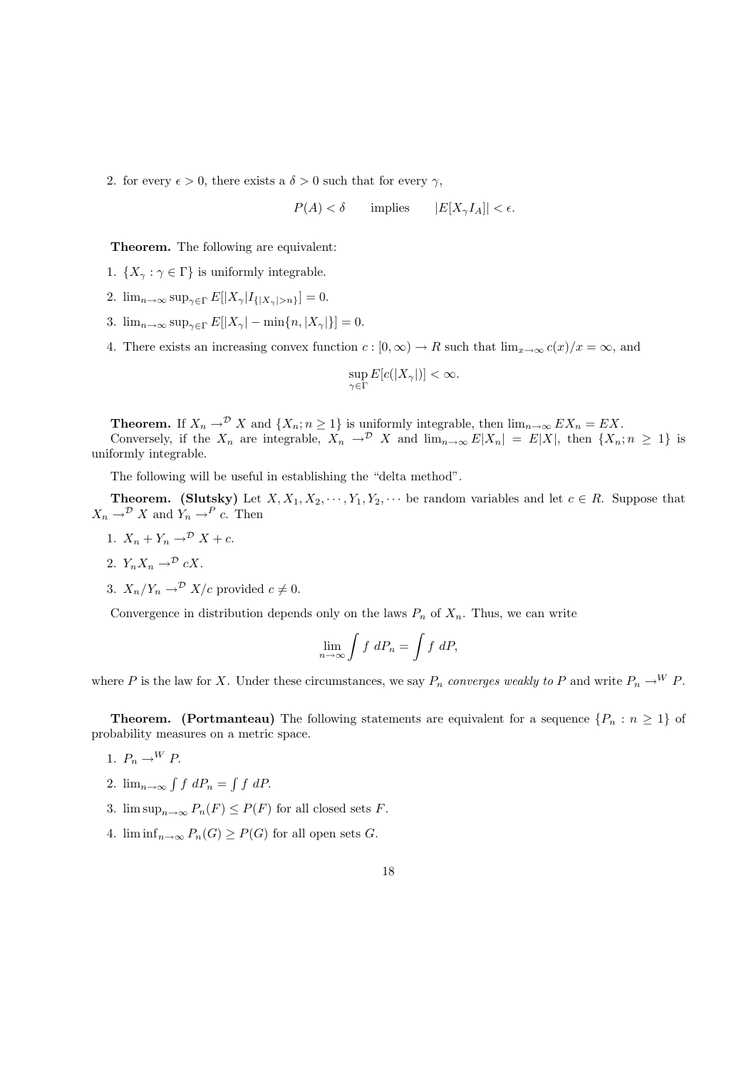2. for every  $\epsilon > 0$ , there exists a  $\delta > 0$  such that for every  $\gamma$ ,

 $P(A) < \delta$  implies  $|E[X_{\gamma}I_{A}]| < \epsilon$ .

Theorem. The following are equivalent:

- 1.  $\{X_\gamma : \gamma \in \Gamma\}$  is uniformly integrable.
- 2.  $\lim_{n\to\infty} \sup_{\gamma \in \Gamma} E[|X_{\gamma}|I_{\{|X_{\gamma}|>n\}}] = 0.$
- 3.  $\lim_{n\to\infty} \sup_{\gamma\in\Gamma} E[|X_{\gamma}| \min\{n, |X_{\gamma}|\}] = 0.$
- 4. There exists an increasing convex function  $c : [0, \infty) \to R$  such that  $\lim_{x\to\infty} c(x)/x = \infty$ , and

$$
\sup_{\gamma\in\Gamma}E[c(|X_{\gamma}|)]<\infty.
$$

**Theorem.** If  $X_n \to^{\mathcal{D}} X$  and  $\{X_n : n \geq 1\}$  is uniformly integrable, then  $\lim_{n \to \infty} EX_n = EX$ . Conversely, if the  $X_n$  are integrable,  $X_n \to^{\mathcal{D}} X$  and  $\lim_{n\to\infty} E|X_n| = E|X|$ , then  $\{X_n; n \geq 1\}$  is uniformly integrable.

The following will be useful in establishing the "delta method".

**Theorem.** (Slutsky) Let  $X, X_1, X_2, \dots, Y_1, Y_2, \dots$  be random variables and let  $c \in R$ . Suppose that  $X_n \to^{\mathcal{D}} X$  and  $Y_n \to^P c$ . Then

1.  $X_n + Y_n \rightarrow^{\mathcal{D}} X + c$ .

$$
2. Y_n X_n \to^{\mathcal{D}} cX.
$$

3.  $X_n/Y_n \to^{\mathcal{D}} X/c$  provided  $c \neq 0$ .

Convergence in distribution depends only on the laws  $P_n$  of  $X_n$ . Thus, we can write

$$
\lim_{n \to \infty} \int f \ dP_n = \int f \ dP,
$$

where P is the law for X. Under these circumstances, we say  $P_n$  converges weakly to P and write  $P_n \to^W P$ .

**Theorem.** (Portmanteau) The following statements are equivalent for a sequence  $\{P_n : n \geq 1\}$  of probability measures on a metric space.

- 1.  $P_n \rightarrow^W P$ .
- 2.  $\lim_{n\to\infty} \int f \ dP_n = \int f \ dP.$
- 3.  $\limsup_{n\to\infty} P_n(F) \leq P(F)$  for all closed sets F.
- 4.  $\liminf_{n\to\infty} P_n(G) \geq P(G)$  for all open sets G.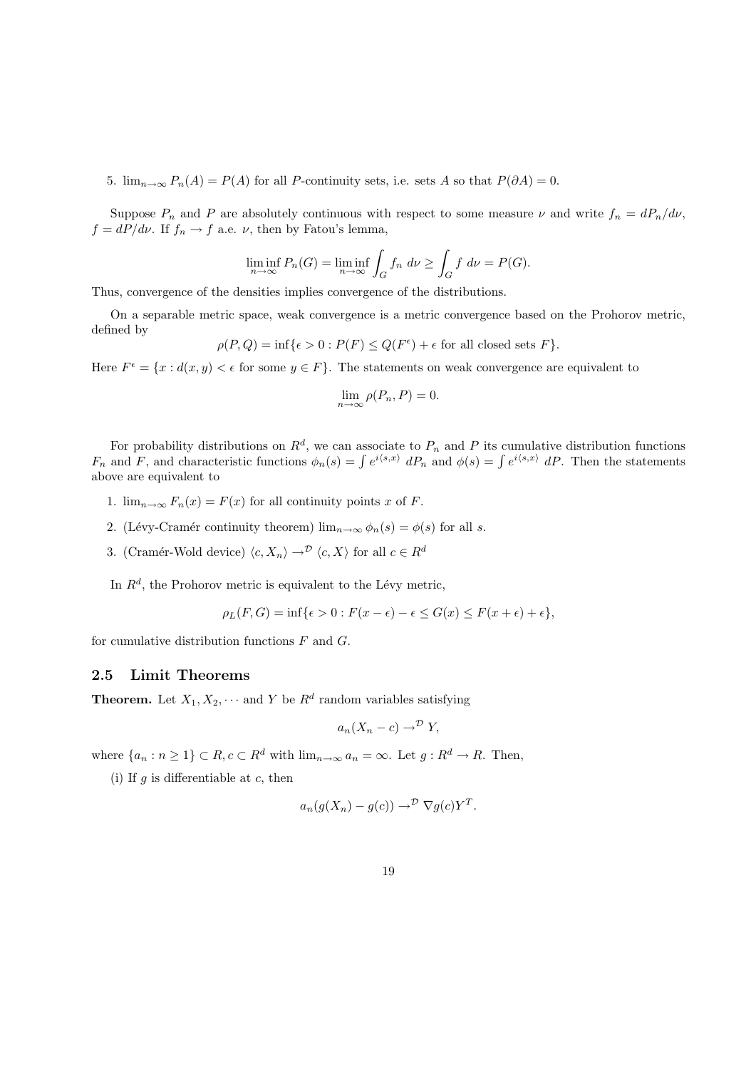5.  $\lim_{n\to\infty} P_n(A) = P(A)$  for all P-continuity sets, i.e. sets A so that  $P(\partial A) = 0$ .

Suppose  $P_n$  and P are absolutely continuous with respect to some measure  $\nu$  and write  $f_n = dP_n/d\nu$ ,  $f = dP/d\nu$ . If  $f_n \to f$  a.e.  $\nu$ , then by Fatou's lemma,

$$
\liminf_{n \to \infty} P_n(G) = \liminf_{n \to \infty} \int_G f_n \, d\nu \ge \int_G f \, d\nu = P(G).
$$

Thus, convergence of the densities implies convergence of the distributions.

On a separable metric space, weak convergence is a metric convergence based on the Prohorov metric, defined by

 $\rho(P,Q) = \inf \{ \epsilon > 0 : P(F) \leq Q(F^{\epsilon}) + \epsilon \text{ for all closed sets } F \}.$ 

Here  $F^{\epsilon} = \{x : d(x, y) < \epsilon \text{ for some } y \in F\}.$  The statements on weak convergence are equivalent to

$$
\lim_{n \to \infty} \rho(P_n, P) = 0.
$$

For probability distributions on  $R^d$ , we can associate to  $P_n$  and P its cumulative distribution functions  $F_n$  and F, and characteristic functions  $\phi_n(s) = \int e^{i\langle s,x\rangle} dP_n$  and  $\phi(s) = \int e^{i\langle s,x\rangle} dP$ . Then the statements above are equivalent to

- 1.  $\lim_{n\to\infty} F_n(x) = F(x)$  for all continuity points x of F.
- 2. (Lévy-Cramér continuity theorem)  $\lim_{n\to\infty} \phi_n(s) = \phi(s)$  for all s.
- 3. (Cramér-Wold device)  $\langle c, X_n \rangle \to^{\mathcal{D}} \langle c, X \rangle$  for all  $c \in R^d$

In  $R<sup>d</sup>$ , the Prohorov metric is equivalent to the Lévy metric,

$$
\rho_L(F,G) = \inf \{ \epsilon > 0 : F(x - \epsilon) - \epsilon \le G(x) \le F(x + \epsilon) + \epsilon \},
$$

for cumulative distribution functions  $F$  and  $G$ .

#### 2.5 Limit Theorems

**Theorem.** Let  $X_1, X_2, \cdots$  and Y be  $R^d$  random variables satisfying

$$
a_n(X_n - c) \to^{\mathcal{D}} Y,
$$

where  $\{a_n : n \geq 1\} \subset R$ ,  $c \subset R^d$  with  $\lim_{n \to \infty} a_n = \infty$ . Let  $g : R^d \to R$ . Then,

(i) If  $g$  is differentiable at  $c$ , then

$$
a_n(g(X_n) - g(c)) \to^{\mathcal{D}} \nabla g(c) Y^T.
$$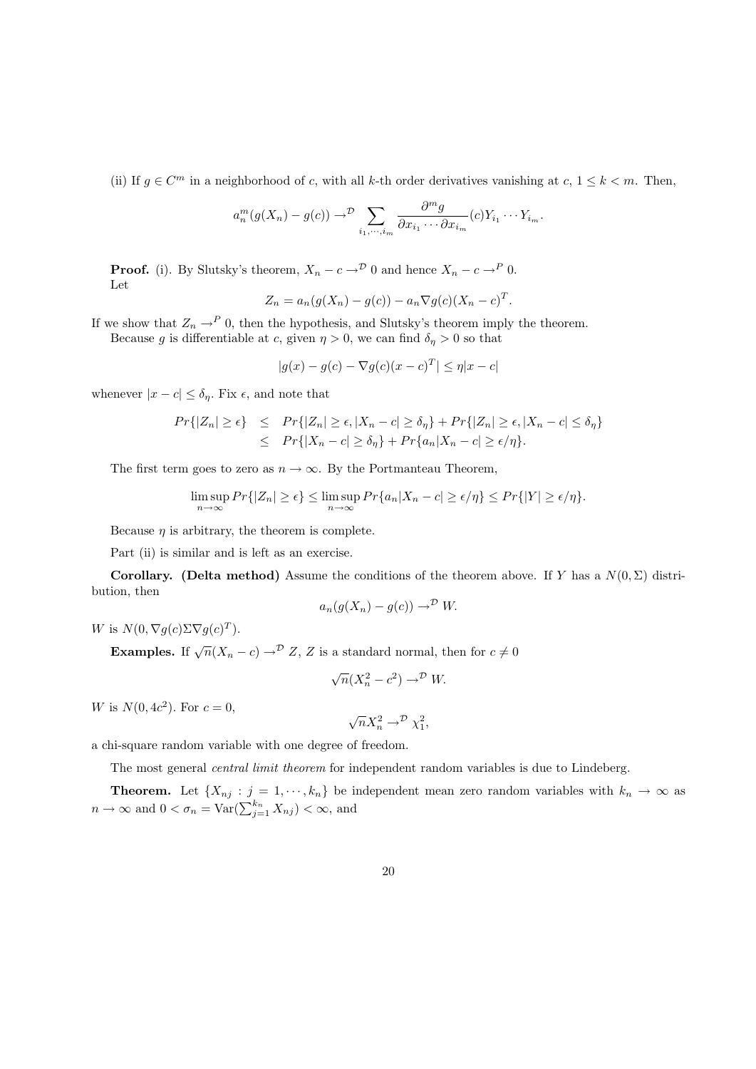(ii) If  $g \in \mathbb{C}^m$  in a neighborhood of c, with all k-th order derivatives vanishing at  $c, 1 \leq k < m$ . Then,

$$
a_n^m(g(X_n)-g(c)) \to^{\mathcal{D}} \sum_{i_1,\cdots,i_m} \frac{\partial^m g}{\partial x_{i_1}\cdots \partial x_{i_m}}(c)Y_{i_1}\cdots Y_{i_m}.
$$

**Proof.** (i). By Slutsky's theorem,  $X_n - c \rightarrow^{\mathcal{D}} 0$  and hence  $X_n - c \rightarrow^P 0$ . Let

$$
Z_n = a_n(g(X_n) - g(c)) - a_n \nabla g(c)(X_n - c)^T.
$$

If we show that  $Z_n \to^P 0$ , then the hypothesis, and Slutsky's theorem imply the theorem.

Because g is differentiable at c, given  $\eta > 0$ , we can find  $\delta_{\eta} > 0$  so that

$$
|g(x) - g(c) - \nabla g(c)(x - c)^{T}| \le \eta |x - c|
$$

whenever  $|x - c| \leq \delta_{\eta}$ . Fix  $\epsilon$ , and note that

$$
Pr\{|Z_n| \ge \epsilon\} \le Pr\{|Z_n| \ge \epsilon, |X_n - c| \ge \delta_\eta\} + Pr\{|Z_n| \ge \epsilon, |X_n - c| \le \delta_\eta\}
$$
  

$$
\le Pr\{|X_n - c| \ge \delta_\eta\} + Pr\{a_n |X_n - c| \ge \epsilon/\eta\}.
$$

The first term goes to zero as  $n \to \infty$ . By the Portmanteau Theorem,

$$
\limsup_{n \to \infty} Pr\{|Z_n| \ge \epsilon\} \le \limsup_{n \to \infty} Pr\{a_n | X_n - c| \ge \epsilon/\eta\} \le Pr\{|Y| \ge \epsilon/\eta\}.
$$

Because  $\eta$  is arbitrary, the theorem is complete.

Part (ii) is similar and is left as an exercise.

Corollary. (Delta method) Assume the conditions of the theorem above. If Y has a  $N(0, \Sigma)$  distribution, then

$$
a_n(g(X_n) - g(c)) \to^{\mathcal{D}} W.
$$

W is  $N(0, \nabla g(c) \Sigma \nabla g(c)^T)$ .

**Examples.** If  $\sqrt{n}(X_n - c) \to^{\mathcal{D}} Z$ , Z is a standard normal, then for  $c \neq 0$ 

$$
\sqrt{n}(X_n^2 - c^2) \to^{\mathcal{D}} W.
$$

W is  $N(0, 4c^2)$ . For  $c = 0$ ,

$$
\sqrt{n}X_n^2 \to^{\mathcal{D}} \chi_1^2,
$$

a chi-square random variable with one degree of freedom.

The most general *central limit theorem* for independent random variables is due to Lindeberg.

**Theorem.** Let  $\{X_{nj} : j = 1, \dots, k_n\}$  be independent mean zero random variables with  $k_n \to \infty$  as  $n \to \infty$  and  $0 < \sigma_n = \text{Var}(\sum_{j=1}^{k_n} X_{nj}) < \infty$ , and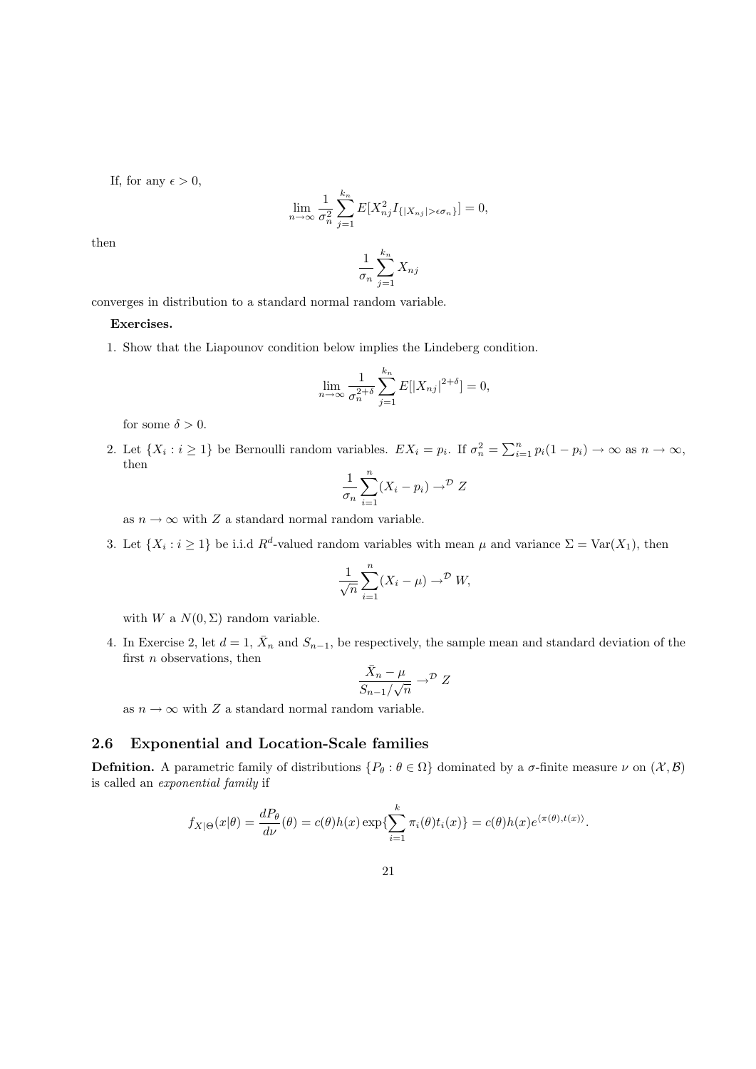If, for any  $\epsilon > 0$ ,

$$
\lim_{n \to \infty} \frac{1}{\sigma_n^2} \sum_{j=1}^{k_n} E[X_{nj}^2 I_{\{|X_{nj}| > \epsilon \sigma_n\}}] = 0,
$$

then

$$
\frac{1}{\sigma_n} \sum_{j=1}^{k_n} X_{nj}
$$

converges in distribution to a standard normal random variable.

#### Exercises.

1. Show that the Liapounov condition below implies the Lindeberg condition.

$$
\lim_{n \to \infty} \frac{1}{\sigma_n^{2+\delta}} \sum_{j=1}^{k_n} E[|X_{nj}|^{2+\delta}] = 0,
$$

for some  $\delta > 0$ .

2. Let  $\{X_i : i \geq 1\}$  be Bernoulli random variables.  $EX_i = p_i$ . If  $\sigma_n^2 = \sum_{i=1}^n p_i(1-p_i) \to \infty$  as  $n \to \infty$ , then

$$
\frac{1}{\sigma_n} \sum_{i=1}^n (X_i - p_i) \to^{\mathcal{D}} Z
$$

as  $n \to \infty$  with Z a standard normal random variable.

3. Let  $\{X_i : i \geq 1\}$  be i.i.d  $R^d$ -valued random variables with mean  $\mu$  and variance  $\Sigma = \text{Var}(X_1)$ , then

$$
\frac{1}{\sqrt{n}}\sum_{i=1}^{n}(X_i - \mu) \to^{\mathcal{D}} W,
$$

with W a  $N(0, \Sigma)$  random variable.

4. In Exercise 2, let  $d = 1$ ,  $\bar{X}_n$  and  $S_{n-1}$ , be respectively, the sample mean and standard deviation of the first  $n$  observations, then

$$
\frac{\bar{X}_n - \mu}{S_{n-1}/\sqrt{n}} \to^{\mathcal{D}} Z
$$

as  $n \to \infty$  with Z a standard normal random variable.

## 2.6 Exponential and Location-Scale families

**Defnition.** A parametric family of distributions  $\{P_{\theta} : \theta \in \Omega\}$  dominated by a  $\sigma$ -finite measure  $\nu$  on  $(\mathcal{X}, \mathcal{B})$ is called an exponential family if

$$
f_{X|\Theta}(x|\theta) = \frac{dP_{\theta}}{d\nu}(\theta) = c(\theta)h(x) \exp\{\sum_{i=1}^{k} \pi_i(\theta)t_i(x)\} = c(\theta)h(x)e^{\langle \pi(\theta), t(x) \rangle}.
$$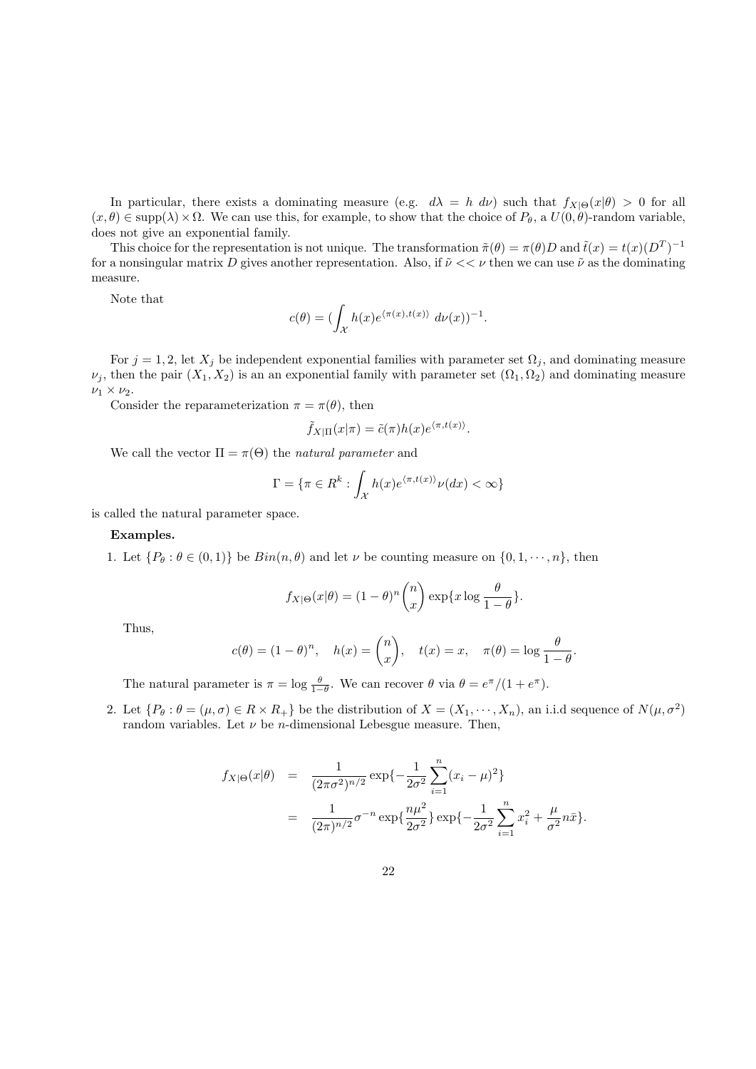In particular, there exists a dominating measure (e.g.  $d\lambda = h \, d\nu$ ) such that  $f_{X|\Theta}(x|\theta) > 0$  for all  $(x, \theta) \in \text{supp}(\lambda) \times \Omega$ . We can use this, for example, to show that the choice of  $P_{\theta}$ , a  $U(0, \theta)$ -random variable, does not give an exponential family.

This choice for the representation is not unique. The transformation  $\tilde{\pi}(\theta) = \pi(\theta)D$  and  $\tilde{t}(x) = t(x)(D^T)^{-1}$ for a nonsingular matrix D gives another representation. Also, if  $\tilde{\nu} \ll \nu$  then we can use  $\tilde{\nu}$  as the dominating measure.

Note that

$$
c(\theta) = (\int_{\mathcal{X}} h(x)e^{\langle \pi(x), t(x) \rangle} d\nu(x))^{-1}.
$$

For  $j = 1, 2$ , let  $X_j$  be independent exponential families with parameter set  $\Omega_j$ , and dominating measure  $\nu_j$ , then the pair  $(X_1, X_2)$  is an an exponential family with parameter set  $(\Omega_1, \Omega_2)$  and dominating measure  $\nu_1 \times \nu_2$ .

Consider the reparameterization  $\pi = \pi(\theta)$ , then

$$
\tilde{f}_{X|\Pi}(x|\pi) = \tilde{c}(\pi)h(x)e^{\langle \pi, t(x) \rangle}.
$$

We call the vector  $\Pi = \pi(\Theta)$  the natural parameter and

$$
\Gamma = \{ \pi \in R^k : \int_{\mathcal{X}} h(x) e^{\langle \pi, t(x) \rangle} \nu(dx) < \infty \}
$$

is called the natural parameter space.

#### Examples.

1. Let  $\{P_\theta : \theta \in (0,1)\}$  be  $Bin(n, \theta)$  and let  $\nu$  be counting measure on  $\{0, 1, \dots, n\}$ , then

$$
f_{X|\Theta}(x|\theta) = (1-\theta)^n \binom{n}{x} \exp\{x \log \frac{\theta}{1-\theta}\}.
$$

Thus,

$$
c(\theta) = (1 - \theta)^n
$$
,  $h(x) = \binom{n}{x}$ ,  $t(x) = x$ ,  $\pi(\theta) = \log \frac{\theta}{1 - \theta}$ .

The natural parameter is  $\pi = \log \frac{\theta}{1-\theta}$ . We can recover  $\theta$  via  $\theta = e^{\pi}/(1+e^{\pi})$ .

2. Let  $\{P_\theta: \theta = (\mu, \sigma) \in R \times R_+\}$  be the distribution of  $X = (X_1, \dots, X_n)$ , an i.i.d sequence of  $N(\mu, \sigma^2)$ random variables. Let  $\nu$  be *n*-dimensional Lebesgue measure. Then,

$$
f_{X|\Theta}(x|\theta) = \frac{1}{(2\pi\sigma^2)^{n/2}} \exp\{-\frac{1}{2\sigma^2} \sum_{i=1}^n (x_i - \mu)^2\}
$$
  
= 
$$
\frac{1}{(2\pi)^{n/2}} \sigma^{-n} \exp\{\frac{n\mu^2}{2\sigma^2}\} \exp\{-\frac{1}{2\sigma^2} \sum_{i=1}^n x_i^2 + \frac{\mu}{\sigma^2} n\bar{x}\}.
$$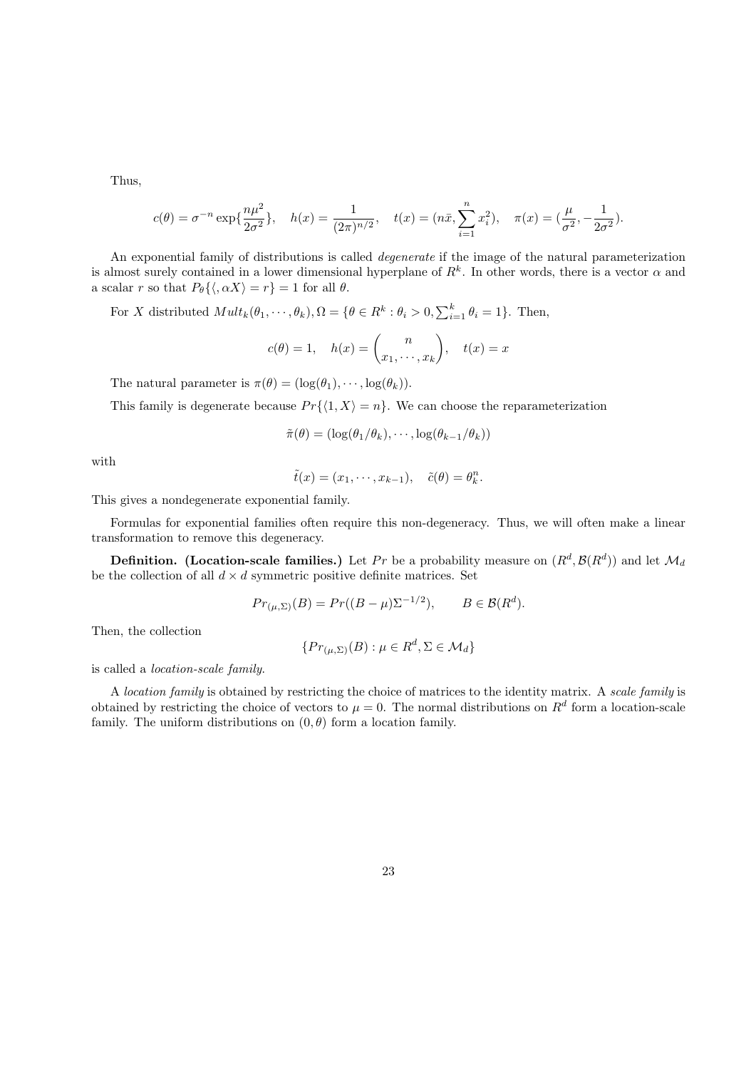Thus,

$$
c(\theta) = \sigma^{-n} \exp\{\frac{n\mu^2}{2\sigma^2}\}, \quad h(x) = \frac{1}{(2\pi)^{n/2}}, \quad t(x) = (n\bar{x}, \sum_{i=1}^n x_i^2), \quad \pi(x) = (\frac{\mu}{\sigma^2}, -\frac{1}{2\sigma^2}).
$$

An exponential family of distributions is called *degenerate* if the image of the natural parameterization is almost surely contained in a lower dimensional hyperplane of  $R^k$ . In other words, there is a vector  $\alpha$  and a scalar r so that  $P_{\theta} \{ \langle, \alpha X \rangle = r \} = 1$  for all  $\theta$ .

For X distributed  $Mult_k(\theta_1, \dots, \theta_k), \Omega = \{ \theta \in R^k : \theta_i > 0, \sum_{i=1}^k \theta_i = 1 \}.$  Then,

$$
c(\theta) = 1, \quad h(x) = \binom{n}{x_1, \cdots, x_k}, \quad t(x) = x
$$

The natural parameter is  $\pi(\theta) = (\log(\theta_1), \cdots, \log(\theta_k)).$ 

This family is degenerate because  $Pr({1, X) = n}$ . We can choose the reparameterization

$$
\tilde{\pi}(\theta) = (\log(\theta_1/\theta_k), \cdots, \log(\theta_{k-1}/\theta_k))
$$

with

$$
\tilde{t}(x) = (x_1, \cdots, x_{k-1}), \quad \tilde{c}(\theta) = \theta_k^n.
$$

This gives a nondegenerate exponential family.

Formulas for exponential families often require this non-degeneracy. Thus, we will often make a linear transformation to remove this degeneracy.

**Definition.** (Location-scale families.) Let Pr be a probability measure on  $(R^d, \mathcal{B}(R^d))$  and let  $\mathcal{M}_d$ be the collection of all  $d \times d$  symmetric positive definite matrices. Set

$$
Pr_{(\mu, \Sigma)}(B) = Pr((B - \mu)\Sigma^{-1/2}), \qquad B \in \mathcal{B}(R^d).
$$

Then, the collection

$$
\{Pr_{(\mu,\Sigma)}(B) : \mu \in R^d, \Sigma \in \mathcal{M}_d\}
$$

is called a location-scale family.

A location family is obtained by restricting the choice of matrices to the identity matrix. A scale family is obtained by restricting the choice of vectors to  $\mu = 0$ . The normal distributions on  $R^d$  form a location-scale family. The uniform distributions on  $(0, \theta)$  form a location family.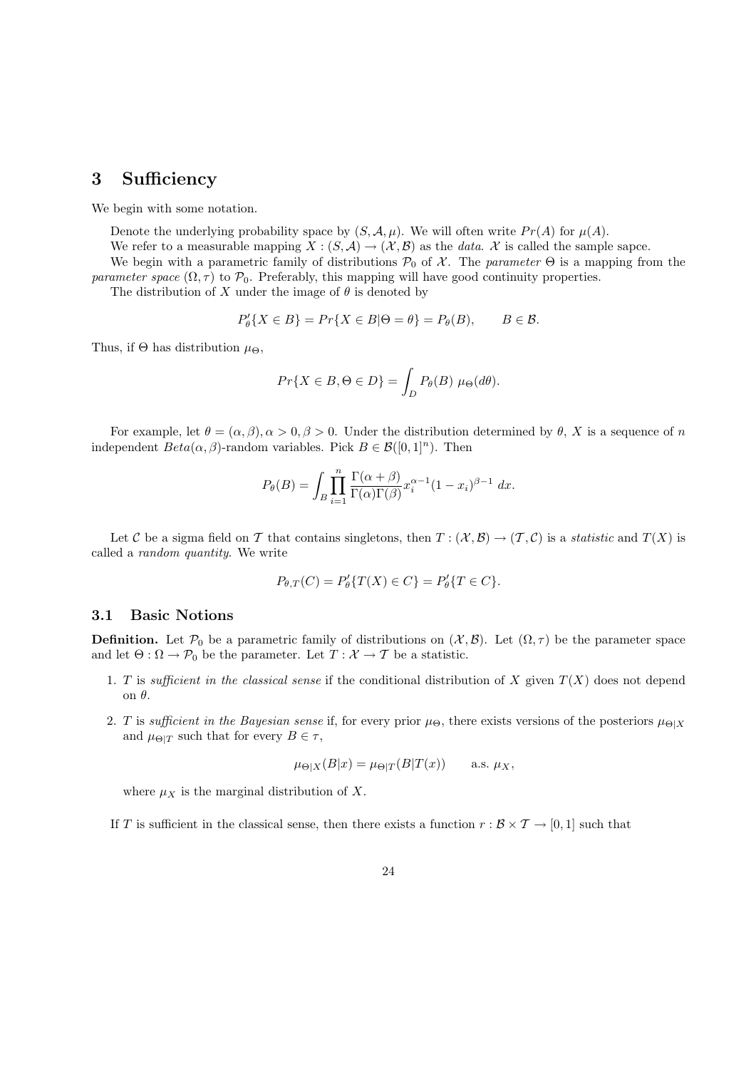## 3 Sufficiency

We begin with some notation.

Denote the underlying probability space by  $(S, \mathcal{A}, \mu)$ . We will often write  $Pr(A)$  for  $\mu(A)$ .

We refer to a measurable mapping  $X : (S, A) \to (X, B)$  as the *data.* X is called the sample sapce.

We begin with a parametric family of distributions  $P_0$  of X. The parameter  $\Theta$  is a mapping from the parameter space  $(\Omega, \tau)$  to  $\mathcal{P}_0$ . Preferably, this mapping will have good continuity properties.

The distribution of X under the image of  $\theta$  is denoted by

$$
P'_{\theta}\{X \in B\} = Pr\{X \in B | \Theta = \theta\} = P_{\theta}(B), \qquad B \in \mathcal{B}.
$$

Thus, if  $\Theta$  has distribution  $\mu_{\Theta}$ ,

$$
Pr{X \in B, \Theta \in D} = \int_D P_{\theta}(B) \mu_{\Theta}(d\theta).
$$

For example, let  $\theta = (\alpha, \beta), \alpha > 0, \beta > 0$ . Under the distribution determined by  $\theta$ , X is a sequence of n independent  $Beta(\alpha, \beta)$ -random variables. Pick  $B \in \mathcal{B}([0, 1]^n)$ . Then

$$
P_{\theta}(B) = \int_{B} \prod_{i=1}^{n} \frac{\Gamma(\alpha + \beta)}{\Gamma(\alpha)\Gamma(\beta)} x_i^{\alpha - 1} (1 - x_i)^{\beta - 1} dx.
$$

Let C be a sigma field on T that contains singletons, then  $T : (\mathcal{X}, \mathcal{B}) \to (\mathcal{T}, \mathcal{C})$  is a *statistic* and  $T(X)$  is called a random quantity. We write

$$
P_{\theta,T}(C) = P'_{\theta}\{T(X) \in C\} = P'_{\theta}\{T \in C\}.
$$

#### 3.1 Basic Notions

**Definition.** Let  $\mathcal{P}_0$  be a parametric family of distributions on  $(\mathcal{X}, \mathcal{B})$ . Let  $(\Omega, \tau)$  be the parameter space and let  $\Theta : \Omega \to \mathcal{P}_0$  be the parameter. Let  $T : \mathcal{X} \to \mathcal{T}$  be a statistic.

- 1. T is sufficient in the classical sense if the conditional distribution of X given  $T(X)$  does not depend on θ.
- 2. T is sufficient in the Bayesian sense if, for every prior  $\mu_{\Theta}$ , there exists versions of the posteriors  $\mu_{\Theta|X}$ and  $\mu_{\Theta|T}$  such that for every  $B \in \tau$ ,

$$
\mu_{\Theta|X}(B|x) = \mu_{\Theta|T}(B|T(x)) \quad \text{a.s. } \mu_X,
$$

where  $\mu_X$  is the marginal distribution of X.

If T is sufficient in the classical sense, then there exists a function  $r : \mathcal{B} \times \mathcal{T} \to [0, 1]$  such that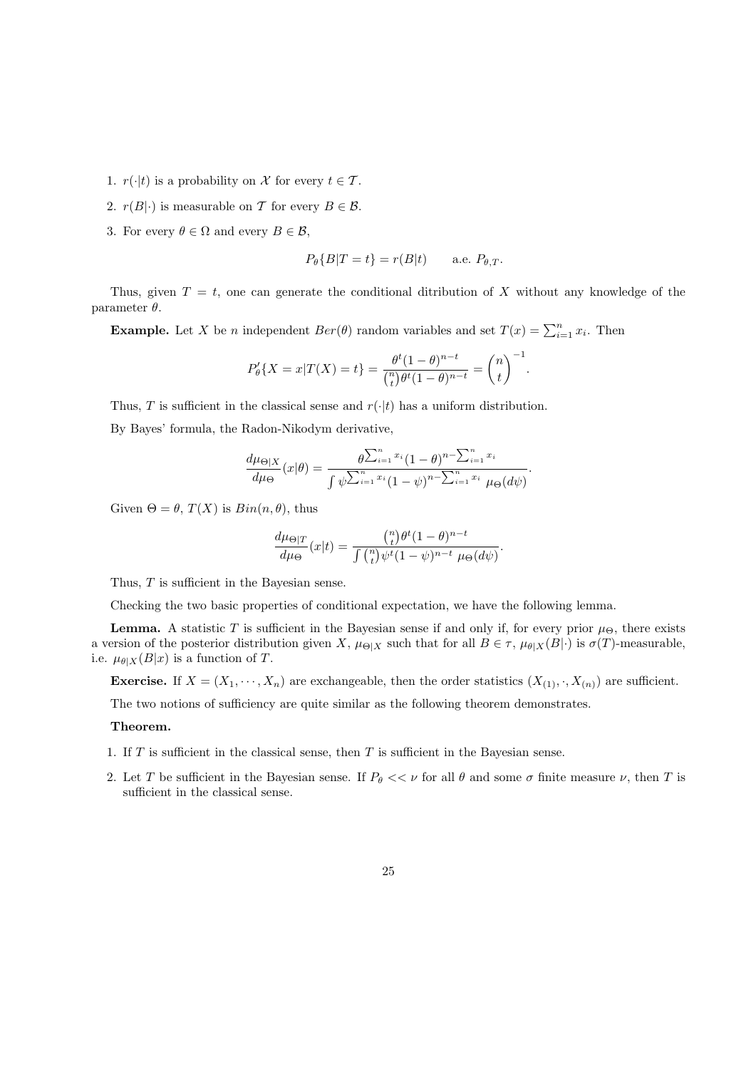- 1.  $r(\cdot|t)$  is a probability on X for every  $t \in \mathcal{T}$ .
- 2.  $r(B|\cdot)$  is measurable on T for every  $B \in \mathcal{B}$ .
- 3. For every  $\theta \in \Omega$  and every  $B \in \mathcal{B}$ ,

$$
P_{\theta}\{B|T=t\} = r(B|t) \quad \text{a.e. } P_{\theta,T}.
$$

Thus, given  $T = t$ , one can generate the conditional ditribution of X without any knowledge of the parameter  $\theta$ .

**Example.** Let X be *n* independent  $Ber(\theta)$  random variables and set  $T(x) = \sum_{i=1}^{n} x_i$ . Then

$$
P'_{\theta}\{X=x|T(X)=t\} = \frac{\theta^t(1-\theta)^{n-t}}{\binom{n}{t}\theta^t(1-\theta)^{n-t}} = \binom{n}{t}^{-1}.
$$

Thus, T is sufficient in the classical sense and  $r(\cdot|t)$  has a uniform distribution.

By Bayes' formula, the Radon-Nikodym derivative,

$$
\frac{d\mu_{\Theta|X}}{d\mu_{\Theta}}(x|\theta) = \frac{\theta^{\sum_{i=1}^{n} x_i} (1-\theta)^{n-\sum_{i=1}^{n} x_i}}{\int \psi^{\sum_{i=1}^{n} x_i} (1-\psi)^{n-\sum_{i=1}^{n} x_i} \mu_{\Theta}(d\psi)}.
$$

Given  $\Theta = \theta$ ,  $T(X)$  is  $Bin(n, \theta)$ , thus

$$
\frac{d\mu_{\Theta|T}}{d\mu_{\Theta}}(x|t) = \frac{\binom{n}{t}\theta^t(1-\theta)^{n-t}}{\int \binom{n}{t}\psi^t(1-\psi)^{n-t} \mu_{\Theta}(d\psi)}.
$$

Thus, T is sufficient in the Bayesian sense.

Checking the two basic properties of conditional expectation, we have the following lemma.

**Lemma.** A statistic T is sufficient in the Bayesian sense if and only if, for every prior  $\mu_{\Theta}$ , there exists a version of the posterior distribution given X,  $\mu_{\Theta|X}$  such that for all  $B \in \tau$ ,  $\mu_{\theta|X}(B|\cdot)$  is  $\sigma(T)$ -measurable, i.e.  $\mu_{\theta|X}(B|x)$  is a function of T.

**Exercise.** If  $X = (X_1, \dots, X_n)$  are exchangeable, then the order statistics  $(X_{(1)}, \cdot, X_{(n)})$  are sufficient.

The two notions of sufficiency are quite similar as the following theorem demonstrates.

#### Theorem.

- 1. If  $T$  is sufficient in the classical sense, then  $T$  is sufficient in the Bayesian sense.
- 2. Let T be sufficient in the Bayesian sense. If  $P_\theta \ll v$  for all  $\theta$  and some  $\sigma$  finite measure  $\nu$ , then T is sufficient in the classical sense.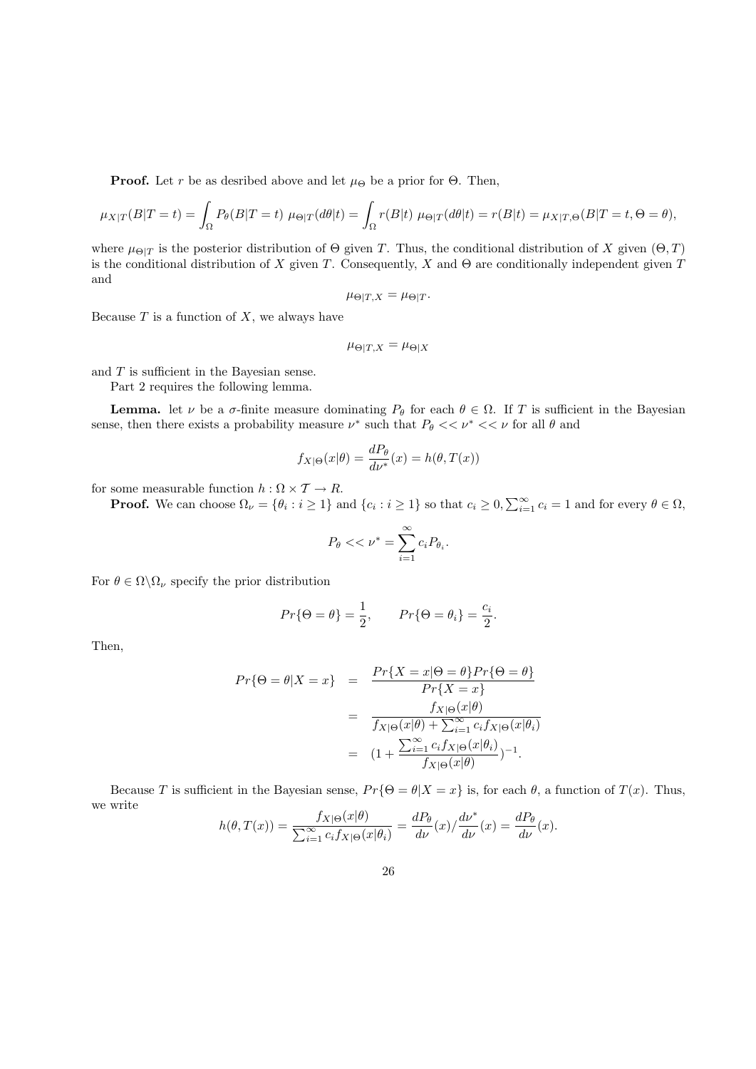**Proof.** Let r be as desribed above and let  $\mu_{\Theta}$  be a prior for  $\Theta$ . Then,

$$
\mu_{X|T}(B|T=t) = \int_{\Omega} P_{\theta}(B|T=t) \ \mu_{\Theta|T}(d\theta|t) = \int_{\Omega} r(B|t) \ \mu_{\Theta|T}(d\theta|t) = r(B|t) = \mu_{X|T,\Theta}(B|T=t,\Theta=\theta),
$$

where  $\mu_{\Theta|T}$  is the posterior distribution of  $\Theta$  given T. Thus, the conditional distribution of X given  $(\Theta, T)$ is the conditional distribution of X given T. Consequently, X and  $\Theta$  are conditionally independent given T and

$$
\mu_{\Theta|T,X} = \mu_{\Theta|T}.
$$

Because  $T$  is a function of  $X$ , we always have

$$
\mu_{\Theta|T,X} = \mu_{\Theta|X}
$$

and T is sufficient in the Bayesian sense.

Part 2 requires the following lemma.

**Lemma.** let  $\nu$  be a  $\sigma$ -finite measure dominating  $P_{\theta}$  for each  $\theta \in \Omega$ . If T is sufficient in the Bayesian sense, then there exists a probability measure  $\nu^*$  such that  $P_\theta \ll \nu^* \ll \nu$  for all  $\theta$  and

$$
f_{X|\Theta}(x|\theta) = \frac{dP_{\theta}}{d\nu^*}(x) = h(\theta, T(x))
$$

for some measurable function  $h : \Omega \times \mathcal{T} \to R$ .

**Proof.** We can choose  $\Omega_{\nu} = \{\theta_i : i \geq 1\}$  and  $\{c_i : i \geq 1\}$  so that  $c_i \geq 0$ ,  $\sum_{i=1}^{\infty} c_i = 1$  and for every  $\theta \in \Omega$ ,

$$
P_{\theta} << \nu^* = \sum_{i=1}^{\infty} c_i P_{\theta_i}.
$$

For  $\theta \in \Omega \backslash \Omega_{\nu}$  specify the prior distribution

$$
Pr\{\Theta = \theta\} = \frac{1}{2}, \qquad Pr\{\Theta = \theta_i\} = \frac{c_i}{2}.
$$

Then,

$$
Pr\{\Theta = \theta | X = x\} = \frac{Pr\{X = x | \Theta = \theta\} Pr\{\Theta = \theta\}}{Pr\{X = x\}}
$$

$$
= \frac{f_{X|\Theta}(x|\theta)}{f_{X|\Theta}(x|\theta) + \sum_{i=1}^{\infty} c_i f_{X|\Theta}(x|\theta_i)}
$$

$$
= (1 + \frac{\sum_{i=1}^{\infty} c_i f_{X|\Theta}(x|\theta_i)}{f_{X|\Theta}(x|\theta)})^{-1}.
$$

Because T is sufficient in the Bayesian sense,  $Pr\{\Theta = \theta | X = x\}$  is, for each  $\theta$ , a function of  $T(x)$ . Thus, we write

$$
h(\theta, T(x)) = \frac{f_{X|\Theta}(x|\theta)}{\sum_{i=1}^{\infty} c_i f_{X|\Theta}(x|\theta_i)} = \frac{dP_{\theta}}{d\nu}(x) / \frac{d\nu^*}{d\nu}(x) = \frac{dP_{\theta}}{d\nu}(x).
$$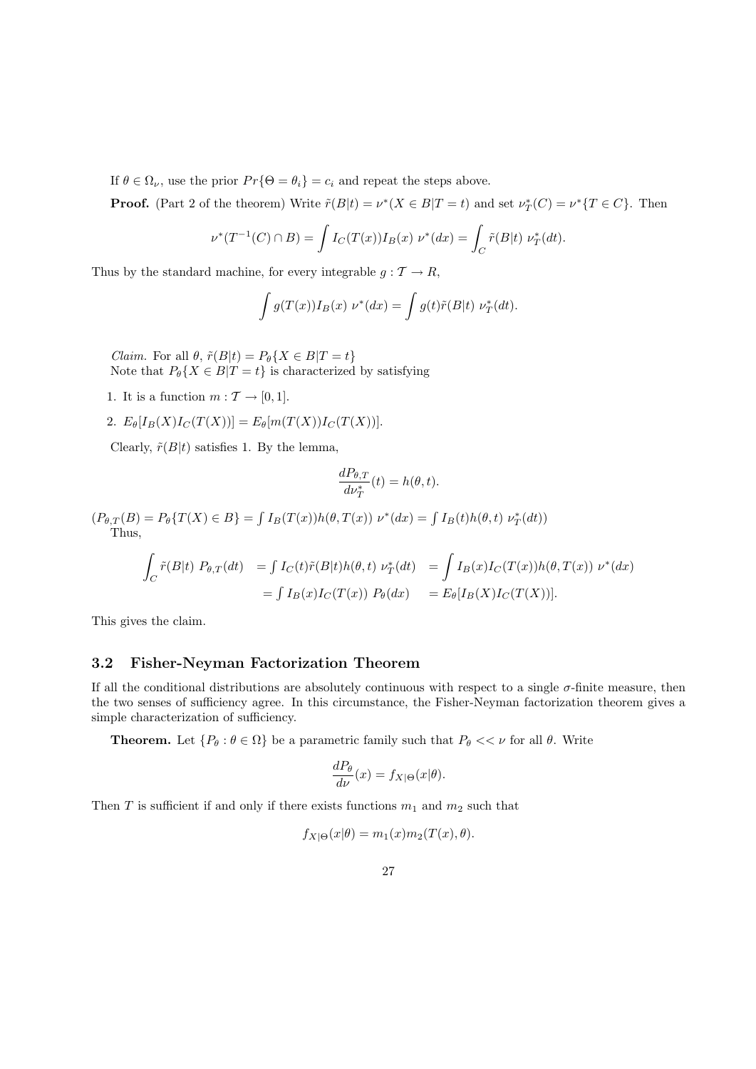If  $\theta \in \Omega_{\nu}$ , use the prior  $Pr\{\Theta = \theta_i\} = c_i$  and repeat the steps above.

**Proof.** (Part 2 of the theorem) Write  $\tilde{r}(B|t) = \nu^*(X \in B|T=t)$  and set  $\nu^*_T(C) = \nu^*\{T \in C\}$ . Then

$$
\nu^*(T^{-1}(C) \cap B) = \int I_C(T(x)) I_B(x) \ \nu^*(dx) = \int_C \tilde{r}(B|t) \ \nu_T^*(dt).
$$

Thus by the standard machine, for every integrable  $g : \mathcal{T} \to R$ ,

$$
\int g(T(x))I_B(x) \nu^*(dx) = \int g(t)\tilde{r}(B|t) \nu_T^*(dt).
$$

*Claim.* For all  $\theta$ ,  $\tilde{r}(B|t) = P_{\theta}\{X \in B|T=t\}$ Note that  $P_{\theta}\{X \in B | T = t\}$  is characterized by satisfying

- 1. It is a function  $m : \mathcal{T} \to [0, 1]$ .
- 2.  $E_{\theta}[I_B(X)I_C(T(X))] = E_{\theta}[m(T(X))I_C(T(X))].$

Clearly,  $\tilde{r}(B|t)$  satisfies 1. By the lemma,

$$
\frac{dP_{\theta,T}}{d\nu_T^*}(t) = h(\theta,t).
$$

 $(P_{\theta,T}(B) = P_{\theta}\{T(X) \in B\} = \int I_B(T(x))h(\theta, T(x)) \nu^*(dx) = \int I_B(t)h(\theta, t) \nu_T^*(dt)$ Thus,

$$
\int_C \tilde{r}(B|t) P_{\theta,T}(dt) = \int I_C(t)\tilde{r}(B|t)h(\theta,t) \nu_T^*(dt) = \int I_B(x)I_C(T(x))h(\theta,T(x)) \nu^*(dx)
$$

$$
= \int I_B(x)I_C(T(x)) P_{\theta}(dx) = E_{\theta}[I_B(X)I_C(T(X))].
$$

This gives the claim.

## 3.2 Fisher-Neyman Factorization Theorem

If all the conditional distributions are absolutely continuous with respect to a single  $\sigma$ -finite measure, then the two senses of sufficiency agree. In this circumstance, the Fisher-Neyman factorization theorem gives a simple characterization of sufficiency.

**Theorem.** Let  $\{P_\theta : \theta \in \Omega\}$  be a parametric family such that  $P_\theta \ll \nu$  for all  $\theta$ . Write

$$
\frac{dP_{\theta}}{d\nu}(x) = f_{X|\Theta}(x|\theta).
$$

Then T is sufficient if and only if there exists functions  $m_1$  and  $m_2$  such that

$$
f_{X|\Theta}(x|\theta) = m_1(x)m_2(T(x), \theta).
$$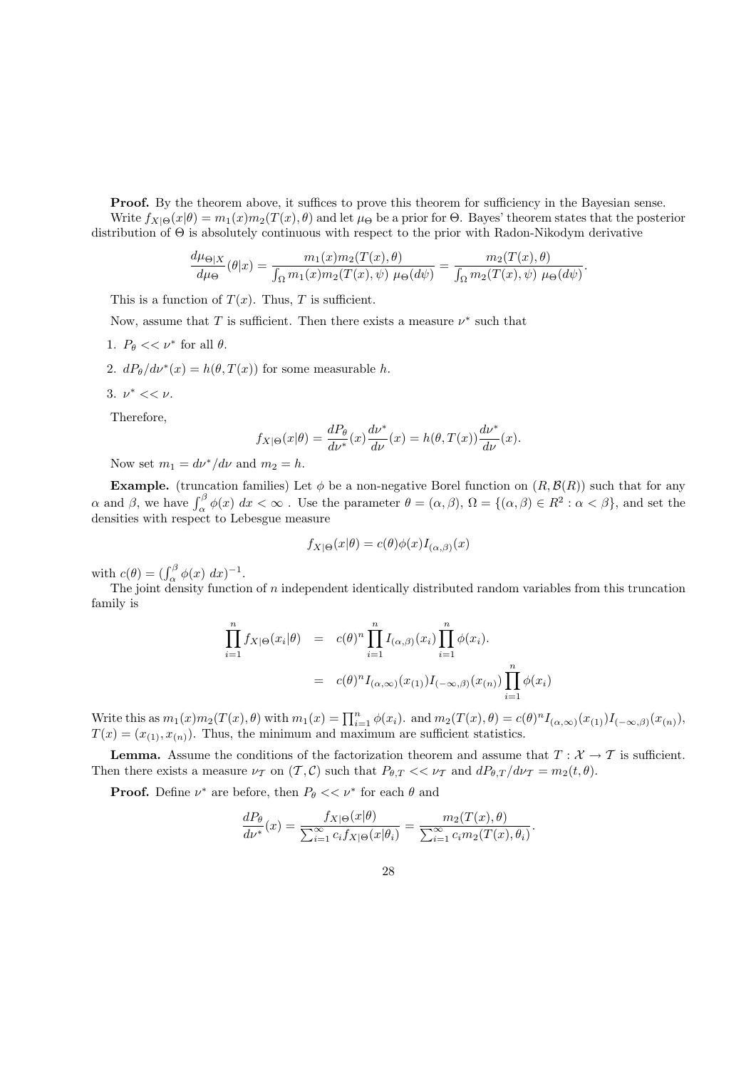**Proof.** By the theorem above, it suffices to prove this theorem for sufficiency in the Bayesian sense. Write  $f_{X|\Theta}(x|\theta) = m_1(x)m_2(T(x), \theta)$  and let  $\mu_{\Theta}$  be a prior for  $\Theta$ . Bayes' theorem states that the posterior distribution of Θ is absolutely continuous with respect to the prior with Radon-Nikodym derivative

$$
\frac{d\mu_{\Theta|X}}{d\mu_{\Theta}}(\theta|x) = \frac{m_1(x)m_2(T(x),\theta)}{\int_{\Omega} m_1(x)m_2(T(x),\psi) \mu_{\Theta}(d\psi)} = \frac{m_2(T(x),\theta)}{\int_{\Omega} m_2(T(x),\psi) \mu_{\Theta}(d\psi)}.
$$

This is a function of  $T(x)$ . Thus, T is sufficient.

Now, assume that T is sufficient. Then there exists a measure  $\nu^*$  such that

- 1.  $P_{\theta} \ll \nu^*$  for all  $\theta$ .
- 2.  $dP_{\theta}/d\nu^{*}(x) = h(\theta, T(x))$  for some measurable h.
- 3.  $\nu^* \ll \nu$ .

Therefore,

$$
f_{X|\Theta}(x|\theta) = \frac{dP_{\theta}}{d\nu^*}(x)\frac{d\nu^*}{d\nu}(x) = h(\theta, T(x))\frac{d\nu^*}{d\nu}(x).
$$

Now set  $m_1 = d\nu^* / d\nu$  and  $m_2 = h$ .

**Example.** (truncation families) Let  $\phi$  be a non-negative Borel function on  $(R, \mathcal{B}(R))$  such that for any  $\alpha$  and  $\beta$ , we have  $\int_{\alpha}^{\beta} \phi(x) dx < \infty$ . Use the parameter  $\theta = (\alpha, \beta), \Omega = \{(\alpha, \beta) \in R^2 : \alpha < \beta\}$ , and set the densities with respect to Lebesgue measure

$$
f_{X|\Theta}(x|\theta) = c(\theta)\phi(x)I_{(\alpha,\beta)}(x)
$$

with  $c(\theta) = (\int_{\alpha}^{\beta} \phi(x) dx)^{-1}$ .

The joint density function of n independent identically distributed random variables from this truncation family is

$$
\prod_{i=1}^{n} f_{X|\Theta}(x_i|\theta) = c(\theta)^n \prod_{i=1}^{n} I_{(\alpha,\beta)}(x_i) \prod_{i=1}^{n} \phi(x_i).
$$

$$
= c(\theta)^n I_{(\alpha,\infty)}(x_{(1)}) I_{(-\infty,\beta)}(x_{(n)}) \prod_{i=1}^{n} \phi(x_i)
$$

Write this as  $m_1(x)m_2(T(x),\theta)$  with  $m_1(x) = \prod_{i=1}^n \phi(x_i)$ . and  $m_2(T(x),\theta) = c(\theta)^n I_{(\alpha,\infty)}(x_{(1)})I_{(-\infty,\beta)}(x_{(n)})$ ,  $T(x) = (x_{(1)}, x_{(n)})$ . Thus, the minimum and maximum are sufficient statistics.

**Lemma.** Assume the conditions of the factorization theorem and assume that  $T : \mathcal{X} \to \mathcal{T}$  is sufficient. Then there exists a measure  $\nu_T$  on  $(T, C)$  such that  $P_{\theta,T} \ll \nu_T$  and  $dP_{\theta,T}/d\nu_T = m_2(t, \theta)$ .

**Proof.** Define  $\nu^*$  are before, then  $P_\theta \ll \nu^*$  for each  $\theta$  and

$$
\frac{dP_{\theta}}{d\nu^*}(x) = \frac{f_{X|\Theta}(x|\theta)}{\sum_{i=1}^{\infty} c_i f_{X|\Theta}(x|\theta_i)} = \frac{m_2(T(x), \theta)}{\sum_{i=1}^{\infty} c_i m_2(T(x), \theta_i)}.
$$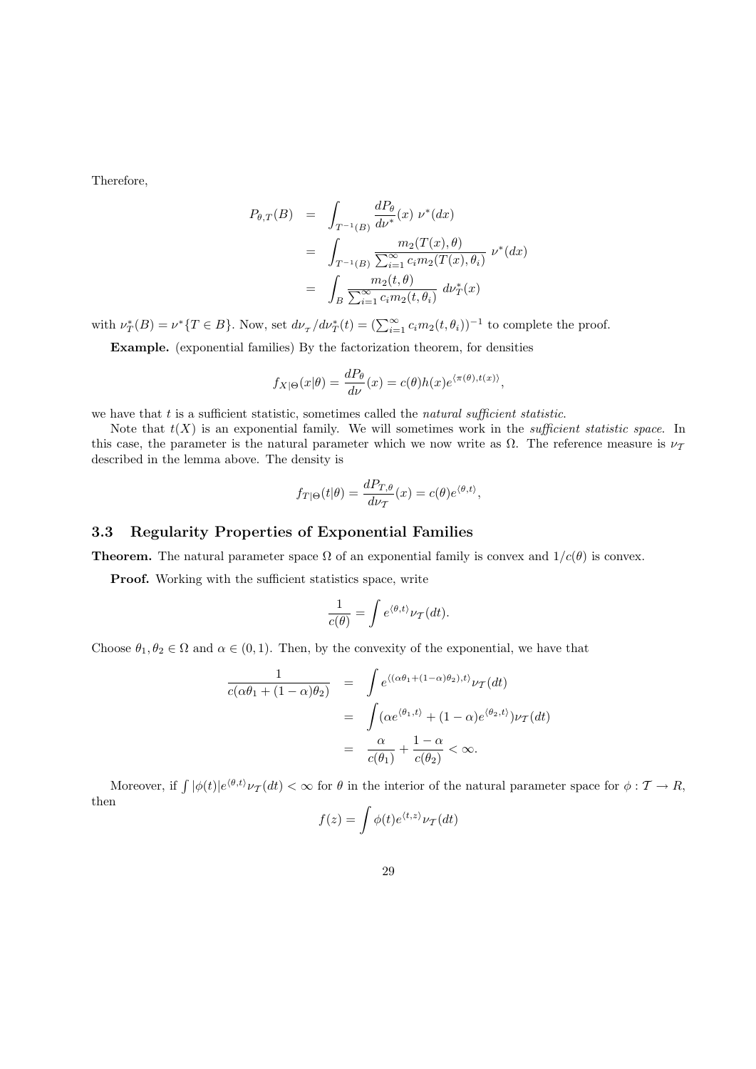Therefore,

$$
P_{\theta,T}(B) = \int_{T^{-1}(B)} \frac{dP_{\theta}}{d\nu^*}(x) \ \nu^*(dx)
$$
  
= 
$$
\int_{T^{-1}(B)} \frac{m_2(T(x), \theta)}{\sum_{i=1}^{\infty} c_i m_2(T(x), \theta_i)} \ \nu^*(dx)
$$
  
= 
$$
\int_B \frac{m_2(t, \theta)}{\sum_{i=1}^{\infty} c_i m_2(t, \theta_i)} \ d\nu^*_T(x)
$$

with  $\nu_T^*(B) = \nu^*\{T \in B\}$ . Now, set  $d\nu_T/d\nu_T^*(t) = (\sum_{i=1}^{\infty} c_i m_2(t, \theta_i))^{-1}$  to complete the proof.

Example. (exponential families) By the factorization theorem, for densities

$$
f_{X|\Theta}(x|\theta) = \frac{dP_{\theta}}{d\nu}(x) = c(\theta)h(x)e^{\langle \pi(\theta), t(x) \rangle},
$$

we have that  $t$  is a sufficient statistic, sometimes called the natural sufficient statistic.

Note that  $t(X)$  is an exponential family. We will sometimes work in the *sufficient statistic space*. In this case, the parameter is the natural parameter which we now write as  $\Omega$ . The reference measure is  $\nu_{\mathcal{T}}$ described in the lemma above. The density is

$$
f_{T|\Theta}(t|\theta) = \frac{dP_{T,\theta}}{d\nu_{T}}(x) = c(\theta)e^{\langle \theta, t \rangle},
$$

#### 3.3 Regularity Properties of Exponential Families

**Theorem.** The natural parameter space  $\Omega$  of an exponential family is convex and  $1/c(\theta)$  is convex.

Proof. Working with the sufficient statistics space, write

$$
\frac{1}{c(\theta)} = \int e^{\langle \theta, t \rangle} \nu_{\mathcal{T}}(dt).
$$

Choose  $\theta_1, \theta_2 \in \Omega$  and  $\alpha \in (0, 1)$ . Then, by the convexity of the exponential, we have that

$$
\frac{1}{c(\alpha\theta_1 + (1 - \alpha)\theta_2)} = \int e^{\langle (\alpha\theta_1 + (1 - \alpha)\theta_2), t \rangle} \nu_{\mathcal{T}}(dt)
$$

$$
= \int (\alpha e^{\langle \theta_1, t \rangle} + (1 - \alpha)e^{\langle \theta_2, t \rangle}) \nu_{\mathcal{T}}(dt)
$$

$$
= \frac{\alpha}{c(\theta_1)} + \frac{1 - \alpha}{c(\theta_2)} < \infty.
$$

Moreover, if  $\int |\phi(t)| e^{\langle \theta, t \rangle} \nu_{\mathcal{T}}(dt) < \infty$  for  $\theta$  in the interior of the natural parameter space for  $\phi: \mathcal{T} \to R$ , then

$$
f(z) = \int \phi(t)e^{\langle t, z \rangle} \nu_{\mathcal{T}}(dt)
$$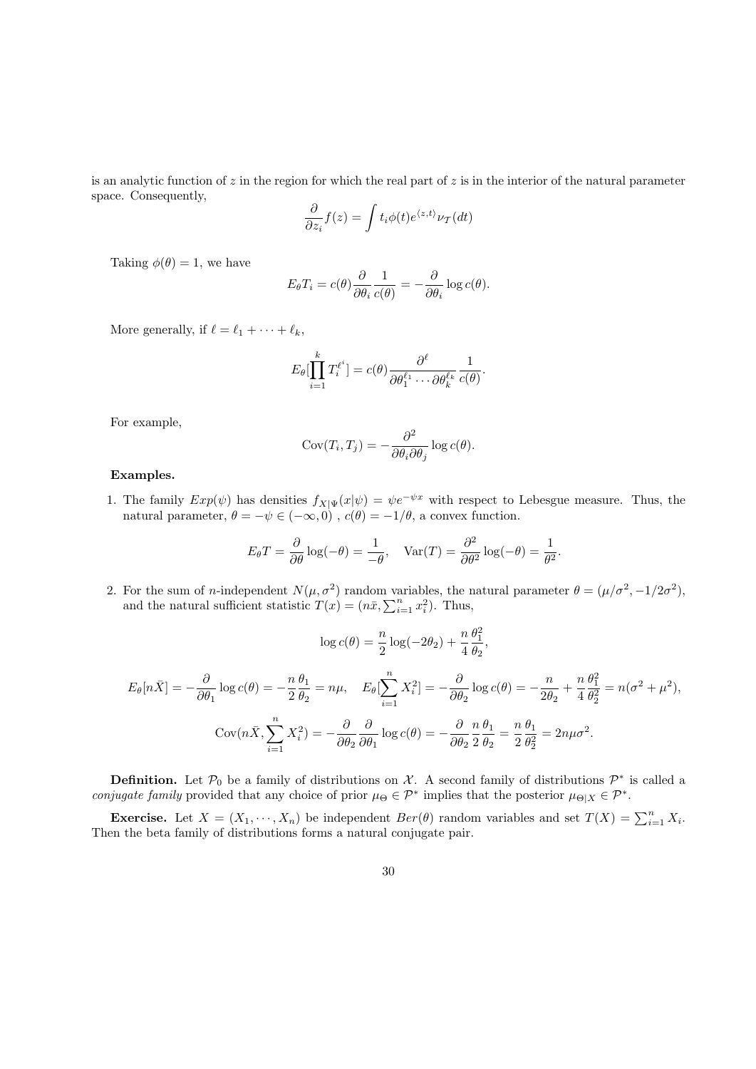is an analytic function of  $z$  in the region for which the real part of  $z$  is in the interior of the natural parameter space. Consequently,

$$
\frac{\partial}{\partial z_i} f(z) = \int t_i \phi(t) e^{\langle z, t \rangle} \nu_{\mathcal{T}}(dt)
$$

Taking  $\phi(\theta) = 1$ , we have

$$
E_{\theta}T_i = c(\theta)\frac{\partial}{\partial \theta_i}\frac{1}{c(\theta)} = -\frac{\partial}{\partial \theta_i}\log c(\theta).
$$

More generally, if  $\ell = \ell_1 + \cdots + \ell_k$ ,

$$
E_{\theta}[\prod_{i=1}^k T_i^{\ell^i}] = c(\theta) \frac{\partial^{\ell}}{\partial \theta_1^{\ell_1} \cdots \partial \theta_k^{\ell_k}} \frac{1}{c(\theta)}.
$$

For example,

$$
Cov(T_i, T_j) = -\frac{\partial^2}{\partial \theta_i \partial \theta_j} \log c(\theta).
$$

#### Examples.

1. The family  $Exp(\psi)$  has densities  $f_{X|\Psi}(x|\psi) = \psi e^{-\psi x}$  with respect to Lebesgue measure. Thus, the natural parameter,  $\theta = -\psi \in (-\infty, 0)$ ,  $c(\theta) = -1/\theta$ , a convex function.

$$
E_{\theta}T = \frac{\partial}{\partial \theta} \log(-\theta) = \frac{1}{-\theta}, \quad \text{Var}(T) = \frac{\partial^2}{\partial \theta^2} \log(-\theta) = \frac{1}{\theta^2}.
$$

2. For the sum of *n*-independent  $N(\mu, \sigma^2)$  random variables, the natural parameter  $\theta = (\mu/\sigma^2, -1/2\sigma^2)$ , and the natural sufficient statistic  $T(x) = (n\bar{x}, \sum_{i=1}^{n} x_i^2)$ . Thus,

$$
\log c(\theta) = \frac{n}{2}\log(-2\theta_2) + \frac{n}{4}\frac{\theta_1^2}{\theta_2}
$$

,

$$
E_{\theta}[n\bar{X}] = -\frac{\partial}{\partial \theta_1} \log c(\theta) = -\frac{n}{2} \frac{\theta_1}{\theta_2} = n\mu, \quad E_{\theta}[\sum_{i=1}^n X_i^2] = -\frac{\partial}{\partial \theta_2} \log c(\theta) = -\frac{n}{2\theta_2} + \frac{n}{4} \frac{\theta_1^2}{\theta_2^2} = n(\sigma^2 + \mu^2),
$$

$$
Cov(n\bar{X}, \sum_{i=1}^n X_i^2) = -\frac{\partial}{\partial \theta_2} \frac{\partial}{\partial \theta_1} \log c(\theta) = -\frac{\partial}{\partial \theta_2} \frac{n}{2} \frac{\theta_1}{\theta_2} = \frac{n}{2} \frac{\theta_1}{\theta_2^2} = 2n\mu\sigma^2.
$$

**Definition.** Let  $\mathcal{P}_0$  be a family of distributions on X. A second family of distributions  $\mathcal{P}^*$  is called a conjugate family provided that any choice of prior  $\mu_{\Theta} \in \mathcal{P}^*$  implies that the posterior  $\mu_{\Theta|X} \in \mathcal{P}^*$ .

**Exercise.** Let  $X = (X_1, \dots, X_n)$  be independent  $Ber(\theta)$  random variables and set  $T(X) = \sum_{i=1}^n X_i$ . Then the beta family of distributions forms a natural conjugate pair.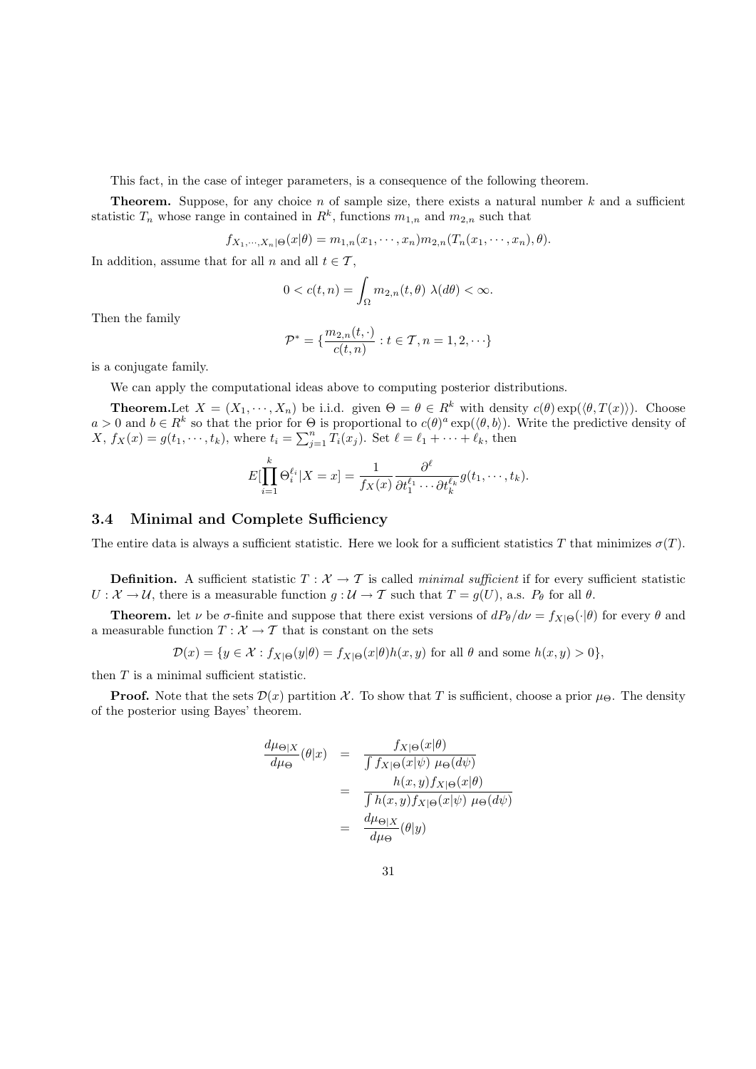This fact, in the case of integer parameters, is a consequence of the following theorem.

**Theorem.** Suppose, for any choice  $n$  of sample size, there exists a natural number  $k$  and a sufficient statistic  $T_n$  whose range in contained in  $R^k$ , functions  $m_{1,n}$  and  $m_{2,n}$  such that

$$
f_{X_1,\dots,X_n|\Theta}(x|\theta) = m_{1,n}(x_1,\dots,x_n)m_{2,n}(T_n(x_1,\dots,x_n),\theta).
$$

In addition, assume that for all n and all  $t \in \mathcal{T}$ ,

$$
0 < c(t, n) = \int_{\Omega} m_{2,n}(t, \theta) \lambda(d\theta) < \infty.
$$

Then the family

$$
\mathcal{P}^* = \{ \frac{m_{2,n}(t,\cdot)}{c(t,n)} : t \in \mathcal{T}, n = 1,2,\cdot\cdot\cdot \}
$$

is a conjugate family.

We can apply the computational ideas above to computing posterior distributions.

**Theorem.** Let  $X = (X_1, \dots, X_n)$  be i.i.d. given  $\Theta = \theta \in R^k$  with density  $c(\theta) \exp(\langle \theta, T(x) \rangle)$ . Choose  $a > 0$  and  $b \in R^k$  so that the prior for  $\Theta$  is proportional to  $c(\theta)^a \exp(\langle \theta, b \rangle)$ . Write the predictive density of  $X, f_X(x) = g(t_1, \dots, t_k)$ , where  $t_i = \sum_{j=1}^n \hat{T}_i(x_j)$ . Set  $\ell = \ell_1 + \dots + \ell_k$ , then

$$
E[\prod_{i=1}^k \Theta_i^{\ell_i} | X = x] = \frac{1}{f_X(x)} \frac{\partial^{\ell}}{\partial t_1^{\ell_1} \cdots \partial t_k^{\ell_k}} g(t_1, \dots, t_k).
$$

#### 3.4 Minimal and Complete Sufficiency

The entire data is always a sufficient statistic. Here we look for a sufficient statistics T that minimizes  $\sigma(T)$ .

**Definition.** A sufficient statistic  $T : \mathcal{X} \to \mathcal{T}$  is called minimal sufficient if for every sufficient statistic  $U: \mathcal{X} \to \mathcal{U}$ , there is a measurable function  $g: \mathcal{U} \to \mathcal{T}$  such that  $T = g(U)$ , a.s.  $P_{\theta}$  for all  $\theta$ .

**Theorem.** let  $\nu$  be  $\sigma$ -finite and suppose that there exist versions of  $dP_{\theta}/d\nu = f_{X|\Theta}(\cdot|\theta)$  for every  $\theta$  and a measurable function  $T: \mathcal{X} \rightarrow \mathcal{T}$  that is constant on the sets

$$
\mathcal{D}(x) = \{ y \in \mathcal{X} : f_{X|\Theta}(y|\theta) = f_{X|\Theta}(x|\theta)h(x,y) \text{ for all } \theta \text{ and some } h(x,y) > 0 \},
$$

then  $T$  is a minimal sufficient statistic.

**Proof.** Note that the sets  $\mathcal{D}(x)$  partition X. To show that T is sufficient, choose a prior  $\mu_{\Theta}$ . The density of the posterior using Bayes' theorem.

$$
\frac{d\mu_{\Theta|X}}{d\mu_{\Theta}}(\theta|x) = \frac{f_{X|\Theta}(x|\theta)}{\int f_{X|\Theta}(x|\psi) \mu_{\Theta}(d\psi)}
$$

$$
= \frac{h(x,y)f_{X|\Theta}(x|\theta)}{\int h(x,y)f_{X|\Theta}(x|\psi) \mu_{\Theta}(d\psi)}
$$

$$
= \frac{d\mu_{\Theta|X}}{d\mu_{\Theta}}(\theta|y)
$$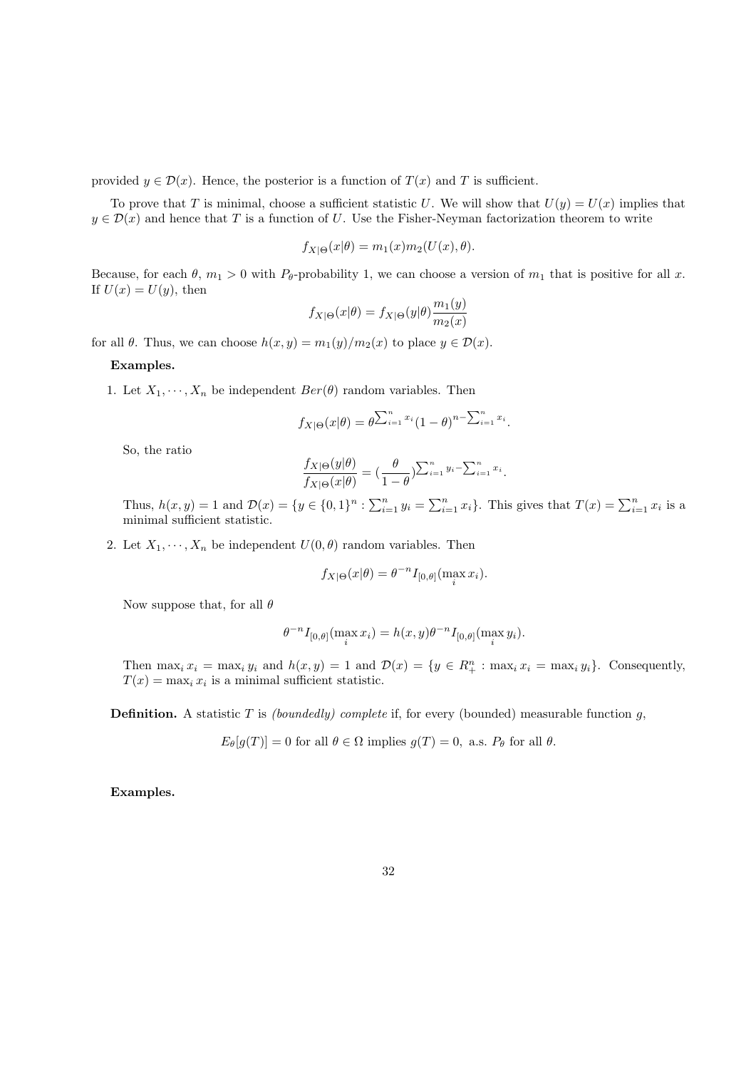provided  $y \in \mathcal{D}(x)$ . Hence, the posterior is a function of  $T(x)$  and T is sufficient.

To prove that T is minimal, choose a sufficient statistic U. We will show that  $U(y) = U(x)$  implies that  $y \in \mathcal{D}(x)$  and hence that T is a function of U. Use the Fisher-Neyman factorization theorem to write

$$
f_{X|\Theta}(x|\theta) = m_1(x)m_2(U(x), \theta).
$$

Because, for each  $\theta$ ,  $m_1 > 0$  with  $P_{\theta}$ -probability 1, we can choose a version of  $m_1$  that is positive for all x. If  $U(x) = U(y)$ , then

$$
f_{X|\Theta}(x|\theta) = f_{X|\Theta}(y|\theta) \frac{m_1(y)}{m_2(x)}
$$

for all  $\theta$ . Thus, we can choose  $h(x, y) = m_1(y)/m_2(x)$  to place  $y \in \mathcal{D}(x)$ .

#### Examples.

1. Let  $X_1, \dots, X_n$  be independent  $Ber(\theta)$  random variables. Then

$$
f_{X|\Theta}(x|\theta) = \theta^{\sum_{i=1}^{n} x_i} (1-\theta)^{n-\sum_{i=1}^{n} x_i}.
$$

So, the ratio

$$
\frac{f_{X|\Theta}(y|\theta)}{f_{X|\Theta}(x|\theta)} = \left(\frac{\theta}{1-\theta}\right)^{\sum_{i=1}^{n} y_i - \sum_{i=1}^{n} x_i}.
$$

Thus,  $h(x, y) = 1$  and  $\mathcal{D}(x) = \{y \in \{0, 1\}^n : \sum_{i=1}^n y_i = \sum_{i=1}^n x_i\}$ . This gives that  $T(x) = \sum_{i=1}^n x_i$  is a minimal sufficient statistic.

2. Let  $X_1, \dots, X_n$  be independent  $U(0, \theta)$  random variables. Then

$$
f_{X|\Theta}(x|\theta) = \theta^{-n} I_{[0,\theta]}(\max_i x_i).
$$

Now suppose that, for all  $\theta$ 

$$
\theta^{-n} I_{[0,\theta]}(\max_{i} x_i) = h(x,y)\theta^{-n} I_{[0,\theta]}(\max_{i} y_i).
$$

Then  $\max_i x_i = \max_i y_i$  and  $h(x, y) = 1$  and  $\mathcal{D}(x) = \{y \in R_+^n : \max_i x_i = \max_i y_i\}$ . Consequently,  $T(x) = \max_i x_i$  is a minimal sufficient statistic.

**Definition.** A statistic T is *(boundedly)* complete if, for every (bounded) measurable function  $g$ ,

$$
E_{\theta}[g(T)] = 0
$$
 for all  $\theta \in \Omega$  implies  $g(T) = 0$ , a.s.  $P_{\theta}$  for all  $\theta$ .

Examples.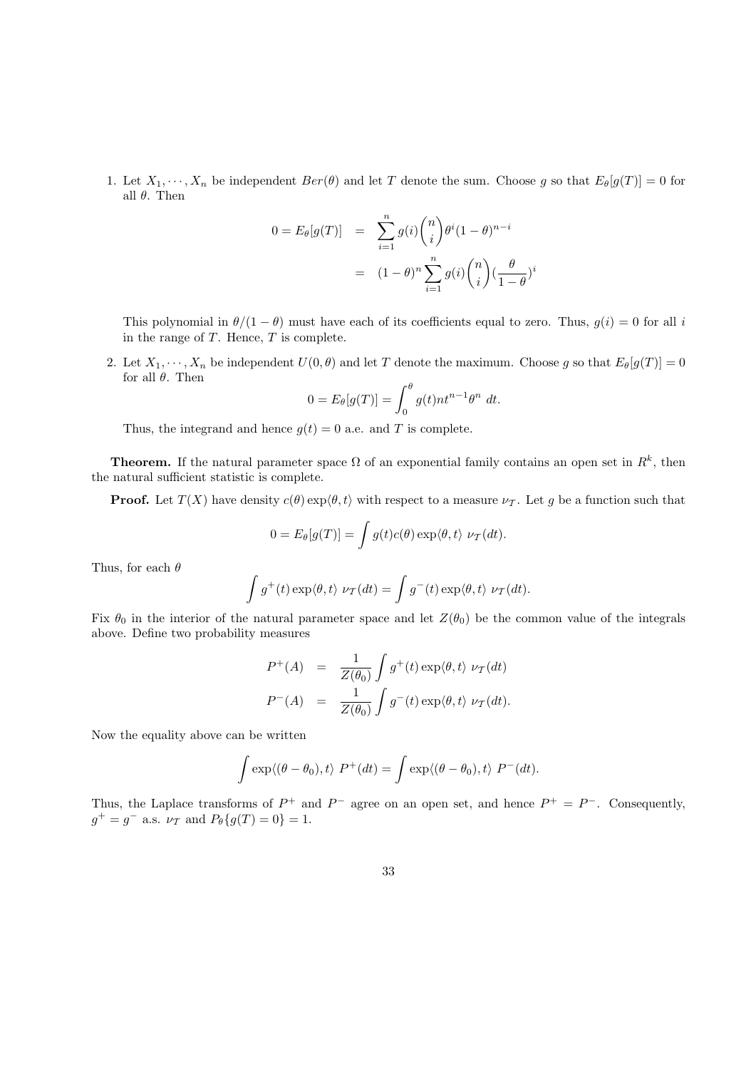1. Let  $X_1, \dots, X_n$  be independent  $Ber(\theta)$  and let T denote the sum. Choose g so that  $E_{\theta}[g(T)] = 0$  for all  $\theta$ . Then

$$
0 = E_{\theta}[g(T)] = \sum_{i=1}^{n} g(i) {n \choose i} \theta^{i} (1 - \theta)^{n-i}
$$

$$
= (1 - \theta)^{n} \sum_{i=1}^{n} g(i) {n \choose i} (\frac{\theta}{1 - \theta})^{i}
$$

This polynomial in  $\theta/(1-\theta)$  must have each of its coefficients equal to zero. Thus,  $g(i) = 0$  for all i in the range of  $T$ . Hence,  $T$  is complete.

2. Let  $X_1, \dots, X_n$  be independent  $U(0, \theta)$  and let T denote the maximum. Choose g so that  $E_{\theta}[g(T)] = 0$ for all  $\theta$ . Then

$$
0 = E_{\theta}[g(T)] = \int_0^{\theta} g(t)nt^{n-1}\theta^n dt.
$$

Thus, the integrand and hence  $g(t) = 0$  a.e. and T is complete.

**Theorem.** If the natural parameter space  $\Omega$  of an exponential family contains an open set in  $R^k$ , then the natural sufficient statistic is complete.

**Proof.** Let  $T(X)$  have density  $c(\theta) \exp\langle \theta, t \rangle$  with respect to a measure  $\nu$ . Let g be a function such that

$$
0 = E_{\theta}[g(T)] = \int g(t)c(\theta) \exp\langle \theta, t \rangle \nu_{T}(dt).
$$

Thus, for each  $\theta$ 

$$
\int g^+(t) \exp\langle \theta, t \rangle \nu_{\mathcal{T}}(dt) = \int g^-(t) \exp\langle \theta, t \rangle \nu_{\mathcal{T}}(dt).
$$

Fix  $\theta_0$  in the interior of the natural parameter space and let  $Z(\theta_0)$  be the common value of the integrals above. Define two probability measures

$$
P^{+}(A) = \frac{1}{Z(\theta_0)} \int g^{+}(t) \exp\langle \theta, t \rangle \nu_{\mathcal{T}}(dt)
$$
  

$$
P^{-}(A) = \frac{1}{Z(\theta_0)} \int g^{-}(t) \exp\langle \theta, t \rangle \nu_{\mathcal{T}}(dt).
$$

Now the equality above can be written

$$
\int \exp\langle(\theta-\theta_0),t\rangle P^+(dt) = \int \exp\langle(\theta-\theta_0),t\rangle P^-(dt).
$$

Thus, the Laplace transforms of  $P^+$  and  $P^-$  agree on an open set, and hence  $P^+ = P^-$ . Consequently,  $g^+ = g^-$  a.s.  $\nu_{\mathcal{T}}$  and  $P_{\theta}\{g(T) = 0\} = 1$ .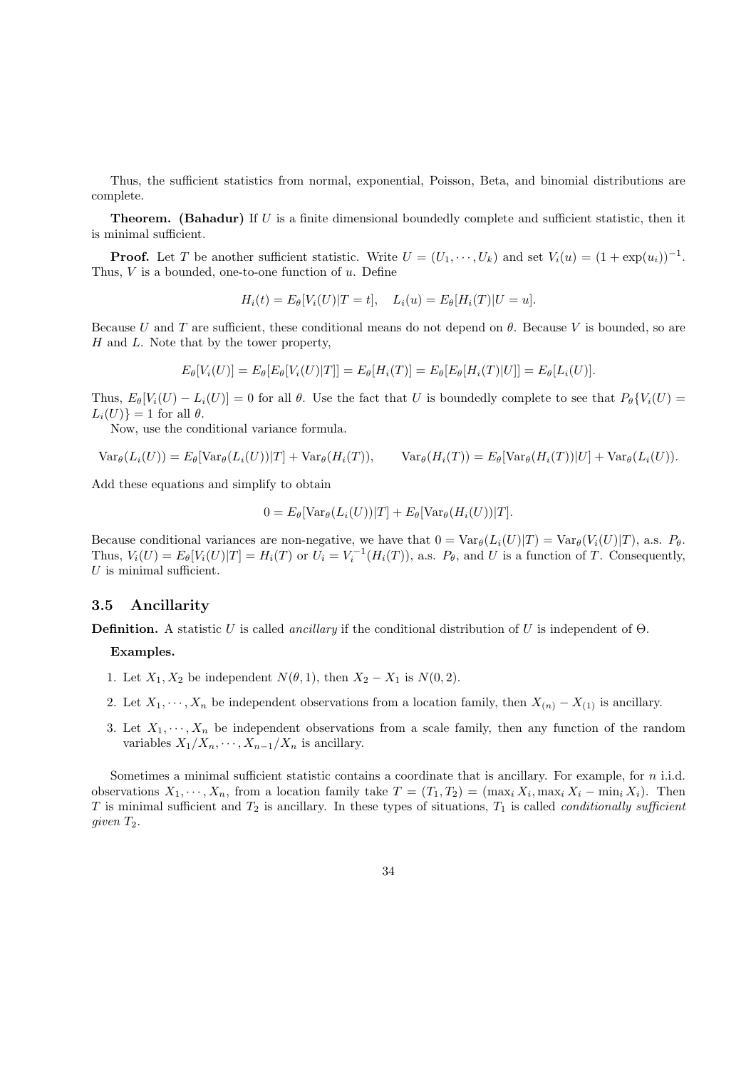Thus, the sufficient statistics from normal, exponential, Poisson, Beta, and binomial distributions are complete.

**Theorem.** (Bahadur) If  $U$  is a finite dimensional boundedly complete and sufficient statistic, then it is minimal sufficient.

**Proof.** Let T be another sufficient statistic. Write  $U = (U_1, \dots, U_k)$  and set  $V_i(u) = (1 + \exp(u_i))^{-1}$ . Thus,  $V$  is a bounded, one-to-one function of  $u$ . Define

$$
H_i(t) = E_{\theta}[V_i(U)|T = t], \quad L_i(u) = E_{\theta}[H_i(T)|U = u].
$$

Because U and T are sufficient, these conditional means do not depend on  $\theta$ . Because V is bounded, so are  $H$  and  $L$ . Note that by the tower property,

$$
E_{\theta}[V_i(U)] = E_{\theta}[E_{\theta}[V_i(U)|T]] = E_{\theta}[H_i(T)] = E_{\theta}[E_{\theta}[H_i(T)|U]] = E_{\theta}[L_i(U)].
$$

Thus,  $E_{\theta}[V_i(U) - L_i(U)] = 0$  for all  $\theta$ . Use the fact that U is boundedly complete to see that  $P_{\theta}[V_i(U) =$  $L_i(U)$ } = 1 for all  $\theta$ .

Now, use the conditional variance formula.

$$
\text{Var}_{\theta}(L_i(U)) = E_{\theta}[\text{Var}_{\theta}(L_i(U))|T] + \text{Var}_{\theta}(H_i(T)), \qquad \text{Var}_{\theta}(H_i(T)) = E_{\theta}[\text{Var}_{\theta}(H_i(T))|U] + \text{Var}_{\theta}(L_i(U)).
$$

Add these equations and simplify to obtain

$$
0 = E_{\theta}[\text{Var}_{\theta}(L_i(U))|T] + E_{\theta}[\text{Var}_{\theta}(H_i(U))|T].
$$

Because conditional variances are non-negative, we have that  $0 = \text{Var}_{\theta}(L_i(U)|T) = \text{Var}_{\theta}(V_i(U)|T)$ , a.s.  $P_{\theta}$ . Thus,  $V_i(U) = E_\theta[V_i(U)|T] = H_i(T)$  or  $U_i = V_i^{-1}(H_i(T))$ , a.s.  $P_\theta$ , and U is a function of T. Consequently,  $U$  is minimal sufficient.

#### 3.5 Ancillarity

**Definition.** A statistic U is called *ancillary* if the conditional distribution of U is independent of  $\Theta$ .

#### Examples.

- 1. Let  $X_1, X_2$  be independent  $N(\theta, 1)$ , then  $X_2 X_1$  is  $N(0, 2)$ .
- 2. Let  $X_1, \dots, X_n$  be independent observations from a location family, then  $X_{(n)} X_{(1)}$  is ancillary.
- 3. Let  $X_1, \dots, X_n$  be independent observations from a scale family, then any function of the random variables  $X_1/X_n, \cdots, X_{n-1}/X_n$  is ancillary.

Sometimes a minimal sufficient statistic contains a coordinate that is ancillary. For example, for n i.i.d. observations  $X_1, \dots, X_n$ , from a location family take  $T = (T_1, T_2) = (\max_i X_i, \max_i X_i - \min_i X_i)$ . Then T is minimal sufficient and  $T_2$  is ancillary. In these types of situations,  $T_1$  is called *conditionally sufficient* given  $T_2$ .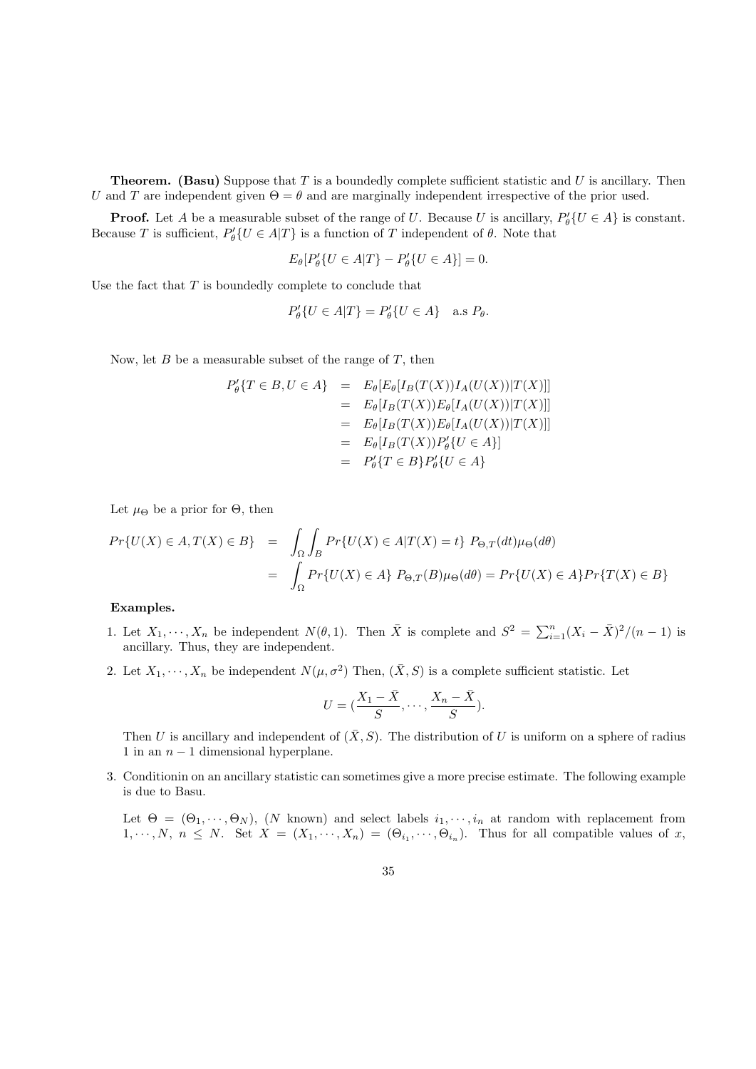**Theorem.** (Basu) Suppose that  $T$  is a boundedly complete sufficient statistic and  $U$  is ancillary. Then U and T are independent given  $\Theta = \theta$  and are marginally independent irrespective of the prior used.

**Proof.** Let A be a measurable subset of the range of U. Because U is ancillary,  $P'_{\theta}(U \in A)$  is constant. Because T is sufficient,  $P'_{\theta} \{ U \in A | T \}$  is a function of T independent of  $\theta$ . Note that

$$
E_{\theta}[P_{\theta}'\{U \in A|T\} - P_{\theta}'\{U \in A\}] = 0.
$$

Use the fact that  $T$  is boundedly complete to conclude that

$$
P'_{\theta}\{U \in A|T\} = P'_{\theta}\{U \in A\} \quad \text{a.s } P_{\theta}.
$$

Now, let  $B$  be a measurable subset of the range of  $T$ , then

$$
P'_{\theta}\{T \in B, U \in A\} = E_{\theta}[E_{\theta}[I_B(T(X))I_A(U(X))|T(X)]]
$$
  
\n
$$
= E_{\theta}[I_B(T(X))E_{\theta}[I_A(U(X))|T(X)]]
$$
  
\n
$$
= E_{\theta}[I_B(T(X))E_{\theta}[I_A(U(X))|T(X)]]
$$
  
\n
$$
= E_{\theta}[I_B(T(X))P'_{\theta}\{U \in A\}]
$$
  
\n
$$
= P'_{\theta}\{T \in B\}P'_{\theta}\{U \in A\}
$$

Let  $\mu_{\Theta}$  be a prior for  $\Theta$ , then

$$
Pr{U(X) \in A, T(X) \in B} = \int_{\Omega} \int_{B} Pr{U(X) \in A | T(X) = t} \ P_{\Theta, T}(dt) \mu_{\Theta}(d\theta)
$$

$$
= \int_{\Omega} Pr{U(X) \in A} \ P_{\Theta, T}(B) \mu_{\Theta}(d\theta) = Pr{U(X) \in A} \ P_{T}(T(X) \in B)
$$

## Examples.

- 1. Let  $X_1, \dots, X_n$  be independent  $N(\theta, 1)$ . Then  $\overline{X}$  is complete and  $S^2 = \sum_{i=1}^n (X_i \overline{X})^2/(n-1)$  is ancillary. Thus, they are independent.
- 2. Let  $X_1, \dots, X_n$  be independent  $N(\mu, \sigma^2)$  Then,  $(\bar{X}, S)$  is a complete sufficient statistic. Let

$$
U = (\frac{X_1 - \bar{X}}{S}, \cdots, \frac{X_n - \bar{X}}{S}).
$$

Then U is ancillary and independent of  $(\bar{X}, S)$ . The distribution of U is uniform on a sphere of radius 1 in an  $n-1$  dimensional hyperplane.

3. Conditionin on an ancillary statistic can sometimes give a more precise estimate. The following example is due to Basu.

Let  $\Theta = (\Theta_1, \dots, \Theta_N)$ , (N known) and select labels  $i_1, \dots, i_n$  at random with replacement from  $1, \dots, N, n \leq N$ . Set  $X = (X_1, \dots, X_n) = (\Theta_{i_1}, \dots, \Theta_{i_n})$ . Thus for all compatible values of x,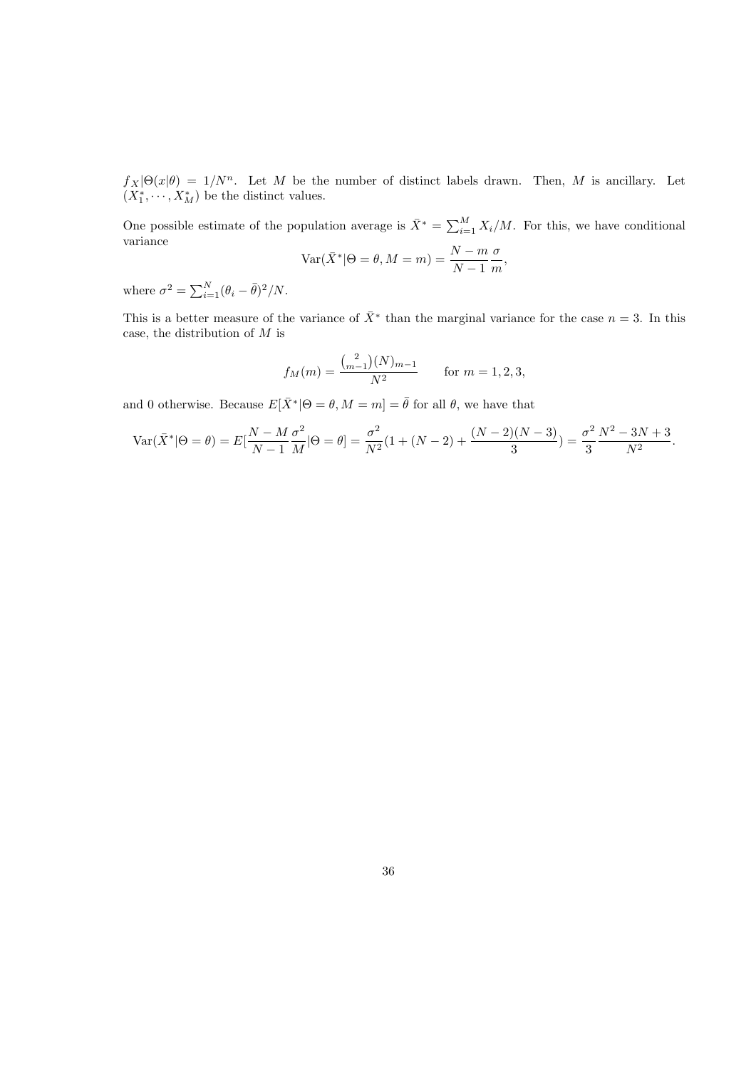$f_X|\Theta(x|\theta) = 1/N^n$ . Let M be the number of distinct labels drawn. Then, M is ancillary. Let  $(X_1^*, \dots, X_M^*)$  be the distinct values.

One possible estimate of the population average is  $\bar{X}^* = \sum_{i=1}^M X_i/M$ . For this, we have conditional variance

$$
Var(\bar{X}^* | \Theta = \theta, M = m) = \frac{N - m \sigma}{N - 1 \ m},
$$

where  $\sigma^2 = \sum_{i=1}^{N} (\theta_i - \bar{\theta})^2 / N$ .

This is a better measure of the variance of  $\bar{X}^*$  than the marginal variance for the case  $n = 3$ . In this case, the distribution of  $M$  is

$$
f_M(m) = \frac{\binom{2}{m-1}(N)_{m-1}}{N^2} \quad \text{for } m = 1, 2, 3,
$$

and 0 otherwise. Because  $E[\bar{X}^* | \Theta = \theta, M = m] = \bar{\theta}$  for all  $\theta$ , we have that

$$
\text{Var}(\bar{X}^*|\Theta = \theta) = E[\frac{N - M \sigma^2}{N - 1} \frac{\sigma^2}{M}|\Theta = \theta] = \frac{\sigma^2}{N^2}(1 + (N - 2) + \frac{(N - 2)(N - 3)}{3}) = \frac{\sigma^2}{3} \frac{N^2 - 3N + 3}{N^2}.
$$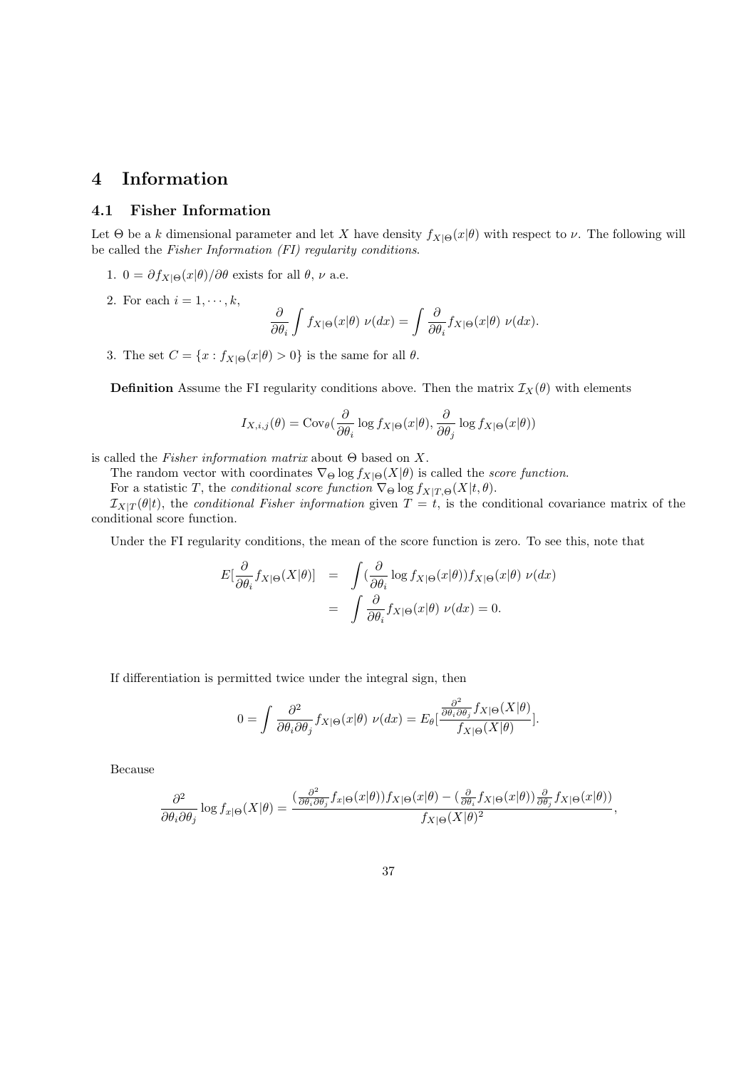# 4 Information

# 4.1 Fisher Information

Let  $\Theta$  be a k dimensional parameter and let X have density  $f_{X|\Theta}(x|\theta)$  with respect to  $\nu$ . The following will be called the Fisher Information (FI) regularity conditions.

- 1. 0 =  $\partial f_{X|\Theta}(x|\theta)/\partial \theta$  exists for all  $\theta$ ,  $\nu$  a.e.
- 2. For each  $i = 1, \dots, k$ ,

$$
\frac{\partial}{\partial \theta_i} \int f_{X|\Theta}(x|\theta) \ \nu(dx) = \int \frac{\partial}{\partial \theta_i} f_{X|\Theta}(x|\theta) \ \nu(dx).
$$

3. The set  $C = \{x : f_{X|\Theta}(x|\theta) > 0\}$  is the same for all  $\theta$ .

**Definition** Assume the FI regularity conditions above. Then the matrix  $\mathcal{I}_X(\theta)$  with elements

$$
I_{X,i,j}(\theta) = \text{Cov}_{\theta}(\frac{\partial}{\partial \theta_i} \log f_{X|\Theta}(x|\theta), \frac{\partial}{\partial \theta_j} \log f_{X|\Theta}(x|\theta))
$$

is called the Fisher information matrix about Θ based on X.

The random vector with coordinates  $\nabla_{\Theta} \log f_{X|\Theta}(X|\theta)$  is called the *score function*.

For a statistic T, the conditional score function  $\nabla_{\Theta} \log f_{X|T,\Theta}(X|t,\theta)$ .

 $I_{X|T}(\theta|t)$ , the conditional Fisher information given  $T = t$ , is the conditional covariance matrix of the conditional score function.

Under the FI regularity conditions, the mean of the score function is zero. To see this, note that

$$
E[\frac{\partial}{\partial \theta_i} f_{X|\Theta}(X|\theta)] = \int (\frac{\partial}{\partial \theta_i} \log f_{X|\Theta}(x|\theta)) f_{X|\Theta}(x|\theta) \nu(dx)
$$
  
= 
$$
\int \frac{\partial}{\partial \theta_i} f_{X|\Theta}(x|\theta) \nu(dx) = 0.
$$

If differentiation is permitted twice under the integral sign, then

$$
0 = \int \frac{\partial^2}{\partial \theta_i \partial \theta_j} f_{X|\Theta}(x|\theta) \ \nu(dx) = E_{\theta} \left[ \frac{\frac{\partial^2}{\partial \theta_i \partial \theta_j} f_{X|\Theta}(X|\theta)}{f_{X|\Theta}(X|\theta)} \right].
$$

Because

$$
\frac{\partial^2}{\partial \theta_i \partial \theta_j} \log f_{x|\Theta}(X|\theta) = \frac{(\frac{\partial^2}{\partial \theta_i \partial \theta_j} f_{x|\Theta}(x|\theta)) f_{X|\Theta}(x|\theta) - (\frac{\partial}{\partial \theta_i} f_{X|\Theta}(x|\theta)) \frac{\partial}{\partial \theta_j} f_{X|\Theta}(x|\theta))}{f_{X|\Theta}(X|\theta)^2},
$$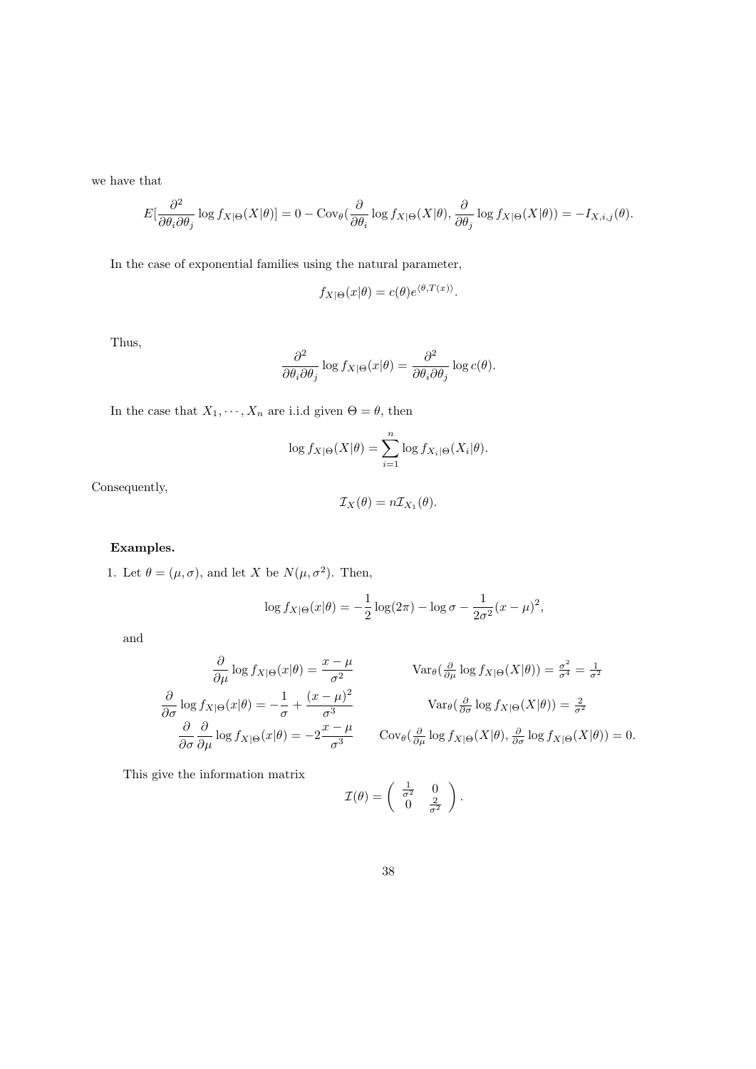we have that

$$
E[\frac{\partial^2}{\partial \theta_i \partial \theta_j} \log f_{X|\Theta}(X|\theta)] = 0 - \text{Cov}_{\theta}(\frac{\partial}{\partial \theta_i} \log f_{X|\Theta}(X|\theta), \frac{\partial}{\partial \theta_j} \log f_{X|\Theta}(X|\theta)) = -I_{X,i,j}(\theta).
$$

In the case of exponential families using the natural parameter,

$$
f_{X|\Theta}(x|\theta) = c(\theta)e^{\langle \theta, T(x) \rangle}.
$$

Thus,

$$
\frac{\partial^2}{\partial \theta_i \partial \theta_j} \log f_{X|\Theta}(x|\theta) = \frac{\partial^2}{\partial \theta_i \partial \theta_j} \log c(\theta).
$$

In the case that  $X_1, \dots, X_n$  are i.i.d given  $\Theta = \theta$ , then

$$
\log f_{X|\Theta}(X|\theta) = \sum_{i=1}^{n} \log f_{X_i|\Theta}(X_i|\theta).
$$

Consequently,

$$
\mathcal{I}_X(\theta) = n \mathcal{I}_{X_1}(\theta).
$$

# Examples.

1. Let  $\theta = (\mu, \sigma)$ , and let X be  $N(\mu, \sigma^2)$ . Then,

$$
\log f_{X|\Theta}(x|\theta) = -\frac{1}{2}\log(2\pi) - \log \sigma - \frac{1}{2\sigma^2}(x-\mu)^2,
$$

and

$$
\frac{\partial}{\partial \mu} \log f_{X|\Theta}(x|\theta) = \frac{x - \mu}{\sigma^2} \qquad \text{Var}_{\theta}(\frac{\partial}{\partial \mu} \log f_{X|\Theta}(X|\theta)) = \frac{\sigma^2}{\sigma^4} = \frac{1}{\sigma^2}
$$

$$
\frac{\partial}{\partial \sigma} \log f_{X|\Theta}(x|\theta) = -\frac{1}{\sigma} + \frac{(x - \mu)^2}{\sigma^3} \qquad \text{Var}_{\theta}(\frac{\partial}{\partial \sigma} \log f_{X|\Theta}(X|\theta)) = \frac{2}{\sigma^2}
$$

$$
\frac{\partial}{\partial \sigma} \frac{\partial}{\partial \mu} \log f_{X|\Theta}(x|\theta) = -2\frac{x - \mu}{\sigma^3} \qquad \text{Cov}_{\theta}(\frac{\partial}{\partial \mu} \log f_{X|\Theta}(X|\theta), \frac{\partial}{\partial \sigma} \log f_{X|\Theta}(X|\theta)) = 0.
$$

This give the information matrix

$$
\mathcal{I}(\theta) = \begin{pmatrix} \frac{1}{\sigma^2} & 0\\ 0 & \frac{2}{\sigma^2} \end{pmatrix}.
$$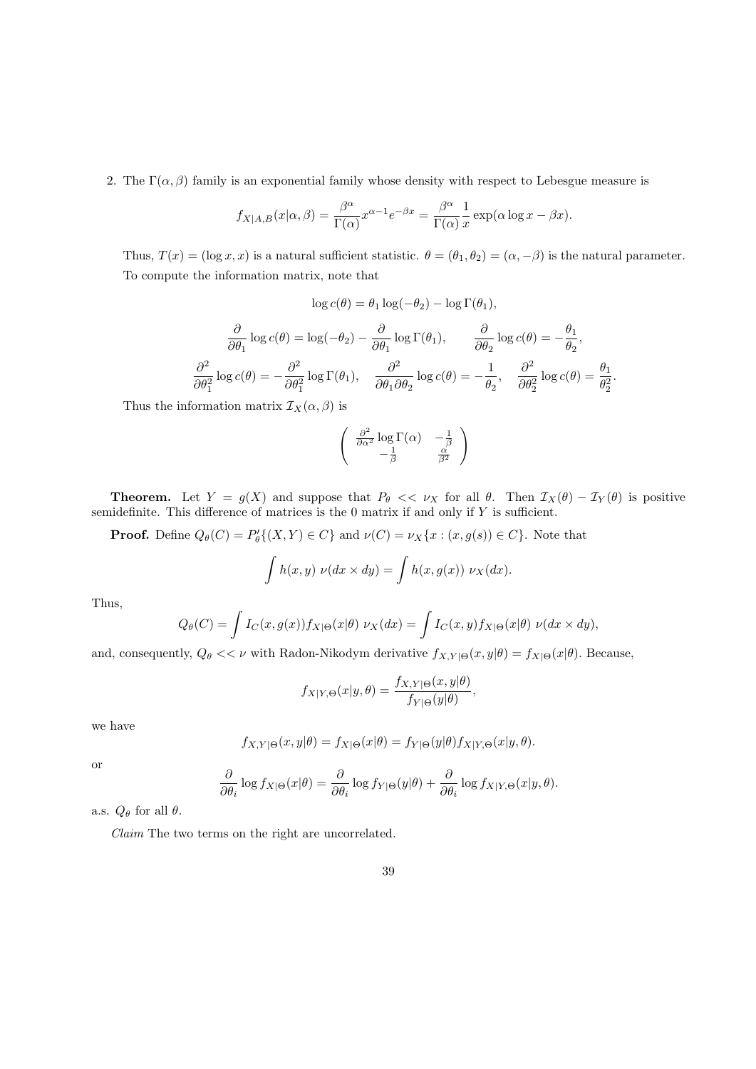2. The  $\Gamma(\alpha, \beta)$  family is an exponential family whose density with respect to Lebesgue measure is

$$
f_{X|A,B}(x|\alpha,\beta) = \frac{\beta^{\alpha}}{\Gamma(\alpha)} x^{\alpha-1} e^{-\beta x} = \frac{\beta^{\alpha}}{\Gamma(\alpha)} \frac{1}{x} \exp(\alpha \log x - \beta x).
$$

Thus,  $T(x) = (\log x, x)$  is a natural sufficient statistic.  $\theta = (\theta_1, \theta_2) = (\alpha, -\beta)$  is the natural parameter. To compute the information matrix, note that

$$
\log c(\theta) = \theta_1 \log(-\theta_2) - \log \Gamma(\theta_1),
$$

$$
\frac{\partial}{\partial \theta_1} \log c(\theta) = \log(-\theta_2) - \frac{\partial}{\partial \theta_1} \log \Gamma(\theta_1), \qquad \frac{\partial}{\partial \theta_2} \log c(\theta) = -\frac{\theta_1}{\theta_2},
$$

$$
\frac{\partial^2}{\partial \theta_1^2} \log c(\theta) = -\frac{\partial^2}{\partial \theta_1^2} \log \Gamma(\theta_1), \qquad \frac{\partial^2}{\partial \theta_1 \partial \theta_2} \log c(\theta) = -\frac{1}{\theta_2}, \qquad \frac{\partial^2}{\partial \theta_2^2} \log c(\theta) = \frac{\theta_1}{\theta_2^2}
$$

.

Thus the information matrix  $\mathcal{I}_X(\alpha,\beta)$  is

$$
\begin{pmatrix}\n\frac{\partial^2}{\partial \alpha^2} \log \Gamma(\alpha) & -\frac{1}{\beta} \\
-\frac{1}{\beta} & \frac{\alpha}{\beta^2}\n\end{pmatrix}
$$

**Theorem.** Let  $Y = g(X)$  and suppose that  $P_{\theta} \ll \nu_X$  for all  $\theta$ . Then  $\mathcal{I}_X(\theta) - \mathcal{I}_Y(\theta)$  is positive semidefinite. This difference of matrices is the  $0$  matrix if and only if Y is sufficient.

**Proof.** Define  $Q_{\theta}(C) = P'_{\theta}\{(X,Y) \in C\}$  and  $\nu(C) = \nu_X\{x : (x,g(s)) \in C\}$ . Note that

$$
\int h(x, y) \nu(dx \times dy) = \int h(x, g(x)) \nu_X(dx).
$$

Thus,

$$
Q_{\theta}(C) = \int I_C(x, g(x)) f_{X|\Theta}(x|\theta) \ \nu_X(dx) = \int I_C(x, y) f_{X|\Theta}(x|\theta) \ \nu(dx \times dy),
$$

and, consequently,  $Q_{\theta} \ll \nu$  with Radon-Nikodym derivative  $f_{X,Y|\Theta}(x,y|\theta) = f_{X|\Theta}(x|\theta)$ . Because,

$$
f_{X|Y,\Theta}(x|y,\theta) = \frac{f_{X,Y|\Theta}(x,y|\theta)}{f_{Y|\Theta}(y|\theta)},
$$

we have

$$
f_{X,Y|\Theta}(x,y|\theta) = f_{X|\Theta}(x|\theta) = f_{Y|\Theta}(y|\theta) f_{X|Y,\Theta}(x|y,\theta).
$$

or

$$
\frac{\partial}{\partial \theta_i} \log f_{X|\Theta}(x|\theta) = \frac{\partial}{\partial \theta_i} \log f_{Y|\Theta}(y|\theta) + \frac{\partial}{\partial \theta_i} \log f_{X|Y,\Theta}(x|y,\theta).
$$

a.s.  $Q_{\theta}$  for all  $\theta$ .

Claim The two terms on the right are uncorrelated.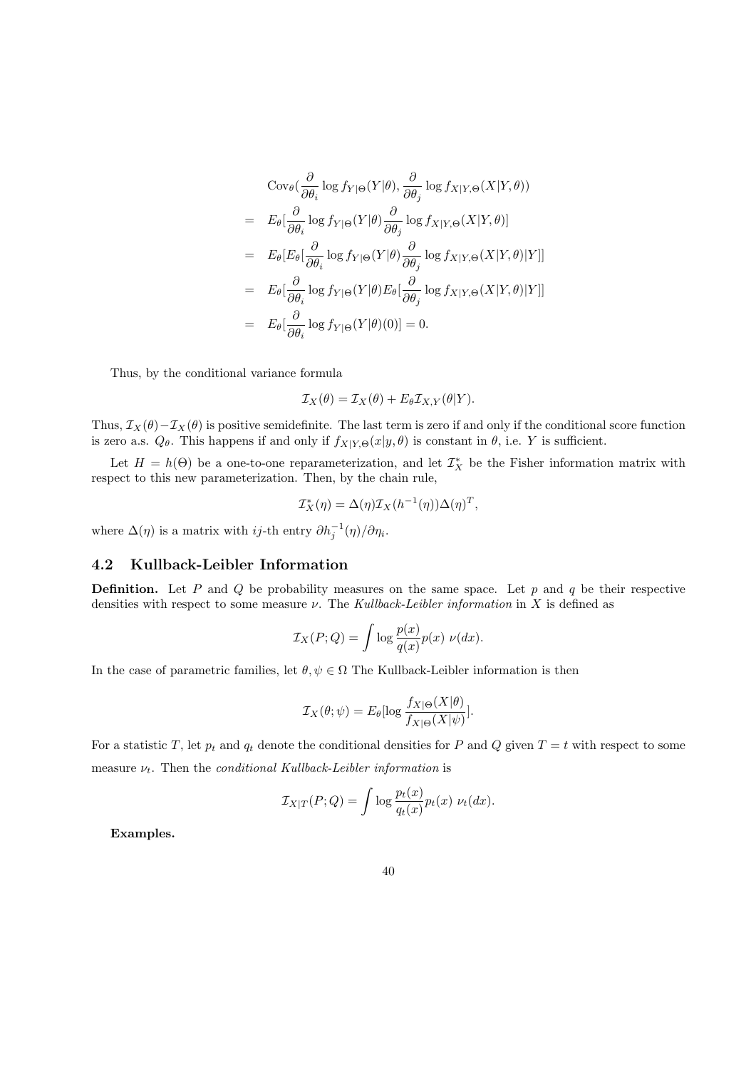$$
\begin{split}\n&\text{Cov}_{\theta}(\frac{\partial}{\partial \theta_{i}}\log f_{Y|\Theta}(Y|\theta), \frac{\partial}{\partial \theta_{j}}\log f_{X|Y,\Theta}(X|Y,\theta)) \\
&= E_{\theta}[\frac{\partial}{\partial \theta_{i}}\log f_{Y|\Theta}(Y|\theta)\frac{\partial}{\partial \theta_{j}}\log f_{X|Y,\Theta}(X|Y,\theta)] \\
&= E_{\theta}[E_{\theta}[\frac{\partial}{\partial \theta_{i}}\log f_{Y|\Theta}(Y|\theta)\frac{\partial}{\partial \theta_{j}}\log f_{X|Y,\Theta}(X|Y,\theta)|Y]] \\
&= E_{\theta}[\frac{\partial}{\partial \theta_{i}}\log f_{Y|\Theta}(Y|\theta)E_{\theta}[\frac{\partial}{\partial \theta_{j}}\log f_{X|Y,\Theta}(X|Y,\theta)|Y]] \\
&= E_{\theta}[\frac{\partial}{\partial \theta_{i}}\log f_{Y|\Theta}(Y|\theta)(0)] = 0.\n\end{split}
$$

Thus, by the conditional variance formula

$$
\mathcal{I}_X(\theta) = \mathcal{I}_X(\theta) + E_{\theta} \mathcal{I}_{X,Y}(\theta|Y).
$$

Thus,  $\mathcal{I}_X(\theta) - \mathcal{I}_X(\theta)$  is positive semidefinite. The last term is zero if and only if the conditional score function is zero a.s.  $Q_{\theta}$ . This happens if and only if  $f_{X|Y,\Theta}(x|y,\theta)$  is constant in  $\theta$ , i.e. Y is sufficient.

Let  $H = h(\Theta)$  be a one-to-one reparameterization, and let  $\mathcal{I}_X^*$  be the Fisher information matrix with respect to this new parameterization. Then, by the chain rule,

$$
\mathcal{I}_X^*(\eta) = \Delta(\eta) \mathcal{I}_X(h^{-1}(\eta)) \Delta(\eta)^T,
$$

where  $\Delta(\eta)$  is a matrix with *ij*-th entry  $\partial h_j^{-1}(\eta)/\partial \eta_i$ .

# 4.2 Kullback-Leibler Information

**Definition.** Let P and Q be probability measures on the same space. Let p and q be their respective densities with respect to some measure  $\nu$ . The Kullback-Leibler information in X is defined as

$$
\mathcal{I}_X(P;Q) = \int \log \frac{p(x)}{q(x)} p(x) \ \nu(dx).
$$

In the case of parametric families, let  $\theta, \psi \in \Omega$  The Kullback-Leibler information is then

$$
\mathcal{I}_X(\theta; \psi) = E_{\theta}[\log \frac{f_{X|\Theta}(X|\theta)}{f_{X|\Theta}(X|\psi)}].
$$

For a statistic T, let  $p_t$  and  $q_t$  denote the conditional densities for P and Q given  $T = t$  with respect to some measure  $\nu_t$ . Then the *conditional Kullback-Leibler information* is

$$
\mathcal{I}_{X|T}(P;Q) = \int \log \frac{p_t(x)}{q_t(x)} p_t(x) \ \nu_t(dx).
$$

Examples.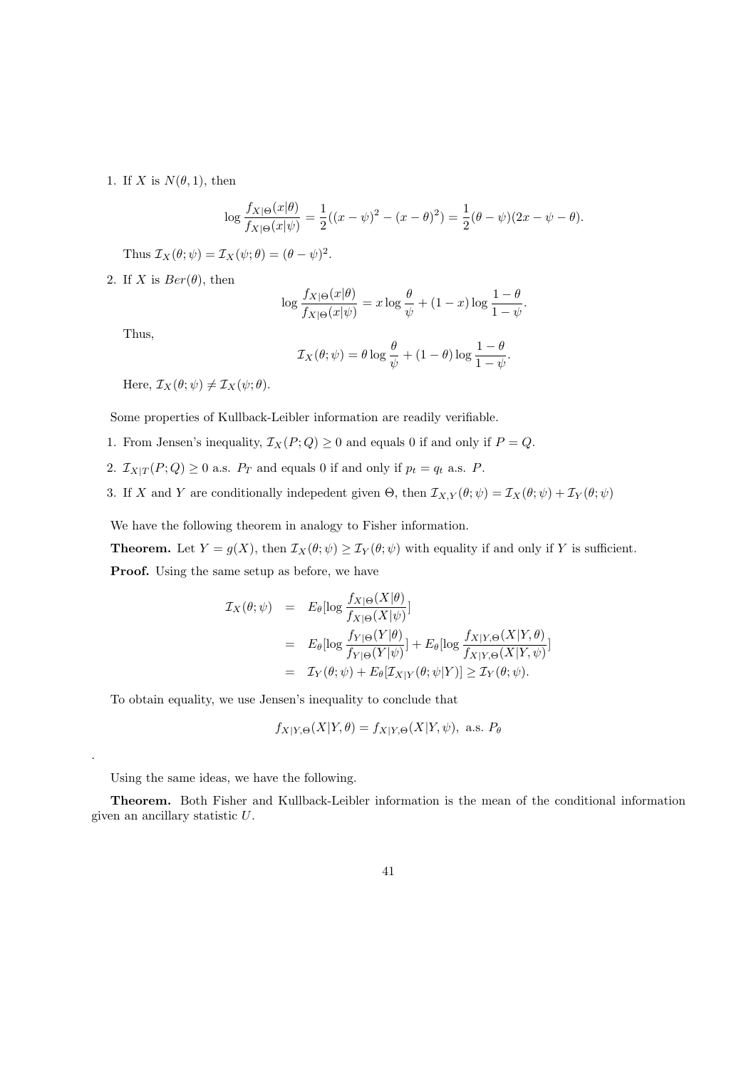### 1. If X is  $N(\theta, 1)$ , then

$$
\log \frac{f_{X|\Theta}(x|\theta)}{f_{X|\Theta}(x|\psi)} = \frac{1}{2}((x-\psi)^2 - (x-\theta)^2) = \frac{1}{2}(\theta - \psi)(2x - \psi - \theta).
$$

Thus  $\mathcal{I}_X(\theta; \psi) = \mathcal{I}_X(\psi; \theta) = (\theta - \psi)^2$ .

2. If X is  $Ber(\theta)$ , then

$$
\log \frac{f_{X|\Theta}(x|\theta)}{f_{X|\Theta}(x|\psi)} = x \log \frac{\theta}{\psi} + (1-x) \log \frac{1-\theta}{1-\psi}
$$

.

Thus,

.

$$
\mathcal{I}_X(\theta; \psi) = \theta \log \frac{\theta}{\psi} + (1 - \theta) \log \frac{1 - \theta}{1 - \psi}.
$$

Here,  $\mathcal{I}_X(\theta; \psi) \neq \mathcal{I}_X(\psi; \theta)$ .

Some properties of Kullback-Leibler information are readily verifiable.

- 1. From Jensen's inequality,  $\mathcal{I}_X(P; Q) \geq 0$  and equals 0 if and only if  $P = Q$ .
- 2.  $\mathcal{I}_{X|T}(P; Q) \geq 0$  a.s.  $P_T$  and equals 0 if and only if  $p_t = q_t$  a.s. P.
- 3. If X and Y are conditionally indepedent given  $\Theta$ , then  $\mathcal{I}_{X,Y}(\theta;\psi) = \mathcal{I}_X(\theta;\psi) + \mathcal{I}_Y(\theta;\psi)$

We have the following theorem in analogy to Fisher information.

**Theorem.** Let  $Y = g(X)$ , then  $\mathcal{I}_X(\theta; \psi) \geq \mathcal{I}_Y(\theta; \psi)$  with equality if and only if Y is sufficient. Proof. Using the same setup as before, we have

$$
\mathcal{I}_X(\theta; \psi) = E_{\theta}[\log \frac{f_{X|\Theta}(X|\theta)}{f_{X|\Theta}(X|\psi)}]
$$
\n
$$
= E_{\theta}[\log \frac{f_{Y|\Theta}(Y|\theta)}{f_{Y|\Theta}(Y|\psi)}] + E_{\theta}[\log \frac{f_{X|Y,\Theta}(X|Y,\theta)}{f_{X|Y,\Theta}(X|Y,\psi)}]
$$
\n
$$
= \mathcal{I}_Y(\theta; \psi) + E_{\theta}[\mathcal{I}_{X|Y}(\theta; \psi|Y)] \ge \mathcal{I}_Y(\theta; \psi).
$$

To obtain equality, we use Jensen's inequality to conclude that

$$
f_{X|Y,\Theta}(X|Y,\theta) = f_{X|Y,\Theta}(X|Y,\psi)
$$
, a.s.  $P_{\theta}$ 

Using the same ideas, we have the following.

Theorem. Both Fisher and Kullback-Leibler information is the mean of the conditional information given an ancillary statistic U.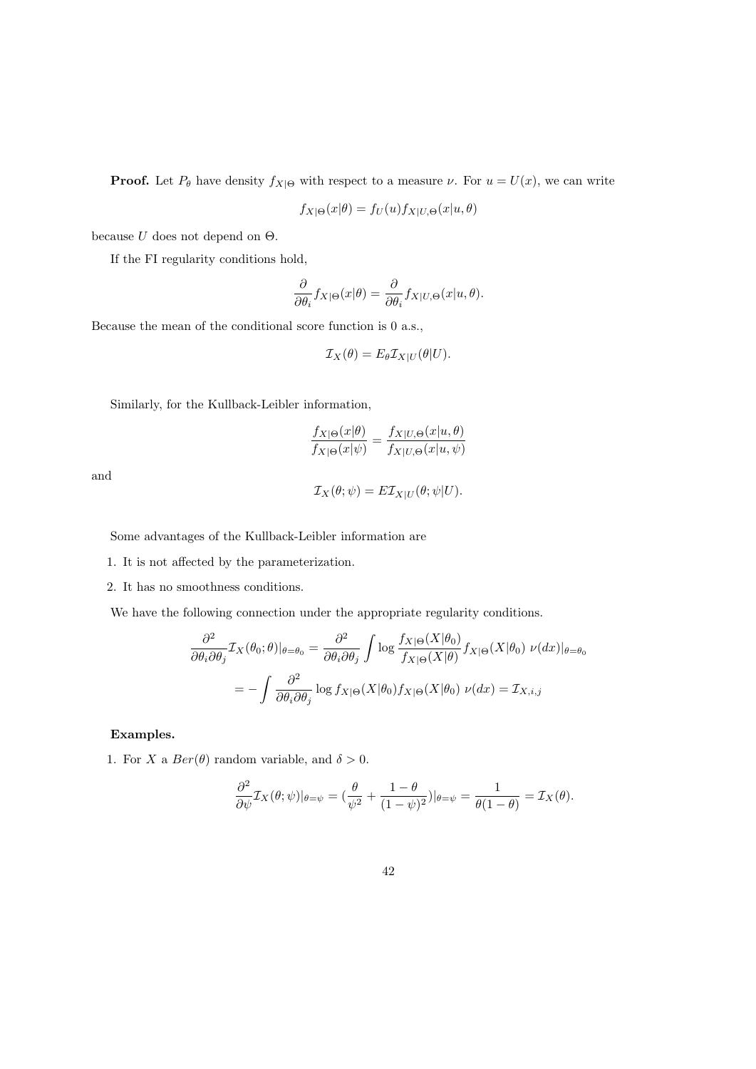**Proof.** Let  $P_{\theta}$  have density  $f_{X|\Theta}$  with respect to a measure  $\nu$ . For  $u = U(x)$ , we can write

$$
f_{X|\Theta}(x|\theta) = f_U(u) f_{X|U,\Theta}(x|u,\theta)
$$

because  $U$  does not depend on  $\Theta$ .

If the FI regularity conditions hold,

$$
\frac{\partial}{\partial \theta_i} f_{X|\Theta}(x|\theta) = \frac{\partial}{\partial \theta_i} f_{X|U,\Theta}(x|u,\theta).
$$

Because the mean of the conditional score function is 0 a.s.,

$$
\mathcal{I}_X(\theta) = E_{\theta} \mathcal{I}_{X|U}(\theta|U).
$$

Similarly, for the Kullback-Leibler information,

$$
\frac{f_{X|\Theta}(x|\theta)}{f_{X|\Theta}(x|\psi)} = \frac{f_{X|U,\Theta}(x|u,\theta)}{f_{X|U,\Theta}(x|u,\psi)}
$$

and

$$
\mathcal{I}_X(\theta;\psi) = E \mathcal{I}_{X|U}(\theta;\psi|U).
$$

Some advantages of the Kullback-Leibler information are

1. It is not affected by the parameterization.

2. It has no smoothness conditions.

We have the following connection under the appropriate regularity conditions.

$$
\frac{\partial^2}{\partial \theta_i \partial \theta_j} \mathcal{I}_X(\theta_0; \theta)|_{\theta = \theta_0} = \frac{\partial^2}{\partial \theta_i \partial \theta_j} \int \log \frac{f_{X|\Theta}(X|\theta_0)}{f_{X|\Theta}(X|\theta)} f_{X|\Theta}(X|\theta_0) \nu(dx)|_{\theta = \theta_0}
$$

$$
= -\int \frac{\partial^2}{\partial \theta_i \partial \theta_j} \log f_{X|\Theta}(X|\theta_0) f_{X|\Theta}(X|\theta_0) \nu(dx) = \mathcal{I}_{X, i, j}
$$

### Examples.

1. For X a  $Ber(\theta)$  random variable, and  $\delta > 0$ .

$$
\frac{\partial^2}{\partial \psi} \mathcal{I}_X(\theta; \psi)|_{\theta = \psi} = \left(\frac{\theta}{\psi^2} + \frac{1-\theta}{(1-\psi)^2}\right)|_{\theta = \psi} = \frac{1}{\theta(1-\theta)} = \mathcal{I}_X(\theta).
$$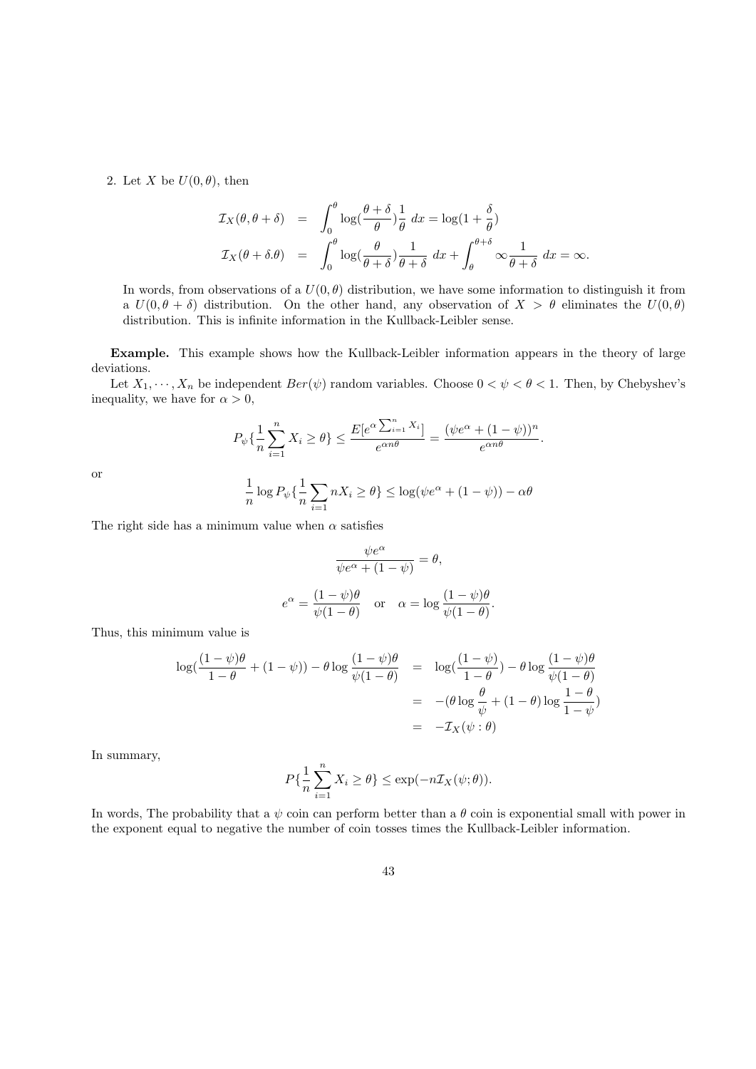2. Let X be  $U(0, \theta)$ , then

$$
\mathcal{I}_X(\theta, \theta + \delta) = \int_0^{\theta} \log(\frac{\theta + \delta}{\theta}) \frac{1}{\theta} dx = \log(1 + \frac{\delta}{\theta})
$$
  

$$
\mathcal{I}_X(\theta + \delta \theta) = \int_0^{\theta} \log(\frac{\theta}{\theta + \delta}) \frac{1}{\theta + \delta} dx + \int_{\theta}^{\theta + \delta} \infty \frac{1}{\theta + \delta} dx = \infty.
$$

In words, from observations of a  $U(0, \theta)$  distribution, we have some information to distinguish it from a  $U(0, \theta + \delta)$  distribution. On the other hand, any observation of  $X > \theta$  eliminates the  $U(0, \theta)$ distribution. This is infinite information in the Kullback-Leibler sense.

Example. This example shows how the Kullback-Leibler information appears in the theory of large deviations.

Let  $X_1, \dots, X_n$  be independent  $Ber(\psi)$  random variables. Choose  $0 < \psi < \theta < 1$ . Then, by Chebyshev's inequality, we have for  $\alpha > 0$ ,

$$
P_{\psi}\left\{\frac{1}{n}\sum_{i=1}^{n}X_{i}\geq\theta\right\}\leq\frac{E[e^{\alpha\sum_{i=1}^{n}X_{i}}]}{e^{\alpha n\theta}}=\frac{(\psi e^{\alpha}+(1-\psi))^{n}}{e^{\alpha n\theta}}.
$$

$$
\frac{1}{n}\log P_{\psi}\left\{\frac{1}{n}\sum_{i=1}^{n}nX_{i}\geq\theta\right\}\leq\log(\psi e^{\alpha}+(1-\psi))-\alpha\theta
$$

or

The right side has a minimum value when  $\alpha$  satisfies

$$
\frac{\psi e^{\alpha}}{\psi e^{\alpha} + (1 - \psi)} = \theta,
$$

$$
e^{\alpha} = \frac{(1 - \psi)\theta}{\psi(1 - \theta)} \quad \text{or} \quad \alpha = \log \frac{(1 - \psi)\theta}{\psi(1 - \theta)}.
$$

Thus, this minimum value is

$$
\log\left(\frac{(1-\psi)\theta}{1-\theta} + (1-\psi)\right) - \theta \log\frac{(1-\psi)\theta}{\psi(1-\theta)} = \log\left(\frac{(1-\psi)}{1-\theta}\right) - \theta \log\frac{(1-\psi)\theta}{\psi(1-\theta)}
$$

$$
= -(\theta \log\frac{\theta}{\psi} + (1-\theta) \log\frac{1-\theta}{1-\psi})
$$

$$
= -\mathcal{I}_X(\psi:\theta)
$$

In summary,

$$
P\{\frac{1}{n}\sum_{i=1}^{n}X_i \geq \theta\} \leq \exp(-n\mathcal{I}_X(\psi;\theta)).
$$

In words, The probability that a  $\psi$  coin can perform better than a  $\theta$  coin is exponential small with power in the exponent equal to negative the number of coin tosses times the Kullback-Leibler information.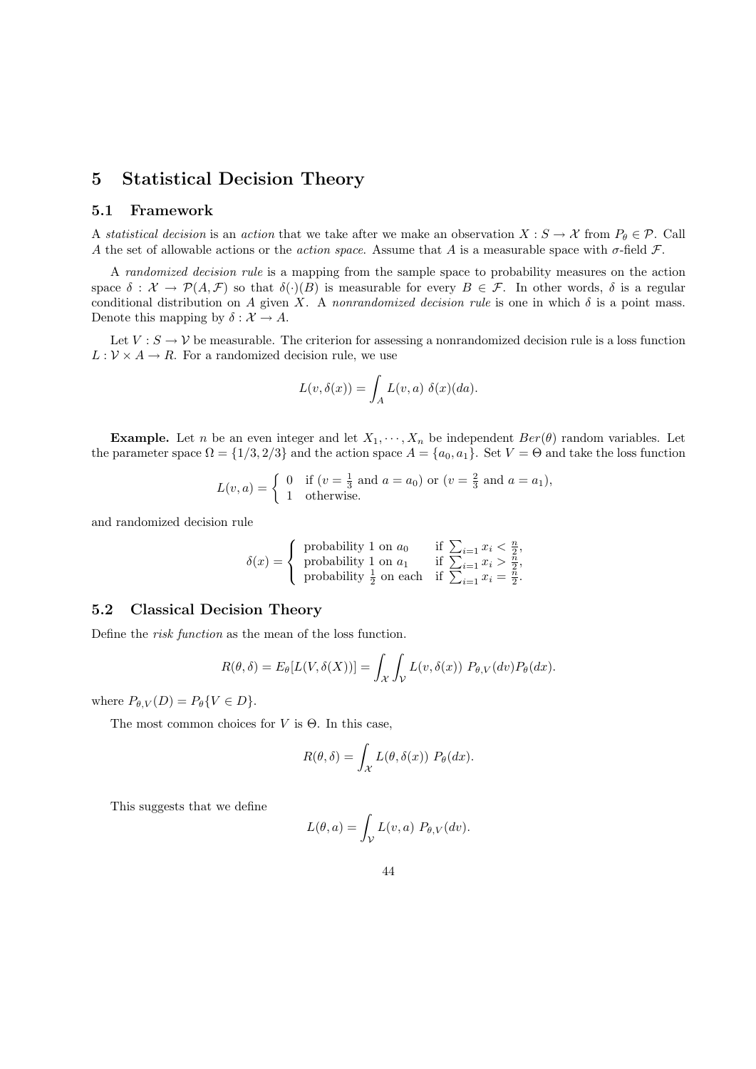# 5 Statistical Decision Theory

### 5.1 Framework

A statistical decision is an action that we take after we make an observation  $X : S \to \mathcal{X}$  from  $P_{\theta} \in \mathcal{P}$ . Call A the set of allowable actions or the *action space*. Assume that A is a measurable space with  $\sigma$ -field F.

A randomized decision rule is a mapping from the sample space to probability measures on the action space  $\delta : \mathcal{X} \to \mathcal{P}(A, \mathcal{F})$  so that  $\delta(\cdot)(B)$  is measurable for every  $B \in \mathcal{F}$ . In other words,  $\delta$  is a regular conditional distribution on A given X. A nonrandomized decision rule is one in which  $\delta$  is a point mass. Denote this mapping by  $\delta : \mathcal{X} \to A$ .

Let  $V : S \to V$  be measurable. The criterion for assessing a nonrandomized decision rule is a loss function  $L: V \times A \rightarrow R$ . For a randomized decision rule, we use

$$
L(v, \delta(x)) = \int_A L(v, a) \ \delta(x) (da).
$$

**Example.** Let n be an even integer and let  $X_1, \dots, X_n$  be independent  $Ber(\theta)$  random variables. Let the parameter space  $\Omega = \{1/3, 2/3\}$  and the action space  $A = \{a_0, a_1\}$ . Set  $V = \Theta$  and take the loss function

$$
L(v, a) = \begin{cases} 0 & \text{if } (v = \frac{1}{3} \text{ and } a = a_0) \text{ or } (v = \frac{2}{3} \text{ and } a = a_1), \\ 1 & \text{otherwise.} \end{cases}
$$

and randomized decision rule

$$
\delta(x) = \begin{cases}\n\text{probability 1 on } a_0 & \text{if } \sum_{i=1} x_i < \frac{n}{2}, \\
\text{probability 1 on } a_1 & \text{if } \sum_{i=1} x_i > \frac{n}{2}, \\
\text{probability } \frac{1}{2} \text{ on each} & \text{if } \sum_{i=1} x_i = \frac{n}{2}.\n\end{cases}
$$

# 5.2 Classical Decision Theory

Define the risk function as the mean of the loss function.

$$
R(\theta, \delta) = E_{\theta}[L(V, \delta(X))] = \int_{\mathcal{X}} \int_{\mathcal{V}} L(v, \delta(x)) P_{\theta, V}(dv) P_{\theta}(dx).
$$

where  $P_{\theta,V}(D) = P_{\theta} \{ V \in D \}.$ 

The most common choices for  $V$  is  $\Theta$ . In this case,

$$
R(\theta, \delta) = \int_{\mathcal{X}} L(\theta, \delta(x)) P_{\theta}(dx).
$$

This suggests that we define

$$
L(\theta, a) = \int_{\mathcal{V}} L(v, a) P_{\theta, V}(dv).
$$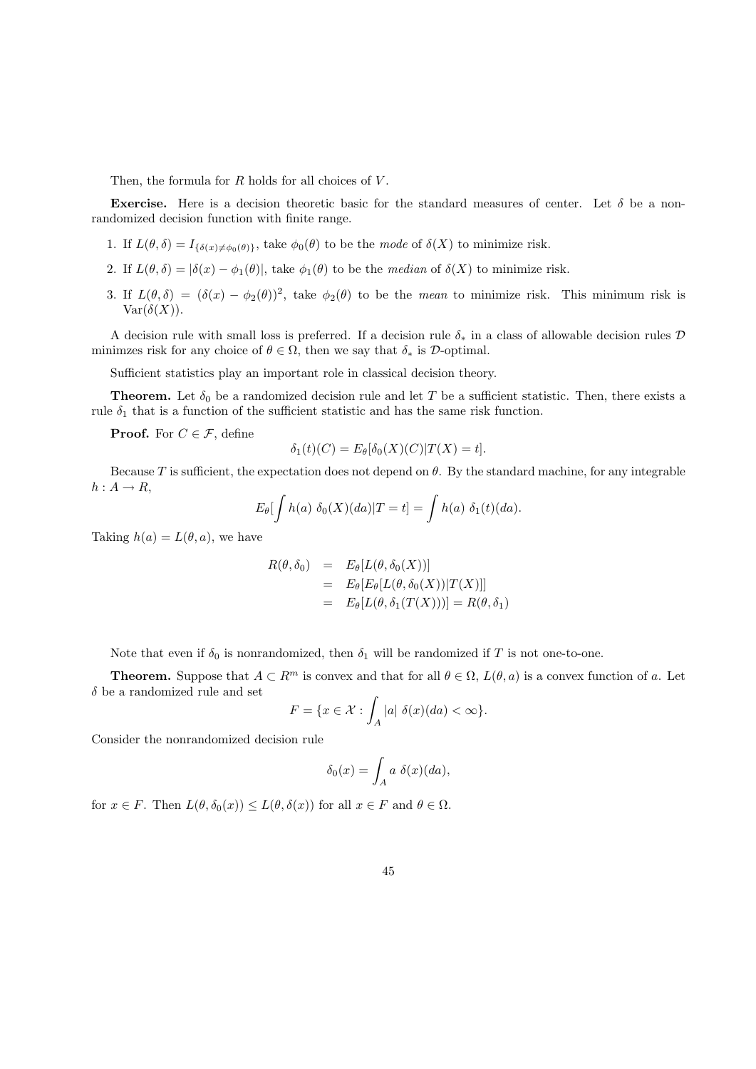Then, the formula for  $R$  holds for all choices of  $V$ .

Exercise. Here is a decision theoretic basic for the standard measures of center. Let  $\delta$  be a nonrandomized decision function with finite range.

- 1. If  $L(\theta, \delta) = I_{\{\delta(x)\neq \phi_0(\theta)\}}$ , take  $\phi_0(\theta)$  to be the mode of  $\delta(X)$  to minimize risk.
- 2. If  $L(\theta, \delta) = |\delta(x) \phi_1(\theta)|$ , take  $\phi_1(\theta)$  to be the *median* of  $\delta(X)$  to minimize risk.
- 3. If  $L(\theta, \delta) = (\delta(x) \phi_2(\theta))^2$ , take  $\phi_2(\theta)$  to be the *mean* to minimize risk. This minimum risk is  $Var(\delta(X)).$

A decision rule with small loss is preferred. If a decision rule  $\delta_*$  in a class of allowable decision rules D minimzes risk for any choice of  $\theta \in \Omega$ , then we say that  $\delta_*$  is D-optimal.

Sufficient statistics play an important role in classical decision theory.

**Theorem.** Let  $\delta_0$  be a randomized decision rule and let T be a sufficient statistic. Then, there exists a rule  $\delta_1$  that is a function of the sufficient statistic and has the same risk function.

**Proof.** For  $C \in \mathcal{F}$ , define

$$
\delta_1(t)(C) = E_{\theta}[\delta_0(X)(C)|T(X) = t].
$$

Because T is sufficient, the expectation does not depend on  $\theta$ . By the standard machine, for any integrable  $h: A \rightarrow R$ ,

$$
E_{\theta}[\int h(a) \ \delta_0(X)(da)|T=t] = \int h(a) \ \delta_1(t)(da).
$$

Taking  $h(a) = L(\theta, a)$ , we have

$$
R(\theta, \delta_0) = E_{\theta}[L(\theta, \delta_0(X))]
$$
  
=  $E_{\theta}[E_{\theta}[L(\theta, \delta_0(X))|T(X)]]$   
=  $E_{\theta}[L(\theta, \delta_1(T(X)))] = R(\theta, \delta_1)$ 

Note that even if  $\delta_0$  is nonrandomized, then  $\delta_1$  will be randomized if T is not one-to-one.

**Theorem.** Suppose that  $A \subset \mathbb{R}^m$  is convex and that for all  $\theta \in \Omega$ ,  $L(\theta, a)$  is a convex function of a. Let  $\delta$  be a randomized rule and set

$$
F = \{ x \in \mathcal{X} : \int_A |a| \ \delta(x) (da) < \infty \}.
$$

Consider the nonrandomized decision rule

$$
\delta_0(x) = \int_A a \ \delta(x) (da),
$$

for  $x \in F$ . Then  $L(\theta, \delta_0(x)) \leq L(\theta, \delta(x))$  for all  $x \in F$  and  $\theta \in \Omega$ .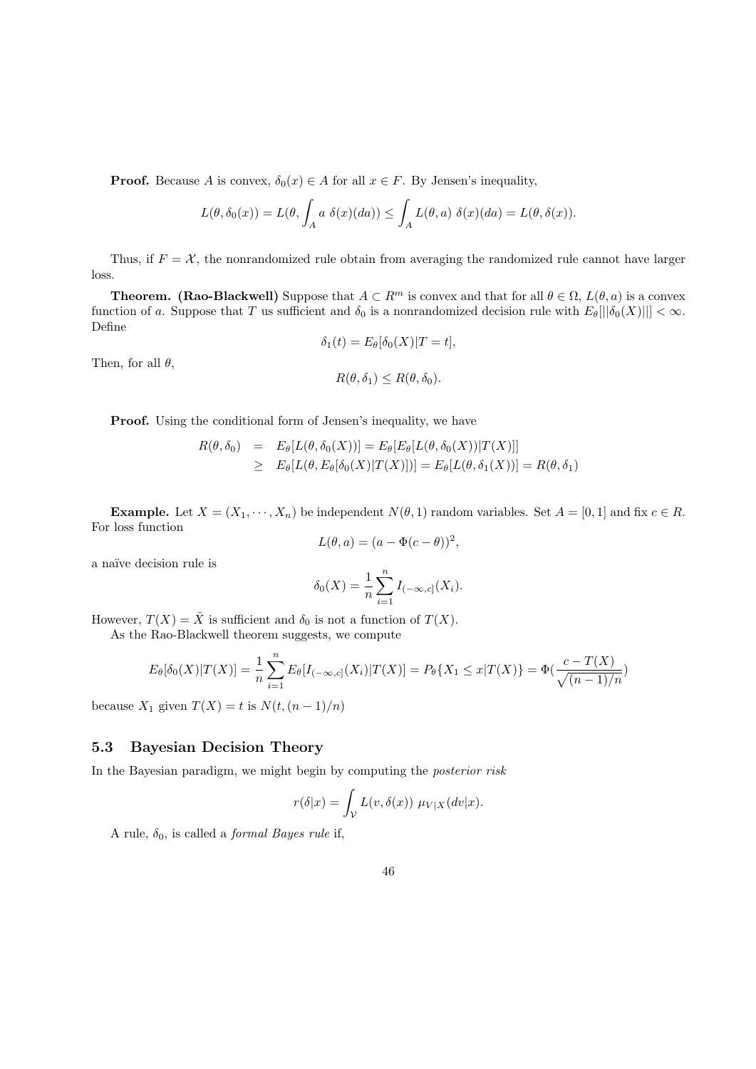**Proof.** Because A is convex,  $\delta_0(x) \in A$  for all  $x \in F$ . By Jensen's inequality,

$$
L(\theta, \delta_0(x)) = L(\theta, \int_A a \ \delta(x)(da)) \leq \int_A L(\theta, a) \ \delta(x)(da) = L(\theta, \delta(x)).
$$

Thus, if  $F = \mathcal{X}$ , the nonrandomized rule obtain from averaging the randomized rule cannot have larger loss.

**Theorem.** (Rao-Blackwell) Suppose that  $A \subset R^m$  is convex and that for all  $\theta \in \Omega$ ,  $L(\theta, a)$  is a convex function of a. Suppose that T us sufficient and  $\delta_0$  is a nonrandomized decision rule with  $E_\theta[||\delta_0(X)||] < \infty$ . Define

$$
\delta_1(t) = E_{\theta}[\delta_0(X)|T = t],
$$

Then, for all  $\theta$ ,

$$
R(\theta, \delta_1) \le R(\theta, \delta_0).
$$

Proof. Using the conditional form of Jensen's inequality, we have

$$
R(\theta, \delta_0) = E_{\theta}[L(\theta, \delta_0(X))] = E_{\theta}[E_{\theta}[L(\theta, \delta_0(X))|T(X)]]
$$
  
\n
$$
\geq E_{\theta}[L(\theta, E_{\theta}[\delta_0(X)|T(X)])] = E_{\theta}[L(\theta, \delta_1(X))] = R(\theta, \delta_1)
$$

**Example.** Let  $X = (X_1, \dots, X_n)$  be independent  $N(\theta, 1)$  random variables. Set  $A = [0, 1]$  and fix  $c \in R$ . For loss function

$$
L(\theta, a) = (a - \Phi(c - \theta))^2,
$$

a na¨ıve decision rule is

$$
\delta_0(X) = \frac{1}{n} \sum_{i=1}^n I_{(-\infty, c]}(X_i).
$$

However,  $T(X) = \overline{X}$  is sufficient and  $\delta_0$  is not a function of  $T(X)$ .

As the Rao-Blackwell theorem suggests, we compute

$$
E_{\theta}[\delta_0(X)|T(X)] = \frac{1}{n} \sum_{i=1}^n E_{\theta}[I_{(-\infty,c]}(X_i)|T(X)] = P_{\theta}\{X_1 \le x|T(X)\} = \Phi(\frac{c - T(X)}{\sqrt{(n-1)/n}})
$$

because  $X_1$  given  $T(X) = t$  is  $N(t,(n-1)/n)$ 

## 5.3 Bayesian Decision Theory

In the Bayesian paradigm, we might begin by computing the *posterior risk* 

$$
r(\delta|x) = \int_{\mathcal{V}} L(v, \delta(x)) \ \mu_{V|X}(dv|x).
$$

A rule,  $\delta_0$ , is called a *formal Bayes rule* if,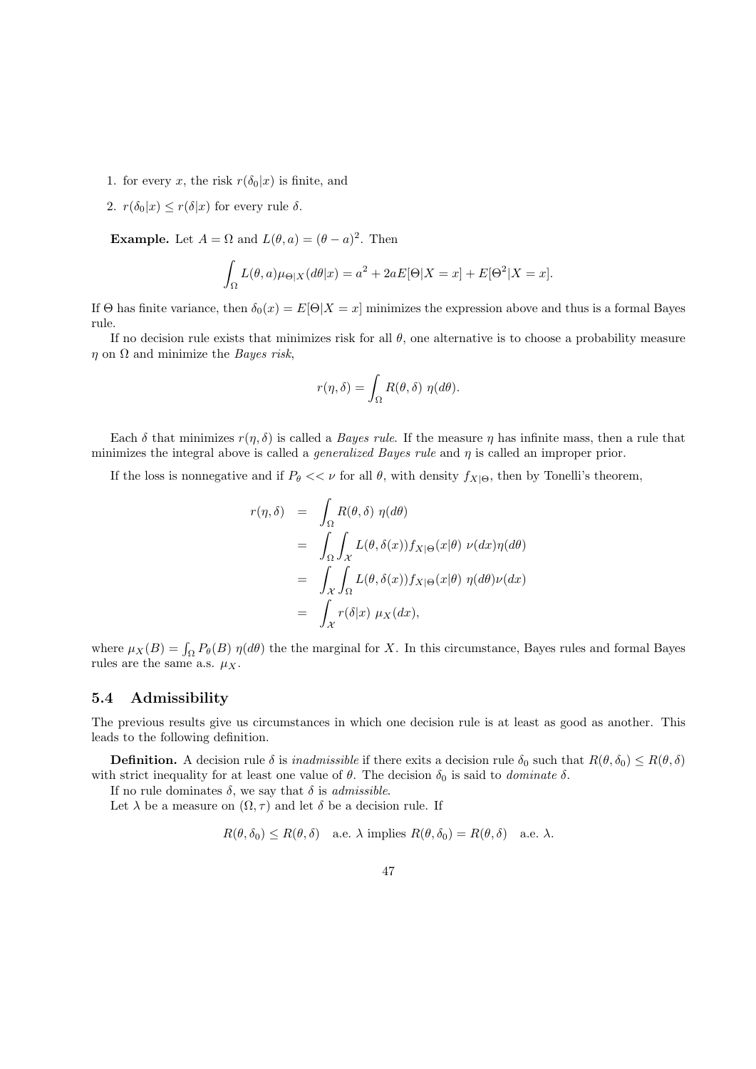- 1. for every x, the risk  $r(\delta_0|x)$  is finite, and
- 2.  $r(\delta_0|x) \leq r(\delta|x)$  for every rule  $\delta$ .

**Example.** Let  $A = \Omega$  and  $L(\theta, a) = (\theta - a)^2$ . Then

$$
\int_{\Omega} L(\theta, a)\mu_{\Theta|X}(d\theta|x) = a^2 + 2aE[\Theta|X = x] + E[\Theta^2|X = x].
$$

If Θ has finite variance, then  $\delta_0(x) = E[\Theta|X=x]$  minimizes the expression above and thus is a formal Bayes rule.

If no decision rule exists that minimizes risk for all  $\theta$ , one alternative is to choose a probability measure  $\eta$  on  $\Omega$  and minimize the *Bayes risk*,

$$
r(\eta,\delta) = \int_{\Omega} R(\theta,\delta) \eta(d\theta).
$$

Each  $\delta$  that minimizes  $r(\eta, \delta)$  is called a *Bayes rule*. If the measure  $\eta$  has infinite mass, then a rule that minimizes the integral above is called a *generalized Bayes rule* and  $\eta$  is called an improper prior.

If the loss is nonnegative and if  $P_\theta \ll \nu$  for all  $\theta$ , with density  $f_{X|\Theta}$ , then by Tonelli's theorem,

$$
r(\eta, \delta) = \int_{\Omega} R(\theta, \delta) \eta(d\theta)
$$
  
= 
$$
\int_{\Omega} \int_{\mathcal{X}} L(\theta, \delta(x)) f_{X|\Theta}(x|\theta) \nu(dx) \eta(d\theta)
$$
  
= 
$$
\int_{\mathcal{X}} \int_{\Omega} L(\theta, \delta(x)) f_{X|\Theta}(x|\theta) \eta(d\theta) \nu(dx)
$$
  
= 
$$
\int_{\mathcal{X}} r(\delta|x) \mu_X(dx),
$$

where  $\mu_X(B) = \int_{\Omega} P_{\theta}(B) \eta(d\theta)$  the the marginal for X. In this circumstance, Bayes rules and formal Bayes rules are the same a.s.  $\mu_X$ .

### 5.4 Admissibility

The previous results give us circumstances in which one decision rule is at least as good as another. This leads to the following definition.

**Definition.** A decision rule  $\delta$  is *inadmissible* if there exits a decision rule  $\delta_0$  such that  $R(\theta, \delta_0) \leq R(\theta, \delta)$ with strict inequality for at least one value of  $\theta$ . The decision  $\delta_0$  is said to *dominate*  $\delta$ .

If no rule dominates  $\delta$ , we say that  $\delta$  is *admissible*.

Let  $\lambda$  be a measure on  $(\Omega, \tau)$  and let  $\delta$  be a decision rule. If

 $R(\theta, \delta_0) \leq R(\theta, \delta)$  a.e.  $\lambda$  implies  $R(\theta, \delta_0) = R(\theta, \delta)$  a.e.  $\lambda$ .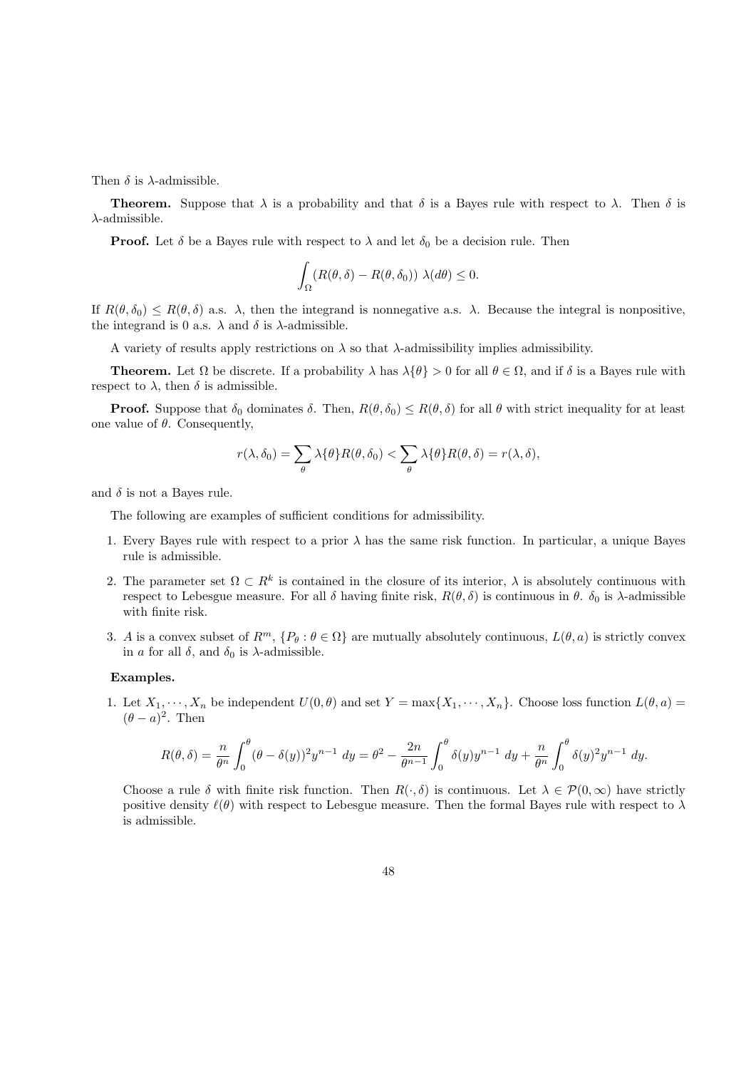Then  $\delta$  is  $\lambda$ -admissible.

**Theorem.** Suppose that  $\lambda$  is a probability and that  $\delta$  is a Bayes rule with respect to  $\lambda$ . Then  $\delta$  is  $\lambda$ -admissible.

**Proof.** Let  $\delta$  be a Bayes rule with respect to  $\lambda$  and let  $\delta_0$  be a decision rule. Then

$$
\int_{\Omega} (R(\theta, \delta) - R(\theta, \delta_0)) \lambda(d\theta) \leq 0.
$$

If  $R(\theta, \delta_0) \leq R(\theta, \delta)$  a.s.  $\lambda$ , then the integrand is nonnegative a.s.  $\lambda$ . Because the integral is nonpositive, the integrand is 0 a.s.  $\lambda$  and  $\delta$  is  $\lambda$ -admissible.

A variety of results apply restrictions on  $\lambda$  so that  $\lambda$ -admissibility implies admissibility.

**Theorem.** Let  $\Omega$  be discrete. If a probability  $\lambda$  has  $\lambda\{\theta\} > 0$  for all  $\theta \in \Omega$ , and if  $\delta$  is a Bayes rule with respect to  $\lambda$ , then  $\delta$  is admissible.

**Proof.** Suppose that  $\delta_0$  dominates  $\delta$ . Then,  $R(\theta, \delta_0) \leq R(\theta, \delta)$  for all  $\theta$  with strict inequality for at least one value of  $\theta$ . Consequently,

$$
r(\lambda, \delta_0) = \sum_{\theta} \lambda \{\theta\} R(\theta, \delta_0) < \sum_{\theta} \lambda \{\theta\} R(\theta, \delta) = r(\lambda, \delta),
$$

and  $\delta$  is not a Bayes rule.

The following are examples of sufficient conditions for admissibility.

- 1. Every Bayes rule with respect to a prior  $\lambda$  has the same risk function. In particular, a unique Bayes rule is admissible.
- 2. The parameter set  $\Omega \subset R^k$  is contained in the closure of its interior,  $\lambda$  is absolutely continuous with respect to Lebesgue measure. For all  $\delta$  having finite risk,  $R(\theta, \delta)$  is continuous in  $\theta$ .  $\delta_0$  is  $\lambda$ -admissible with finite risk.
- 3. A is a convex subset of  $R^m$ ,  $\{P_\theta : \theta \in \Omega\}$  are mutually absolutely continuous,  $L(\theta, a)$  is strictly convex in a for all  $\delta$ , and  $\delta_0$  is  $\lambda$ -admissible.

#### Examples.

1. Let  $X_1, \dots, X_n$  be independent  $U(0, \theta)$  and set  $Y = \max\{X_1, \dots, X_n\}$ . Choose loss function  $L(\theta, a)$  $(\theta - a)^2$ . Then

$$
R(\theta,\delta) = \frac{n}{\theta^n} \int_0^{\theta} (\theta - \delta(y))^2 y^{n-1} \ dy = \theta^2 - \frac{2n}{\theta^{n-1}} \int_0^{\theta} \delta(y) y^{n-1} \ dy + \frac{n}{\theta^n} \int_0^{\theta} \delta(y)^2 y^{n-1} \ dy.
$$

Choose a rule  $\delta$  with finite risk function. Then  $R(\cdot, \delta)$  is continuous. Let  $\lambda \in \mathcal{P}(0, \infty)$  have strictly positive density  $\ell(\theta)$  with respect to Lebesgue measure. Then the formal Bayes rule with respect to  $\lambda$ is admissible.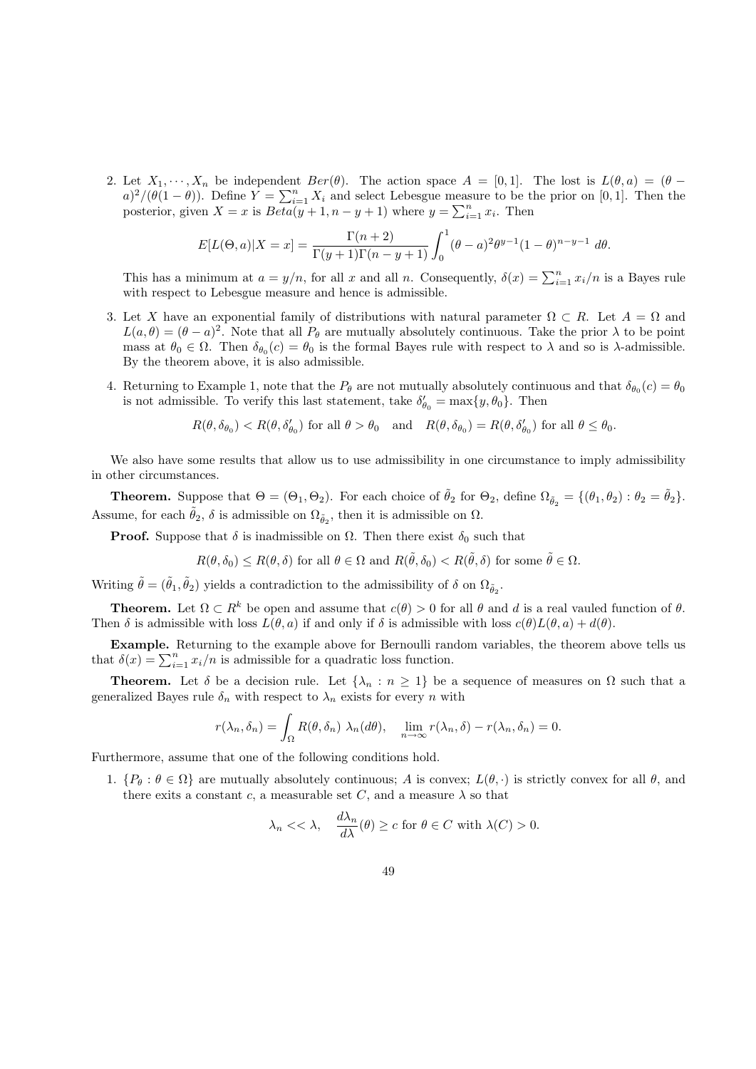2. Let  $X_1, \dots, X_n$  be independent  $Ber(\theta)$ . The action space  $A = [0, 1]$ . The lost is  $L(\theta, a) = (\theta - a)$  $a)^2/(\theta(1-\theta))$ . Define  $Y = \sum_{i=1}^n X_i$  and select Lebesgue measure to be the prior on [0, 1]. Then the posterior, given  $X = x$  is  $Beta(y+1, n-y+1)$  where  $y = \sum_{i=1}^{n} x_i$ . Then

$$
E[L(\Theta, a)|X = x] = \frac{\Gamma(n+2)}{\Gamma(y+1)\Gamma(n-y+1)} \int_0^1 (\theta - a)^2 \theta^{y-1} (1 - \theta)^{n-y-1} d\theta.
$$

This has a minimum at  $a = y/n$ , for all x and all n. Consequently,  $\delta(x) = \sum_{i=1}^{n} x_i/n$  is a Bayes rule with respect to Lebesgue measure and hence is admissible.

- 3. Let X have an exponential family of distributions with natural parameter  $\Omega \subset R$ . Let  $A = \Omega$  and  $L(a, \theta) = (\theta - a)^2$ . Note that all  $P_{\theta}$  are mutually absolutely continuous. Take the prior  $\lambda$  to be point mass at  $\theta_0 \in \Omega$ . Then  $\delta_{\theta_0}(c) = \theta_0$  is the formal Bayes rule with respect to  $\lambda$  and so is  $\lambda$ -admissible. By the theorem above, it is also admissible.
- 4. Returning to Example 1, note that the  $P_{\theta}$  are not mutually absolutely continuous and that  $\delta_{\theta_0}(c) = \theta_0$ is not admissible. To verify this last statement, take  $\delta'_{\theta_0} = \max\{y, \theta_0\}$ . Then

$$
R(\theta, \delta_{\theta_0}) < R(\theta, \delta'_{\theta_0}) \text{ for all } \theta > \theta_0 \quad \text{and} \quad R(\theta, \delta_{\theta_0}) = R(\theta, \delta'_{\theta_0}) \text{ for all } \theta \leq \theta_0.
$$

We also have some results that allow us to use admissibility in one circumstance to imply admissibility in other circumstances.

**Theorem.** Suppose that  $\Theta = (\Theta_1, \Theta_2)$ . For each choice of  $\tilde{\theta}_2$  for  $\Theta_2$ , define  $\Omega_{\tilde{\theta}_2} = \{(\theta_1, \theta_2) : \theta_2 = \tilde{\theta}_2\}$ . Assume, for each  $\tilde{\theta}_2$ ,  $\delta$  is admissible on  $\Omega_{\tilde{\theta}_2}$ , then it is admissible on  $\Omega$ .

**Proof.** Suppose that  $\delta$  is inadmissible on  $\Omega$ . Then there exist  $\delta_0$  such that

$$
R(\theta, \delta_0) \le R(\theta, \delta) \text{ for all } \theta \in \Omega \text{ and } R(\tilde{\theta}, \delta_0) < R(\tilde{\theta}, \delta) \text{ for some } \tilde{\theta} \in \Omega.
$$

Writing  $\tilde{\theta} = (\tilde{\theta}_1, \tilde{\theta}_2)$  yields a contradiction to the admissibility of  $\delta$  on  $\Omega_{\tilde{\theta}_2}$ .

**Theorem.** Let  $\Omega \subset R^k$  be open and assume that  $c(\theta) > 0$  for all  $\theta$  and d is a real vauled function of  $\theta$ . Then  $\delta$  is admissible with loss  $L(\theta, a)$  if and only if  $\delta$  is admissible with loss  $c(\theta)L(\theta, a) + d(\theta)$ .

Example. Returning to the example above for Bernoulli random variables, the theorem above tells us that  $\delta(x) = \sum_{i=1}^{n} x_i/n$  is admissible for a quadratic loss function.

**Theorem.** Let  $\delta$  be a decision rule. Let  $\{\lambda_n : n \geq 1\}$  be a sequence of measures on  $\Omega$  such that a generalized Bayes rule  $\delta_n$  with respect to  $\lambda_n$  exists for every n with

$$
r(\lambda_n, \delta_n) = \int_{\Omega} R(\theta, \delta_n) \lambda_n(d\theta), \quad \lim_{n \to \infty} r(\lambda_n, \delta) - r(\lambda_n, \delta_n) = 0.
$$

Furthermore, assume that one of the following conditions hold.

1.  $\{P_\theta : \theta \in \Omega\}$  are mutually absolutely continuous; A is convex;  $L(\theta, \cdot)$  is strictly convex for all  $\theta$ , and there exits a constant c, a measurable set C, and a measure  $\lambda$  so that

$$
\lambda_n \langle \langle \lambda, \frac{d\lambda_n}{d\lambda}(\theta) \rangle \geq c \text{ for } \theta \in C \text{ with } \lambda(C) > 0.
$$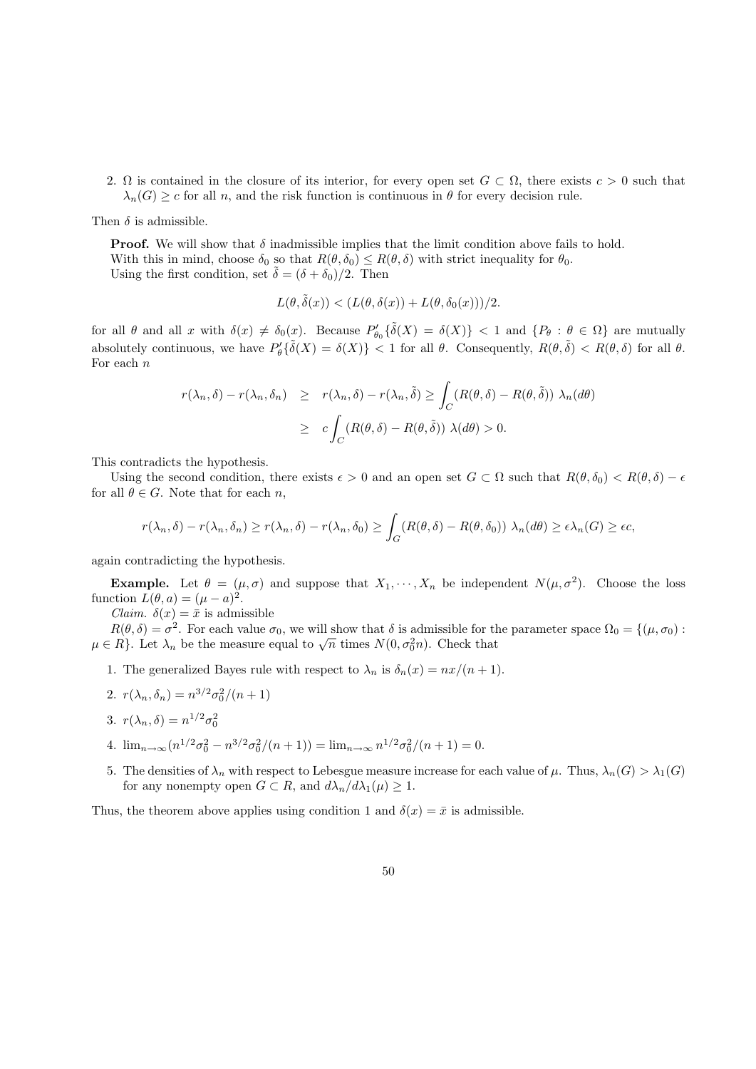2.  $\Omega$  is contained in the closure of its interior, for every open set  $G \subset \Omega$ , there exists  $c > 0$  such that  $\lambda_n(G) \geq c$  for all n, and the risk function is continuous in  $\theta$  for every decision rule.

Then  $\delta$  is admissible.

**Proof.** We will show that  $\delta$  inadmissible implies that the limit condition above fails to hold. With this in mind, choose  $\delta_0$  so that  $R(\theta, \delta_0) \leq R(\theta, \delta)$  with strict inequality for  $\theta_0$ . Using the first condition, set  $\tilde{\delta} = (\delta + \delta_0)/2$ . Then

$$
L(\theta, \tilde{\delta}(x)) < (L(\theta, \delta(x)) + L(\theta, \delta_0(x)))/2.
$$

for all  $\theta$  and all x with  $\delta(x) \neq \delta_0(x)$ . Because  $P'_{\theta_0} \{\tilde{\delta}(X) = \delta(X)\}$  < 1 and  $\{P_{\theta} : \theta \in \Omega\}$  are mutually absolutely continuous, we have  $P'_\theta\{\tilde{\delta}(X) = \delta(X)\} < 1$  for all  $\theta$ . Consequently,  $R(\theta, \tilde{\delta}) < R(\theta, \delta)$  for all  $\theta$ . For each  $n$ 

$$
r(\lambda_n, \delta) - r(\lambda_n, \delta_n) \ge r(\lambda_n, \delta) - r(\lambda_n, \tilde{\delta}) \ge \int_C (R(\theta, \delta) - R(\theta, \tilde{\delta})) \lambda_n(d\theta)
$$
  
 
$$
\ge c \int_C (R(\theta, \delta) - R(\theta, \tilde{\delta})) \lambda(d\theta) > 0.
$$

This contradicts the hypothesis.

Using the second condition, there exists  $\epsilon > 0$  and an open set  $G \subset \Omega$  such that  $R(\theta, \delta_0) < R(\theta, \delta) - \epsilon$ for all  $\theta \in G$ . Note that for each n,

$$
r(\lambda_n, \delta) - r(\lambda_n, \delta_n) \ge r(\lambda_n, \delta) - r(\lambda_n, \delta_0) \ge \int_G (R(\theta, \delta) - R(\theta, \delta_0)) \lambda_n(d\theta) \ge \epsilon \lambda_n(G) \ge \epsilon c,
$$

again contradicting the hypothesis.

**Example.** Let  $\theta = (\mu, \sigma)$  and suppose that  $X_1, \dots, X_n$  be independent  $N(\mu, \sigma^2)$ . Choose the loss function  $L(\theta, a) = (\mu - a)^2$ .

*Claim.*  $\delta(x) = \bar{x}$  is admissible

 $R(\theta, \delta) = \sigma^2$ . For each value  $\sigma_0$ , we will show that  $\delta$  is admissible for the parameter space  $\Omega_0 = \{(\mu, \sigma_0) :$  $h(\theta, \theta) = \theta$ . For each value  $\theta_0$ , we will show that  $\theta$  is admissible for the  $\mu \in R$ . Let  $\lambda_n$  be the measure equal to  $\sqrt{n}$  times  $N(0, \sigma_0^2 n)$ . Check that

- 1. The generalized Bayes rule with respect to  $\lambda_n$  is  $\delta_n(x) = nx/(n+1)$ .
- 2.  $r(\lambda_n, \delta_n) = n^{3/2} \sigma_0^2/(n+1)$
- 3.  $r(\lambda_n, \delta) = n^{1/2} \sigma_0^2$
- 4.  $\lim_{n\to\infty} (n^{1/2}\sigma_0^2 n^{3/2}\sigma_0^2/(n+1)) = \lim_{n\to\infty} n^{1/2}\sigma_0^2/(n+1) = 0.$
- 5. The densities of  $\lambda_n$  with respect to Lebesgue measure increase for each value of  $\mu$ . Thus,  $\lambda_n(G) > \lambda_1(G)$ for any nonempty open  $G \subset R$ , and  $d\lambda_n/d\lambda_1(\mu) \geq 1$ .

Thus, the theorem above applies using condition 1 and  $\delta(x) = \bar{x}$  is admissible.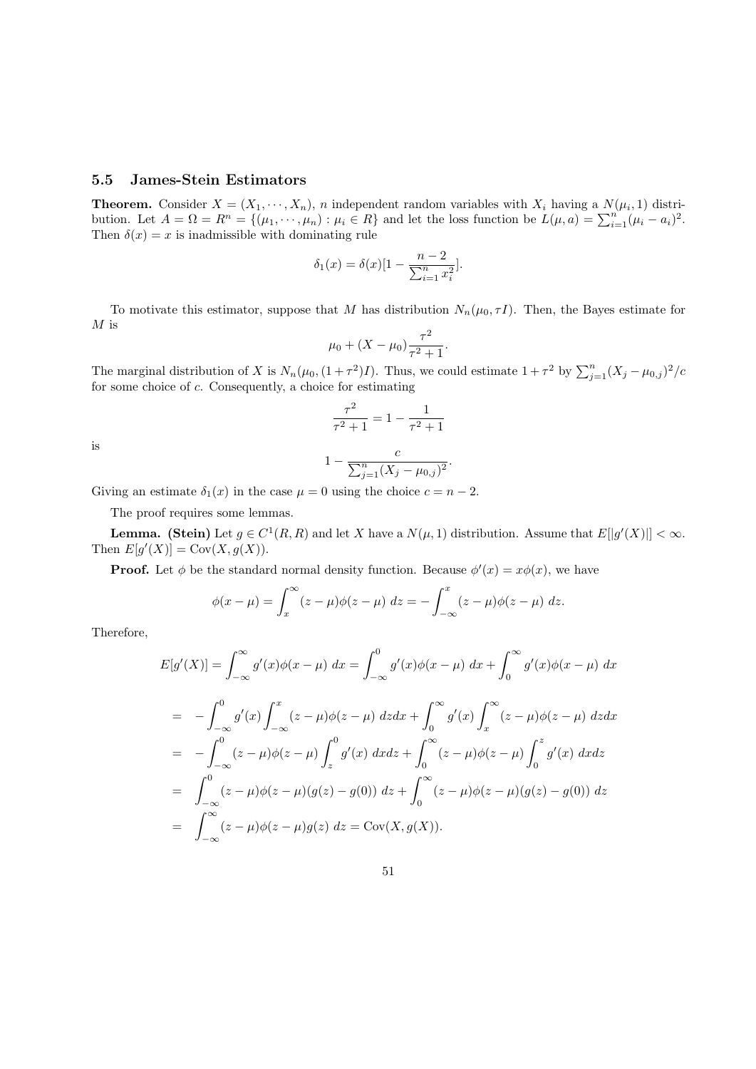# 5.5 James-Stein Estimators

**Theorem.** Consider  $X = (X_1, \dots, X_n)$ , *n* independent random variables with  $X_i$  having a  $N(\mu_i, 1)$  distribution. Let  $A = \Omega = R^n = \{(\mu_1, \dots, \mu_n) : \mu_i \in R\}$  and let the loss function be  $L(\mu, a) = \sum_{i=1}^n (\mu_i - a_i)^2$ . Then  $\delta(x) = x$  is inadmissible with dominating rule

$$
\delta_1(x) = \delta(x)[1 - \frac{n-2}{\sum_{i=1}^n x_i^2}].
$$

To motivate this estimator, suppose that M has distribution  $N_n(\mu_0, \tau I)$ . Then, the Bayes estimate for  $M$  is

$$
\mu_0 + (X - \mu_0) \frac{\tau^2}{\tau^2 + 1}.
$$

The marginal distribution of X is  $N_n(\mu_0, (1+\tau^2)I)$ . Thus, we could estimate  $1+\tau^2$  by  $\sum_{j=1}^n (X_j - \mu_{0,j})^2/\sigma^2$ for some choice of c. Consequently, a choice for estimating

$$
\frac{\tau^2}{\tau^2 + 1} = 1 - \frac{1}{\tau^2 + 1}
$$

is

$$
1 - \frac{c}{\sum_{j=1}^{n} (X_j - \mu_{0,j})^2}.
$$

Giving an estimate  $\delta_1(x)$  in the case  $\mu = 0$  using the choice  $c = n - 2$ .

The proof requires some lemmas.

**Lemma.** (Stein) Let  $g \in C^1(R, R)$  and let X have a  $N(\mu, 1)$  distribution. Assume that  $E[|g'(X)|] < \infty$ . Then  $E[g'(X)] = Cov(X, g(X)).$ 

**Proof.** Let  $\phi$  be the standard normal density function. Because  $\phi'(x) = x\phi(x)$ , we have

$$
\phi(x-\mu) = \int_x^\infty (z-\mu)\phi(z-\mu) dz = -\int_{-\infty}^x (z-\mu)\phi(z-\mu) dz.
$$

Therefore,

$$
E[g'(X)] = \int_{-\infty}^{\infty} g'(x)\phi(x-\mu) dx = \int_{-\infty}^{0} g'(x)\phi(x-\mu) dx + \int_{0}^{\infty} g'(x)\phi(x-\mu) dx
$$
  
\n
$$
= -\int_{-\infty}^{0} g'(x)\int_{-\infty}^{x} (z-\mu)\phi(z-\mu) dz dx + \int_{0}^{\infty} g'(x)\int_{x}^{\infty} (z-\mu)\phi(z-\mu) dz dx
$$
  
\n
$$
= -\int_{-\infty}^{0} (z-\mu)\phi(z-\mu) \int_{z}^{0} g'(x) dx dx + \int_{0}^{\infty} (z-\mu)\phi(z-\mu) \int_{0}^{z} g'(x) dx dx
$$
  
\n
$$
= \int_{-\infty}^{0} (z-\mu)\phi(z-\mu)(g(z)-g(0)) dz + \int_{0}^{\infty} (z-\mu)\phi(z-\mu)(g(z)-g(0)) dz
$$
  
\n
$$
= \int_{-\infty}^{\infty} (z-\mu)\phi(z-\mu)g(z) dz = \text{Cov}(X, g(X)).
$$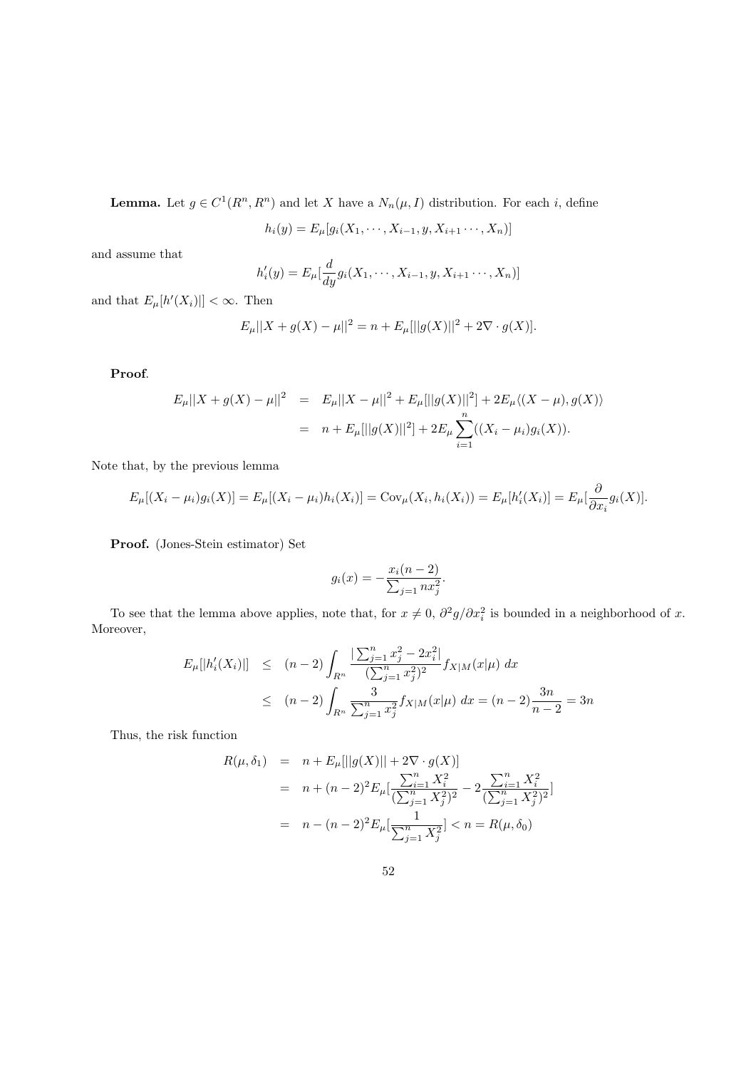**Lemma.** Let  $g \in C^1(R^n, R^n)$  and let X have a  $N_n(\mu, I)$  distribution. For each i, define

 $h_i(y) = E_\mu[g_i(X_1, \dots, X_{i-1}, y, X_{i+1}, \dots, X_n)]$ 

and assume that

$$
h'_{i}(y) = E_{\mu}[\frac{d}{dy}g_{i}(X_{1}, \cdots, X_{i-1}, y, X_{i+1} \cdots, X_{n})]
$$

and that  $E_{\mu}[h'(X_i)] < \infty$ . Then

$$
E_{\mu}||X + g(X) - \mu||^{2} = n + E_{\mu}[||g(X)||^{2} + 2\nabla \cdot g(X)].
$$

Proof.

$$
E_{\mu}||X + g(X) - \mu||^2 = E_{\mu}||X - \mu||^2 + E_{\mu}[||g(X)||^2] + 2E_{\mu}\langle (X - \mu), g(X) \rangle
$$
  
=  $n + E_{\mu}[||g(X)||^2] + 2E_{\mu} \sum_{i=1}^n ((X_i - \mu_i)g_i(X)).$ 

Note that, by the previous lemma

$$
E_{\mu}[(X_i - \mu_i)g_i(X)] = E_{\mu}[(X_i - \mu_i)h_i(X_i)] = \text{Cov}_{\mu}(X_i, h_i(X_i)) = E_{\mu}[h'_i(X_i)] = E_{\mu}[\frac{\partial}{\partial x_i}g_i(X)].
$$

Proof. (Jones-Stein estimator) Set

$$
g_i(x) = -\frac{x_i(n-2)}{\sum_{j=1}^{n} nx_j^2}.
$$

To see that the lemma above applies, note that, for  $x \neq 0$ ,  $\partial^2 g / \partial x_i^2$  is bounded in a neighborhood of x. Moreover,

$$
E_{\mu}[|h'_{i}(X_{i})|] \leq (n-2) \int_{R^{n}} \frac{\left|\sum_{j=1}^{n} x_{j}^{2} - 2x_{i}^{2}\right|}{\left(\sum_{j=1}^{n} x_{j}^{2}\right)^{2}} f_{X|M}(x|\mu) dx
$$
  
 
$$
\leq (n-2) \int_{R^{n}} \frac{3}{\sum_{j=1}^{n} x_{j}^{2}} f_{X|M}(x|\mu) dx = (n-2) \frac{3n}{n-2} = 3n
$$

Thus, the risk function

$$
R(\mu, \delta_1) = n + E_{\mu}[||g(X)|| + 2\nabla \cdot g(X)]
$$
  
=  $n + (n - 2)^2 E_{\mu} \left[ \frac{\sum_{i=1}^n X_i^2}{(\sum_{j=1}^n X_j^2)^2} - 2 \frac{\sum_{i=1}^n X_i^2}{(\sum_{j=1}^n X_j^2)^2} \right]$   
=  $n - (n - 2)^2 E_{\mu} \left[ \frac{1}{\sum_{j=1}^n X_j^2} \right] < n = R(\mu, \delta_0)$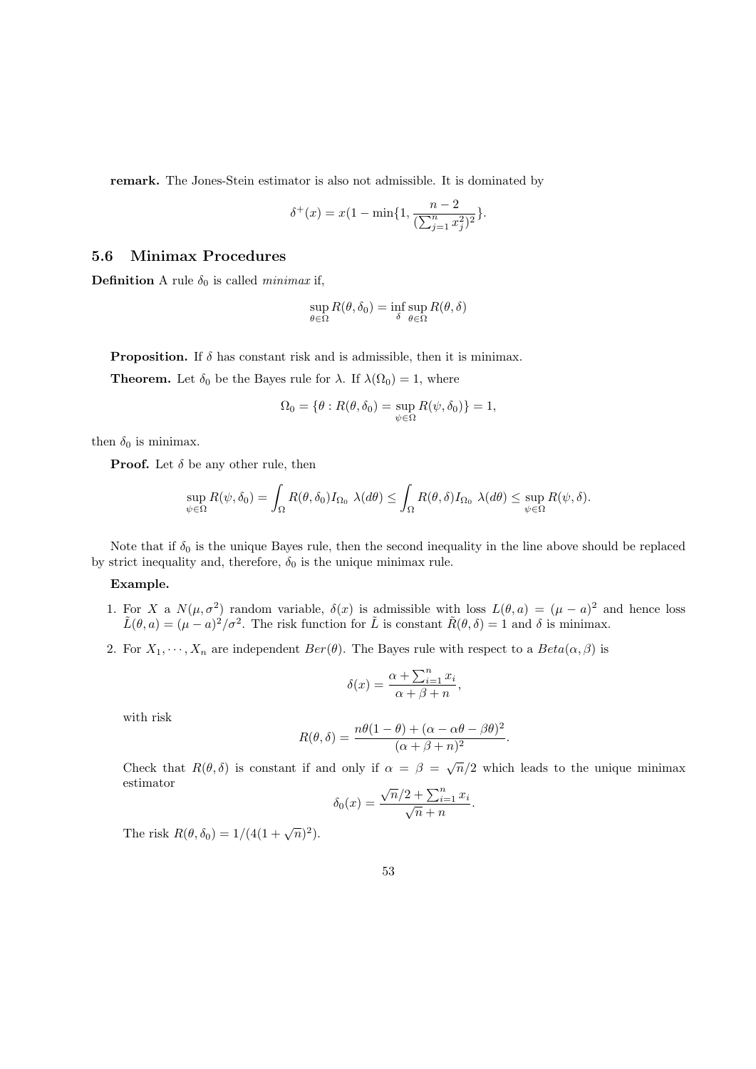remark. The Jones-Stein estimator is also not admissible. It is dominated by

$$
\delta^+(x) = x(1 - \min\{1, \frac{n-2}{(\sum_{j=1}^n x_j^2)^2}\}.
$$

### 5.6 Minimax Procedures

**Definition** A rule  $\delta_0$  is called *minimax* if,

$$
\sup_{\theta \in \Omega} R(\theta, \delta_0) = \inf_{\delta} \sup_{\theta \in \Omega} R(\theta, \delta)
$$

**Proposition.** If  $\delta$  has constant risk and is admissible, then it is minimax.

**Theorem.** Let  $\delta_0$  be the Bayes rule for  $\lambda$ . If  $\lambda(\Omega_0) = 1$ , where

$$
\Omega_0 = \{ \theta : R(\theta, \delta_0) = \sup_{\psi \in \Omega} R(\psi, \delta_0) \} = 1,
$$

then  $\delta_0$  is minimax.

**Proof.** Let  $\delta$  be any other rule, then

$$
\sup_{\psi \in \Omega} R(\psi, \delta_0) = \int_{\Omega} R(\theta, \delta_0) I_{\Omega_0} \lambda(d\theta) \le \int_{\Omega} R(\theta, \delta) I_{\Omega_0} \lambda(d\theta) \le \sup_{\psi \in \Omega} R(\psi, \delta).
$$

Note that if  $\delta_0$  is the unique Bayes rule, then the second inequality in the line above should be replaced by strict inequality and, therefore,  $\delta_0$  is the unique minimax rule.

#### Example.

- 1. For X a  $N(\mu, \sigma^2)$  random variable,  $\delta(x)$  is admissible with loss  $L(\theta, a) = (\mu a)^2$  and hence loss  $\tilde{L}(\theta, a) = (\mu - a)^2/\sigma^2$ . The risk function for  $\tilde{L}$  is constant  $\tilde{R}(\theta, \delta) = 1$  and  $\delta$  is minimax.
- 2. For  $X_1, \dots, X_n$  are independent  $Ber(\theta)$ . The Bayes rule with respect to a  $Beta(\alpha, \beta)$  is

$$
\delta(x) = \frac{\alpha + \sum_{i=1}^{n} x_i}{\alpha + \beta + n},
$$

with risk

$$
R(\theta, \delta) = \frac{n\theta(1-\theta) + (\alpha - \alpha\theta - \beta\theta)^2}{(\alpha + \beta + n)^2}
$$

.

Check that  $R(\theta, \delta)$  is constant if and only if  $\alpha = \beta = \sqrt{n}/2$  which leads to the unique minimax estimator

$$
\delta_0(x) = \frac{\sqrt{n}/2 + \sum_{i=1}^n x_i}{\sqrt{n} + n}.
$$

The risk  $R(\theta, \delta_0) = 1/(4(1+\sqrt{n})^2)$ .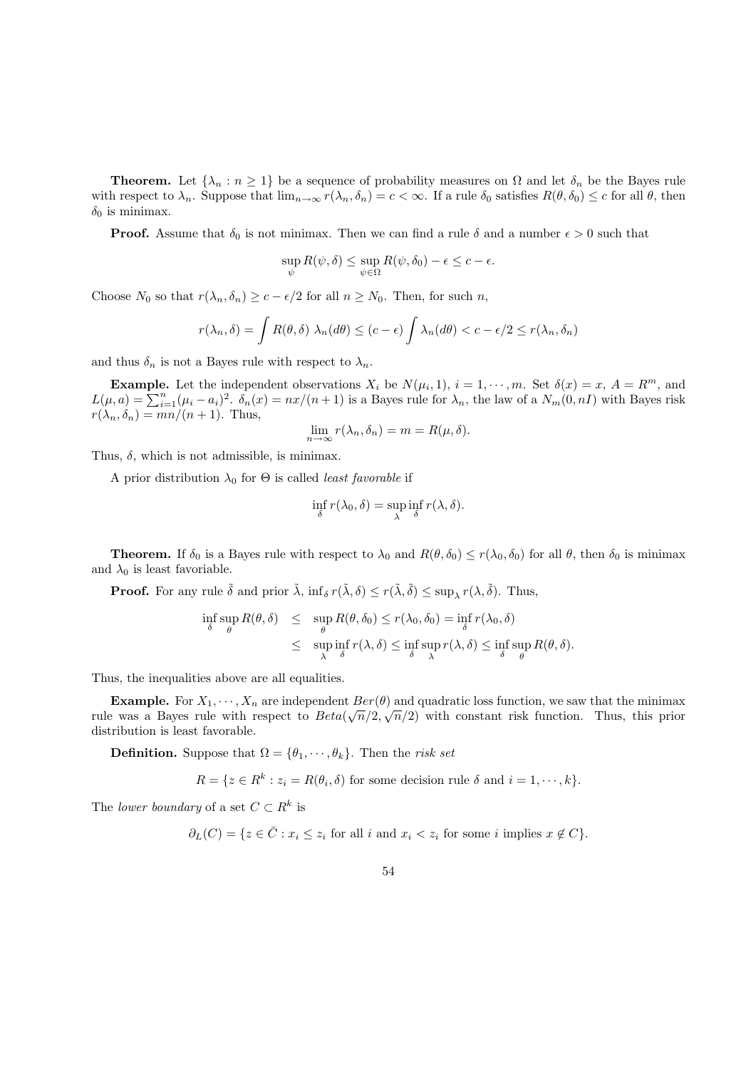**Theorem.** Let  $\{\lambda_n : n \geq 1\}$  be a sequence of probability measures on  $\Omega$  and let  $\delta_n$  be the Bayes rule with respect to  $\lambda_n$ . Suppose that  $\lim_{n\to\infty} r(\lambda_n, \delta_n) = c < \infty$ . If a rule  $\delta_0$  satisfies  $R(\theta, \delta_0) \leq c$  for all  $\theta$ , then  $\delta_0$  is minimax.

**Proof.** Assume that  $\delta_0$  is not minimax. Then we can find a rule  $\delta$  and a number  $\epsilon > 0$  such that

$$
\sup_{\psi} R(\psi, \delta) \leq \sup_{\psi \in \Omega} R(\psi, \delta_0) - \epsilon \leq c - \epsilon.
$$

Choose  $N_0$  so that  $r(\lambda_n, \delta_n) \geq c - \epsilon/2$  for all  $n \geq N_0$ . Then, for such n,

$$
r(\lambda_n, \delta) = \int R(\theta, \delta) \lambda_n(d\theta) \le (c - \epsilon) \int \lambda_n(d\theta) < c - \epsilon/2 \le r(\lambda_n, \delta_n)
$$

and thus  $\delta_n$  is not a Bayes rule with respect to  $\lambda_n$ .

**Example.** Let the independent observations  $X_i$  be  $N(\mu_i, 1)$ ,  $i = 1, \dots, m$ . Set  $\delta(x) = x$ ,  $A = R^m$ , and  $L(\mu, a) = \sum_{i=1}^{n} (\mu_i - a_i)^2$ .  $\delta_n(x) = \frac{nx}{n+1}$  is a Bayes rule for  $\lambda_n$ , the law of a  $N_m(0, n)$  with Bayes risk  $r(\lambda_n, \delta_n) = \frac{mn}{n+1}$ . Thus,

$$
\lim_{n \to \infty} r(\lambda_n, \delta_n) = m = R(\mu, \delta).
$$

Thus,  $\delta$ , which is not admissible, is minimax.

A prior distribution  $\lambda_0$  for  $\Theta$  is called *least favorable* if

$$
\inf_{\delta} r(\lambda_0, \delta) = \sup_{\lambda} \inf_{\delta} r(\lambda, \delta).
$$

**Theorem.** If  $\delta_0$  is a Bayes rule with respect to  $\lambda_0$  and  $R(\theta, \delta_0) \leq r(\lambda_0, \delta_0)$  for all  $\theta$ , then  $\delta_0$  is minimax and  $\lambda_0$  is least favoriable.

**Proof.** For any rule  $\tilde{\delta}$  and prior  $\tilde{\lambda}$ ,  $\inf_{\delta} r(\tilde{\lambda}, \delta) \leq r(\tilde{\lambda}, \tilde{\delta}) \leq \sup_{\lambda} r(\lambda, \tilde{\delta})$ . Thus,

$$
\inf_{\delta} \sup_{\theta} R(\theta, \delta) \leq \sup_{\theta} R(\theta, \delta_0) \leq r(\lambda_0, \delta_0) = \inf_{\delta} r(\lambda_0, \delta)
$$
\n
$$
\leq \sup_{\lambda} \inf_{\delta} r(\lambda, \delta) \leq \inf_{\delta} \sup_{\lambda} r(\lambda, \delta) \leq \inf_{\delta} \sup_{\theta} R(\theta, \delta).
$$

Thus, the inequalities above are all equalities.

**Example.** For  $X_1, \dots, X_n$  are independent  $Ber(\theta)$  and quadratic loss function, we saw that the minimax rule was a Bayes rule with respect to  $Beta(\sqrt{n}/2, \sqrt{n}/2)$  with constant risk function. Thus, this prior distribution is least favorable.

**Definition.** Suppose that  $\Omega = {\theta_1, \dots, \theta_k}$ . Then the *risk set* 

 $R = \{z \in R^k : z_i = R(\theta_i, \delta) \text{ for some decision rule } \delta \text{ and } i = 1, \dots, k\}.$ 

The lower boundary of a set  $C \subset \mathbb{R}^k$  is

 $\partial_L(C) = \{z \in \overline{C} : x_i \leq z_i \text{ for all } i \text{ and } x_i < z_i \text{ for some } i \text{ implies } x \notin C\}.$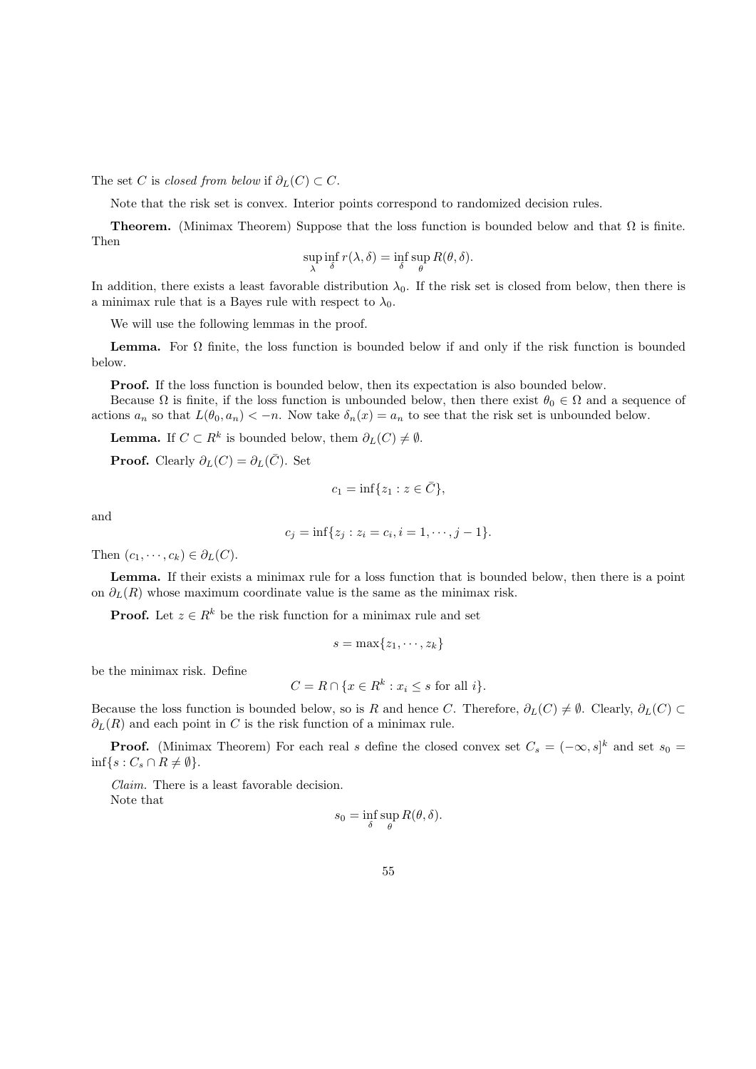The set C is closed from below if  $\partial_L(C) \subset C$ .

Note that the risk set is convex. Interior points correspond to randomized decision rules.

**Theorem.** (Minimax Theorem) Suppose that the loss function is bounded below and that  $\Omega$  is finite. Then

$$
\sup_{\lambda} \inf_{\delta} r(\lambda, \delta) = \inf_{\delta} \sup_{\theta} R(\theta, \delta).
$$

In addition, there exists a least favorable distribution  $\lambda_0$ . If the risk set is closed from below, then there is a minimax rule that is a Bayes rule with respect to  $\lambda_0$ .

We will use the following lemmas in the proof.

**Lemma.** For  $\Omega$  finite, the loss function is bounded below if and only if the risk function is bounded below.

Proof. If the loss function is bounded below, then its expectation is also bounded below.

Because  $\Omega$  is finite, if the loss function is unbounded below, then there exist  $\theta_0 \in \Omega$  and a sequence of actions  $a_n$  so that  $L(\theta_0, a_n) < -n$ . Now take  $\delta_n(x) = a_n$  to see that the risk set is unbounded below.

**Lemma.** If  $C \subset R^k$  is bounded below, them  $\partial_L(C) \neq \emptyset$ .

**Proof.** Clearly  $\partial_L(C) = \partial_L(\overline{C})$ . Set

$$
c_1 = \inf\{z_1 : z \in \bar{C}\},\
$$

and

$$
c_j = \inf\{z_j : z_i = c_i, i = 1, \cdots, j - 1\}.
$$

Then  $(c_1, \dots, c_k) \in \partial_L(C)$ .

Lemma. If their exists a minimax rule for a loss function that is bounded below, then there is a point on  $\partial_L(R)$  whose maximum coordinate value is the same as the minimax risk.

**Proof.** Let  $z \in R^k$  be the risk function for a minimax rule and set

$$
s=\max\{z_1,\cdots,z_k\}
$$

be the minimax risk. Define

$$
C = R \cap \{x \in R^k : x_i \le s \text{ for all } i\}.
$$

Because the loss function is bounded below, so is R and hence C. Therefore,  $\partial_L(C) \neq \emptyset$ . Clearly,  $\partial_L(C) \subset$  $\partial_L(R)$  and each point in C is the risk function of a minimax rule.

**Proof.** (Minimax Theorem) For each real s define the closed convex set  $C_s = (-\infty, s]^k$  and set  $s_0 =$  $\inf\{s : C_s \cap R \neq \emptyset\}.$ 

Claim. There is a least favorable decision. Note that

$$
s_0 = \inf_{\delta} \sup_{\theta} R(\theta, \delta).
$$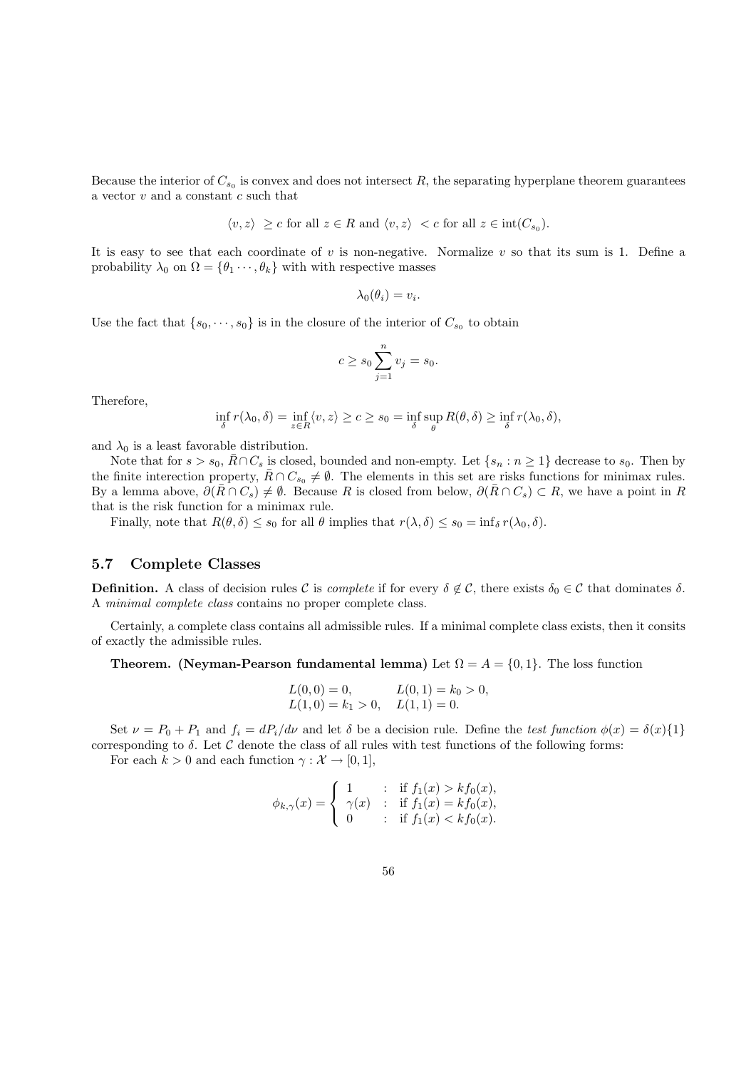Because the interior of  $C_{s_0}$  is convex and does not intersect R, the separating hyperplane theorem guarantees a vector  $v$  and a constant  $c$  such that

$$
\langle v, z \rangle \geq c
$$
 for all  $z \in R$  and  $\langle v, z \rangle < c$  for all  $z \in \text{int}(C_{s_0})$ .

It is easy to see that each coordinate of v is non-negative. Normalize v so that its sum is 1. Define a probability  $\lambda_0$  on  $\Omega = {\theta_1 \cdots, \theta_k}$  with with respective masses

$$
\lambda_0(\theta_i)=v_i.
$$

Use the fact that  $\{s_0, \dots, s_0\}$  is in the closure of the interior of  $C_{s_0}$  to obtain

$$
c \ge s_0 \sum_{j=1}^n v_j = s_0.
$$

Therefore,

$$
\inf_{\delta} r(\lambda_0, \delta) = \inf_{z \in R} \langle v, z \rangle \ge c \ge s_0 = \inf_{\delta} \sup_{\theta} R(\theta, \delta) \ge \inf_{\delta} r(\lambda_0, \delta),
$$

and  $\lambda_0$  is a least favorable distribution.

Note that for  $s > s_0$ ,  $\overline{R} \cap C_s$  is closed, bounded and non-empty. Let  $\{s_n : n \geq 1\}$  decrease to  $s_0$ . Then by the finite interection property,  $\bar{R} \cap C_{s_0} \neq \emptyset$ . The elements in this set are risks functions for minimax rules. By a lemma above,  $\partial(\overline{R}\cap C_s) \neq \emptyset$ . Because R is closed from below,  $\partial(\overline{R}\cap C_s) \subset R$ , we have a point in R that is the risk function for a minimax rule.

Finally, note that  $R(\theta, \delta) \leq s_0$  for all  $\theta$  implies that  $r(\lambda, \delta) \leq s_0 = \inf_{\delta} r(\lambda_0, \delta)$ .

### 5.7 Complete Classes

**Definition.** A class of decision rules C is *complete* if for every  $\delta \notin C$ , there exists  $\delta_0 \in C$  that dominates  $\delta$ . A minimal complete class contains no proper complete class.

Certainly, a complete class contains all admissible rules. If a minimal complete class exists, then it consits of exactly the admissible rules.

#### **Theorem.** (Neyman-Pearson fundamental lemma) Let  $\Omega = A = \{0, 1\}$ . The loss function

$$
L(0,0) = 0, \t L(0,1) = k_0 > 0,L(1,0) = k_1 > 0, \t L(1,1) = 0.
$$

Set  $\nu = P_0 + P_1$  and  $f_i = dP_i/d\nu$  and let  $\delta$  be a decision rule. Define the test function  $\phi(x) = \delta(x)\{1\}$ corresponding to  $\delta$ . Let  $\mathcal C$  denote the class of all rules with test functions of the following forms:

For each  $k > 0$  and each function  $\gamma : \mathcal{X} \to [0, 1],$ 

$$
\phi_{k,\gamma}(x) = \begin{cases} 1 & \text{if } f_1(x) > kf_0(x), \\ \gamma(x) & \text{if } f_1(x) = kf_0(x), \\ 0 & \text{if } f_1(x) < kf_0(x). \end{cases}
$$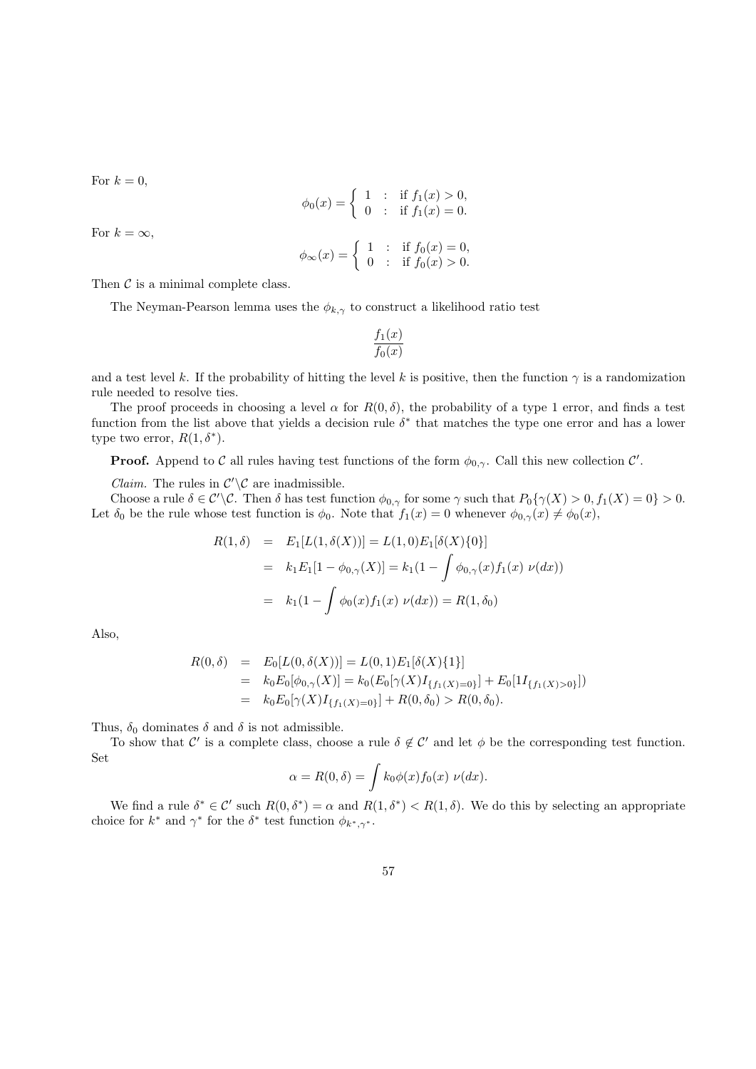For  $k = 0$ ,

$$
\phi_0(x) = \begin{cases} 1 & \text{: if } f_1(x) > 0, \\ 0 & \text{: if } f_1(x) = 0. \end{cases}
$$

$$
\phi_{\infty}(x) = \begin{cases} 1 & \text{: if } f_0(x) = 0, \\ 0 & \text{: if } f_0(x) > 0. \end{cases}
$$

For  $k = \infty$ ,

Then 
$$
C
$$
 is a minimal complete class.

The Neyman-Pearson lemma uses the  $\phi_{k,\gamma}$  to construct a likelihood ratio test

$$
\frac{f_1(x)}{f_0(x)}
$$

and a test level k. If the probability of hitting the level k is positive, then the function  $\gamma$  is a randomization rule needed to resolve ties.

The proof proceeds in choosing a level  $\alpha$  for  $R(0, \delta)$ , the probability of a type 1 error, and finds a test function from the list above that yields a decision rule  $\delta^*$  that matches the type one error and has a lower type two error,  $R(1,\delta^*)$ .

**Proof.** Append to C all rules having test functions of the form  $\phi_{0,\gamma}$ . Call this new collection C'.

*Claim.* The rules in  $\mathcal{C}'\backslash\mathcal{C}$  are inadmissible.

Choose a rule  $\delta \in C'\backslash\mathcal{C}$ . Then  $\delta$  has test function  $\phi_{0,\gamma}$  for some  $\gamma$  such that  $P_0\{\gamma(X) > 0, f_1(X) = 0\} > 0$ . Let  $\delta_0$  be the rule whose test function is  $\phi_0$ . Note that  $f_1(x) = 0$  whenever  $\phi_{0,\gamma}(x) \neq \phi_0(x)$ ,

$$
R(1, \delta) = E_1[L(1, \delta(X))] = L(1, 0)E_1[\delta(X)\{0\}]
$$
  
=  $k_1 E_1[1 - \phi_{0,\gamma}(X)] = k_1(1 - \int \phi_{0,\gamma}(x) f_1(x) \nu(dx))$   
=  $k_1(1 - \int \phi_0(x) f_1(x) \nu(dx)) = R(1, \delta_0)$ 

Also,

$$
R(0, \delta) = E_0[L(0, \delta(X))] = L(0, 1)E_1[\delta(X)\{1\}]
$$
  
=  $k_0 E_0[\phi_{0,\gamma}(X)] = k_0(E_0[\gamma(X)I_{\{f_1(X)=0\}}] + E_0[1I_{\{f_1(X)>0\}}])$   
=  $k_0 E_0[\gamma(X)I_{\{f_1(X)=0\}}] + R(0, \delta_0) > R(0, \delta_0).$ 

Thus,  $\delta_0$  dominates  $\delta$  and  $\delta$  is not admissible.

To show that C' is a complete class, choose a rule  $\delta \notin C'$  and let  $\phi$  be the corresponding test function. Set

$$
\alpha = R(0,\delta) = \int k_0 \phi(x) f_0(x) \nu(dx).
$$

We find a rule  $\delta^* \in \mathcal{C}'$  such  $R(0, \delta^*) = \alpha$  and  $R(1, \delta^*) < R(1, \delta)$ . We do this by selecting an appropriate choice for  $k^*$  and  $\gamma^*$  for the  $\delta^*$  test function  $\phi_{k^*,\gamma^*}$ .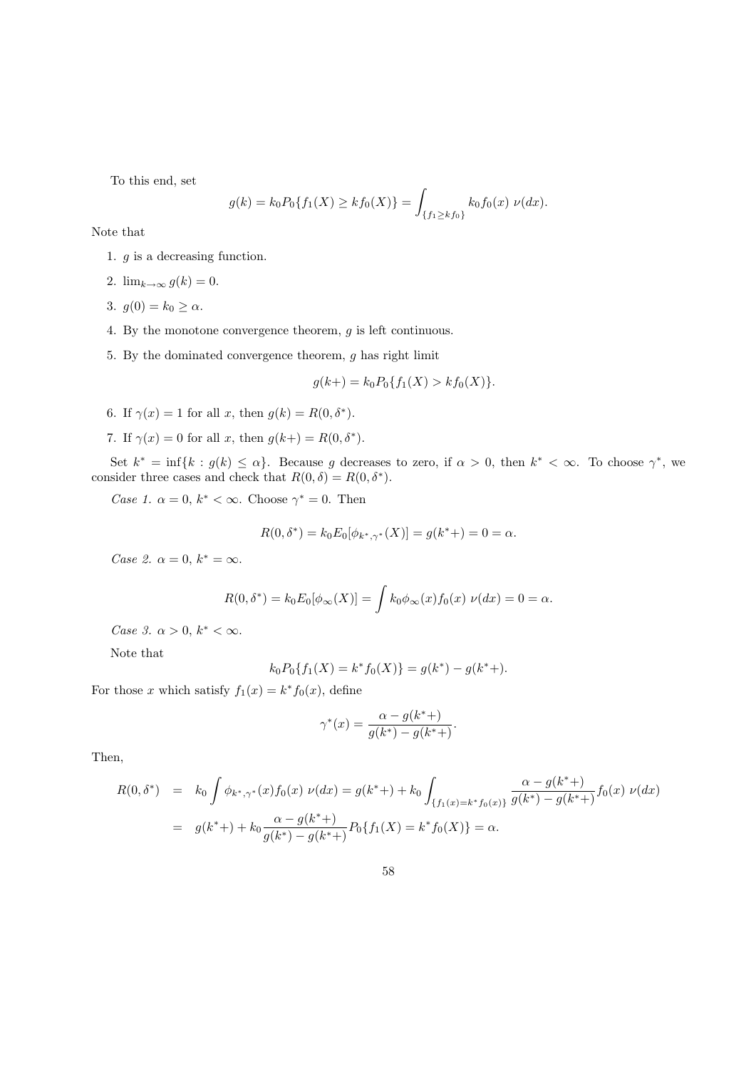To this end, set

$$
g(k) = k_0 P_0\{f_1(X) \ge kf_0(X)\} = \int_{\{f_1 \ge kf_0\}} k_0 f_0(x) \nu(dx).
$$

Note that

- 1. g is a decreasing function.
- 2.  $\lim_{k\to\infty} g(k) = 0$ .
- 3.  $g(0) = k_0 \ge \alpha$ .
- 4. By the monotone convergence theorem, g is left continuous.
- 5. By the dominated convergence theorem, g has right limit

$$
g(k+) = k_0 P_0\{f_1(X) > k f_0(X)\}.
$$

- 6. If  $\gamma(x) = 1$  for all x, then  $g(k) = R(0, \delta^*)$ .
- 7. If  $\gamma(x) = 0$  for all x, then  $g(k+) = R(0, \delta^*)$ .

Set  $k^* = \inf\{k : g(k) \leq \alpha\}$ . Because g decreases to zero, if  $\alpha > 0$ , then  $k^* < \infty$ . To choose  $\gamma^*$ , we consider three cases and check that  $R(0, \delta) = R(0, \delta^*)$ .

Case 1.  $\alpha = 0, k^* < \infty$ . Choose  $\gamma^* = 0$ . Then

$$
R(0, \delta^*) = k_0 E_0[\phi_{k^*, \gamma^*}(X)] = g(k^*) = 0 = \alpha.
$$

Case 2.  $\alpha = 0, k^* = \infty$ .

$$
R(0, \delta^*) = k_0 E_0[\phi_\infty(X)] = \int k_0 \phi_\infty(x) f_0(x) \nu(dx) = 0 = \alpha.
$$

Case 3.  $\alpha > 0$ ,  $k^* < \infty$ .

Note that

$$
k_0 P_0\{f_1(X) = k^* f_0(X)\} = g(k^*) - g(k^* +).
$$

For those x which satisfy  $f_1(x) = k^* f_0(x)$ , define

$$
\gamma^*(x) = \frac{\alpha - g(k^*)}{g(k^*) - g(k^{**})}.
$$

Then,

$$
R(0, \delta^*) = k_0 \int \phi_{k^*, \gamma^*}(x) f_0(x) \nu(dx) = g(k^*) + k_0 \int_{\{f_1(x) = k^* f_0(x)\}} \frac{\alpha - g(k^*)}{g(k^*) - g(k^*)} f_0(x) \nu(dx)
$$
  
=  $g(k^*) + k_0 \frac{\alpha - g(k^*)}{g(k^*) - g(k^*)} P_0 \{f_1(X) = k^* f_0(X)\} = \alpha.$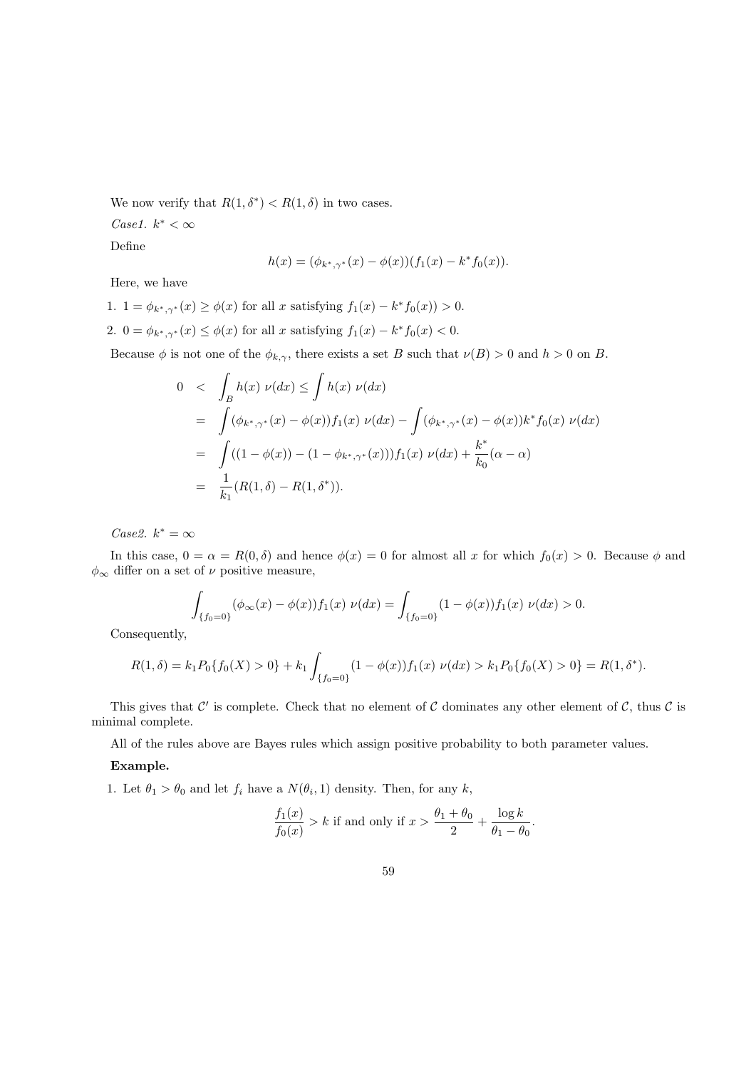We now verify that  $R(1, \delta^*) < R(1, \delta)$  in two cases.

Case1.  $k^* < \infty$ 

Define

$$
h(x) = (\phi_{k^*,\gamma^*}(x) - \phi(x))(f_1(x) - k^* f_0(x)).
$$

Here, we have

1.  $1 = \phi_{k^*, \gamma^*}(x) \ge \phi(x)$  for all x satisfying  $f_1(x) - k^* f_0(x) > 0$ . 2.  $0 = \phi_{k^*, \gamma^*}(x) \le \phi(x)$  for all x satisfying  $f_1(x) - k^* f_0(x) < 0$ .

Because  $\phi$  is not one of the  $\phi_{k,\gamma}$ , there exists a set B such that  $\nu(B) > 0$  and  $h > 0$  on B.

$$
0 < \int_{B} h(x) \nu(dx) \le \int h(x) \nu(dx)
$$
  
\n
$$
= \int (\phi_{k^*,\gamma^*}(x) - \phi(x)) f_1(x) \nu(dx) - \int (\phi_{k^*,\gamma^*}(x) - \phi(x)) k^* f_0(x) \nu(dx)
$$
  
\n
$$
= \int ((1 - \phi(x)) - (1 - \phi_{k^*,\gamma^*}(x))) f_1(x) \nu(dx) + \frac{k^*}{k_0} (\alpha - \alpha)
$$
  
\n
$$
= \frac{1}{k_1} (R(1,\delta) - R(1,\delta^*)).
$$

Case2.  $k^* = \infty$ 

In this case,  $0 = \alpha = R(0, \delta)$  and hence  $\phi(x) = 0$  for almost all x for which  $f_0(x) > 0$ . Because  $\phi$  and  $\phi_\infty$  differ on a set of  $\nu$  positive measure,

$$
\int_{\{f_0=0\}} (\phi_\infty(x) - \phi(x)) f_1(x) \nu(dx) = \int_{\{f_0=0\}} (1 - \phi(x)) f_1(x) \nu(dx) > 0.
$$

Consequently,

$$
R(1,\delta) = k_1 P_0\{f_0(X) > 0\} + k_1 \int_{\{f_0 = 0\}} (1 - \phi(x)) f_1(x) \nu(dx) > k_1 P_0\{f_0(X) > 0\} = R(1,\delta^*).
$$

This gives that  $\mathcal{C}'$  is complete. Check that no element of  $\mathcal C$  dominates any other element of  $\mathcal C$ , thus  $\mathcal C$  is minimal complete.

All of the rules above are Bayes rules which assign positive probability to both parameter values.

#### Example.

1. Let  $\theta_1 > \theta_0$  and let  $f_i$  have a  $N(\theta_i, 1)$  density. Then, for any k,

$$
\frac{f_1(x)}{f_0(x)} > k \text{ if and only if } x > \frac{\theta_1 + \theta_0}{2} + \frac{\log k}{\theta_1 - \theta_0}
$$

.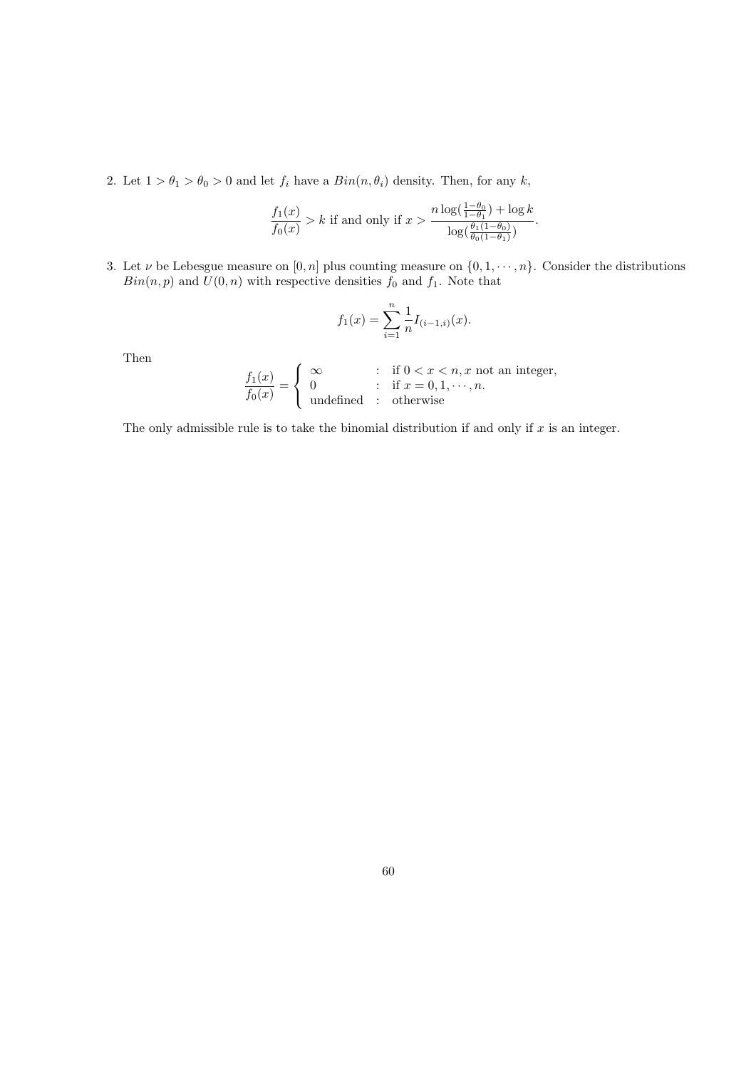2. Let  $1 > \theta_1 > \theta_0 > 0$  and let  $f_i$  have a  $Bin(n, \theta_i)$  density. Then, for any k,

$$
\frac{f_1(x)}{f_0(x)} > k \text{ if and only if } x > \frac{n \log(\frac{1-\theta_0}{1-\theta_1}) + \log k}{\log(\frac{\theta_1(1-\theta_0)}{\theta_0(1-\theta_1)})}.
$$

3. Let  $\nu$  be Lebesgue measure on  $[0, n]$  plus counting measure on  $\{0, 1, \dots, n\}$ . Consider the distributions  $\mathit{Bin}(n,p)$  and  $\mathit{U}(0,n)$  with respective densities  $f_0$  and  $f_1.$  Note that

$$
f_1(x) = \sum_{i=1}^n \frac{1}{n} I_{(i-1,i)}(x).
$$

Then

$$
\frac{f_1(x)}{f_0(x)} = \begin{cases}\n\infty & \text{if } 0 < x < n, x \text{ not an integer,} \\
0 & \text{if } x = 0, 1, \dots, n. \\
\text{undefined} & \text{otherwise}\n\end{cases}
$$

The only admissible rule is to take the binomial distribution if and only if  $x$  is an integer.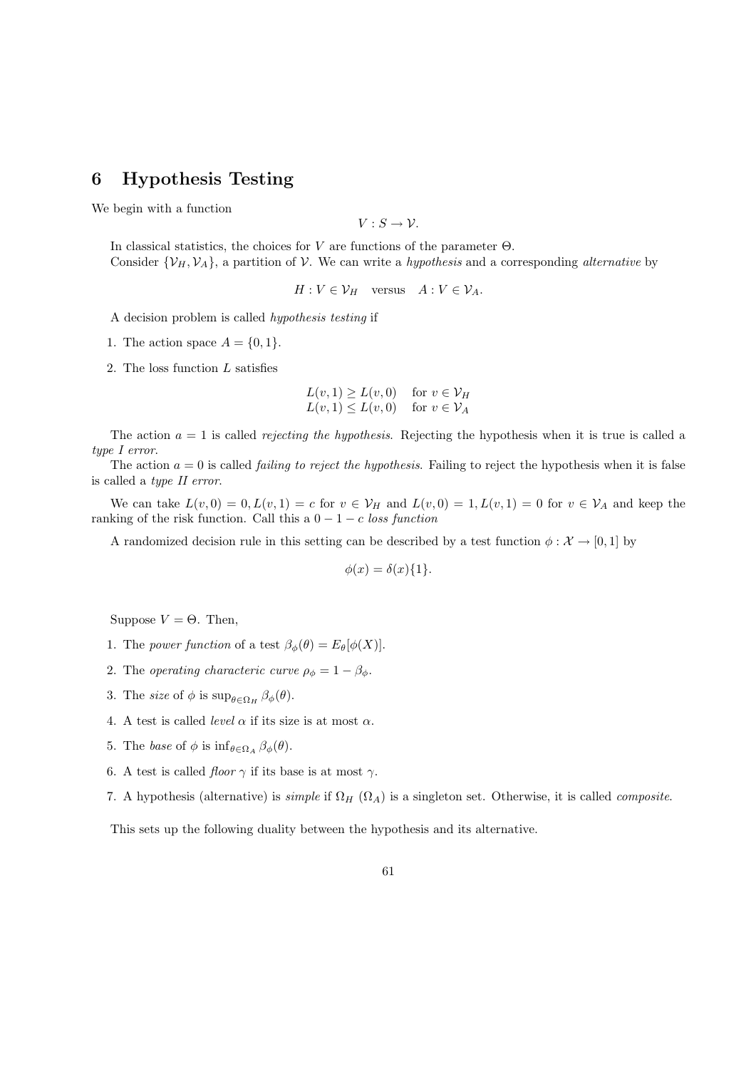# 6 Hypothesis Testing

We begin with a function

 $V: S \rightarrow V$ .

In classical statistics, the choices for V are functions of the parameter  $\Theta$ . Consider  $\{\mathcal{V}_H, \mathcal{V}_A\}$ , a partition of  $\mathcal{V}$ . We can write a *hypothesis* and a corresponding *alternative* by

 $H: V \in \mathcal{V}_H$  versus  $A: V \in \mathcal{V}_A$ .

A decision problem is called hypothesis testing if

1. The action space  $A = \{0, 1\}.$ 

2. The loss function L satisfies

$$
L(v, 1) \ge L(v, 0) \quad \text{for } v \in \mathcal{V}_H
$$
  

$$
L(v, 1) \le L(v, 0) \quad \text{for } v \in \mathcal{V}_A
$$

The action  $a = 1$  is called *rejecting the hypothesis*. Rejecting the hypothesis when it is true is called a type I error.

The action  $a = 0$  is called *failing to reject the hypothesis*. Failing to reject the hypothesis when it is false is called a type II error.

We can take  $L(v, 0) = 0, L(v, 1) = c$  for  $v \in V_H$  and  $L(v, 0) = 1, L(v, 1) = 0$  for  $v \in V_A$  and keep the ranking of the risk function. Call this a  $0 - 1 - c$  loss function

A randomized decision rule in this setting can be described by a test function  $\phi : \mathcal{X} \to [0,1]$  by

$$
\phi(x) = \delta(x)\{1\}
$$

Suppose  $V = \Theta$ . Then,

- 1. The power function of a test  $\beta_{\phi}(\theta) = E_{\theta}[\phi(X)].$
- 2. The operating characteric curve  $\rho_{\phi} = 1 \beta_{\phi}$ .
- 3. The *size* of  $\phi$  is  $\sup_{\theta \in \Omega_H} \beta_{\phi}(\theta)$ .
- 4. A test is called *level*  $\alpha$  if its size is at most  $\alpha$ .
- 5. The base of  $\phi$  is  $\inf_{\theta \in \Omega_A} \beta_{\phi}(\theta)$ .
- 6. A test is called *floor*  $\gamma$  if its base is at most  $\gamma$ .
- 7. A hypothesis (alternative) is *simple* if  $\Omega_H$  ( $\Omega_A$ ) is a singleton set. Otherwise, it is called *composite*.

This sets up the following duality between the hypothesis and its alternative.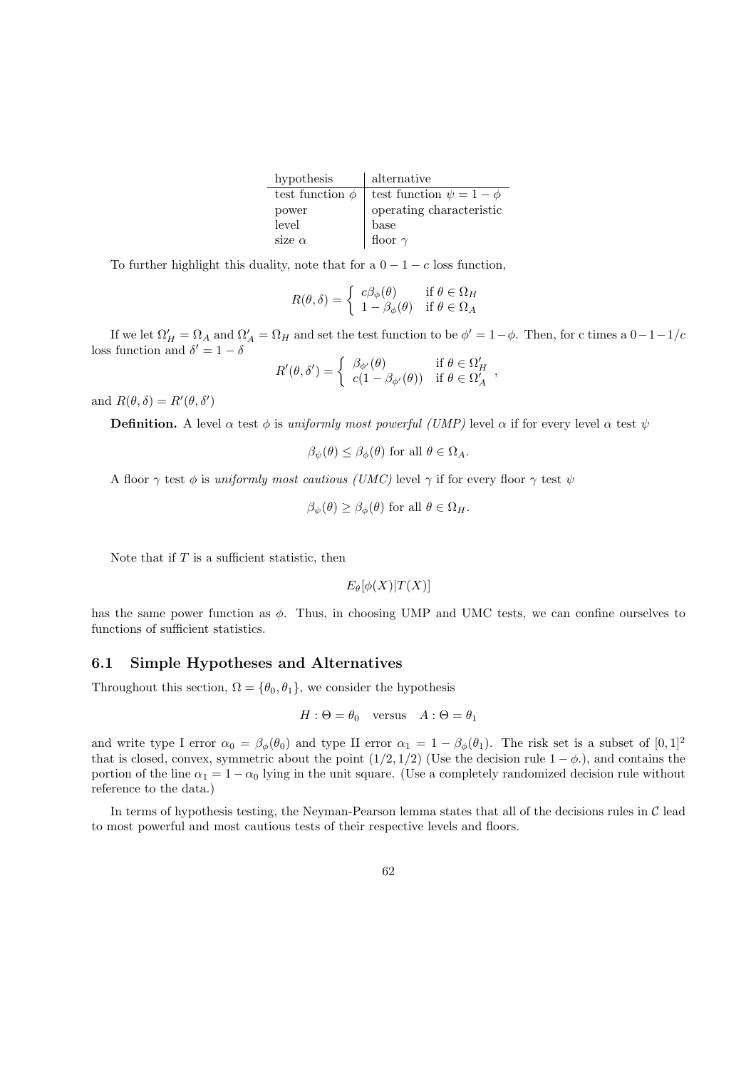| hypothesis           | alternative                     |
|----------------------|---------------------------------|
| test function $\phi$ | test function $\psi = 1 - \phi$ |
| power                | operating characteristic        |
| level                | base                            |
| size $\alpha$        | floor $\gamma$                  |

To further highlight this duality, note that for a  $0 - 1 - c$  loss function,

$$
R(\theta,\delta) = \begin{cases} c\beta_{\phi}(\theta) & \text{if } \theta \in \Omega_H \\ 1 - \beta_{\phi}(\theta) & \text{if } \theta \in \Omega_A \end{cases}
$$

If we let  $\Omega'_H = \Omega_A$  and  $\Omega'_A = \Omega_H$  and set the test function to be  $\phi' = 1 - \phi$ . Then, for c times a  $0 - 1 - 1/c$ loss function and  $\delta' = 1 - \delta$ 

$$
R'(\theta, \delta') = \begin{cases} \beta_{\phi'}(\theta) & \text{if } \theta \in \Omega_H' \\ c(1 - \beta_{\phi'}(\theta)) & \text{if } \theta \in \Omega_A' \end{cases}
$$

and  $R(\theta, \delta) = R'(\theta, \delta')$ 

**Definition.** A level  $\alpha$  test  $\phi$  is uniformly most powerful (UMP) level  $\alpha$  if for every level  $\alpha$  test  $\psi$ 

$$
\beta_{\psi}(\theta) \leq \beta_{\phi}(\theta)
$$
 for all  $\theta \in \Omega_A$ .

A floor  $\gamma$  test  $\phi$  is uniformly most cautious (UMC) level  $\gamma$  if for every floor  $\gamma$  test  $\psi$ 

$$
\beta_{\psi}(\theta) \ge \beta_{\phi}(\theta)
$$
 for all  $\theta \in \Omega_H$ .

Note that if  $T$  is a sufficient statistic, then

$$
E_{\theta}[\phi(X)|T(X)]
$$

has the same power function as  $\phi$ . Thus, in choosing UMP and UMC tests, we can confine ourselves to functions of sufficient statistics.

### 6.1 Simple Hypotheses and Alternatives

Throughout this section,  $\Omega = {\theta_0, \theta_1}$ , we consider the hypothesis

$$
H: \Theta = \theta_0 \quad \text{versus} \quad A: \Theta = \theta_1
$$

and write type I error  $\alpha_0 = \beta_\phi(\theta_0)$  and type II error  $\alpha_1 = 1 - \beta_\phi(\theta_1)$ . The risk set is a subset of  $[0, 1]^2$ that is closed, convex, symmetric about the point  $(1/2, 1/2)$  (Use the decision rule  $1 - \phi$ .), and contains the portion of the line  $\alpha_1 = 1 - \alpha_0$  lying in the unit square. (Use a completely randomized decision rule without reference to the data.)

In terms of hypothesis testing, the Neyman-Pearson lemma states that all of the decisions rules in  $\mathcal C$  lead to most powerful and most cautious tests of their respective levels and floors.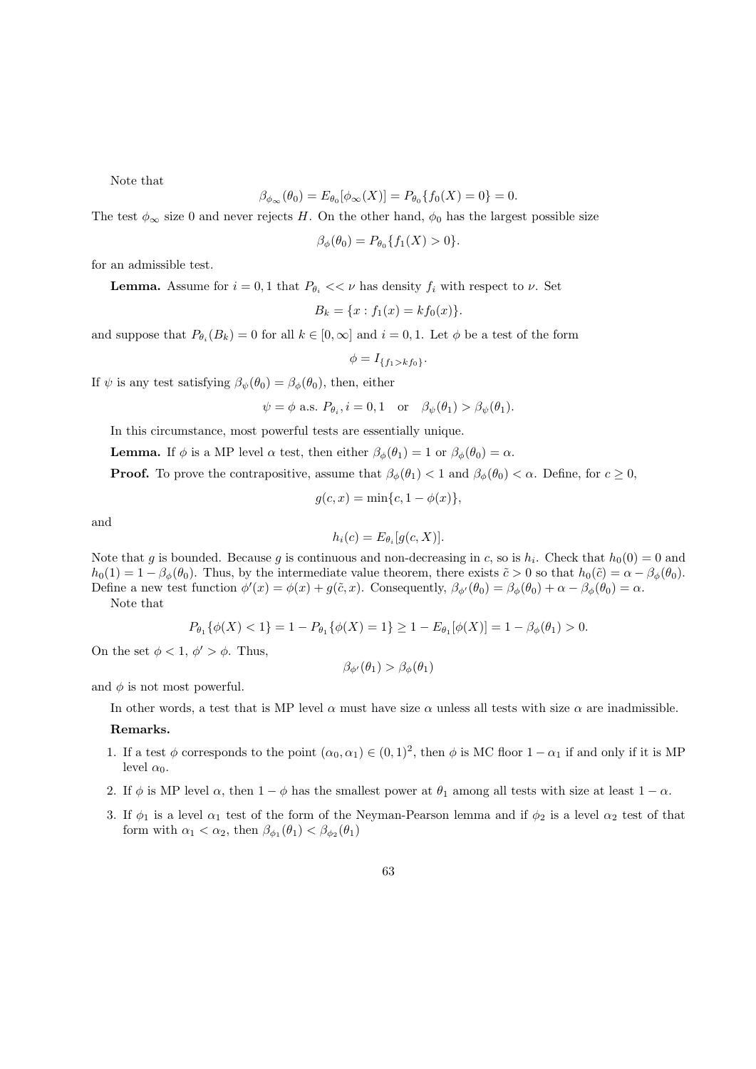Note that

$$
\beta_{\phi_{\infty}}(\theta_0) = E_{\theta_0}[\phi_{\infty}(X)] = P_{\theta_0}\{f_0(X) = 0\} = 0.
$$

The test  $\phi_{\infty}$  size 0 and never rejects H. On the other hand,  $\phi_0$  has the largest possible size

$$
\beta_{\phi}(\theta_0) = P_{\theta_0} \{ f_1(X) > 0 \}.
$$

for an admissible test.

**Lemma.** Assume for  $i = 0, 1$  that  $P_{\theta_i} \ll \nu$  has density  $f_i$  with respect to  $\nu$ . Set

$$
B_k = \{x : f_1(x) = k f_0(x)\}.
$$

and suppose that  $P_{\theta_i}(B_k) = 0$  for all  $k \in [0, \infty]$  and  $i = 0, 1$ . Let  $\phi$  be a test of the form

$$
\phi = I_{\{f_1 > k f_0\}}.
$$

If  $\psi$  is any test satisfying  $\beta_{\psi}(\theta_0) = \beta_{\phi}(\theta_0)$ , then, either

 $\psi = \phi$  a.s.  $P_{\theta_i}$ ,  $i = 0, 1$  or  $\beta_{\psi}(\theta_1) > \beta_{\psi}(\theta_1)$ .

In this circumstance, most powerful tests are essentially unique.

**Lemma.** If  $\phi$  is a MP level  $\alpha$  test, then either  $\beta_{\phi}(\theta_1) = 1$  or  $\beta_{\phi}(\theta_0) = \alpha$ .

**Proof.** To prove the contrapositive, assume that  $\beta_{\phi}(\theta_1) < 1$  and  $\beta_{\phi}(\theta_0) < \alpha$ . Define, for  $c \ge 0$ ,

$$
g(c, x) = \min\{c, 1 - \phi(x)\},
$$

and

$$
h_i(c) = E_{\theta_i}[g(c, X)].
$$

Note that g is bounded. Because g is continuous and non-decreasing in c, so is  $h_i$ . Check that  $h_0(0) = 0$  and  $h_0(1) = 1 - \beta_\phi(\theta_0)$ . Thus, by the intermediate value theorem, there exists  $\tilde{c} > 0$  so that  $h_0(\tilde{c}) = \alpha - \beta_\phi(\theta_0)$ . Define a new test function  $\phi'(x) = \phi(x) + g(\tilde{c}, x)$ . Consequently,  $\beta_{\phi'}(\theta_0) = \beta_{\phi}(\theta_0) + \alpha - \beta_{\phi}(\theta_0) = \alpha$ . Note that

$$
P_{\theta_1}\{\phi(X) < 1\} = 1 - P_{\theta_1}\{\phi(X) = 1\} \ge 1 - E_{\theta_1}[\phi(X)] = 1 - \beta_{\phi}(\theta_1) > 0.
$$

On the set  $\phi < 1, \phi' > \phi$ . Thus,

$$
\beta_{\phi'}(\theta_1) > \beta_{\phi}(\theta_1)
$$

and  $\phi$  is not most powerful.

In other words, a test that is MP level  $\alpha$  must have size  $\alpha$  unless all tests with size  $\alpha$  are inadmissible.

## Remarks.

- 1. If a test  $\phi$  corresponds to the point  $(\alpha_0, \alpha_1) \in (0, 1)^2$ , then  $\phi$  is MC floor  $1 \alpha_1$  if and only if it is MP level  $\alpha_0$ .
- 2. If  $\phi$  is MP level  $\alpha$ , then  $1 \phi$  has the smallest power at  $\theta_1$  among all tests with size at least  $1 \alpha$ .
- 3. If  $\phi_1$  is a level  $\alpha_1$  test of the form of the Neyman-Pearson lemma and if  $\phi_2$  is a level  $\alpha_2$  test of that form with  $\alpha_1 < \alpha_2$ , then  $\beta_{\phi_1}(\theta_1) < \beta_{\phi_2}(\theta_1)$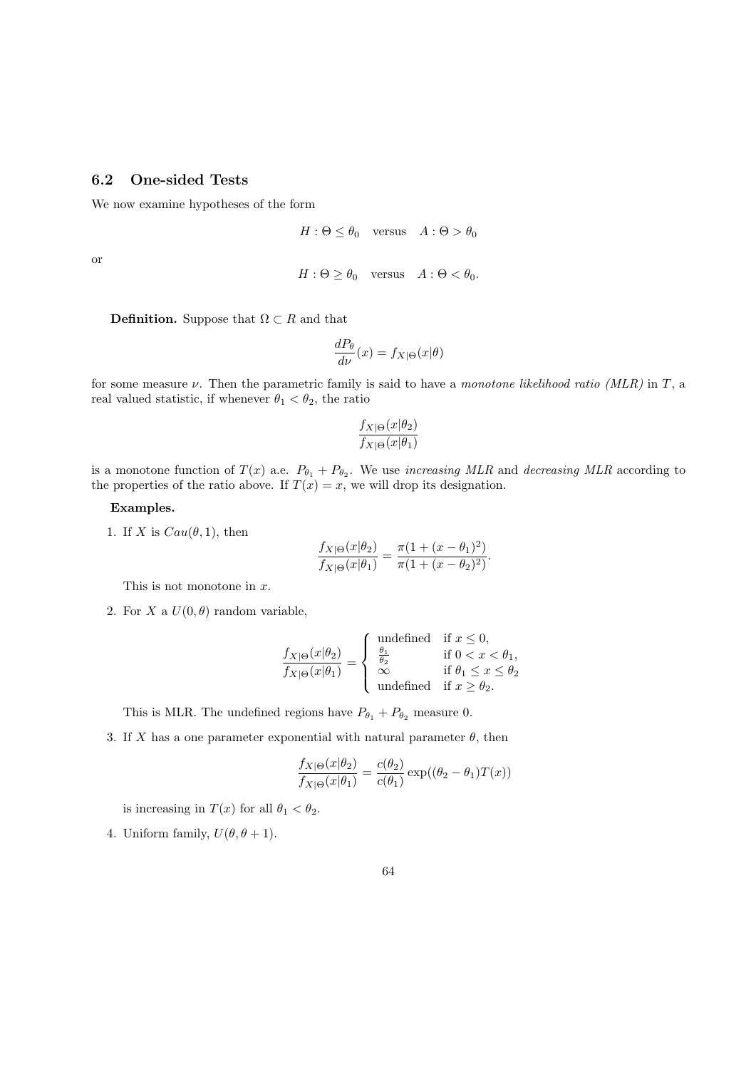# 6.2 One-sided Tests

We now examine hypotheses of the form

$$
H: \Theta \le \theta_0 \quad \text{versus} \quad A: \Theta > \theta_0
$$

or

$$
H: \Theta \ge \theta_0 \quad \text{versus} \quad A: \Theta < \theta_0.
$$

**Definition.** Suppose that  $\Omega \subset R$  and that

$$
\frac{dP_{\theta}}{d\nu}(x) = f_{X|\Theta}(x|\theta)
$$

for some measure  $\nu$ . Then the parametric family is said to have a monotone likelihood ratio (MLR) in T, a real valued statistic, if whenever  $\theta_1 < \theta_2$ , the ratio

$$
\frac{f_{X|\Theta}(x|\theta_2)}{f_{X|\Theta}(x|\theta_1)}
$$

is a monotone function of  $T(x)$  a.e.  $P_{\theta_1} + P_{\theta_2}$ . We use *increasing MLR* and *decreasing MLR* according to the properties of the ratio above. If  $T(x) = x$ , we will drop its designation.

#### Examples.

1. If X is  $Cau(\theta, 1)$ , then

$$
\frac{f_{X|\Theta}(x|\theta_2)}{f_{X|\Theta}(x|\theta_1)} = \frac{\pi(1 + (x - \theta_1)^2)}{\pi(1 + (x - \theta_2)^2)}.
$$

This is not monotone in  $x$ .

2. For X a  $U(0, \theta)$  random variable,

$$
\frac{f_{X|\Theta}(x|\theta_2)}{f_{X|\Theta}(x|\theta_1)} = \begin{cases}\n\text{undefined} & \text{if } x \le 0, \\
\frac{\theta_1}{\theta_2} & \text{if } 0 < x < \theta_1, \\
\infty & \text{if } \theta_1 \le x \le \theta_2 \\
\text{undefined} & \text{if } x \ge \theta_2.\n\end{cases}
$$

This is MLR. The undefined regions have  $P_{\theta_1} + P_{\theta_2}$  measure 0.

3. If X has a one parameter exponential with natural parameter  $\theta$ , then

$$
\frac{f_{X|\Theta}(x|\theta_2)}{f_{X|\Theta}(x|\theta_1)} = \frac{c(\theta_2)}{c(\theta_1)} \exp((\theta_2 - \theta_1)T(x))
$$

is increasing in  $T(x)$  for all  $\theta_1 < \theta_2$ .

4. Uniform family,  $U(\theta, \theta + 1)$ .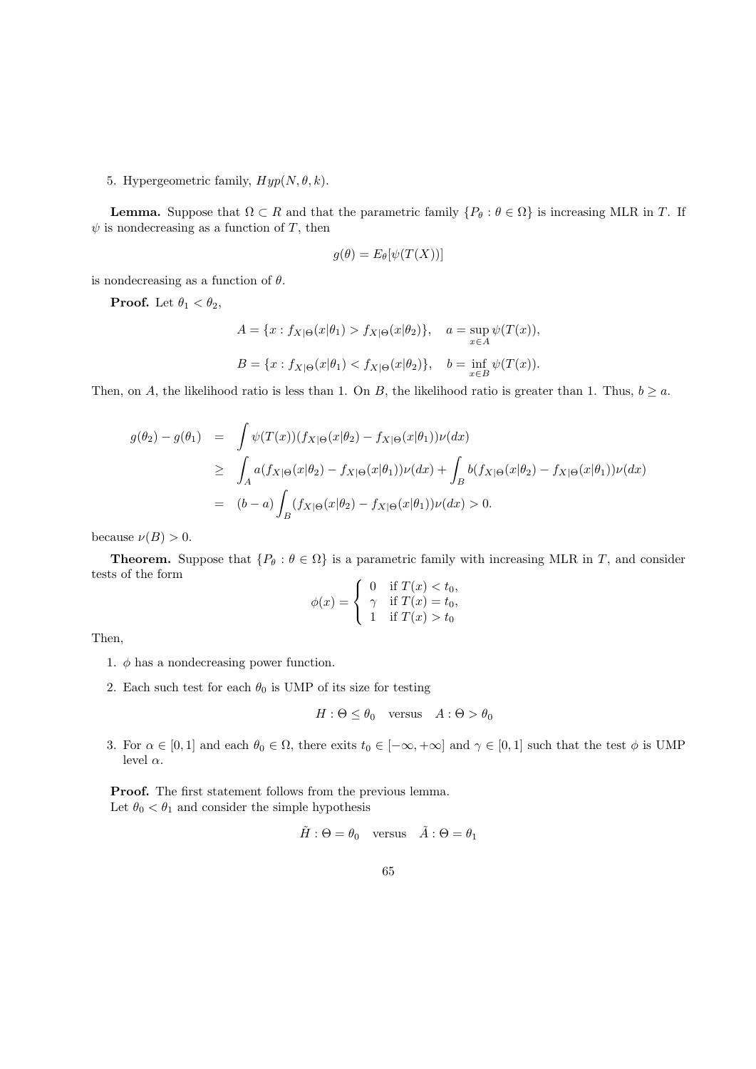5. Hypergeometric family,  $Hyp(N, \theta, k)$ .

**Lemma.** Suppose that  $\Omega \subset R$  and that the parametric family  $\{P_\theta : \theta \in \Omega\}$  is increasing MLR in T. If  $\psi$  is nondecreasing as a function of T, then

$$
g(\theta) = E_{\theta}[\psi(T(X))]
$$

is nondecreasing as a function of  $\theta$ .

**Proof.** Let  $\theta_1 < \theta_2$ ,

$$
A = \{x : f_{X|\Theta}(x|\theta_1) > f_{X|\Theta}(x|\theta_2)\}, \quad a = \sup_{x \in A} \psi(T(x)),
$$
  

$$
B = \{x : f_{X|\Theta}(x|\theta_1) < f_{X|\Theta}(x|\theta_2)\}, \quad b = \inf_{x \in B} \psi(T(x)).
$$

Then, on A, the likelihood ratio is less than 1. On B, the likelihood ratio is greater than 1. Thus,  $b \ge a$ .

$$
g(\theta_2) - g(\theta_1) = \int \psi(T(x))(f_{X|\Theta}(x|\theta_2) - f_{X|\Theta}(x|\theta_1))\nu(dx)
$$
  
\n
$$
\geq \int_A a(f_{X|\Theta}(x|\theta_2) - f_{X|\Theta}(x|\theta_1))\nu(dx) + \int_B b(f_{X|\Theta}(x|\theta_2) - f_{X|\Theta}(x|\theta_1))\nu(dx)
$$
  
\n
$$
= (b-a)\int_B (f_{X|\Theta}(x|\theta_2) - f_{X|\Theta}(x|\theta_1))\nu(dx) > 0.
$$

because  $\nu(B) > 0$ .

**Theorem.** Suppose that  $\{P_{\theta} : \theta \in \Omega\}$  is a parametric family with increasing MLR in T, and consider tests of the form

$$
\phi(x) = \begin{cases} 0 & \text{if } T(x) < t_0, \\ \gamma & \text{if } T(x) = t_0, \\ 1 & \text{if } T(x) > t_0 \end{cases}
$$

Then,

- 1.  $\phi$  has a nondecreasing power function.
- 2. Each such test for each  $\theta_0$  is UMP of its size for testing

$$
H: \Theta \le \theta_0 \quad \text{versus} \quad A: \Theta > \theta_0
$$

3. For  $\alpha \in [0,1]$  and each  $\theta_0 \in \Omega$ , there exits  $t_0 \in [-\infty, +\infty]$  and  $\gamma \in [0,1]$  such that the test  $\phi$  is UMP level  $\alpha$ .

Proof. The first statement follows from the previous lemma. Let  $\theta_0 < \theta_1$  and consider the simple hypothesis

$$
\tilde{H} : \Theta = \theta_0 \quad \text{versus} \quad \tilde{A} : \Theta = \theta_1
$$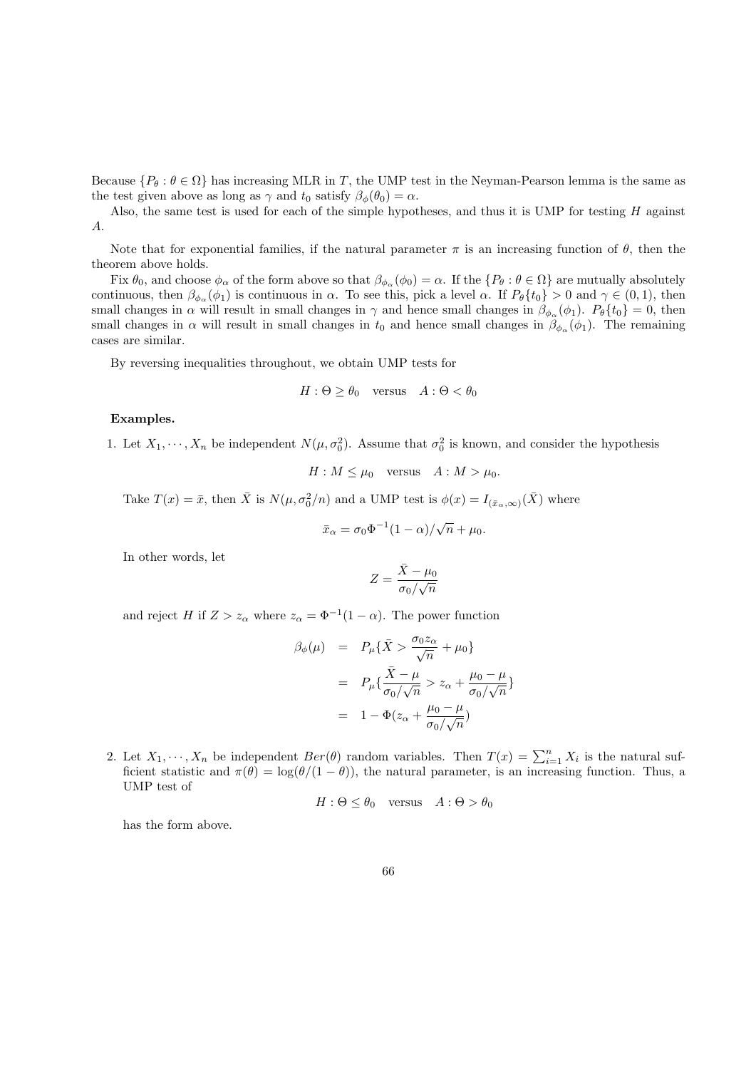Because  $\{P_\theta : \theta \in \Omega\}$  has increasing MLR in T, the UMP test in the Neyman-Pearson lemma is the same as the test given above as long as  $\gamma$  and  $t_0$  satisfy  $\beta_\phi(\theta_0) = \alpha$ .

Also, the same test is used for each of the simple hypotheses, and thus it is UMP for testing  $H$  against A.

Note that for exponential families, if the natural parameter  $\pi$  is an increasing function of  $\theta$ , then the theorem above holds.

Fix  $\theta_0$ , and choose  $\phi_\alpha$  of the form above so that  $\beta_{\phi_\alpha}(\phi_0) = \alpha$ . If the  $\{P_\theta : \theta \in \Omega\}$  are mutually absolutely continuous, then  $\beta_{\phi_{\alpha}}(\phi_1)$  is continuous in  $\alpha$ . To see this, pick a level  $\alpha$ . If  $P_{\theta}\{t_0\} > 0$  and  $\gamma \in (0,1)$ , then small changes in  $\alpha$  will result in small changes in  $\gamma$  and hence small changes in  $\beta_{\phi_\alpha}(\phi_1)$ .  $P_\theta\{t_0\}=0$ , then small changes in  $\alpha$  will result in small changes in  $t_0$  and hence small changes in  $\beta_{\phi_\alpha}(\phi_1)$ . The remaining cases are similar.

By reversing inequalities throughout, we obtain UMP tests for

$$
H: \Theta \ge \theta_0 \quad \text{versus} \quad A: \Theta < \theta_0
$$

#### Examples.

1. Let  $X_1, \dots, X_n$  be independent  $N(\mu, \sigma_0^2)$ . Assume that  $\sigma_0^2$  is known, and consider the hypothesis

 $H : M \leq \mu_0$  versus  $A : M > \mu_0$ .

Take  $T(x) = \bar{x}$ , then  $\bar{X}$  is  $N(\mu, \sigma_0^2/n)$  and a UMP test is  $\phi(x) = I_{(\bar{x}_\alpha,\infty)}(\bar{X})$  where

$$
\bar{x}_{\alpha} = \sigma_0 \Phi^{-1} (1 - \alpha) / \sqrt{n} + \mu_0.
$$

In other words, let

$$
Z = \frac{\bar{X} - \mu_0}{\sigma_0 / \sqrt{n}}
$$

and reject H if  $Z > z_\alpha$  where  $z_\alpha = \Phi^{-1}(1-\alpha)$ . The power function

$$
\beta_{\phi}(\mu) = P_{\mu} \{ \bar{X} > \frac{\sigma_0 z_{\alpha}}{\sqrt{n}} + \mu_0 \}
$$

$$
= P_{\mu} \{ \frac{\bar{X} - \mu}{\sigma_0 / \sqrt{n}} > z_{\alpha} + \frac{\mu_0 - \mu}{\sigma_0 / \sqrt{n}} \}
$$

$$
= 1 - \Phi(z_{\alpha} + \frac{\mu_0 - \mu}{\sigma_0 / \sqrt{n}})
$$

2. Let  $X_1, \dots, X_n$  be independent  $Ber(\theta)$  random variables. Then  $T(x) = \sum_{i=1}^n X_i$  is the natural sufficient statistic and  $\pi(\theta) = \log(\theta/(1-\theta))$ , the natural parameter, is an increasing function. Thus, a UMP test of

$$
H: \Theta \le \theta_0 \quad \text{versus} \quad A: \Theta > \theta_0
$$

has the form above.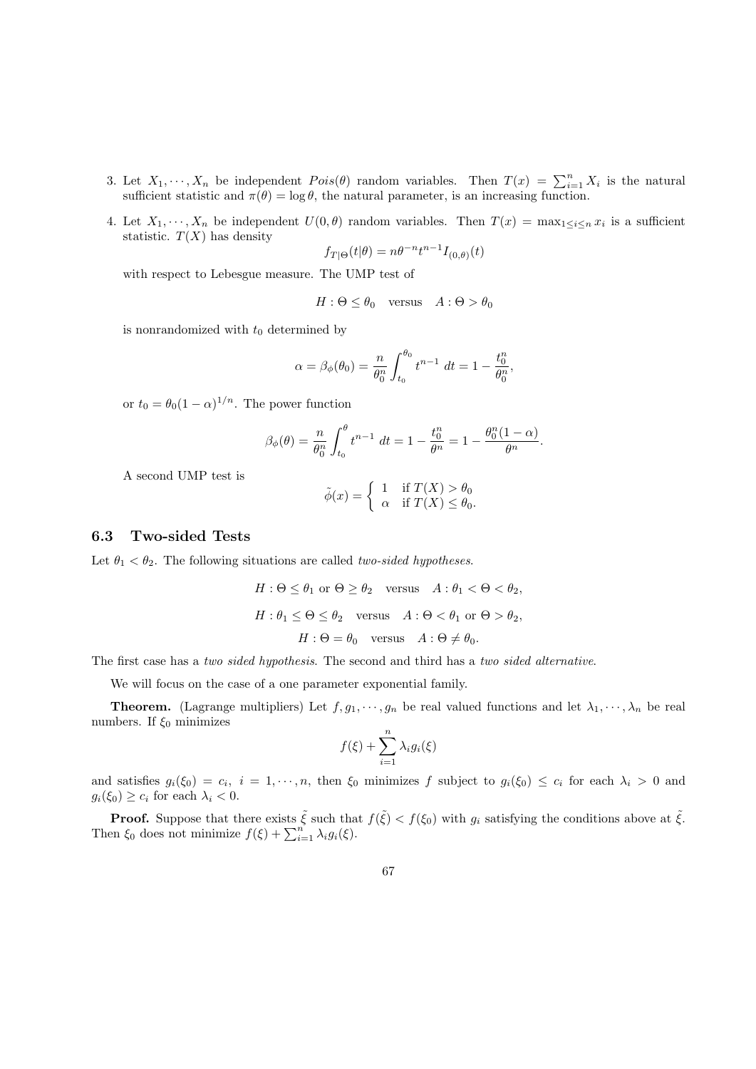- 3. Let  $X_1, \dots, X_n$  be independent  $Pois(\theta)$  random variables. Then  $T(x) = \sum_{i=1}^n X_i$  is the natural sufficient statistic and  $\pi(\theta) = \log \theta$ , the natural parameter, is an increasing function.
- 4. Let  $X_1, \dots, X_n$  be independent  $U(0, \theta)$  random variables. Then  $T(x) = \max_{1 \leq i \leq n} x_i$  is a sufficient statistic.  $T(X)$  has density

$$
f_{T|\Theta}(t|\theta) = n\theta^{-n}t^{n-1}I_{(0,\theta)}(t)
$$

with respect to Lebesgue measure. The UMP test of

$$
H: \Theta \le \theta_0 \quad \text{versus} \quad A: \Theta > \theta_0
$$

is nonrandomized with  $t_0$  determined by

$$
\alpha = \beta_{\phi}(\theta_0) = \frac{n}{\theta_0^n} \int_{t_0}^{\theta_0} t^{n-1} dt = 1 - \frac{t_0^n}{\theta_0^n},
$$

or  $t_0 = \theta_0 (1 - \alpha)^{1/n}$ . The power function

$$
\beta_{\phi}(\theta) = \frac{n}{\theta_0^n} \int_{t_0}^{\theta} t^{n-1} dt = 1 - \frac{t_0^n}{\theta^n} = 1 - \frac{\theta_0^n (1 - \alpha)}{\theta^n}.
$$

A second UMP test is

$$
\tilde{\phi}(x) = \begin{cases} 1 & \text{if } T(X) > \theta_0 \\ \alpha & \text{if } T(X) \le \theta_0. \end{cases}
$$

#### 6.3 Two-sided Tests

Let  $\theta_1 < \theta_2$ . The following situations are called *two-sided hypotheses*.

$$
H: \Theta \le \theta_1 \text{ or } \Theta \ge \theta_2 \quad \text{versus} \quad A: \theta_1 < \Theta < \theta_2,
$$
\n
$$
H: \theta_1 \le \Theta \le \theta_2 \quad \text{versus} \quad A: \Theta < \theta_1 \text{ or } \Theta > \theta_2,
$$
\n
$$
H: \Theta = \theta_0 \quad \text{versus} \quad A: \Theta \ne \theta_0.
$$

The first case has a two sided hypothesis. The second and third has a two sided alternative.

We will focus on the case of a one parameter exponential family.

**Theorem.** (Lagrange multipliers) Let  $f, g_1, \dots, g_n$  be real valued functions and let  $\lambda_1, \dots, \lambda_n$  be real numbers. If  $\xi_0$  minimizes

$$
f(\xi) + \sum_{i=1}^{n} \lambda_i g_i(\xi)
$$

and satisfies  $g_i(\xi_0) = c_i$ ,  $i = 1, \dots, n$ , then  $\xi_0$  minimizes f subject to  $g_i(\xi_0) \leq c_i$  for each  $\lambda_i > 0$  and  $g_i(\xi_0) \geq c_i$  for each  $\lambda_i < 0$ .

**Proof.** Suppose that there exists  $\tilde{\xi}$  such that  $f(\tilde{\xi}) < f(\xi_0)$  with  $g_i$  satisfying the conditions above at  $\tilde{\xi}$ . Then  $\xi_0$  does not minimize  $f(\xi) + \sum_{i=1}^n \lambda_i g_i(\xi)$ .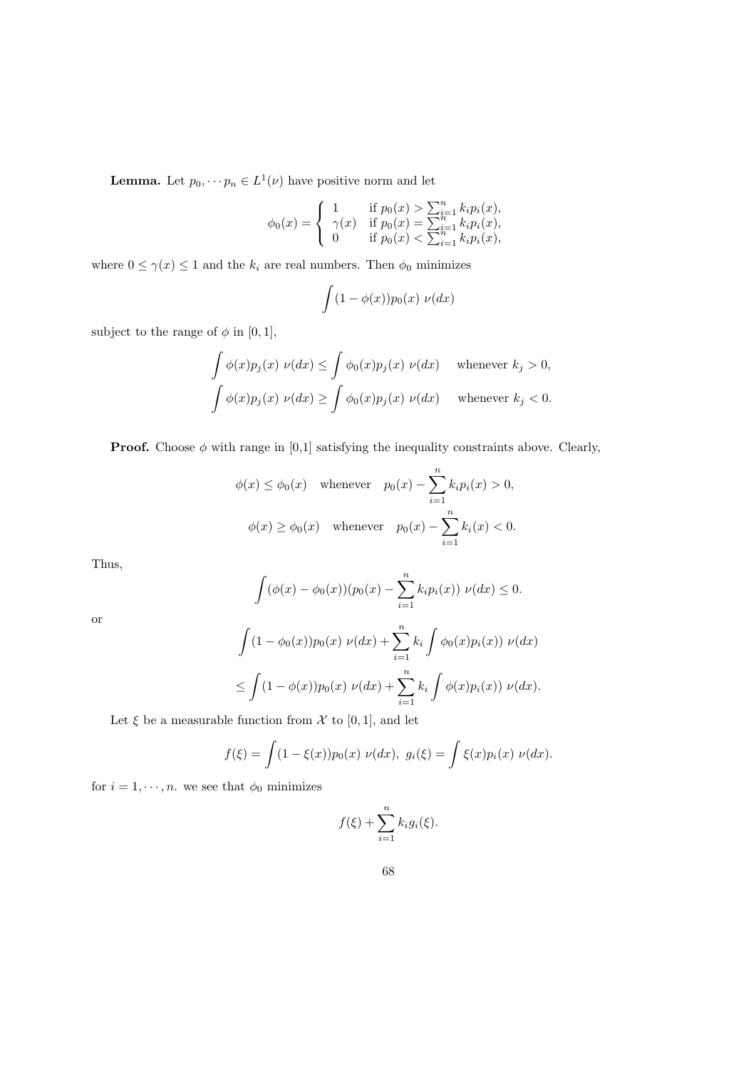**Lemma.** Let  $p_0, \dots, p_n \in L^1(\nu)$  have positive norm and let

$$
\phi_0(x) = \begin{cases} 1 & \text{if } p_0(x) > \sum_{i=1}^n k_i p_i(x), \\ \gamma(x) & \text{if } p_0(x) = \sum_{i=1}^n k_i p_i(x), \\ 0 & \text{if } p_0(x) < \sum_{i=1}^n k_i p_i(x), \end{cases}
$$

where  $0 \leq \gamma(x) \leq 1$  and the  $k_i$  are real numbers. Then  $\phi_0$  minimizes

$$
\int (1 - \phi(x)) p_0(x) \, \nu(dx)
$$

subject to the range of  $\phi$  in [0, 1],

$$
\int \phi(x)p_j(x) \nu(dx) \le \int \phi_0(x)p_j(x) \nu(dx) \quad \text{whenever } k_j > 0,
$$
  

$$
\int \phi(x)p_j(x) \nu(dx) \ge \int \phi_0(x)p_j(x) \nu(dx) \quad \text{whenever } k_j < 0.
$$

**Proof.** Choose  $\phi$  with range in [0,1] satisfying the inequality constraints above. Clearly,

$$
\phi(x) \le \phi_0(x) \quad \text{whenever} \quad p_0(x) - \sum_{i=1}^n k_i p_i(x) > 0,
$$
  

$$
\phi(x) \ge \phi_0(x) \quad \text{whenever} \quad p_0(x) - \sum_{i=1}^n k_i(x) < 0.
$$

Thus,

$$
\int (\phi(x) - \phi_0(x)) (p_0(x) - \sum_{i=1}^n k_i p_i(x)) \nu(dx) \le 0.
$$

or

$$
\int (1 - \phi_0(x))p_0(x) \nu(dx) + \sum_{i=1}^n k_i \int \phi_0(x)p_i(x) \nu(dx)
$$
  

$$
\leq \int (1 - \phi(x))p_0(x) \nu(dx) + \sum_{i=1}^n k_i \int \phi(x)p_i(x) \nu(dx).
$$

Let  $\xi$  be a measurable function from  $\mathcal X$  to [0, 1], and let

$$
f(\xi) = \int (1 - \xi(x)) p_0(x) \nu(dx), \ g_i(\xi) = \int \xi(x) p_i(x) \nu(dx).
$$

for  $i = 1, \dots, n$ . we see that  $\phi_0$  minimizes

$$
f(\xi) + \sum_{i=1}^{n} k_i g_i(\xi).
$$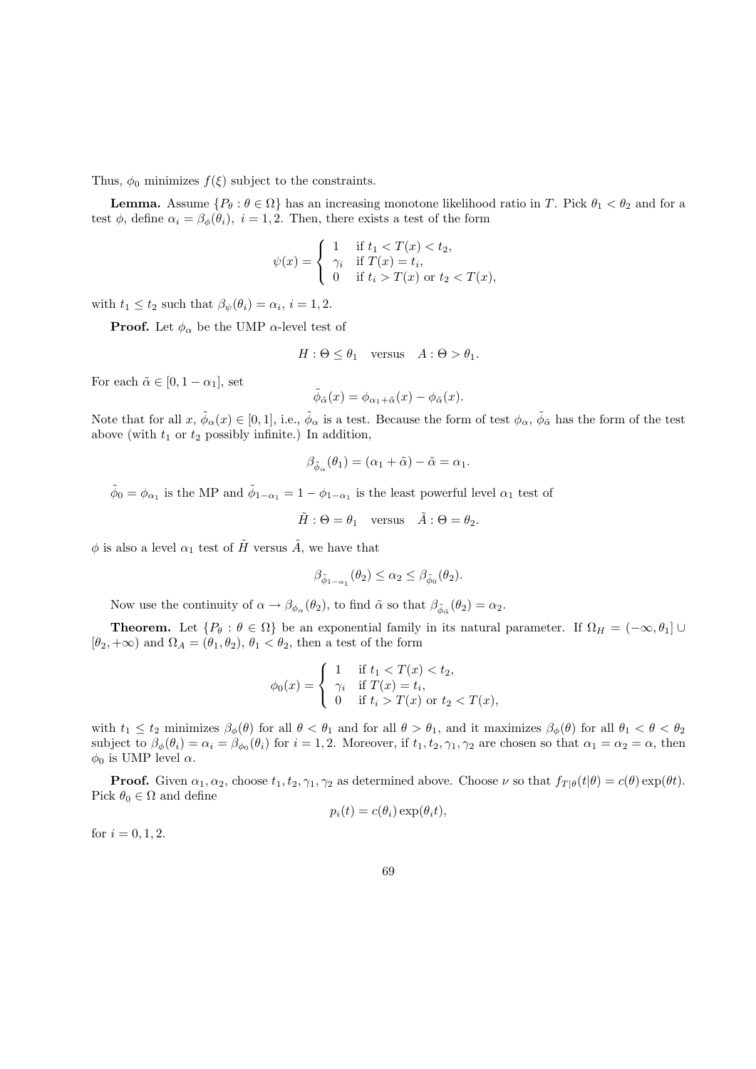Thus,  $\phi_0$  minimizes  $f(\xi)$  subject to the constraints.

**Lemma.** Assume  $\{P_\theta : \theta \in \Omega\}$  has an increasing monotone likelihood ratio in T. Pick  $\theta_1 < \theta_2$  and for a test  $\phi$ , define  $\alpha_i = \beta_\phi(\theta_i)$ ,  $i = 1, 2$ . Then, there exists a test of the form

$$
\psi(x) = \begin{cases}\n1 & \text{if } t_1 < T(x) < t_2, \\
\gamma_i & \text{if } T(x) = t_i, \\
0 & \text{if } t_i > T(x) \text{ or } t_2 < T(x),\n\end{cases}
$$

with  $t_1 \leq t_2$  such that  $\beta_{\psi}(\theta_i) = \alpha_i, i = 1, 2$ .

**Proof.** Let  $\phi_{\alpha}$  be the UMP  $\alpha$ -level test of

$$
H: \Theta \le \theta_1 \quad \text{versus} \quad A: \Theta > \theta_1.
$$

For each  $\tilde{\alpha} \in [0, 1 - \alpha_1]$ , set

$$
\tilde{\phi}_{\tilde{\alpha}}(x) = \phi_{\alpha_1 + \tilde{\alpha}}(x) - \phi_{\tilde{\alpha}}(x).
$$

Note that for all  $x, \tilde{\phi}_{\alpha}(x) \in [0,1]$ , i.e.,  $\tilde{\phi}_{\alpha}$  is a test. Because the form of test  $\phi_{\alpha}, \tilde{\phi}_{\tilde{\alpha}}$  has the form of the test above (with  $t_1$  or  $t_2$  possibly infinite.) In addition,

$$
\beta_{\tilde{\phi}_{\alpha}}(\theta_1) = (\alpha_1 + \tilde{\alpha}) - \tilde{\alpha} = \alpha_1.
$$

 $\tilde{\phi}_0 = \phi_{\alpha_1}$  is the MP and  $\tilde{\phi}_{1-\alpha_1} = 1 - \phi_{1-\alpha_1}$  is the least powerful level  $\alpha_1$  test of

$$
\tilde{H} : \Theta = \theta_1 \quad \text{versus} \quad \tilde{A} : \Theta = \theta_2.
$$

 $\phi$  is also a level  $\alpha_1$  test of  $\tilde{H}$  versus  $\tilde{A}$ , we have that

$$
\beta_{\tilde{\phi}_{1-\alpha_1}}(\theta_2) \le \alpha_2 \le \beta_{\tilde{\phi}_0}(\theta_2).
$$

Now use the continuity of  $\alpha \to \beta_{\phi_\alpha}(\theta_2)$ , to find  $\tilde{\alpha}$  so that  $\beta_{\tilde{\phi}_{\tilde{\alpha}}}(\theta_2) = \alpha_2$ .

**Theorem.** Let  $\{P_\theta : \theta \in \Omega\}$  be an exponential family in its natural parameter. If  $\Omega_H = (-\infty, \theta_1] \cup$  $[\theta_2, +\infty)$  and  $\Omega_A = (\theta_1, \theta_2), \theta_1 < \theta_2$ , then a test of the form

$$
\phi_0(x) = \begin{cases} 1 & \text{if } t_1 < T(x) < t_2, \\ \gamma_i & \text{if } T(x) = t_i, \\ 0 & \text{if } t_i > T(x) \text{ or } t_2 < T(x), \end{cases}
$$

with  $t_1 \le t_2$  minimizes  $\beta_\phi(\theta)$  for all  $\theta < \theta_1$  and for all  $\theta > \theta_1$ , and it maximizes  $\beta_\phi(\theta)$  for all  $\theta_1 < \theta < \theta_2$ subject to  $\beta_{\phi}(\theta_i) = \alpha_i = \beta_{\phi_0}(\theta_i)$  for  $i = 1, 2$ . Moreover, if  $t_1, t_2, \gamma_1, \gamma_2$  are chosen so that  $\alpha_1 = \alpha_2 = \alpha$ , then  $\phi_0$  is UMP level  $\alpha$ .

**Proof.** Given  $\alpha_1, \alpha_2$ , choose  $t_1, t_2, \gamma_1, \gamma_2$  as determined above. Choose  $\nu$  so that  $f_{T|\theta}(t|\theta) = c(\theta) \exp(\theta t)$ . Pick  $\theta_0 \in \Omega$  and define

$$
p_i(t) = c(\theta_i) \exp(\theta_i t),
$$

for  $i = 0, 1, 2$ .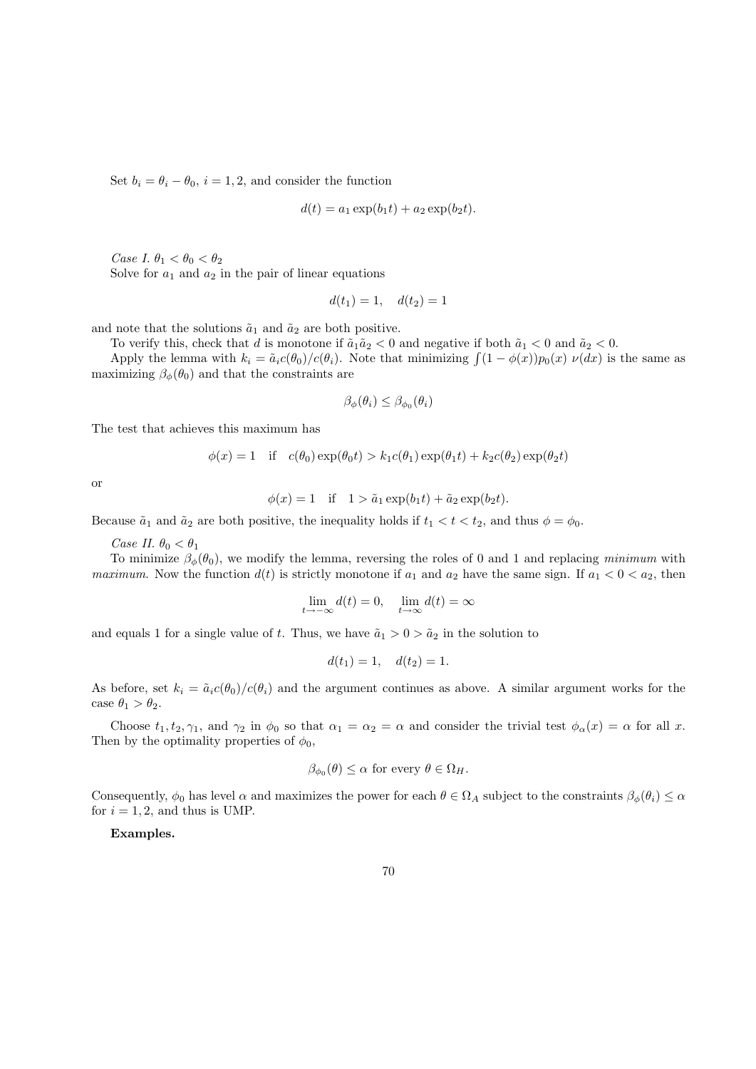Set  $b_i = \theta_i - \theta_0$ ,  $i = 1, 2$ , and consider the function

$$
d(t) = a_1 \exp(b_1 t) + a_2 \exp(b_2 t).
$$

Case I.  $\theta_1 < \theta_0 < \theta_2$ 

Solve for  $a_1$  and  $a_2$  in the pair of linear equations

$$
d(t_1) = 1, \quad d(t_2) = 1
$$

and note that the solutions  $\tilde{a}_1$  and  $\tilde{a}_2$  are both positive.

To verify this, check that d is monotone if  $\tilde{a}_1\tilde{a}_2 < 0$  and negative if both  $\tilde{a}_1 < 0$  and  $\tilde{a}_2 < 0$ .

Apply the lemma with  $k_i = \tilde{a}_i c(\theta_0) / c(\theta_i)$ . Note that minimizing  $\int (1 - \phi(x)) p_0(x) \nu(dx)$  is the same as maximizing  $\beta_{\phi}(\theta_0)$  and that the constraints are

$$
\beta_{\phi}(\theta_i) \leq \beta_{\phi_0}(\theta_i)
$$

The test that achieves this maximum has

$$
\phi(x) = 1 \quad \text{if} \quad c(\theta_0) \exp(\theta_0 t) > k_1 c(\theta_1) \exp(\theta_1 t) + k_2 c(\theta_2) \exp(\theta_2 t)
$$

or

$$
\phi(x) = 1 \quad \text{if} \quad 1 > \tilde{a}_1 \exp(b_1 t) + \tilde{a}_2 \exp(b_2 t).
$$

Because  $\tilde{a}_1$  and  $\tilde{a}_2$  are both positive, the inequality holds if  $t_1 < t < t_2$ , and thus  $\phi = \phi_0$ .

Case II.  $\theta_0 < \theta_1$ 

To minimize  $\beta_{\phi}(\theta_0)$ , we modify the lemma, reversing the roles of 0 and 1 and replacing minimum with *maximum.* Now the function  $d(t)$  is strictly monotone if  $a_1$  and  $a_2$  have the same sign. If  $a_1 < 0 < a_2$ , then

$$
\lim_{t \to -\infty} d(t) = 0, \quad \lim_{t \to \infty} d(t) = \infty
$$

and equals 1 for a single value of t. Thus, we have  $\tilde{a}_1 > 0 > \tilde{a}_2$  in the solution to

$$
d(t_1) = 1, \quad d(t_2) = 1.
$$

As before, set  $k_i = \tilde{a}_i c(\theta_0)/c(\theta_i)$  and the argument continues as above. A similar argument works for the case  $\theta_1 > \theta_2$ .

Choose  $t_1, t_2, \gamma_1$ , and  $\gamma_2$  in  $\phi_0$  so that  $\alpha_1 = \alpha_2 = \alpha$  and consider the trivial test  $\phi_\alpha(x) = \alpha$  for all x. Then by the optimality properties of  $\phi_0$ ,

$$
\beta_{\phi_0}(\theta) \leq \alpha
$$
 for every  $\theta \in \Omega_H$ .

Consequently,  $\phi_0$  has level  $\alpha$  and maximizes the power for each  $\theta \in \Omega_A$  subject to the constraints  $\beta_{\phi}(\theta_i) \leq \alpha$ for  $i = 1, 2$ , and thus is UMP.

Examples.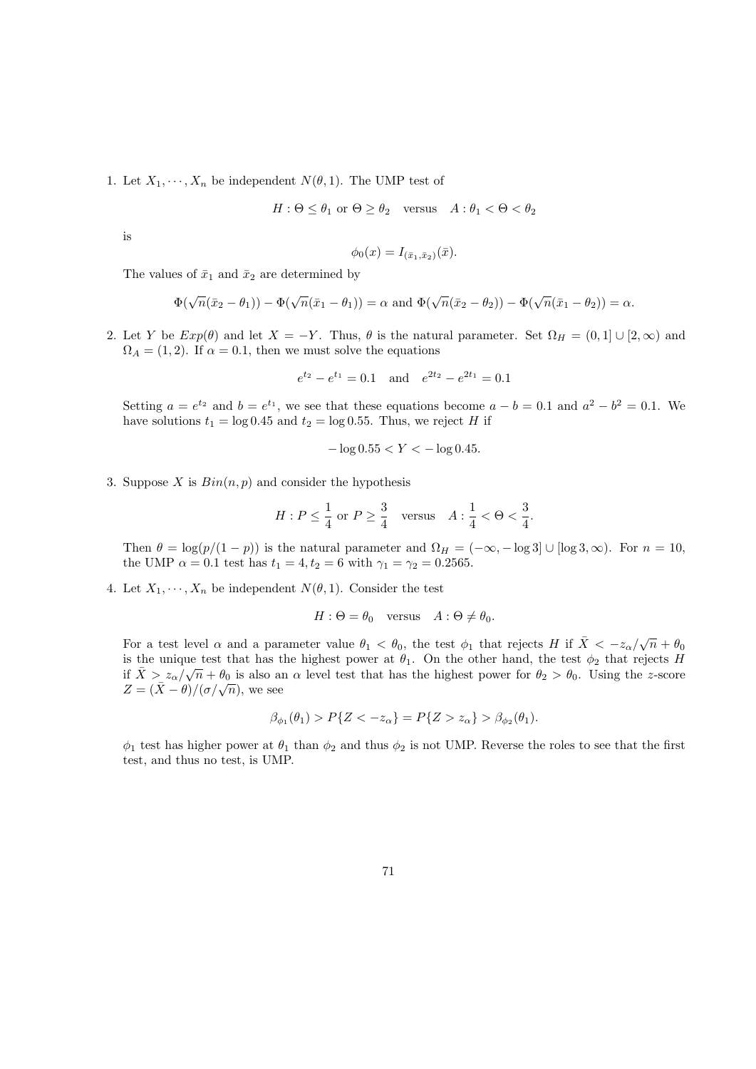1. Let  $X_1, \dots, X_n$  be independent  $N(\theta, 1)$ . The UMP test of

$$
H: \Theta \le \theta_1 \text{ or } \Theta \ge \theta_2 \quad \text{versus} \quad A: \theta_1 < \Theta < \theta_2
$$

is

$$
\phi_0(x) = I_{(\bar{x}_1, \bar{x}_2)}(\bar{x}).
$$

The values of  $\bar{x}_1$  and  $\bar{x}_2$  are determined by

$$
\Phi(\sqrt{n}(\bar{x}_2-\theta_1))-\Phi(\sqrt{n}(\bar{x}_1-\theta_1))=\alpha \text{ and } \Phi(\sqrt{n}(\bar{x}_2-\theta_2))-\Phi(\sqrt{n}(\bar{x}_1-\theta_2))=\alpha.
$$

2. Let Y be  $Exp(\theta)$  and let  $X = -Y$ . Thus,  $\theta$  is the natural parameter. Set  $\Omega_H = (0,1] \cup [2,\infty)$  and  $\Omega_A = (1, 2)$ . If  $\alpha = 0.1$ , then we must solve the equations

$$
e^{t_2} - e^{t_1} = 0.1
$$
 and  $e^{2t_2} - e^{2t_1} = 0.1$ 

Setting  $a = e^{t_2}$  and  $b = e^{t_1}$ , we see that these equations become  $a - b = 0.1$  and  $a^2 - b^2 = 0.1$ . We have solutions  $t_1 = \log 0.45$  and  $t_2 = \log 0.55$ . Thus, we reject H if

$$
-\log 0.55 < Y < -\log 0.45.
$$

3. Suppose X is  $Bin(n, p)$  and consider the hypothesis

$$
H : P \le \frac{1}{4} \text{ or } P \ge \frac{3}{4} \quad \text{versus} \quad A : \frac{1}{4} < \Theta < \frac{3}{4}.
$$

Then  $\theta = \log(p/(1-p))$  is the natural parameter and  $\Omega_H = (-\infty, -\log 3] \cup [\log 3, \infty)$ . For  $n = 10$ , the UMP  $\alpha = 0.1$  test has  $t_1 = 4, t_2 = 6$  with  $\gamma_1 = \gamma_2 = 0.2565$ .

4. Let  $X_1, \dots, X_n$  be independent  $N(\theta, 1)$ . Consider the test

$$
H: \Theta = \theta_0 \quad \text{versus} \quad A: \Theta \neq \theta_0.
$$

For a test level  $\alpha$  and a parameter value  $\theta_1 < \theta_0$ , the test  $\phi_1$  that rejects H if  $\bar{X} < -z_\alpha/\sqrt{n} + \theta_0$ is the unique test that has the highest power at  $\theta_1$ . On the other hand, the test  $\phi_2$  that rejects H if  $\bar{X} > z_\alpha/\sqrt{n} + \theta_0$  is also an  $\alpha$  level test that has the highest power for  $\theta_2 > \theta_0$ . Using the z-score  $Z = (\bar{X} - \theta)/(\sigma/\sqrt{n})$ , we see

$$
\beta_{\phi_1}(\theta_1) > P\{Z < -z_\alpha\} = P\{Z > z_\alpha\} > \beta_{\phi_2}(\theta_1).
$$

 $\phi_1$  test has higher power at  $\theta_1$  than  $\phi_2$  and thus  $\phi_2$  is not UMP. Reverse the roles to see that the first test, and thus no test, is UMP.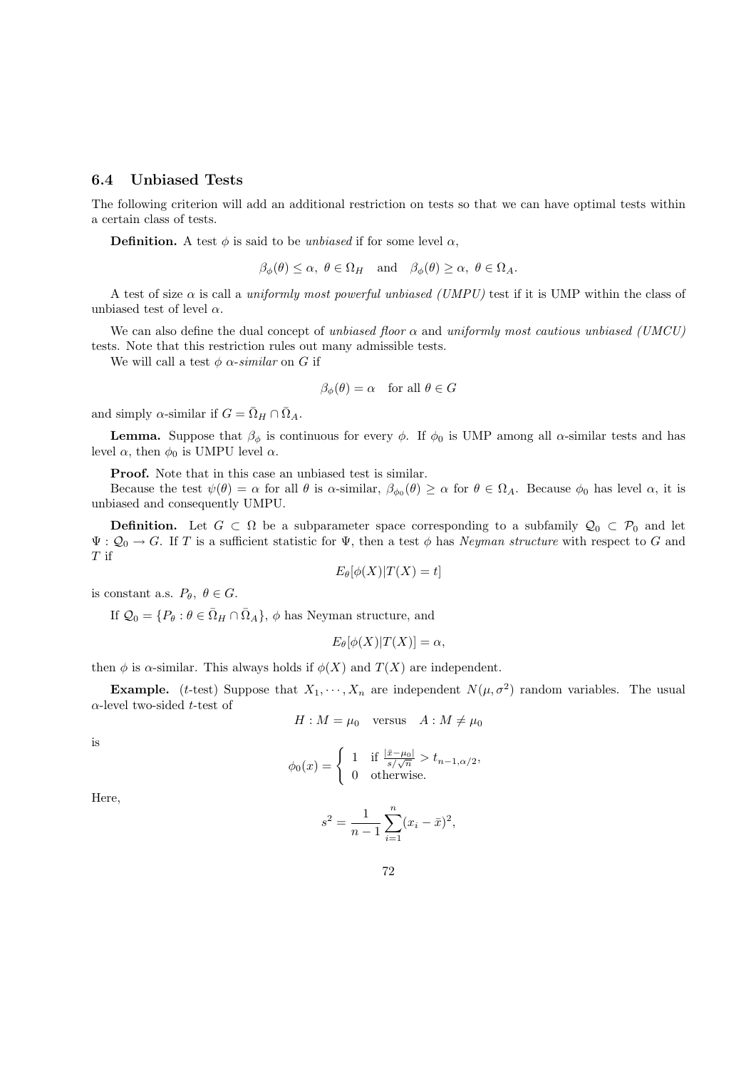### 6.4 Unbiased Tests

The following criterion will add an additional restriction on tests so that we can have optimal tests within a certain class of tests.

**Definition.** A test  $\phi$  is said to be *unbiased* if for some level  $\alpha$ ,

 $\beta_{\phi}(\theta) \leq \alpha, \ \theta \in \Omega_H$  and  $\beta_{\phi}(\theta) \geq \alpha, \ \theta \in \Omega_A$ .

A test of size  $\alpha$  is call a uniformly most powerful unbiased (UMPU) test if it is UMP within the class of unbiased test of level  $\alpha$ .

We can also define the dual concept of unbiased floor  $\alpha$  and uniformly most cautious unbiased (UMCU) tests. Note that this restriction rules out many admissible tests.

We will call a test  $\phi$   $\alpha$ -similar on G if

$$
\beta_{\phi}(\theta) = \alpha
$$
 for all  $\theta \in G$ 

and simply  $\alpha$ -similar if  $G = \overline{\Omega}_H \cap \overline{\Omega}_A$ .

**Lemma.** Suppose that  $\beta_{\phi}$  is continuous for every  $\phi$ . If  $\phi_0$  is UMP among all  $\alpha$ -similar tests and has level  $\alpha$ , then  $\phi_0$  is UMPU level  $\alpha$ .

Proof. Note that in this case an unbiased test is similar.

Because the test  $\psi(\theta) = \alpha$  for all  $\theta$  is  $\alpha$ -similar,  $\beta_{\phi_0}(\theta) \ge \alpha$  for  $\theta \in \Omega_A$ . Because  $\phi_0$  has level  $\alpha$ , it is unbiased and consequently UMPU.

**Definition.** Let  $G \subset \Omega$  be a subparameter space corresponding to a subfamily  $\mathcal{Q}_0 \subset \mathcal{P}_0$  and let  $\Psi: \mathcal{Q}_0 \to G$ . If T is a sufficient statistic for  $\Psi$ , then a test  $\phi$  has Neyman structure with respect to G and T if

$$
E_{\theta}[\phi(X)|T(X) = t]
$$

is constant a.s.  $P_{\theta}$ ,  $\theta \in G$ .

If  $\mathcal{Q}_0 = \{P_\theta : \theta \in \bar{\Omega}_H \cap \bar{\Omega}_A\}, \phi$  has Neyman structure, and

$$
E_{\theta}[\phi(X)|T(X)] = \alpha,
$$

then  $\phi$  is  $\alpha$ -similar. This always holds if  $\phi(X)$  and  $T(X)$  are independent.

**Example.** (*t*-test) Suppose that  $X_1, \dots, X_n$  are independent  $N(\mu, \sigma^2)$  random variables. The usual  $\alpha$ -level two-sided *t*-test of

$$
H: M = \mu_0 \quad \text{versus} \quad A: M \neq \mu_0
$$

is

$$
\phi_0(x) = \begin{cases} 1 & \text{if } \frac{|\bar{x} - \mu_0|}{s/\sqrt{n}} > t_{n-1,\alpha/2}, \\ 0 & \text{otherwise.} \end{cases}
$$

Here,

$$
s^{2} = \frac{1}{n-1} \sum_{i=1}^{n} (x_{i} - \bar{x})^{2},
$$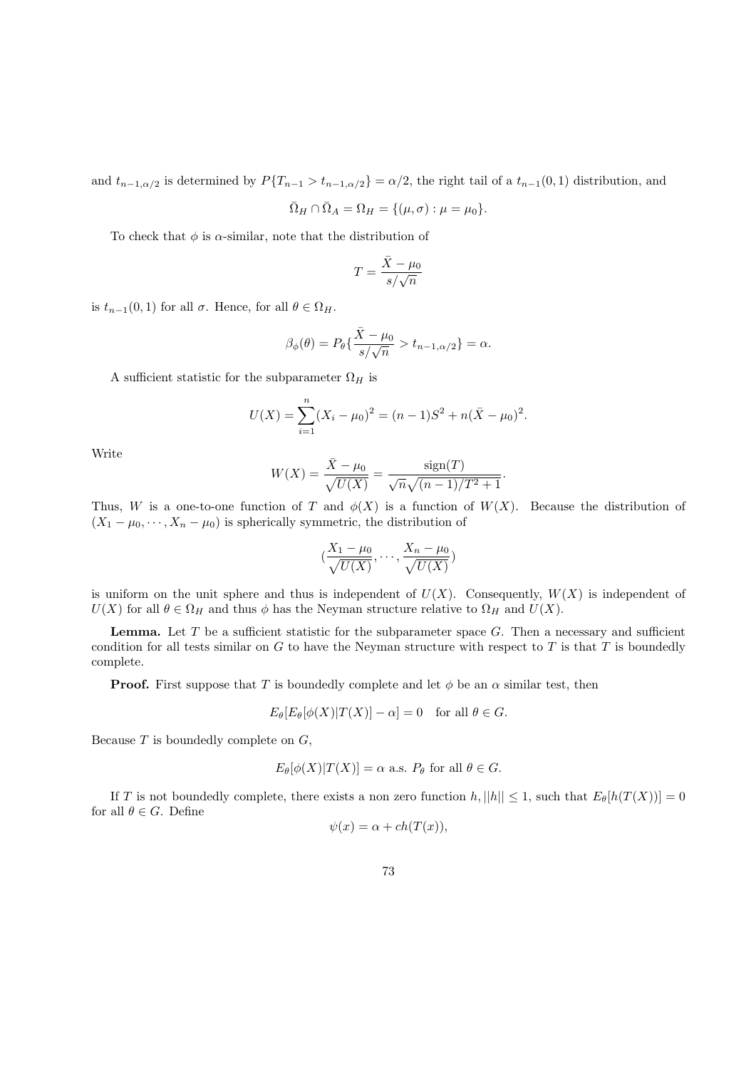and  $t_{n-1,\alpha/2}$  is determined by  $P\{T_{n-1} > t_{n-1,\alpha/2}\} = \alpha/2$ , the right tail of a  $t_{n-1}(0,1)$  distribution, and

$$
\overline{\Omega}_H \cap \overline{\Omega}_A = \Omega_H = \{(\mu, \sigma) : \mu = \mu_0\}.
$$

To check that  $\phi$  is  $\alpha$ -similar, note that the distribution of

$$
T=\frac{\bar{X}-\mu_0}{s/\sqrt{n}}
$$

is  $t_{n-1}(0, 1)$  for all  $\sigma$ . Hence, for all  $\theta \in \Omega_H$ .

$$
\beta_{\phi}(\theta) = P_{\theta}\left\{\frac{\bar{X} - \mu_0}{s/\sqrt{n}} > t_{n-1,\alpha/2}\right\} = \alpha.
$$

A sufficient statistic for the subparameter  $\Omega_H$  is

$$
U(X) = \sum_{i=1}^{n} (X_i - \mu_0)^2 = (n-1)S^2 + n(\bar{X} - \mu_0)^2.
$$

Write

$$
W(X) = \frac{\bar{X} - \mu_0}{\sqrt{U(X)}} = \frac{\text{sign}(T)}{\sqrt{n}\sqrt{(n-1)/T^2 + 1}}.
$$

Thus, W is a one-to-one function of T and  $\phi(X)$  is a function of  $W(X)$ . Because the distribution of  $(X_1 - \mu_0, \dots, X_n - \mu_0)$  is spherically symmetric, the distribution of

$$
\left(\frac{X_1 - \mu_0}{\sqrt{U(X)}}, \dots, \frac{X_n - \mu_0}{\sqrt{U(X)}}\right)
$$

is uniform on the unit sphere and thus is independent of  $U(X)$ . Consequently,  $W(X)$  is independent of  $U(X)$  for all  $\theta \in \Omega_H$  and thus  $\phi$  has the Neyman structure relative to  $\Omega_H$  and  $U(X)$ .

**Lemma.** Let  $T$  be a sufficient statistic for the subparameter space  $G$ . Then a necessary and sufficient condition for all tests similar on  $G$  to have the Neyman structure with respect to  $T$  is that  $T$  is boundedly complete.

**Proof.** First suppose that T is boundedly complete and let  $\phi$  be an  $\alpha$  similar test, then

$$
E_{\theta}[E_{\theta}[\phi(X)|T(X)] - \alpha] = 0 \text{ for all } \theta \in G.
$$

Because  $T$  is boundedly complete on  $G$ ,

$$
E_{\theta}[\phi(X)|T(X)] = \alpha \text{ a.s. } P_{\theta} \text{ for all } \theta \in G.
$$

If T is not boundedly complete, there exists a non zero function  $h$ ,  $||h|| \leq 1$ , such that  $E_{\theta}[h(T(X))] = 0$ for all  $\theta \in G$ . Define

$$
\psi(x) = \alpha + ch(T(x)),
$$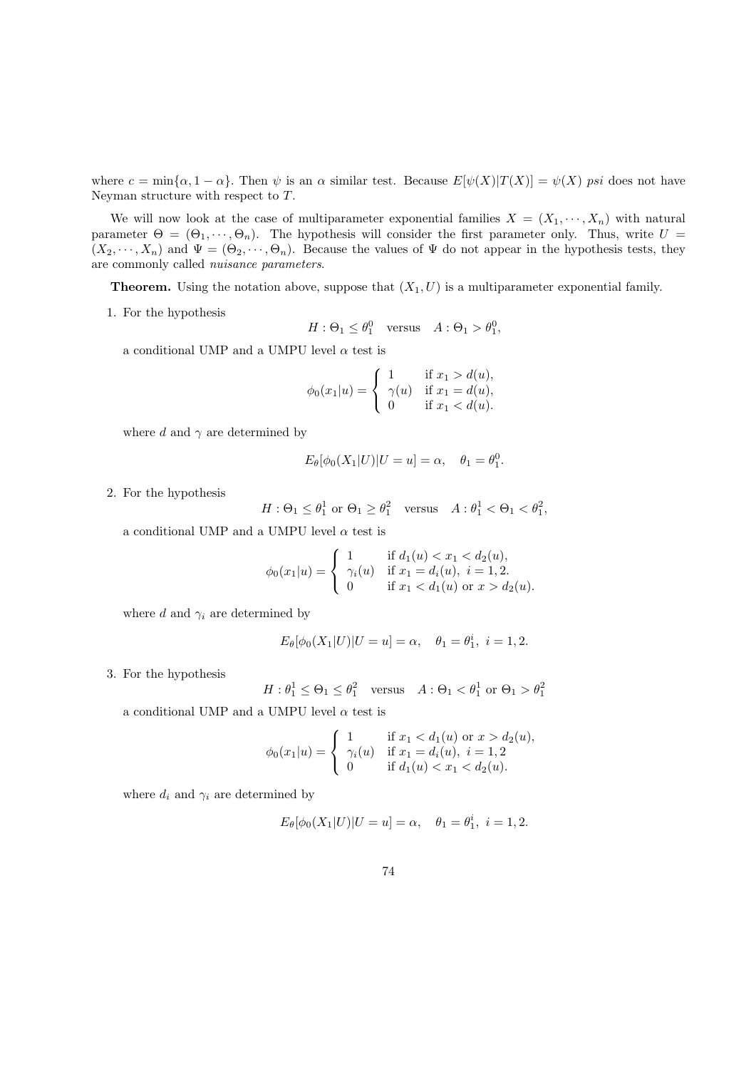where  $c = \min{\{\alpha, 1 - \alpha\}}$ . Then  $\psi$  is an  $\alpha$  similar test. Because  $E[\psi(X)|T(X)] = \psi(X)$  psi does not have Neyman structure with respect to T.

We will now look at the case of multiparameter exponential families  $X = (X_1, \dots, X_n)$  with natural parameter  $\Theta = (\Theta_1, \dots, \Theta_n)$ . The hypothesis will consider the first parameter only. Thus, write  $U =$  $(X_2, \dots, X_n)$  and  $\Psi = (\Theta_2, \dots, \Theta_n)$ . Because the values of  $\Psi$  do not appear in the hypothesis tests, they are commonly called nuisance parameters.

**Theorem.** Using the notation above, suppose that  $(X_1, U)$  is a multiparameter exponential family.

1. For the hypothesis

$$
H: \Theta_1 \le \theta_1^0 \quad \text{versus} \quad A: \Theta_1 > \theta_1^0,
$$

a conditional UMP and a UMPU level  $\alpha$  test is

$$
\phi_0(x_1|u) = \begin{cases} 1 & \text{if } x_1 > d(u), \\ \gamma(u) & \text{if } x_1 = d(u), \\ 0 & \text{if } x_1 < d(u). \end{cases}
$$

where d and  $\gamma$  are determined by

$$
E_{\theta}[\phi_0(X_1|U)|U=u] = \alpha, \quad \theta_1 = \theta_1^0.
$$

2. For the hypothesis

$$
H: \Theta_1 \le \theta_1^1 \text{ or } \Theta_1 \ge \theta_1^2 \quad \text{versus} \quad A: \theta_1^1 < \Theta_1 < \theta_1^2,
$$

a conditional UMP and a UMPU level  $\alpha$  test is

$$
\phi_0(x_1|u) = \begin{cases} 1 & \text{if } d_1(u) < x_1 < d_2(u), \\ \gamma_i(u) & \text{if } x_1 = d_i(u), \ i = 1, 2, \\ 0 & \text{if } x_1 < d_1(u) \text{ or } x > d_2(u). \end{cases}
$$

where d and  $\gamma_i$  are determined by

$$
E_{\theta}[\phi_0(X_1|U)|U=u] = \alpha, \quad \theta_1 = \theta_1^i, \ i = 1, 2.
$$

3. For the hypothesis

$$
H: \theta_1^1 \le \Theta_1 \le \theta_1^2 \quad \text{versus} \quad A: \Theta_1 < \theta_1^1 \text{ or } \Theta_1 > \theta_1^2
$$

a conditional UMP and a UMPU level  $\alpha$  test is

$$
\phi_0(x_1|u) = \begin{cases} 1 & \text{if } x_1 < d_1(u) \text{ or } x > d_2(u), \\ \gamma_i(u) & \text{if } x_1 = d_i(u), \ i = 1, 2 \\ 0 & \text{if } d_1(u) < x_1 < d_2(u). \end{cases}
$$

where  $d_i$  and  $\gamma_i$  are determined by

$$
E_{\theta}[\phi_0(X_1|U)|U=u] = \alpha, \quad \theta_1 = \theta_1^i, \ i = 1, 2.
$$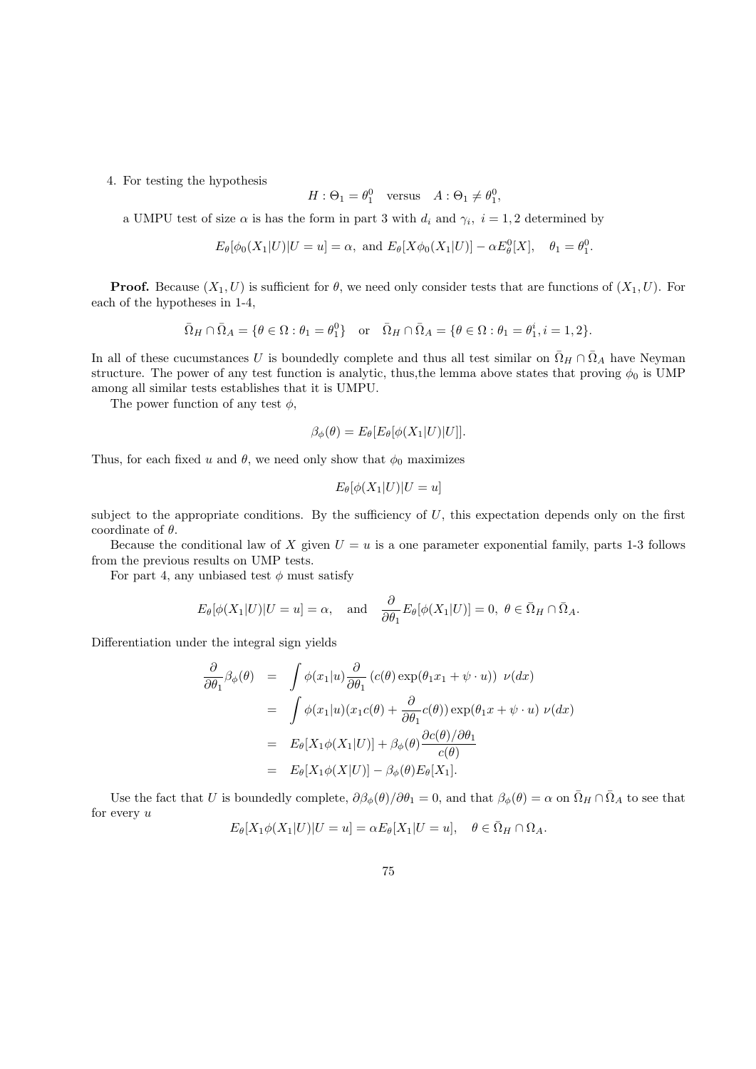4. For testing the hypothesis

$$
H: \Theta_1 = \theta_1^0 \quad \text{versus} \quad A: \Theta_1 \neq \theta_1^0,
$$

a UMPU test of size  $\alpha$  is has the form in part 3 with  $d_i$  and  $\gamma_i$ ,  $i = 1, 2$  determined by

$$
E_{\theta}[\phi_0(X_1|U)|U=u] = \alpha, \text{ and } E_{\theta}[X\phi_0(X_1|U)] - \alpha E_{\theta}^0[X], \quad \theta_1 = \theta_1^0.
$$

**Proof.** Because  $(X_1, U)$  is sufficient for  $\theta$ , we need only consider tests that are functions of  $(X_1, U)$ . For each of the hypotheses in 1-4,

$$
\bar{\Omega}_{H}\cap \bar{\Omega}_{A}=\{\theta\in \Omega: \theta_{1}=\theta_{1}^{0}\}\quad \text{or}\quad \bar{\Omega}_{H}\cap \bar{\Omega}_{A}=\{\theta\in \Omega: \theta_{1}=\theta_{1}^{i}, i=1,2\}.
$$

In all of these cucumstances U is boundedly complete and thus all test similar on  $\bar{\Omega}_H \cap \bar{\Omega}_A$  have Neyman structure. The power of any test function is analytic, thus, the lemma above states that proving  $\phi_0$  is UMP among all similar tests establishes that it is UMPU.

The power function of any test  $\phi$ ,

$$
\beta_{\phi}(\theta) = E_{\theta}[E_{\theta}[\phi(X_1|U)|U]].
$$

Thus, for each fixed u and  $\theta$ , we need only show that  $\phi_0$  maximizes

$$
E_{\theta}[\phi(X_1|U)|U=u]
$$

subject to the appropriate conditions. By the sufficiency of  $U$ , this expectation depends only on the first coordinate of  $\theta$ .

Because the conditional law of X given  $U = u$  is a one parameter exponential family, parts 1-3 follows from the previous results on UMP tests.

For part 4, any unbiased test  $\phi$  must satisfy

$$
E_{\theta}[\phi(X_1|U)|U=u] = \alpha
$$
, and  $\frac{\partial}{\partial \theta_1} E_{\theta}[\phi(X_1|U)] = 0$ ,  $\theta \in \bar{\Omega}_H \cap \bar{\Omega}_A$ .

Differentiation under the integral sign yields

$$
\frac{\partial}{\partial \theta_1} \beta_{\phi}(\theta) = \int \phi(x_1|u) \frac{\partial}{\partial \theta_1} (c(\theta) \exp(\theta_1 x_1 + \psi \cdot u)) \nu(dx)
$$
  
\n
$$
= \int \phi(x_1|u) (x_1 c(\theta) + \frac{\partial}{\partial \theta_1} c(\theta)) \exp(\theta_1 x + \psi \cdot u) \nu(dx)
$$
  
\n
$$
= E_{\theta}[X_1 \phi(X_1|U)] + \beta_{\phi}(\theta) \frac{\partial c(\theta)/\partial \theta_1}{c(\theta)}
$$
  
\n
$$
= E_{\theta}[X_1 \phi(X|U)] - \beta_{\phi}(\theta) E_{\theta}[X_1].
$$

Use the fact that U is boundedly complete,  $\partial \beta_{\phi}(\theta)/\partial \theta_1 = 0$ , and that  $\beta_{\phi}(\theta) = \alpha$  on  $\overline{\Omega}_H \cap \overline{\Omega}_A$  to see that for every  $u$ 

$$
E_{\theta}[X_1\phi(X_1|U)|U=u] = \alpha E_{\theta}[X_1|U=u], \quad \theta \in \overline{\Omega}_H \cap \Omega_A.
$$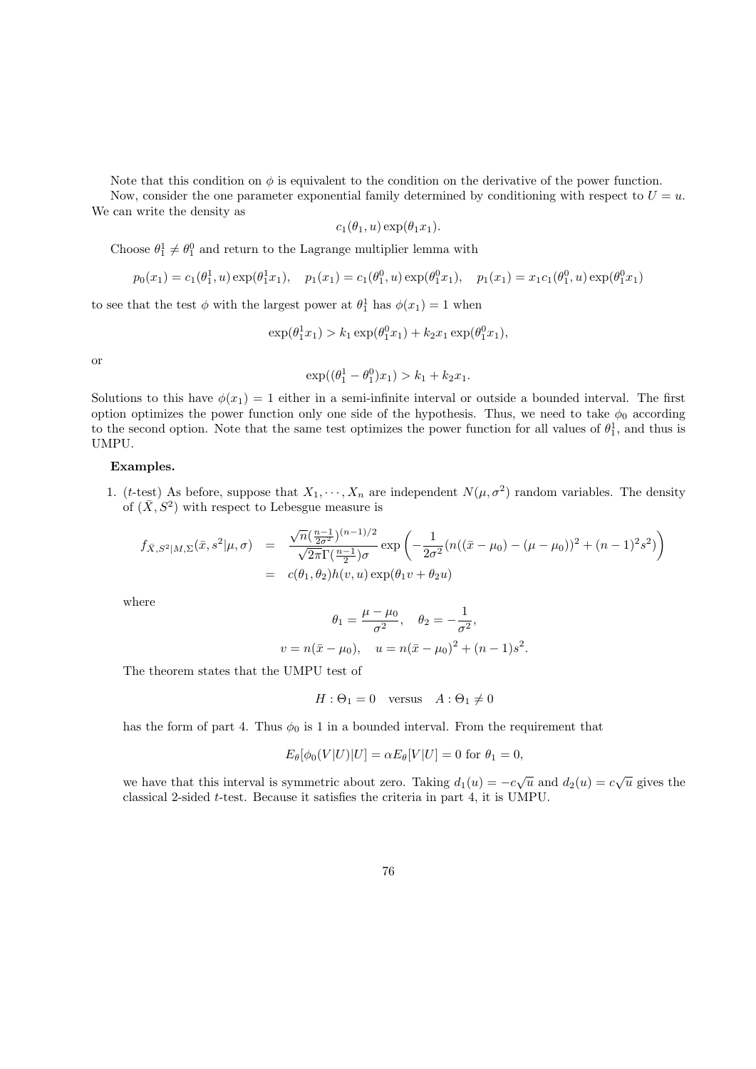Note that this condition on  $\phi$  is equivalent to the condition on the derivative of the power function.

Now, consider the one parameter exponential family determined by conditioning with respect to  $U = u$ . We can write the density as

$$
c_1(\theta_1, u) \exp(\theta_1 x_1).
$$

Choose  $\theta_1^1 \neq \theta_1^0$  and return to the Lagrange multiplier lemma with

$$
p_0(x_1) = c_1(\theta_1^1, u) \exp(\theta_1^1 x_1), \quad p_1(x_1) = c_1(\theta_1^0, u) \exp(\theta_1^0 x_1), \quad p_1(x_1) = x_1 c_1(\theta_1^0, u) \exp(\theta_1^0 x_1)
$$

to see that the test  $\phi$  with the largest power at  $\theta_1^1$  has  $\phi(x_1) = 1$  when

$$
\exp(\theta_1^1 x_1) > k_1 \exp(\theta_1^0 x_1) + k_2 x_1 \exp(\theta_1^0 x_1),
$$

or

$$
\exp((\theta_1^1 - \theta_1^0)x_1) > k_1 + k_2x_1.
$$

Solutions to this have  $\phi(x_1) = 1$  either in a semi-infinite interval or outside a bounded interval. The first option optimizes the power function only one side of the hypothesis. Thus, we need to take  $\phi_0$  according to the second option. Note that the same test optimizes the power function for all values of  $\theta_1^1$ , and thus is UMPU.

#### Examples.

1. (t-test) As before, suppose that  $X_1, \dots, X_n$  are independent  $N(\mu, \sigma^2)$  random variables. The density of  $(\bar{X}, S^2)$  with respect to Lebesgue measure is

$$
f_{\bar{X},S^2|M,\Sigma}(\bar{x},s^2|\mu,\sigma) = \frac{\sqrt{n}(\frac{n-1}{2\sigma^2})^{(n-1)/2}}{\sqrt{2\pi}\Gamma(\frac{n-1}{2})\sigma} \exp\left(-\frac{1}{2\sigma^2}(n((\bar{x}-\mu_0)-(\mu-\mu_0))^2+(n-1)^2s^2)\right)
$$
  
=  $c(\theta_1,\theta_2)h(v,u)\exp(\theta_1v+\theta_2u)$ 

where

$$
\theta_1 = \frac{\mu - \mu_0}{\sigma^2}, \quad \theta_2 = -\frac{1}{\sigma^2},
$$
  

$$
v = n(\bar{x} - \mu_0), \quad u = n(\bar{x} - \mu_0)^2 + (n - 1)s^2.
$$

The theorem states that the UMPU test of

$$
H: \Theta_1 = 0 \quad \text{versus} \quad A: \Theta_1 \neq 0
$$

has the form of part 4. Thus  $\phi_0$  is 1 in a bounded interval. From the requirement that

$$
E_{\theta}[\phi_0(V|U)|U] = \alpha E_{\theta}[V|U] = 0 \text{ for } \theta_1 = 0,
$$

we have that this interval is symmetric about zero. Taking  $d_1(u) = -c\sqrt{u}$  and  $d_2(u) = c\sqrt{u}$  gives the classical 2-sided t-test. Because it satisfies the criteria in part 4, it is UMPU.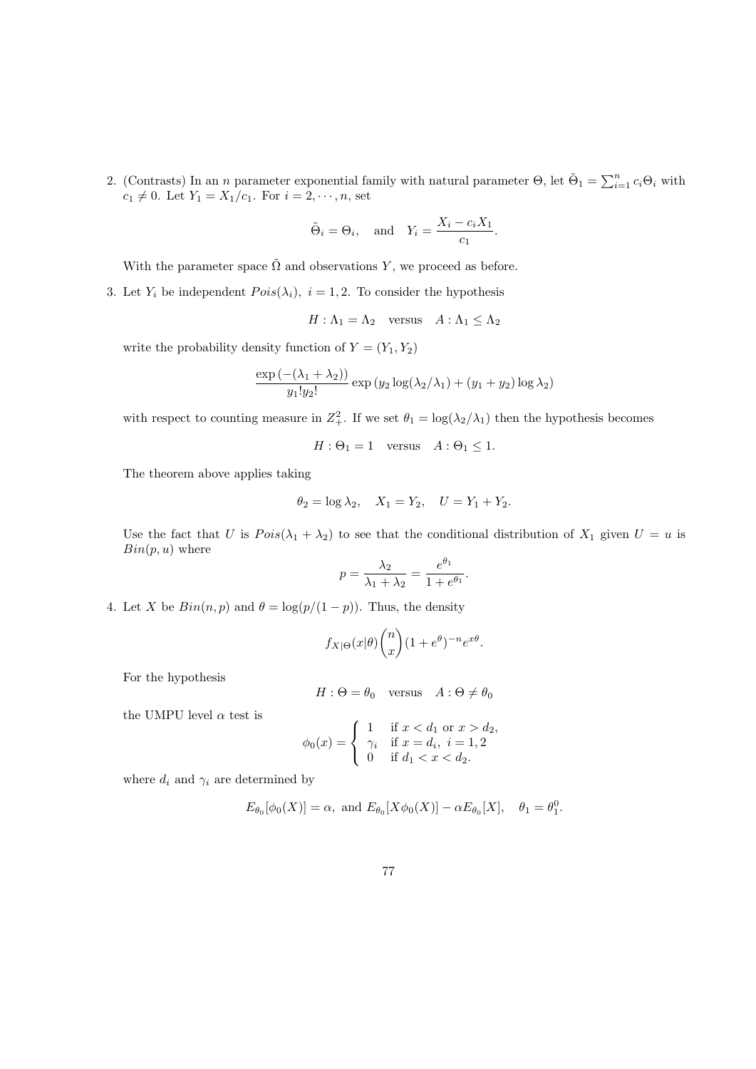2. (Contrasts) In an *n* parameter exponential family with natural parameter  $\Theta$ , let  $\tilde{\Theta}_1 = \sum_{i=1}^n c_i \Theta_i$  with  $c_1 \neq 0$ . Let  $Y_1 = X_1/c_1$ . For  $i = 2, \dots, n$ , set

$$
\tilde{\Theta}_i = \Theta_i
$$
, and  $Y_i = \frac{X_i - c_i X_1}{c_1}$ .

With the parameter space  $\tilde{\Omega}$  and observations Y, we proceed as before.

3. Let  $Y_i$  be independent  $Pois(\lambda_i)$ ,  $i = 1, 2$ . To consider the hypothesis

$$
H: \Lambda_1 = \Lambda_2 \quad \text{versus} \quad A: \Lambda_1 \le \Lambda_2
$$

write the probability density function of  $Y = (Y_1, Y_2)$ 

$$
\frac{\exp\left(-(\lambda_1 + \lambda_2)\right)}{y_1! y_2!} \exp\left(y_2 \log(\lambda_2/\lambda_1) + (y_1 + y_2) \log \lambda_2\right)
$$

with respect to counting measure in  $Z_+^2$ . If we set  $\theta_1 = \log(\lambda_2/\lambda_1)$  then the hypothesis becomes

$$
H: \Theta_1 = 1 \quad \text{versus} \quad A: \Theta_1 \le 1.
$$

The theorem above applies taking

$$
\theta_2 = \log \lambda_2
$$
,  $X_1 = Y_2$ ,  $U = Y_1 + Y_2$ .

Use the fact that U is  $Pois(\lambda_1 + \lambda_2)$  to see that the conditional distribution of  $X_1$  given  $U = u$  is  $Bin(p, u)$  where

$$
p = \frac{\lambda_2}{\lambda_1 + \lambda_2} = \frac{e^{\theta_1}}{1 + e^{\theta_1}}
$$

.

4. Let X be  $Bin(n, p)$  and  $\theta = \log(p/(1-p))$ . Thus, the density

$$
f_{X|\Theta}(x|\theta)\binom{n}{x}(1+e^{\theta})^{-n}e^{x\theta}.
$$

For the hypothesis

$$
H: \Theta = \theta_0 \quad \text{versus} \quad A: \Theta \neq \theta_0
$$

the UMPU level  $\alpha$  test is

$$
\phi_0(x) = \begin{cases} 1 & \text{if } x < d_1 \text{ or } x > d_2, \\ \gamma_i & \text{if } x = d_i, \ i = 1, 2 \\ 0 & \text{if } d_1 < x < d_2. \end{cases}
$$

where  $d_i$  and  $\gamma_i$  are determined by

$$
E_{\theta_0}[\phi_0(X)] = \alpha
$$
, and  $E_{\theta_0}[X\phi_0(X)] - \alpha E_{\theta_0}[X]$ ,  $\theta_1 = \theta_1^0$ .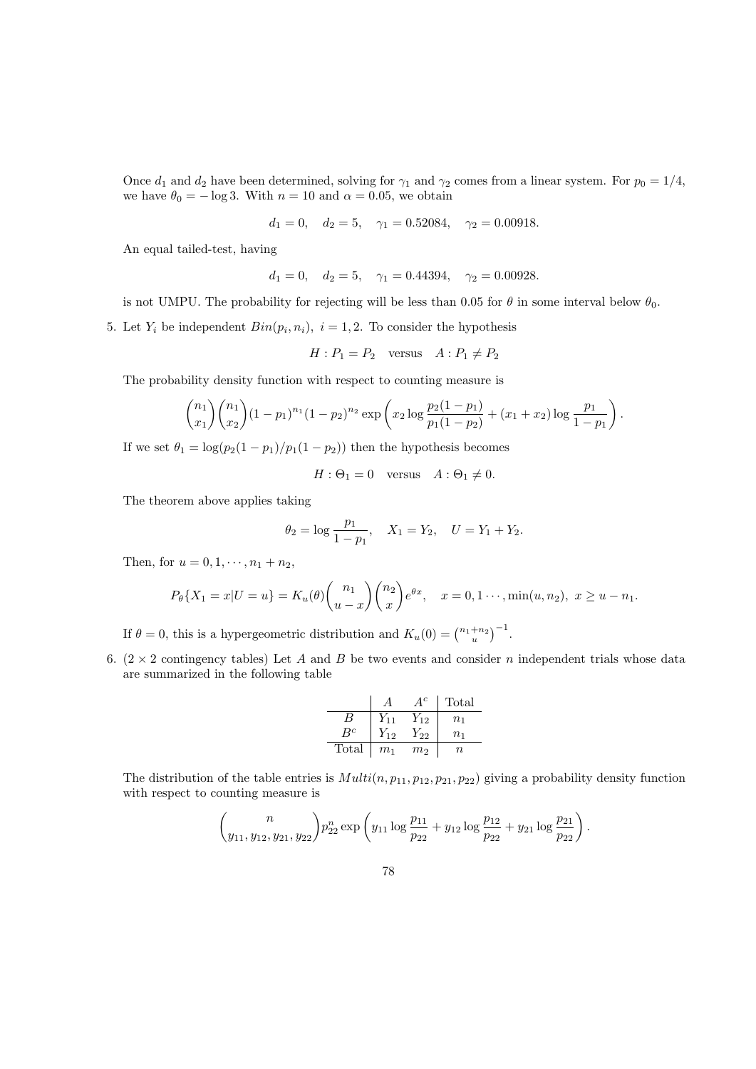Once  $d_1$  and  $d_2$  have been determined, solving for  $\gamma_1$  and  $\gamma_2$  comes from a linear system. For  $p_0 = 1/4$ , we have  $\theta_0 = -\log 3$ . With  $n = 10$  and  $\alpha = 0.05$ , we obtain

 $d_1 = 0$ ,  $d_2 = 5$ ,  $\gamma_1 = 0.52084$ ,  $\gamma_2 = 0.00918$ .

An equal tailed-test, having

$$
d_1 = 0
$$
,  $d_2 = 5$ ,  $\gamma_1 = 0.44394$ ,  $\gamma_2 = 0.00928$ .

is not UMPU. The probability for rejecting will be less than 0.05 for  $\theta$  in some interval below  $\theta_0$ .

5. Let  $Y_i$  be independent  $Bin(p_i, n_i)$ ,  $i = 1, 2$ . To consider the hypothesis

$$
H: P_1 = P_2 \quad \text{versus} \quad A: P_1 \neq P_2
$$

The probability density function with respect to counting measure is

$$
\binom{n_1}{x_1}\binom{n_1}{x_2}(1-p_1)^{n_1}(1-p_2)^{n_2}\exp\left(x_2\log\frac{p_2(1-p_1)}{p_1(1-p_2)}+(x_1+x_2)\log\frac{p_1}{1-p_1}\right).
$$

If we set  $\theta_1 = \log(p_2(1-p_1)/p_1(1-p_2))$  then the hypothesis becomes

 $H: \Theta_1 = 0$  versus  $A: \Theta_1 \neq 0$ .

The theorem above applies taking

$$
\theta_2 = \log \frac{p_1}{1 - p_1}
$$
,  $X_1 = Y_2$ ,  $U = Y_1 + Y_2$ .

Then, for  $u = 0, 1, \dots, n_1 + n_2$ ,

$$
P_{\theta}\{X_1 = x|U = u\} = K_u(\theta)\binom{n_1}{u-x}\binom{n_2}{x}e^{\theta x}, \quad x = 0, 1 \cdots, \min(u, n_2), \ x \ge u - n_1.
$$

If  $\theta = 0$ , this is a hypergeometric distribution and  $K_u(0) = \binom{n_1+n_2}{u}^{-1}$ .

6.  $(2 \times 2$  contingency tables) Let A and B be two events and consider n independent trials whose data are summarized in the following table

|       |                | 1 C            | Total          |
|-------|----------------|----------------|----------------|
| В     | $Y_{11}$       | $Y_{12}$       | n <sub>1</sub> |
| $R^c$ | $Y_{12}$       | $Y_{22}$       | $n_{1}$        |
| Total | m <sub>1</sub> | m <sub>2</sub> | $\,n$          |

The distribution of the table entries is  $Multi(n, p_{11}, p_{12}, p_{21}, p_{22})$  giving a probability density function with respect to counting measure is

$$
\binom{n}{y_{11}, y_{12}, y_{21}, y_{22}} p_{22}^n \exp\left(y_{11} \log \frac{p_{11}}{p_{22}} + y_{12} \log \frac{p_{12}}{p_{22}} + y_{21} \log \frac{p_{21}}{p_{22}}\right).
$$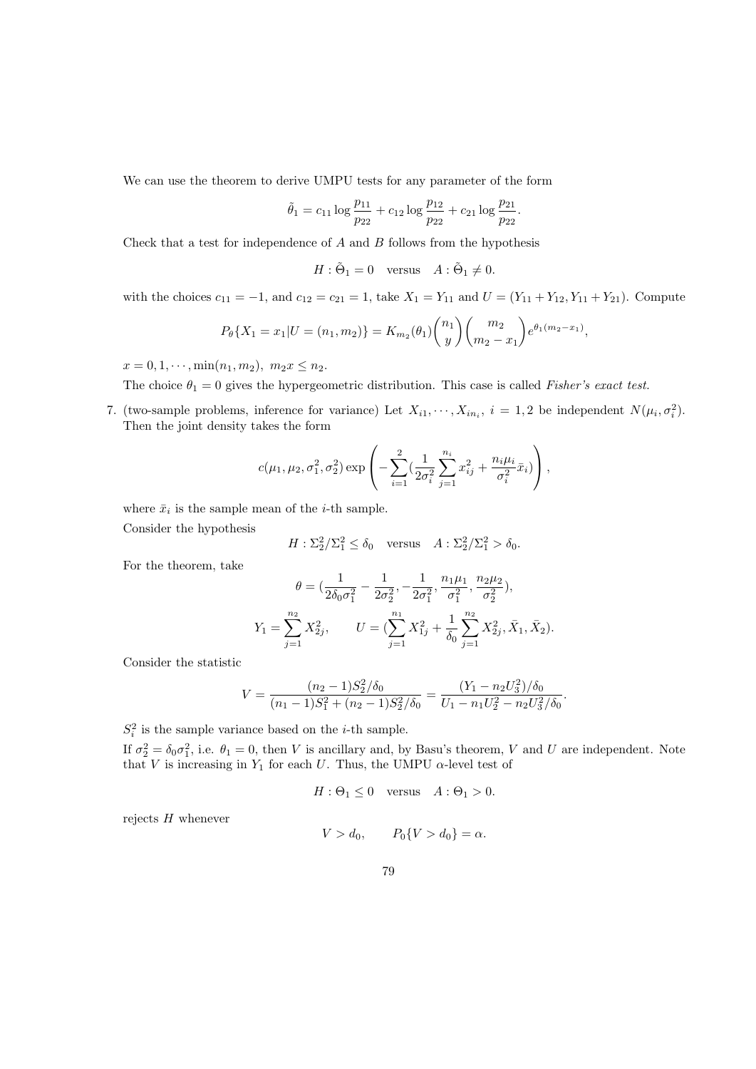We can use the theorem to derive UMPU tests for any parameter of the form

$$
\tilde{\theta}_1 = c_{11} \log \frac{p_{11}}{p_{22}} + c_{12} \log \frac{p_{12}}{p_{22}} + c_{21} \log \frac{p_{21}}{p_{22}}.
$$

Check that a test for independence of  $A$  and  $B$  follows from the hypothesis

$$
H: \tilde{\Theta}_1 = 0 \quad \text{versus} \quad A: \tilde{\Theta}_1 \neq 0.
$$

with the choices  $c_{11} = -1$ , and  $c_{12} = c_{21} = 1$ , take  $X_1 = Y_{11}$  and  $U = (Y_{11} + Y_{12}, Y_{11} + Y_{21})$ . Compute

$$
P_{\theta}\lbrace X_1 = x_1 | U = (n_1, m_2) \rbrace = K_{m_2}(\theta_1) {n_1 \choose y} {m_2 \choose m_2 - x_1} e^{\theta_1(m_2 - x_1)},
$$

 $x = 0, 1, \dots, \min(n_1, m_2), m_2 x \leq n_2.$ 

The choice  $\theta_1 = 0$  gives the hypergeometric distribution. This case is called Fisher's exact test.

7. (two-sample problems, inference for variance) Let  $X_{i1}, \dots, X_{in_i}$ ,  $i = 1, 2$  be independent  $N(\mu_i, \sigma_i^2)$ . Then the joint density takes the form

$$
c(\mu_1, \mu_2, \sigma_1^2, \sigma_2^2) \exp\left(-\sum_{i=1}^2 \left(\frac{1}{2\sigma_i^2}\sum_{j=1}^{n_i} x_{ij}^2 + \frac{n_i\mu_i}{\sigma_i^2}\bar{x}_i\right)\right),\right.
$$

where  $\bar{x}_i$  is the sample mean of the *i*-th sample.

Consider the hypothesis

$$
H: \Sigma_2^2 / \Sigma_1^2 \le \delta_0 \quad \text{versus} \quad A: \Sigma_2^2 / \Sigma_1^2 > \delta_0.
$$

For the theorem, take

$$
\theta = \left( \frac{1}{2\delta_0 \sigma_1^2} - \frac{1}{2\sigma_2^2}, -\frac{1}{2\sigma_1^2}, \frac{n_1 \mu_1}{\sigma_1^2}, \frac{n_2 \mu_2}{\sigma_2^2} \right),
$$
  

$$
Y_1 = \sum_{j=1}^{n_2} X_{2j}^2, \qquad U = \left( \sum_{j=1}^{n_1} X_{1j}^2 + \frac{1}{\delta_0} \sum_{j=1}^{n_2} X_{2j}^2, \bar{X}_1, \bar{X}_2 \right).
$$

Consider the statistic

$$
V = \frac{(n_2 - 1)S_2^2/\delta_0}{(n_1 - 1)S_1^2 + (n_2 - 1)S_2^2/\delta_0} = \frac{(Y_1 - n_2 U_3^2)/\delta_0}{U_1 - n_1 U_2^2 - n_2 U_3^2/\delta_0}.
$$

 $S_i^2$  is the sample variance based on the *i*-th sample.

If  $\sigma_2^2 = \delta_0 \sigma_1^2$ , i.e.  $\theta_1 = 0$ , then V is ancillary and, by Basu's theorem, V and U are independent. Note that V is increasing in  $Y_1$  for each U. Thus, the UMPU  $\alpha$ -level test of

$$
H: \Theta_1 \le 0 \quad \text{versus} \quad A: \Theta_1 > 0.
$$

rejects  $H$  whenever

$$
V > d_0, \qquad P_0\{V > d_0\} = \alpha.
$$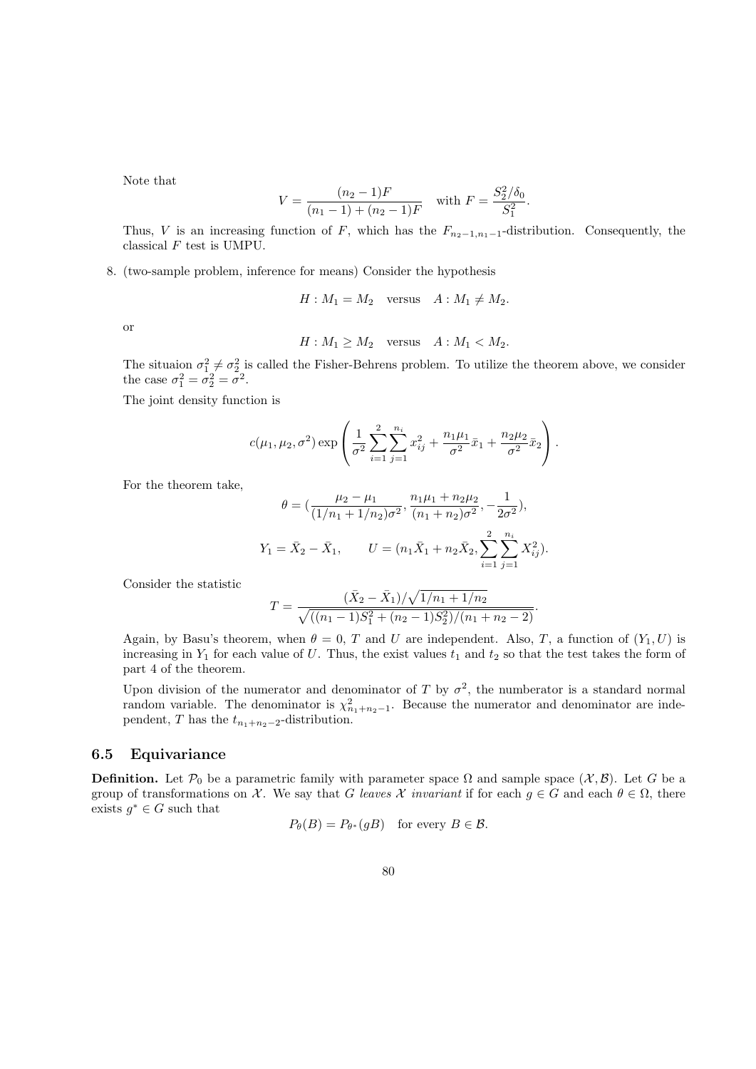Note that

$$
V = \frac{(n_2 - 1)F}{(n_1 - 1) + (n_2 - 1)F}
$$
 with  $F = \frac{S_2^2/\delta_0}{S_1^2}$ .

Thus, V is an increasing function of F, which has the  $F_{n_2-1,n_1-1}$ -distribution. Consequently, the classical  $F$  test is UMPU.

8. (two-sample problem, inference for means) Consider the hypothesis

 $H : M_1 = M_2$  versus  $A : M_1 \neq M_2$ .

or

$$
H: M_1 \ge M_2 \quad \text{versus} \quad A: M_1 < M_2.
$$

The situaion  $\sigma_1^2 \neq \sigma_2^2$  is called the Fisher-Behrens problem. To utilize the theorem above, we consider the case  $\sigma_1^2 = \sigma_2^2 = \sigma^2$ .

The joint density function is

$$
c(\mu_1, \mu_2, \sigma^2) \exp\left(\frac{1}{\sigma^2} \sum_{i=1}^2 \sum_{j=1}^{n_i} x_{ij}^2 + \frac{n_1 \mu_1}{\sigma^2} \bar{x}_1 + \frac{n_2 \mu_2}{\sigma^2} \bar{x}_2\right).
$$

For the theorem take,

$$
\theta = \left( \frac{\mu_2 - \mu_1}{(1/n_1 + 1/n_2)\sigma^2}, \frac{n_1\mu_1 + n_2\mu_2}{(n_1 + n_2)\sigma^2}, -\frac{1}{2\sigma^2} \right),
$$
  

$$
Y_1 = \bar{X}_2 - \bar{X}_1, \qquad U = (n_1\bar{X}_1 + n_2\bar{X}_2, \sum_{i=1}^2 \sum_{j=1}^{n_i} X_{ij}^2).
$$

Consider the statistic

$$
T = \frac{(\bar{X}_2 - \bar{X}_1)/\sqrt{1/n_1 + 1/n_2}}{\sqrt{((n_1 - 1)S_1^2 + (n_2 - 1)S_2^2)/(n_1 + n_2 - 2)}}
$$

.

Again, by Basu's theorem, when  $\theta = 0$ , T and U are independent. Also, T, a function of  $(Y_1, U)$  is increasing in  $Y_1$  for each value of U. Thus, the exist values  $t_1$  and  $t_2$  so that the test takes the form of part 4 of the theorem.

Upon division of the numerator and denominator of T by  $\sigma^2$ , the numberator is a standard normal random variable. The denominator is  $\chi^2_{n_1+n_2-1}$ . Because the numerator and denominator are independent, T has the  $t_{n_1+n_2-2}$ -distribution.

### 6.5 Equivariance

**Definition.** Let  $\mathcal{P}_0$  be a parametric family with parameter space  $\Omega$  and sample space  $(\mathcal{X}, \mathcal{B})$ . Let G be a group of transformations on X. We say that G leaves X invariant if for each  $g \in G$  and each  $\theta \in \Omega$ , there exists  $g^* \in G$  such that

$$
P_{\theta}(B) = P_{\theta^*}(gB)
$$
 for every  $B \in \mathcal{B}$ .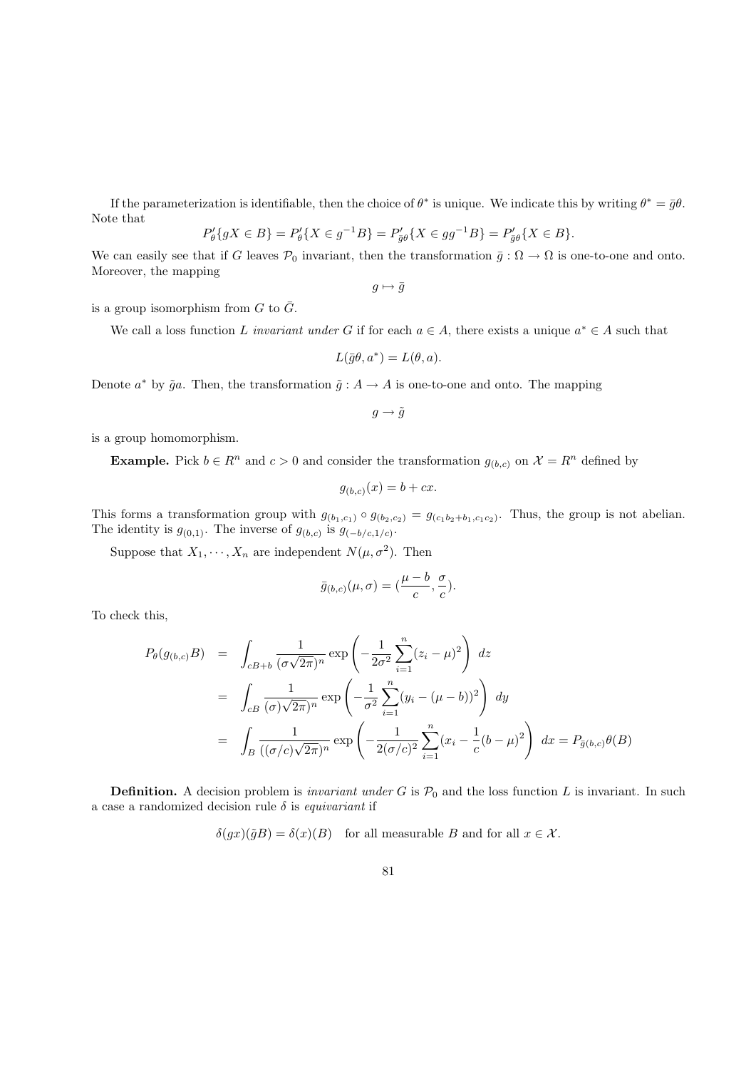If the parameterization is identifiable, then the choice of  $\theta^*$  is unique. We indicate this by writing  $\theta^* = \bar{g}\theta$ . Note that

$$
P'_{\theta}\{gX \in B\} = P'_{\theta}\{X \in g^{-1}B\} = P'_{\bar{g}\theta}\{X \in gg^{-1}B\} = P'_{\bar{g}\theta}\{X \in B\}.
$$

We can easily see that if G leaves  $\mathcal{P}_0$  invariant, then the transformation  $\bar{g} : \Omega \to \Omega$  is one-to-one and onto. Moreover, the mapping

 $g \mapsto \overline{g}$ 

is a group isomorphism from  $G$  to  $\overline{G}$ .

We call a loss function L invariant under G if for each  $a \in A$ , there exists a unique  $a^* \in A$  such that

$$
L(\bar{g}\theta, a^*) = L(\theta, a).
$$

Denote  $a^*$  by  $\tilde{g}a$ . Then, the transformation  $\tilde{g}: A \to A$  is one-to-one and onto. The mapping

 $g \rightarrow \tilde{g}$ 

is a group homomorphism.

**Example.** Pick  $b \in \mathbb{R}^n$  and  $c > 0$  and consider the transformation  $g_{(b,c)}$  on  $\mathcal{X} = \mathbb{R}^n$  defined by

$$
g_{(b,c)}(x) = b + cx.
$$

This forms a transformation group with  $g_{(b_1,c_1)} \circ g_{(b_2,c_2)} = g_{(c_1b_2+b_1,c_1c_2)}$ . Thus, the group is not abelian. The identity is  $g_{(0,1)}$ . The inverse of  $g_{(b,c)}$  is  $g_{(-b/c,1/c)}$ .

Suppose that  $X_1, \dots, X_n$  are independent  $N(\mu, \sigma^2)$ . Then

$$
\bar{g}_{(b,c)}(\mu,\sigma)=(\frac{\mu-b}{c},\frac{\sigma}{c}).
$$

To check this,

$$
P_{\theta}(g_{(b,c)}B) = \int_{cB+b} \frac{1}{(\sigma\sqrt{2\pi})^n} \exp\left(-\frac{1}{2\sigma^2} \sum_{i=1}^n (z_i - \mu)^2\right) dz
$$
  

$$
= \int_{cB} \frac{1}{(\sigma)\sqrt{2\pi})^n} \exp\left(-\frac{1}{\sigma^2} \sum_{i=1}^n (y_i - (\mu - b))^2\right) dy
$$
  

$$
= \int_B \frac{1}{((\sigma/c)\sqrt{2\pi})^n} \exp\left(-\frac{1}{2(\sigma/c)^2} \sum_{i=1}^n (x_i - \frac{1}{c}(b - \mu)^2)\right) dx = P_{\overline{g}(b,c)}\theta(B)
$$

**Definition.** A decision problem is *invariant under G* is  $\mathcal{P}_0$  and the loss function L is invariant. In such a case a randomized decision rule  $\delta$  is *equivariant* if

 $\delta(gx)(\tilde{g}B) = \delta(x)(B)$  for all measurable B and for all  $x \in \mathcal{X}$ .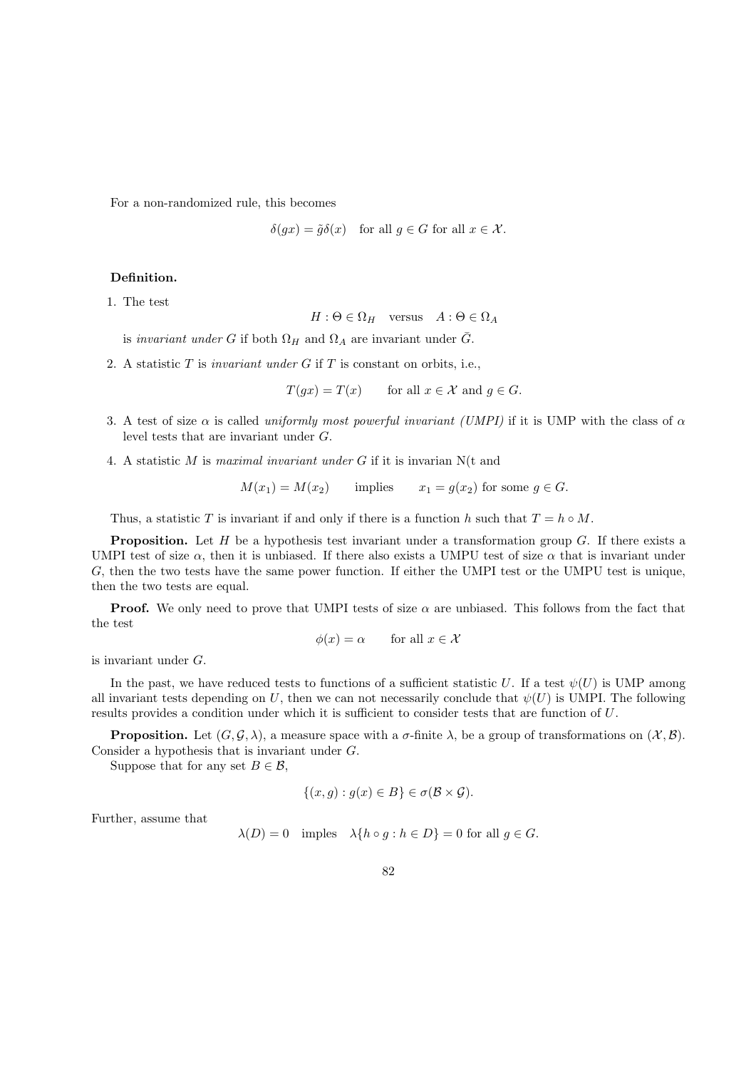For a non-randomized rule, this becomes

$$
\delta(gx) = \tilde{g}\delta(x) \quad \text{for all } g \in G \text{ for all } x \in \mathcal{X}.
$$

#### Definition.

1. The test

$$
H: \Theta \in \Omega_H \quad \text{versus} \quad A: \Theta \in \Omega_A
$$

is invariant under G if both  $\Omega_H$  and  $\Omega_A$  are invariant under  $\overline{G}$ .

2. A statistic  $T$  is *invariant under G* if  $T$  is constant on orbits, i.e.,

 $T(gx) = T(x)$  for all  $x \in \mathcal{X}$  and  $g \in G$ .

- 3. A test of size  $\alpha$  is called *uniformly most powerful invariant (UMPI)* if it is UMP with the class of  $\alpha$ level tests that are invariant under G.
- 4. A statistic M is maximal invariant under G if it is invarian N(t and

$$
M(x_1) = M(x_2)
$$
 implies  $x_1 = g(x_2)$  for some  $g \in G$ .

Thus, a statistic T is invariant if and only if there is a function h such that  $T = h \circ M$ .

**Proposition.** Let  $H$  be a hypothesis test invariant under a transformation group  $G$ . If there exists a UMPI test of size  $\alpha$ , then it is unbiased. If there also exists a UMPU test of size  $\alpha$  that is invariant under G, then the two tests have the same power function. If either the UMPI test or the UMPU test is unique, then the two tests are equal.

**Proof.** We only need to prove that UMPI tests of size  $\alpha$  are unbiased. This follows from the fact that the test

$$
\phi(x) = \alpha \qquad \text{for all } x \in \mathcal{X}
$$

is invariant under G.

In the past, we have reduced tests to functions of a sufficient statistic U. If a test  $\psi(U)$  is UMP among all invariant tests depending on U, then we can not necessarily conclude that  $\psi(U)$  is UMPI. The following results provides a condition under which it is sufficient to consider tests that are function of U.

**Proposition.** Let  $(G, \mathcal{G}, \lambda)$ , a measure space with a  $\sigma$ -finite  $\lambda$ , be a group of transformations on  $(\mathcal{X}, \mathcal{B})$ . Consider a hypothesis that is invariant under G.

Suppose that for any set  $B \in \mathcal{B}$ ,

$$
\{(x,g) : g(x) \in B\} \in \sigma(\mathcal{B} \times \mathcal{G}).
$$

Further, assume that

$$
\lambda(D) = 0 \quad \text{imples} \quad \lambda\{h \circ g : h \in D\} = 0 \text{ for all } g \in G.
$$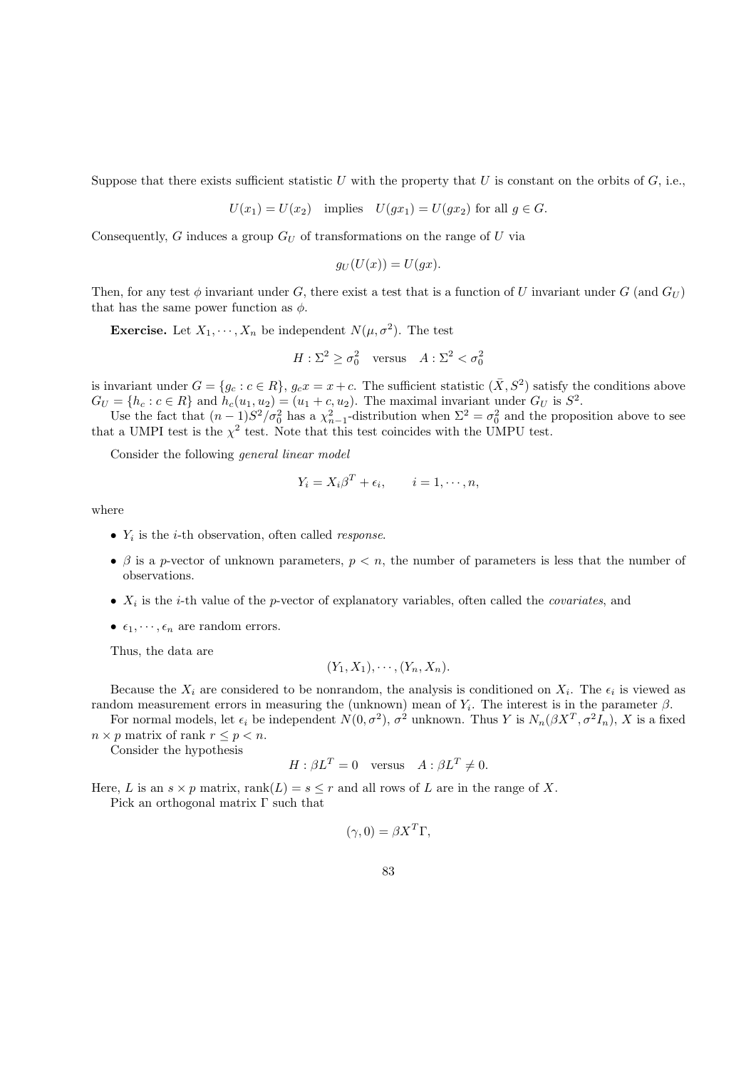Suppose that there exists sufficient statistic U with the property that U is constant on the orbits of  $G$ , i.e.,

$$
U(x_1) = U(x_2) \quad \text{implies} \quad U(gx_1) = U(gx_2) \text{ for all } g \in G.
$$

Consequently, G induces a group  $G_U$  of transformations on the range of U via

$$
g_U(U(x)) = U(gx).
$$

Then, for any test  $\phi$  invariant under G, there exist a test that is a function of U invariant under G (and  $G_U$ ) that has the same power function as  $\phi$ .

**Exercise.** Let  $X_1, \dots, X_n$  be independent  $N(\mu, \sigma^2)$ . The test

$$
H: \Sigma^2 \ge \sigma_0^2 \quad \text{versus} \quad A: \Sigma^2 < \sigma_0^2
$$

is invariant under  $G = \{g_c : c \in R\}$ ,  $g_c x = x + c$ . The sufficient statistic  $(\bar{X}, S^2)$  satisfy the conditions above  $G_U = \{h_c : c \in R\}$  and  $h_c(u_1, u_2) = (u_1 + c, u_2)$ . The maximal invariant under  $G_U$  is  $S^2$ .

Use the fact that  $(n-1)S^2/\sigma_0^2$  has a  $\chi_{n-1}^2$ -distribution when  $\Sigma^2 = \sigma_0^2$  and the proposition above to see that a UMPI test is the  $\chi^2$  test. Note that this test coincides with the UMPU test.

Consider the following general linear model

$$
Y_i = X_i \beta^T + \epsilon_i, \qquad i = 1, \cdots, n,
$$

where

- $Y_i$  is the *i*-th observation, often called *response*.
- $\beta$  is a p-vector of unknown parameters,  $p < n$ , the number of parameters is less that the number of observations.
- $X_i$  is the *i*-th value of the *p*-vector of explanatory variables, often called the *covariates*, and
- $\epsilon_1, \cdots, \epsilon_n$  are random errors.

Thus, the data are

$$
(Y_1,X_1),\cdots,(Y_n,X_n).
$$

Because the  $X_i$  are considered to be nonrandom, the analysis is conditioned on  $X_i$ . The  $\epsilon_i$  is viewed as random measurement errors in measuring the (unknown) mean of  $Y_i$ . The interest is in the parameter  $\beta$ .

For normal models, let  $\epsilon_i$  be independent  $N(0, \sigma^2)$ ,  $\sigma^2$  unknown. Thus Y is  $N_n(\beta X^T, \sigma^2 I_n)$ , X is a fixed  $n \times p$  matrix of rank  $r \leq p < n$ .

Consider the hypothesis

$$
H: \beta L^T = 0 \quad \text{versus} \quad A: \beta L^T \neq 0.
$$

Here, L is an  $s \times p$  matrix, rank $(L) = s \leq r$  and all rows of L are in the range of X.

Pick an orthogonal matrix  $\Gamma$  such that

$$
(\gamma, 0) = \beta X^T \Gamma,
$$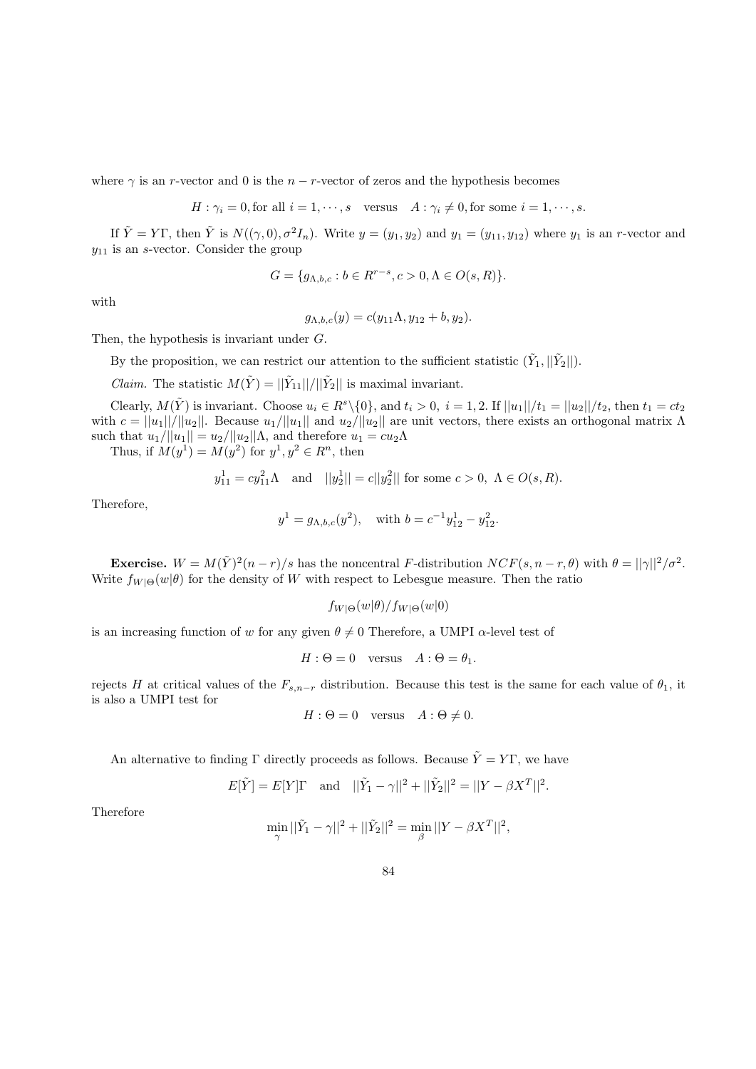where  $\gamma$  is an r-vector and 0 is the  $n - r$ -vector of zeros and the hypothesis becomes

$$
H: \gamma_i = 0, \text{for all } i = 1, \cdots, s \quad \text{versus} \quad A: \gamma_i \neq 0, \text{for some } i = 1, \cdots, s.
$$

If  $\tilde{Y} = Y\Gamma$ , then  $\tilde{Y}$  is  $N((\gamma, 0), \sigma^2 I_n)$ . Write  $y = (y_1, y_2)$  and  $y_1 = (y_{11}, y_{12})$  where  $y_1$  is an r-vector and  $y_{11}$  is an s-vector. Consider the group

$$
G = \{g_{\Lambda,b,c} : b \in R^{r-s}, c > 0, \Lambda \in O(s, R)\}.
$$

with

$$
g_{\Lambda,b,c}(y) = c(y_{11}\Lambda, y_{12} + b, y_2).
$$

Then, the hypothesis is invariant under G.

By the proposition, we can restrict our attention to the sufficient statistic  $(\tilde{Y}_1, ||\tilde{Y}_2||)$ .

*Claim.* The statistic  $M(\tilde{Y}) = ||\tilde{Y}_{11}||/||\tilde{Y}_{2}||$  is maximal invariant.

Clearly,  $M(\tilde{Y})$  is invariant. Choose  $u_i \in R^s \setminus \{0\}$ , and  $t_i > 0$ ,  $i = 1, 2$ . If  $||u_1||/t_1 = ||u_2||/t_2$ , then  $t_1 = ct_2$ with  $c = ||u_1||/||u_2||$ . Because  $u_1/||u_1||$  and  $u_2/||u_2||$  are unit vectors, there exists an orthogonal matrix  $\Lambda$ such that  $u_1/||u_1|| = u_2/||u_2||\Lambda$ , and therefore  $u_1 = cu_2\Lambda$ 

Thus, if  $M(y^1) = M(y^2)$  for  $y^1, y^2 \in R^n$ , then

$$
y_{11}^1 = cy_{11}^2 \Lambda
$$
 and  $||y_2^1|| = c||y_2^2||$  for some  $c > 0$ ,  $\Lambda \in O(s, R)$ .

Therefore,

$$
y^1 = g_{\Lambda,b,c}(y^2)
$$
, with  $b = c^{-1}y_{12}^1 - y_{12}^2$ .

**Exercise.**  $W = M(\tilde{Y})^2(n-r)/s$  has the noncentral F-distribution  $NCF(s, n-r, \theta)$  with  $\theta = ||\gamma||^2/\sigma^2$ . Write  $f_{W|\Theta}(w|\theta)$  for the density of W with respect to Lebesgue measure. Then the ratio

$$
f_{W|\Theta}(w|\theta)/f_{W|\Theta}(w|0)
$$

is an increasing function of w for any given  $\theta \neq 0$  Therefore, a UMPI  $\alpha$ -level test of

$$
H: \Theta = 0 \quad \text{versus} \quad A: \Theta = \theta_1.
$$

rejects H at critical values of the  $F_{s,n-r}$  distribution. Because this test is the same for each value of  $\theta_1$ , it is also a UMPI test for

$$
H: \Theta = 0 \quad \text{versus} \quad A: \Theta \neq 0.
$$

An alternative to finding Γ directly proceeds as follows. Because  $\tilde{Y} = Y\Gamma$ , we have

$$
E[\tilde{Y}] = E[Y]\Gamma \text{ and } ||\tilde{Y}_1 - \gamma||^2 + ||\tilde{Y}_2||^2 = ||Y - \beta X^T||^2.
$$

Therefore

$$
\min_{\gamma} ||\tilde{Y}_1-\gamma||^2+||\tilde{Y}_2||^2=\min_{\beta} ||Y-\beta X^T||^2,
$$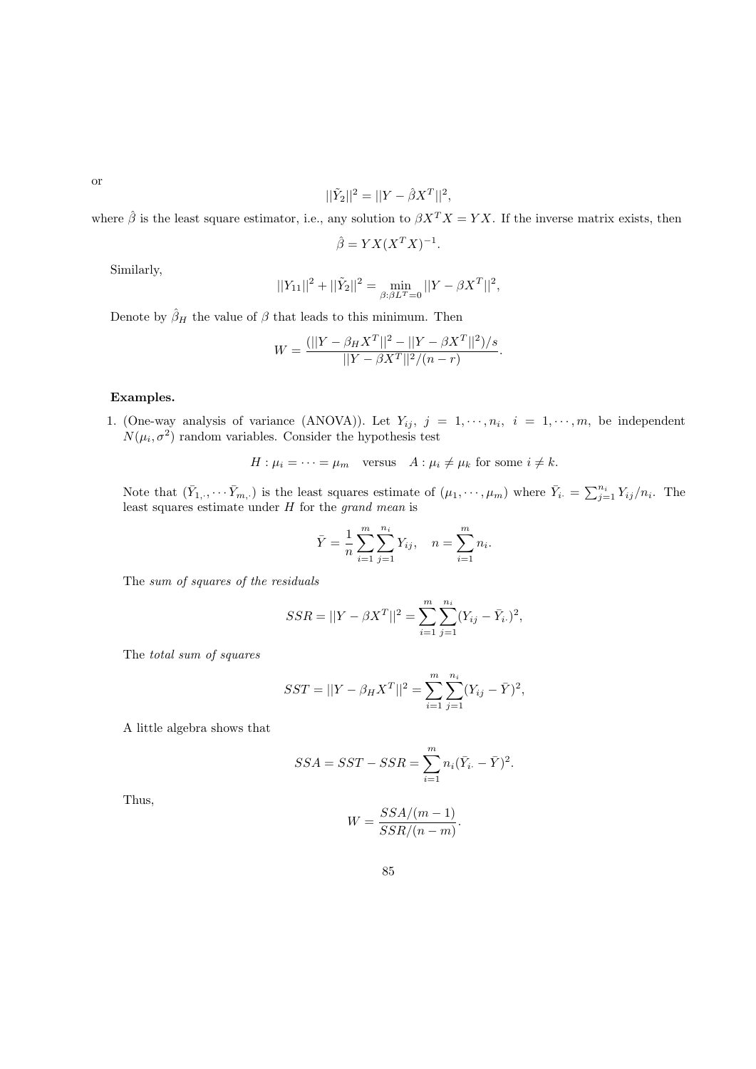or

$$
||\tilde{Y}_2||^2 = ||Y - \hat{\beta}X^T||^2,
$$

where  $\hat{\beta}$  is the least square estimator, i.e., any solution to  $\beta X^T X = Y X$ . If the inverse matrix exists, then

$$
\hat{\beta} = YX(X^TX)^{-1}
$$

.

Similarly,

$$
||Y_{11}||^{2} + ||\tilde{Y}_{2}||^{2} = \min_{\beta:\beta L^{T}=0} ||Y - \beta X^{T}||^{2},
$$

Denote by  $\hat{\beta}_H$  the value of  $\beta$  that leads to this minimum. Then

$$
W = \frac{(||Y - \beta_H X^T||^2 - ||Y - \beta X^T||^2)/s}{||Y - \beta X^T||^2/(n - r)}.
$$

## Examples.

1. (One-way analysis of variance (ANOVA)). Let  $Y_{ij}$ ,  $j = 1, \dots, n_i$ ,  $i = 1, \dots, m$ , be independent  $N(\mu_i, \sigma^2)$  random variables. Consider the hypothesis test

$$
H: \mu_i = \cdots = \mu_m \quad \text{versus} \quad A: \mu_i \neq \mu_k \text{ for some } i \neq k.
$$

Note that  $(\bar{Y}_{1,\cdot},\cdots\bar{Y}_{m,\cdot})$  is the least squares estimate of  $(\mu_1,\cdots,\mu_m)$  where  $\bar{Y}_{i.} = \sum_{j=1}^{n_i} Y_{ij}/n_i$ . The least squares estimate under H for the grand mean is

$$
\bar{Y} = \frac{1}{n} \sum_{i=1}^{m} \sum_{j=1}^{n_i} Y_{ij}, \quad n = \sum_{i=1}^{m} n_i.
$$

The sum of squares of the residuals

$$
SSR = ||Y - \beta X^{T}||^{2} = \sum_{i=1}^{m} \sum_{j=1}^{n_{i}} (Y_{ij} - \bar{Y}_{i.})^{2},
$$

The total sum of squares

$$
SST = ||Y - \beta_H X^T||^2 = \sum_{i=1}^m \sum_{j=1}^{n_i} (Y_{ij} - \bar{Y})^2,
$$

A little algebra shows that

$$
SSA = SST - SSR = \sum_{i=1}^{m} n_i (\bar{Y}_{i.} - \bar{Y})^2.
$$

Thus,

$$
W = \frac{SSA/(m-1)}{SSR/(n-m)}.
$$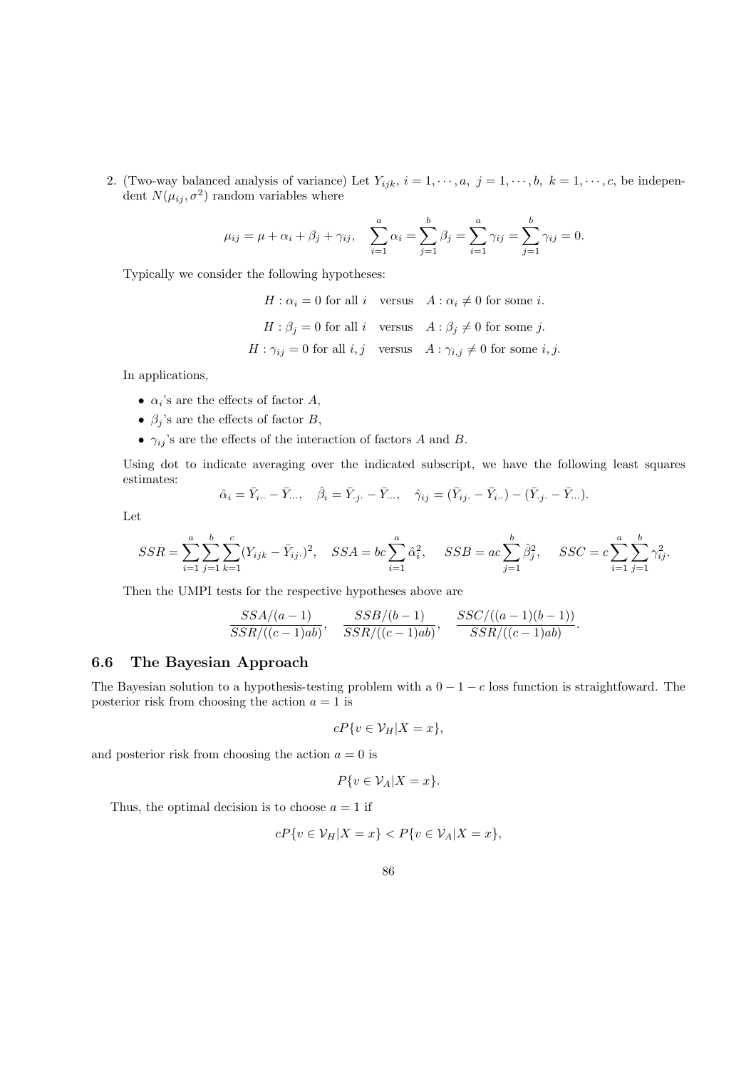2. (Two-way balanced analysis of variance) Let  $Y_{ijk}$ ,  $i = 1, \dots, a, j = 1, \dots, b, k = 1, \dots, c$ , be independent  $N(\mu_{ij}, \sigma^2)$  random variables where

$$
\mu_{ij} = \mu + \alpha_i + \beta_j + \gamma_{ij},
$$
\n
$$
\sum_{i=1}^{a} \alpha_i = \sum_{j=1}^{b} \beta_j = \sum_{i=1}^{a} \gamma_{ij} = \sum_{j=1}^{b} \gamma_{ij} = 0.
$$

Typically we consider the following hypotheses:

 $H: \alpha_i = 0$  for all i versus  $A: \alpha_i \neq 0$  for some i.  $H: \beta_i = 0$  for all i versus  $A: \beta_i \neq 0$  for some j.  $H: \gamma_{ij} = 0$  for all  $i, j$  versus  $A: \gamma_{i,j} \neq 0$  for some  $i, j$ .

In applications,

- $\alpha_i$ 's are the effects of factor A,
- $\beta_j$ 's are the effects of factor B,
- $\gamma_{ij}$ 's are the effects of the interaction of factors A and B.

Using dot to indicate averaging over the indicated subscript, we have the following least squares estimates:

$$
\hat{\alpha}_i = \bar{Y}_{i..} - \bar{Y}_{...}, \quad \hat{\beta}_i = \bar{Y}_{\cdot j} - \bar{Y}_{...}, \quad \hat{\gamma}_{ij} = (\bar{Y}_{ij} - \bar{Y}_{i..}) - (\bar{Y}_{\cdot j} - \bar{Y}_{...}).
$$

Let

$$
SSR = \sum_{i=1}^{a} \sum_{j=1}^{b} \sum_{k=1}^{c} (Y_{ijk} - \bar{Y}_{ij.})^2, \quad SSA = bc \sum_{i=1}^{a} \hat{\alpha}_i^2, \quad SSB = ac \sum_{j=1}^{b} \hat{\beta}_j^2, \quad SSC = c \sum_{i=1}^{a} \sum_{j=1}^{b} \gamma_{ij}^2.
$$

Then the UMPI tests for the respective hypotheses above are

$$
\frac{SSA/(a-1)}{SSR/((c-1)ab)}, \frac{SSB/(b-1)}{SSR/((c-1)ab)}, \frac{SSC/((a-1)(b-1))}{SSR/((c-1)ab)}.
$$

## 6.6 The Bayesian Approach

The Bayesian solution to a hypothesis-testing problem with a  $0 - 1 - c$  loss function is straightfoward. The posterior risk from choosing the action  $a = 1$  is

$$
cP\{v \in \mathcal{V}_H | X = x\},\
$$

and posterior risk from choosing the action  $a = 0$  is

$$
P\{v \in \mathcal{V}_A | X = x\}.
$$

Thus, the optimal decision is to choose  $a = 1$  if

$$
cP\{v \in \mathcal{V}_H | X = x\} < P\{v \in \mathcal{V}_A | X = x\},
$$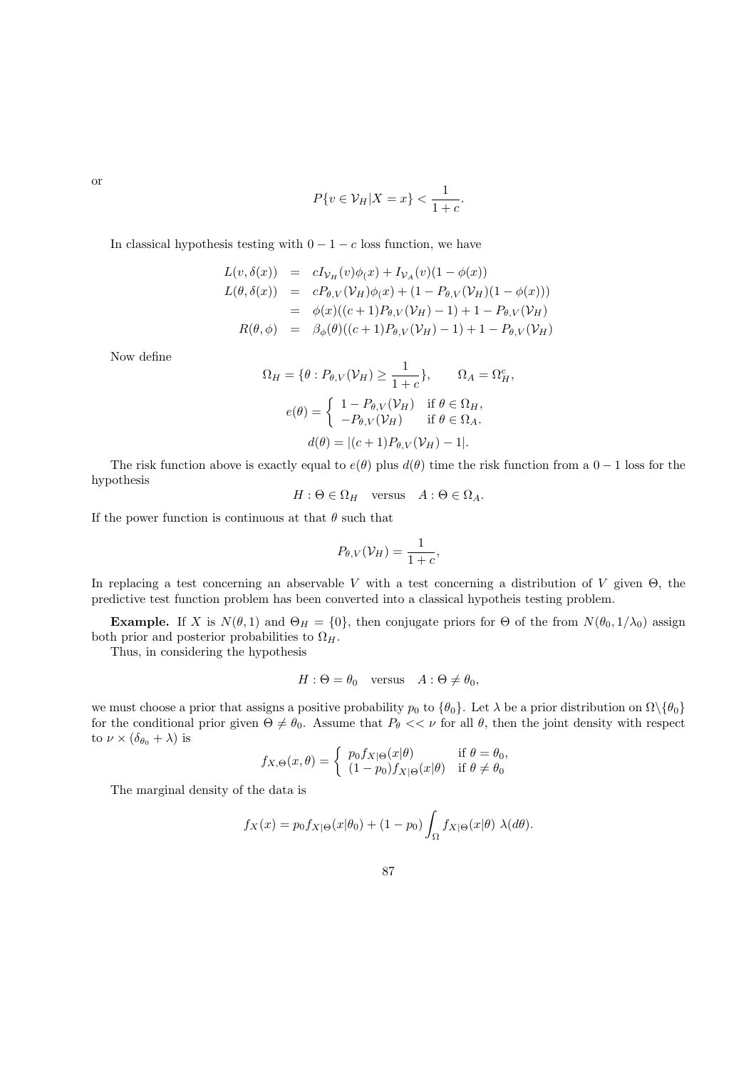or

$$
P\{v \in \mathcal{V}_H | X = x\} < \frac{1}{1+c}.
$$

In classical hypothesis testing with  $0 - 1 - c$  loss function, we have

$$
L(v, \delta(x)) = cI_{\mathcal{V}_H}(v)\phi(x) + I_{\mathcal{V}_A}(v)(1 - \phi(x))
$$
  
\n
$$
L(\theta, \delta(x)) = cP_{\theta, V}(\mathcal{V}_H)\phi(x) + (1 - P_{\theta, V}(\mathcal{V}_H)(1 - \phi(x)))
$$
  
\n
$$
= \phi(x)((c+1)P_{\theta, V}(\mathcal{V}_H) - 1) + 1 - P_{\theta, V}(\mathcal{V}_H)
$$
  
\n
$$
R(\theta, \phi) = \beta_{\phi}(\theta)((c+1)P_{\theta, V}(\mathcal{V}_H) - 1) + 1 - P_{\theta, V}(\mathcal{V}_H)
$$

Now define

$$
\Omega_H = \{ \theta : P_{\theta,V}(\mathcal{V}_H) \ge \frac{1}{1+c} \}, \qquad \Omega_A = \Omega_H^c,
$$
  

$$
e(\theta) = \begin{cases} 1 - P_{\theta,V}(\mathcal{V}_H) & \text{if } \theta \in \Omega_H, \\ -P_{\theta,V}(\mathcal{V}_H) & \text{if } \theta \in \Omega_A. \end{cases}
$$
  

$$
d(\theta) = |(c+1)P_{\theta,V}(\mathcal{V}_H) - 1|.
$$

The risk function above is exactly equal to  $e(\theta)$  plus  $d(\theta)$  time the risk function from a  $0 - 1$  loss for the hypothesis

 $H: \Theta \in \Omega_H$  versus  $A: \Theta \in \Omega_A$ .

If the power function is continuous at that  $\theta$  such that

$$
P_{\theta,V}(\mathcal{V}_H) = \frac{1}{1+c},
$$

In replacing a test concerning an abservable V with a test concerning a distribution of V given  $\Theta$ , the predictive test function problem has been converted into a classical hypotheis testing problem.

**Example.** If X is  $N(\theta, 1)$  and  $\Theta_H = \{0\}$ , then conjugate priors for  $\Theta$  of the from  $N(\theta_0, 1/\lambda_0)$  assign both prior and posterior probabilities to  $\Omega_H$ .

Thus, in considering the hypothesis

$$
H: \Theta = \theta_0 \quad \text{versus} \quad A: \Theta \neq \theta_0,
$$

we must choose a prior that assigns a positive probability  $p_0$  to  $\{\theta_0\}$ . Let  $\lambda$  be a prior distribution on  $\Omega\setminus\{\theta_0\}$ for the conditional prior given  $\Theta \neq \theta_0$ . Assume that  $P_\theta \ll \nu$  for all  $\theta$ , then the joint density with respect to  $\nu \times (\delta_{\theta_0} + \lambda)$  is

$$
f_{X,\Theta}(x,\theta) = \begin{cases} p_0 f_{X|\Theta}(x|\theta) & \text{if } \theta = \theta_0, \\ (1 - p_0) f_{X|\Theta}(x|\theta) & \text{if } \theta \neq \theta_0 \end{cases}
$$

The marginal density of the data is

$$
f_X(x) = p_0 f_{X|\Theta}(x|\theta_0) + (1 - p_0) \int_{\Omega} f_{X|\Theta}(x|\theta) \lambda(d\theta).
$$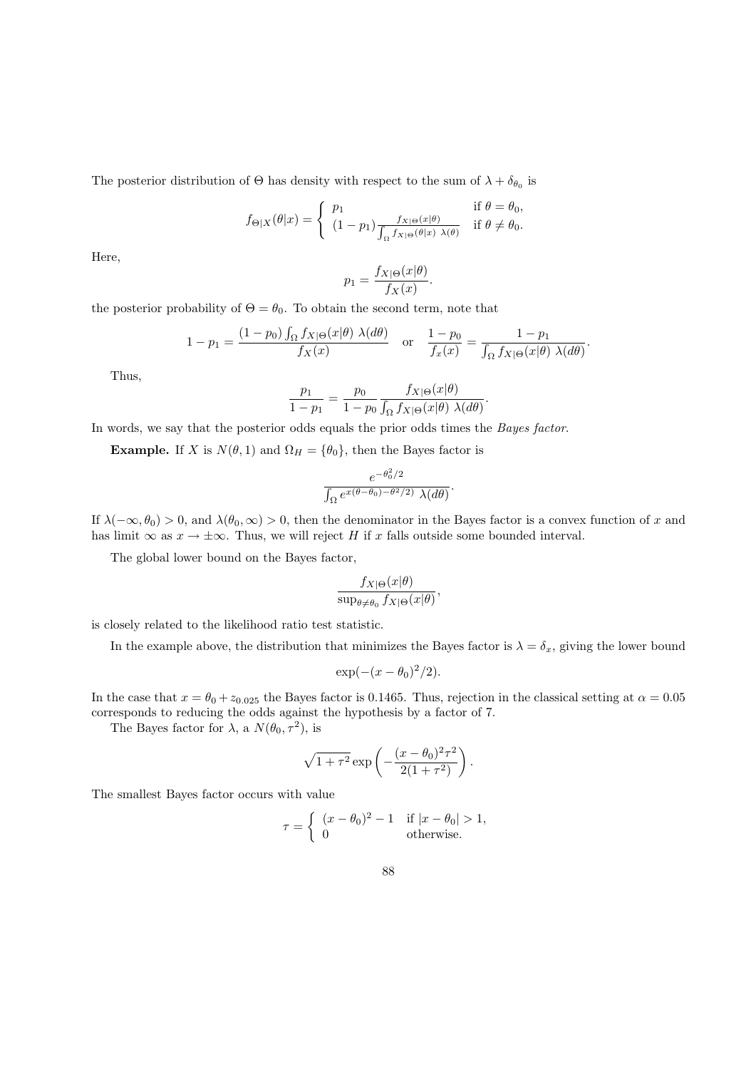The posterior distribution of  $\Theta$  has density with respect to the sum of  $\lambda + \delta_{\theta_0}$  is

$$
f_{\Theta|X}(\theta|x) = \begin{cases} p_1 & \text{if } \theta = \theta_0, \\ (1 - p_1) \frac{f_{X|\Theta}(x|\theta)}{\int_{\Omega} f_{X|\Theta}(\theta|x) \ \lambda(\theta)} & \text{if } \theta \neq \theta_0. \end{cases}
$$

Here,

$$
p_1 = \frac{f_{X|\Theta}(x|\theta)}{f_X(x)}.
$$

the posterior probability of  $\Theta = \theta_0$ . To obtain the second term, note that

$$
1 - p_1 = \frac{(1 - p_0) \int_{\Omega} f_{X|\Theta}(x|\theta) \lambda(d\theta)}{f_X(x)} \quad \text{or} \quad \frac{1 - p_0}{f_x(x)} = \frac{1 - p_1}{\int_{\Omega} f_{X|\Theta}(x|\theta) \lambda(d\theta)}.
$$

Thus,

$$
\frac{p_1}{1-p_1} = \frac{p_0}{1-p_0} \frac{f_{X|\Theta}(x|\theta)}{\int_{\Omega} f_{X|\Theta}(x|\theta) \lambda(d\theta)}.
$$

In words, we say that the posterior odds equals the prior odds times the Bayes factor.

**Example.** If X is  $N(\theta, 1)$  and  $\Omega_H = {\theta_0}$ , then the Bayes factor is

$$
\frac{e^{-\theta_0^2/2}}{\int_{\Omega}e^{x(\theta-\theta_0)-\theta^2/2)}\,\lambda(d\theta)}.
$$

If  $\lambda(-\infty, \theta_0) > 0$ , and  $\lambda(\theta_0, \infty) > 0$ , then the denominator in the Bayes factor is a convex function of x and has limit  $\infty$  as  $x \to \pm \infty$ . Thus, we will reject H if x falls outside some bounded interval.

The global lower bound on the Bayes factor,

$$
\frac{f_{X|\Theta}(x|\theta)}{\sup_{\theta \neq \theta_0} f_{X|\Theta}(x|\theta)},
$$

is closely related to the likelihood ratio test statistic.

In the example above, the distribution that minimizes the Bayes factor is  $\lambda = \delta_x$ , giving the lower bound

$$
\exp(-(x-\theta_0)^2/2).
$$

In the case that  $x = \theta_0 + z_{0.025}$  the Bayes factor is 0.1465. Thus, rejection in the classical setting at  $\alpha = 0.05$ corresponds to reducing the odds against the hypothesis by a factor of 7.

The Bayes factor for  $\lambda$ , a  $N(\theta_0, \tau^2)$ , is

$$
\sqrt{1+\tau^2} \exp\left(-\frac{(x-\theta_0)^2\tau^2}{2(1+\tau^2)}\right).
$$

The smallest Bayes factor occurs with value

$$
\tau = \begin{cases} (x - \theta_0)^2 - 1 & \text{if } |x - \theta_0| > 1, \\ 0 & \text{otherwise.} \end{cases}
$$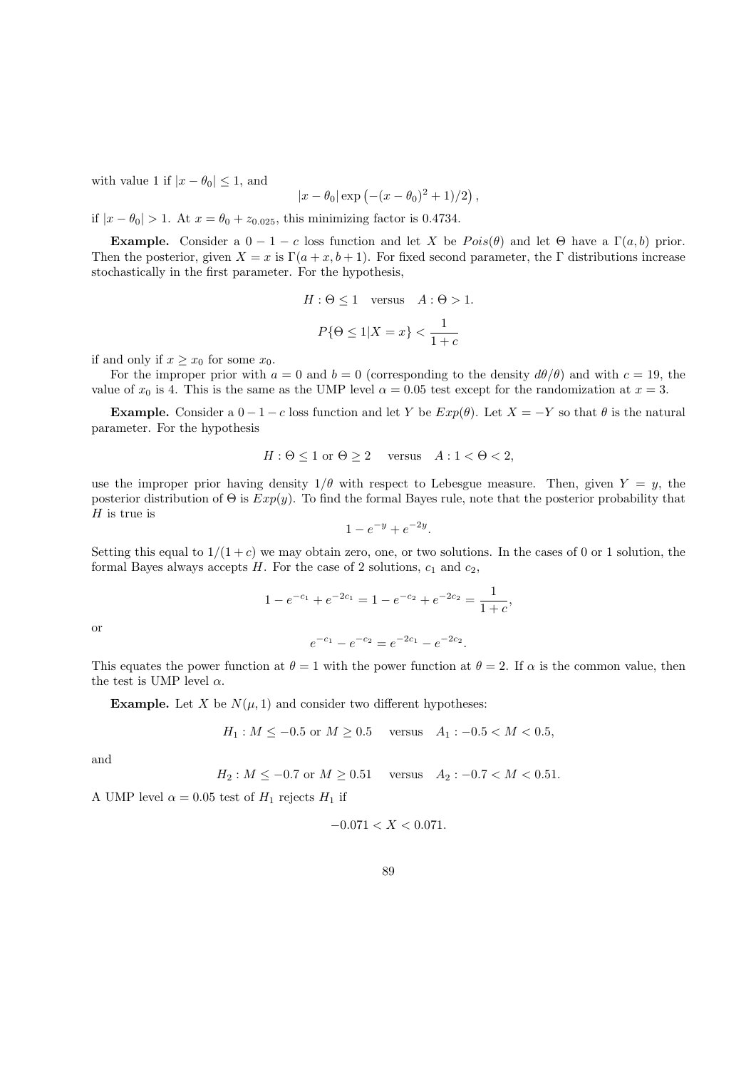with value 1 if  $|x - \theta_0| \leq 1$ , and

$$
|x - \theta_0| \exp(-(x - \theta_0)^2 + 1)/2
$$
,

if  $|x - \theta_0| > 1$ . At  $x = \theta_0 + z_{0.025}$ , this minimizing factor is 0.4734.

**Example.** Consider a  $0 - 1 - c$  loss function and let X be  $Pois(\theta)$  and let  $\Theta$  have a  $\Gamma(a, b)$  prior. Then the posterior, given  $X = x$  is  $\Gamma(a + x, b + 1)$ . For fixed second parameter, the  $\Gamma$  distributions increase stochastically in the first parameter. For the hypothesis,

$$
H: \Theta \le 1 \quad \text{versus} \quad A: \Theta > 1.
$$
\n
$$
P\{\Theta \le 1 | X = x\} < \frac{1}{1+c}
$$

if and only if  $x \geq x_0$  for some  $x_0$ .

For the improper prior with  $a = 0$  and  $b = 0$  (corresponding to the density  $d\theta/\theta$ ) and with  $c = 19$ , the value of  $x_0$  is 4. This is the same as the UMP level  $\alpha = 0.05$  test except for the randomization at  $x = 3$ .

**Example.** Consider a  $0-1-c$  loss function and let Y be  $Exp(\theta)$ . Let  $X = -Y$  so that  $\theta$  is the natural parameter. For the hypothesis

$$
H: \Theta \le 1 \text{ or } \Theta \ge 2 \quad \text{versus} \quad A: 1 < \Theta < 2,
$$

use the improper prior having density  $1/\theta$  with respect to Lebesgue measure. Then, given  $Y = y$ , the posterior distribution of  $\Theta$  is  $Exp(y)$ . To find the formal Bayes rule, note that the posterior probability that  $H$  is true is

$$
1 - e^{-y} + e^{-2y}.
$$

Setting this equal to  $1/(1+c)$  we may obtain zero, one, or two solutions. In the cases of 0 or 1 solution, the formal Bayes always accepts  $H$ . For the case of 2 solutions,  $c_1$  and  $c_2$ ,

$$
1 - e^{-c_1} + e^{-2c_1} = 1 - e^{-c_2} + e^{-2c_2} = \frac{1}{1+c},
$$

or

This equates the power function at  $\theta = 1$  with the power function at  $\theta = 2$ . If  $\alpha$  is the common value, then the test is UMP level  $\alpha$ .

 $e^{-c_1} - e^{-c_2} = e^{-2c_1} - e^{-2c_2}.$ 

**Example.** Let X be  $N(\mu, 1)$  and consider two different hypotheses:

$$
H_1: M \le -0.5 \text{ or } M \ge 0.5 \quad \text{versus} \quad A_1: -0.5 < M < 0.5,
$$

and

$$
H_2: M \le -0.7 \text{ or } M \ge 0.51 \quad \text{versus} \quad A_2: -0.7 < M < 0.51.
$$

A UMP level  $\alpha = 0.05$  test of  $H_1$  rejects  $H_1$  if

$$
-0.071 < X < 0.071.
$$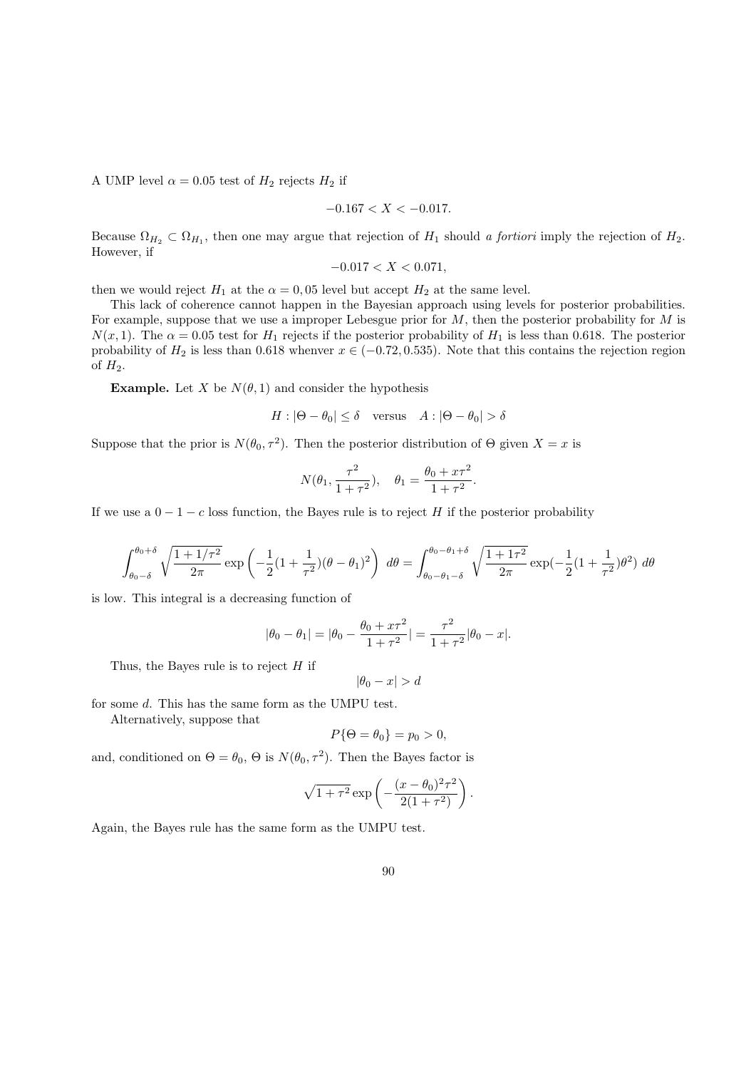A UMP level  $\alpha = 0.05$  test of  $H_2$  rejects  $H_2$  if

$$
-0.167 < X < -0.017.
$$

Because  $\Omega_{H_2} \subset \Omega_{H_1}$ , then one may argue that rejection of  $H_1$  should a fortiori imply the rejection of  $H_2$ . However, if

$$
-0.017 < X < 0.071,
$$

then we would reject  $H_1$  at the  $\alpha = 0,05$  level but accept  $H_2$  at the same level.

This lack of coherence cannot happen in the Bayesian approach using levels for posterior probabilities. For example, suppose that we use a improper Lebesgue prior for M, then the posterior probability for M is  $N(x, 1)$ . The  $\alpha = 0.05$  test for  $H_1$  rejects if the posterior probability of  $H_1$  is less than 0.618. The posterior probability of  $H_2$  is less than 0.618 whenver  $x \in (-0.72, 0.535)$ . Note that this contains the rejection region of  $H_2$ .

**Example.** Let X be  $N(\theta, 1)$  and consider the hypothesis

$$
H : |\Theta - \theta_0| \le \delta \quad \text{versus} \quad A : |\Theta - \theta_0| > \delta
$$

Suppose that the prior is  $N(\theta_0, \tau^2)$ . Then the posterior distribution of  $\Theta$  given  $X = x$  is

$$
N(\theta_1, \frac{\tau^2}{1+\tau^2}), \quad \theta_1 = \frac{\theta_0 + x\tau^2}{1+\tau^2}.
$$

If we use a  $0 - 1 - c$  loss function, the Bayes rule is to reject H if the posterior probability

$$
\int_{\theta_0 - \delta}^{\theta_0 + \delta} \sqrt{\frac{1 + 1/\tau^2}{2\pi}} \exp\left(-\frac{1}{2}(1 + \frac{1}{\tau^2})(\theta - \theta_1)^2\right) d\theta = \int_{\theta_0 - \theta_1 - \delta}^{\theta_0 - \theta_1 + \delta} \sqrt{\frac{1 + 1\tau^2}{2\pi}} \exp\left(-\frac{1}{2}(1 + \frac{1}{\tau^2})\theta^2\right) d\theta
$$

is low. This integral is a decreasing function of

$$
|\theta_0 - \theta_1| = |\theta_0 - \frac{\theta_0 + x\tau^2}{1 + \tau^2}| = \frac{\tau^2}{1 + \tau^2} |\theta_0 - x|.
$$

Thus, the Bayes rule is to reject  $H$  if

$$
|\theta_0 - x| > d
$$

for some d. This has the same form as the UMPU test.

Alternatively, suppose that

$$
P\{\Theta = \theta_0\} = p_0 > 0,
$$

and, conditioned on  $\Theta = \theta_0$ ,  $\Theta$  is  $N(\theta_0, \tau^2)$ . Then the Bayes factor is

$$
\sqrt{1+\tau^2}\exp\left(-\frac{(x-\theta_0)^2\tau^2}{2(1+\tau^2)}\right).
$$

Again, the Bayes rule has the same form as the UMPU test.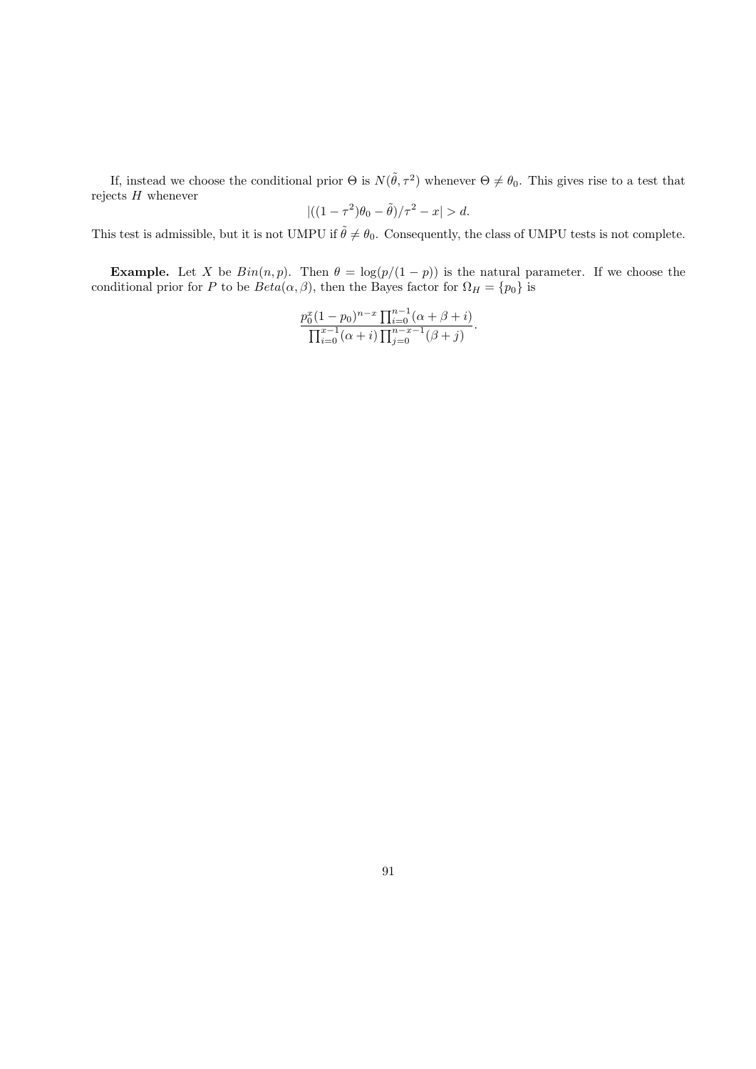If, instead we choose the conditional prior  $\Theta$  is  $N(\tilde{\theta}, \tau^2)$  whenever  $\Theta \neq \theta_0$ . This gives rise to a test that rejects  $H$  whenever

$$
|((1-\tau^2)\theta_0-\tilde{\theta})/\tau^2-x|>d.
$$

This test is admissible, but it is not UMPU if  $\tilde{\theta} \neq \theta_0$ . Consequently, the class of UMPU tests is not complete.

**Example.** Let X be  $Bin(n, p)$ . Then  $\theta = \log(p/(1-p))$  is the natural parameter. If we choose the conditional prior for P to be  $Beta(\alpha, \beta)$ , then the Bayes factor for  $\Omega_H = \{p_0\}$  is

$$
\frac{p_0^x (1-p_0)^{n-x} \prod_{i=0}^{n-1} (\alpha + \beta + i)}{\prod_{i=0}^{x-1} (\alpha + i) \prod_{j=0}^{n-x-1} (\beta + j)}.
$$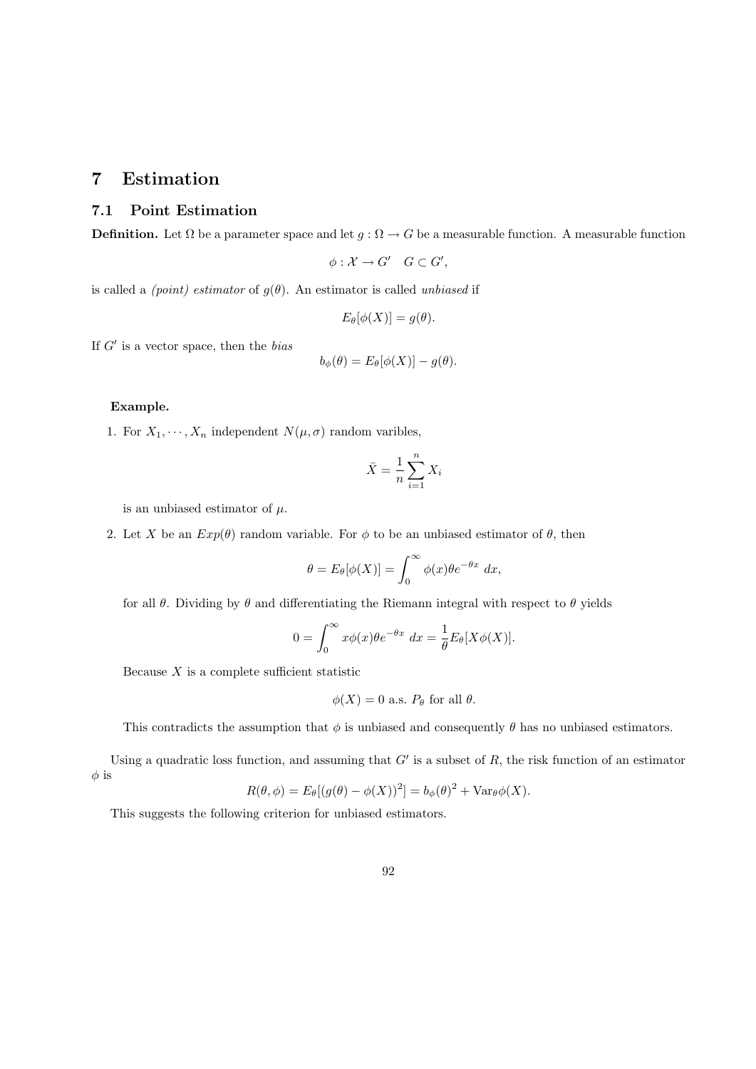# 7 Estimation

## 7.1 Point Estimation

**Definition.** Let  $\Omega$  be a parameter space and let  $g : \Omega \to G$  be a measurable function. A measurable function

$$
\phi: \mathcal{X} \to G' \quad G \subset G',
$$

is called a *(point)* estimator of  $g(\theta)$ . An estimator is called unbiased if

$$
E_{\theta}[\phi(X)] = g(\theta).
$$

If  $G'$  is a vector space, then the bias

$$
b_{\phi}(\theta) = E_{\theta}[\phi(X)] - g(\theta).
$$

#### Example.

1. For  $X_1, \dots, X_n$  independent  $N(\mu, \sigma)$  random varibles,

$$
\bar{X} = \frac{1}{n} \sum_{i=1}^{n} X_i
$$

is an unbiased estimator of  $\mu$ .

2. Let X be an  $Exp(\theta)$  random variable. For  $\phi$  to be an unbiased estimator of  $\theta$ , then

$$
\theta = E_{\theta}[\phi(X)] = \int_0^\infty \phi(x) \theta e^{-\theta x} dx,
$$

for all  $\theta$ . Dividing by  $\theta$  and differentiating the Riemann integral with respect to  $\theta$  yields

$$
0 = \int_0^\infty x \phi(x) \theta e^{-\theta x} dx = \frac{1}{\theta} E_\theta[X\phi(X)].
$$

Because  $X$  is a complete sufficient statistic

$$
\phi(X) = 0 \text{ a.s. } P_{\theta} \text{ for all } \theta.
$$

This contradicts the assumption that  $\phi$  is unbiased and consequently  $\theta$  has no unbiased estimators.

Using a quadratic loss function, and assuming that  $G'$  is a subset of  $R$ , the risk function of an estimator  $\phi$  is

$$
R(\theta, \phi) = E_{\theta}[(g(\theta) - \phi(X))^2] = b_{\phi}(\theta)^2 + \text{Var}_{\theta}\phi(X).
$$

This suggests the following criterion for unbiased estimators.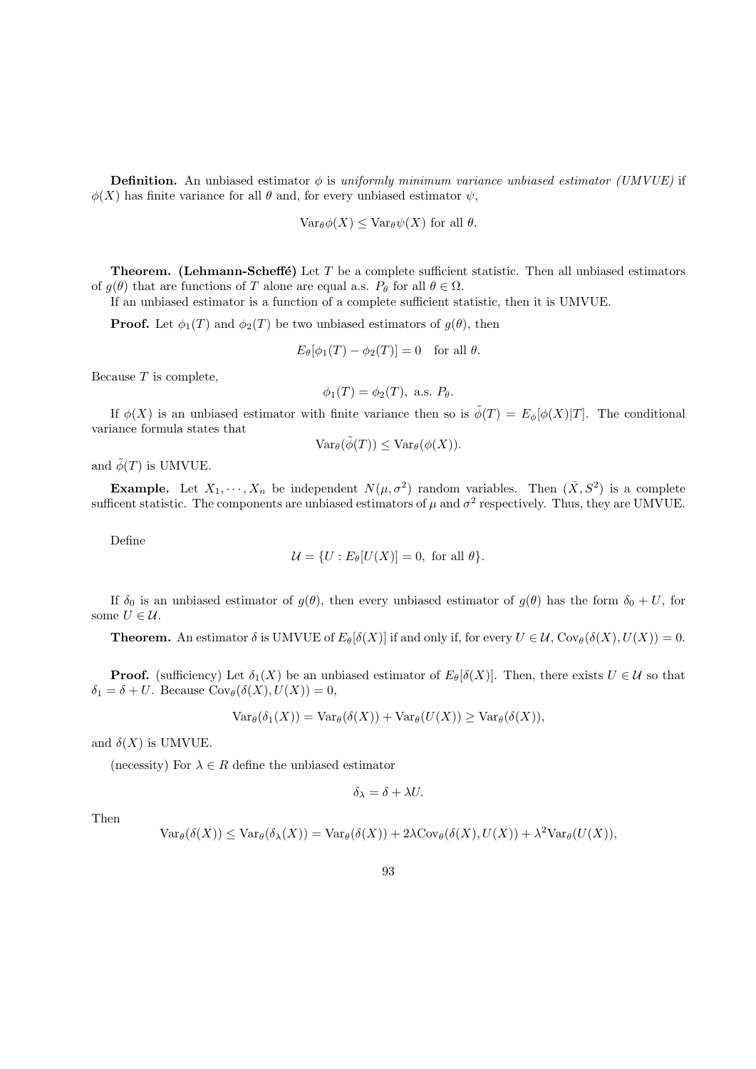**Definition.** An unbiased estimator  $\phi$  is uniformly minimum variance unbiased estimator (UMVUE) if  $\phi(X)$  has finite variance for all  $\theta$  and, for every unbiased estimator  $\psi$ ,

$$
\text{Var}_{\theta}\phi(X) \leq \text{Var}_{\theta}\psi(X) \text{ for all } \theta.
$$

**Theorem.** (Lehmann-Scheffé) Let  $T$  be a complete sufficient statistic. Then all unbiased estimators of  $g(\theta)$  that are functions of T alone are equal a.s.  $P_{\theta}$  for all  $\theta \in \Omega$ .

If an unbiased estimator is a function of a complete sufficient statistic, then it is UMVUE.

**Proof.** Let  $\phi_1(T)$  and  $\phi_2(T)$  be two unbiased estimators of  $g(\theta)$ , then

$$
E_{\theta}[\phi_1(T) - \phi_2(T)] = 0 \text{ for all } \theta.
$$

Because  $T$  is complete,

$$
\phi_1(T) = \phi_2(T), \text{ a.s. } P_{\theta}.
$$

If  $\phi(X)$  is an unbiased estimator with finite variance then so is  $\tilde{\phi}(T) = E_{\phi}[\phi(X)|T]$ . The conditional variance formula states that

$$
\text{Var}_{\theta}(\tilde{\phi}(T)) \leq \text{Var}_{\theta}(\phi(X)).
$$

and  $\tilde{\phi}(T)$  is UMVUE.

**Example.** Let  $X_1, \dots, X_n$  be independent  $N(\mu, \sigma^2)$  random variables. Then  $(\bar{X}, S^2)$  is a complete sufficent statistic. The components are unbiased estimators of  $\mu$  and  $\sigma^2$  respectively. Thus, they are UMVUE.

Define

$$
\mathcal{U} = \{ U : E_{\theta}[U(X)] = 0, \text{ for all } \theta \}.
$$

If  $\delta_0$  is an unbiased estimator of  $g(\theta)$ , then every unbiased estimator of  $g(\theta)$  has the form  $\delta_0 + U$ , for some  $U \in \mathcal{U}$ .

**Theorem.** An estimator  $\delta$  is UMVUE of  $E_{\theta}[\delta(X)]$  if and only if, for every  $U \in \mathcal{U}$ ,  $Cov_{\theta}(\delta(X), U(X)) = 0$ .

**Proof.** (sufficiency) Let  $\delta_1(X)$  be an unbiased estimator of  $E_\theta[\delta(X)]$ . Then, there exists  $U \in \mathcal{U}$  so that  $\delta_1 = \delta + U$ . Because  $Cov_{\theta}(\delta(X), U(X)) = 0$ ,

$$
\text{Var}_{\theta}(\delta_1(X)) = \text{Var}_{\theta}(\delta(X)) + \text{Var}_{\theta}(U(X)) \geq \text{Var}_{\theta}(\delta(X)),
$$

and  $\delta(X)$  is UMVUE.

(necessity) For  $\lambda \in R$  define the unbiased estimator

$$
\delta_{\lambda} = \delta + \lambda U.
$$

Then

$$
\text{Var}_{\theta}(\delta(X)) \leq \text{Var}_{\theta}(\delta_{\lambda}(X)) = \text{Var}_{\theta}(\delta(X)) + 2\lambda \text{Cov}_{\theta}(\delta(X), U(X)) + \lambda^{2} \text{Var}_{\theta}(U(X)),
$$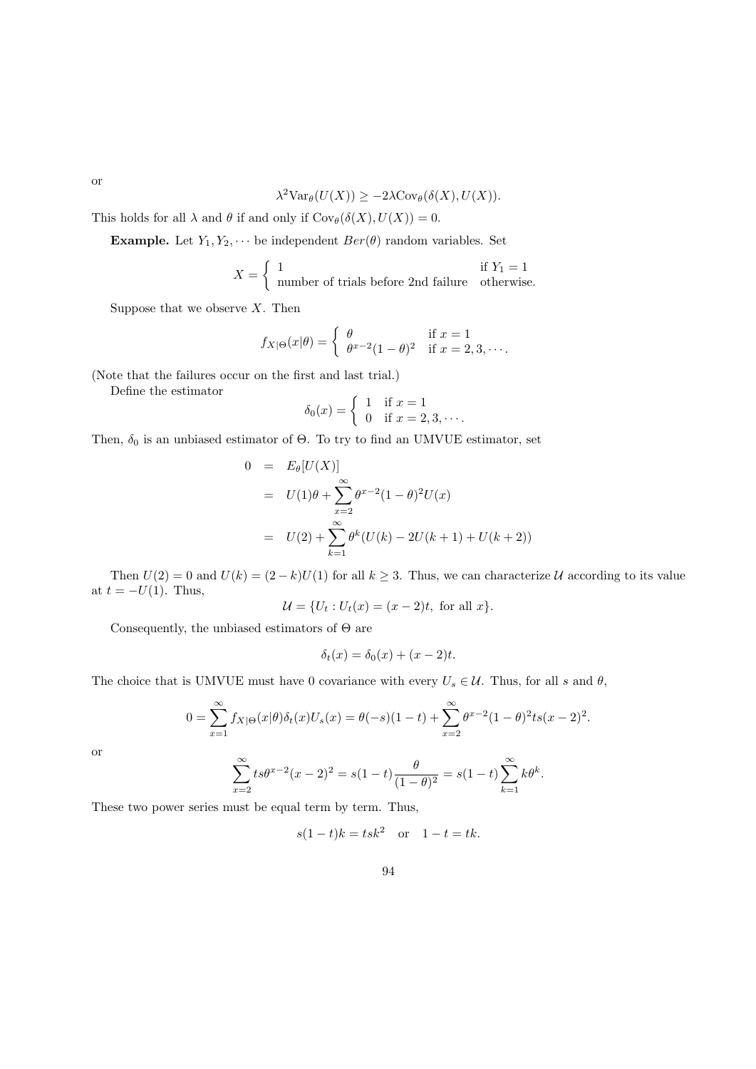$$
\lambda^2 \text{Var}_{\theta}(U(X)) \ge -2\lambda \text{Cov}_{\theta}(\delta(X), U(X)).
$$

This holds for all  $\lambda$  and  $\theta$  if and only if  $Cov_{\theta}(\delta(X), U(X)) = 0$ .

**Example.** Let  $Y_1, Y_2, \cdots$  be independent  $Ber(\theta)$  random variables. Set

$$
X = \begin{cases} 1 & \text{if } Y_1 = 1 \\ \text{number of trials before 2nd failure} & \text{otherwise.} \end{cases}
$$

Suppose that we observe  $X$ . Then

$$
f_{X|\Theta}(x|\theta) = \begin{cases} \theta & \text{if } x = 1\\ \theta^{x-2}(1-\theta)^2 & \text{if } x = 2,3,\cdots. \end{cases}
$$

(Note that the failures occur on the first and last trial.)

Define the estimator

$$
\delta_0(x) = \begin{cases}\n1 & \text{if } x = 1 \\
0 & \text{if } x = 2, 3, \cdots.\n\end{cases}
$$

Then,  $\delta_0$  is an unbiased estimator of  $\Theta$ . To try to find an UMVUE estimator, set

$$
0 = E_{\theta}[U(X)]
$$
  
=  $U(1)\theta + \sum_{x=2}^{\infty} \theta^{x-2} (1-\theta)^2 U(x)$   
=  $U(2) + \sum_{k=1}^{\infty} \theta^k (U(k) - 2U(k+1) + U(k+2))$ 

Then  $U(2) = 0$  and  $U(k) = (2 - k)U(1)$  for all  $k \ge 3$ . Thus, we can characterize U according to its value at  $t = -U(1)$ . Thus,

$$
U = {U_t : U_t(x) = (x - 2)t
$$
, for all x}.

Consequently, the unbiased estimators of Θ are

$$
\delta_t(x) = \delta_0(x) + (x - 2)t.
$$

The choice that is UMVUE must have 0 covariance with every  $U_s \in \mathcal{U}$ . Thus, for all s and  $\theta$ ,

$$
0 = \sum_{x=1}^{\infty} f_{X|\Theta}(x|\theta) \delta_t(x) U_s(x) = \theta(-s)(1-t) + \sum_{x=2}^{\infty} \theta^{x-2} (1-\theta)^2 t s(x-2)^2.
$$

or

$$
\sum_{x=2}^{\infty} t s \theta^{x-2} (x-2)^2 = s(1-t) \frac{\theta}{(1-\theta)^2} = s(1-t) \sum_{k=1}^{\infty} k \theta^k.
$$

These two power series must be equal term by term. Thus,

 $s(1-t)k = tsk^2$  or  $1-t = tk$ .

or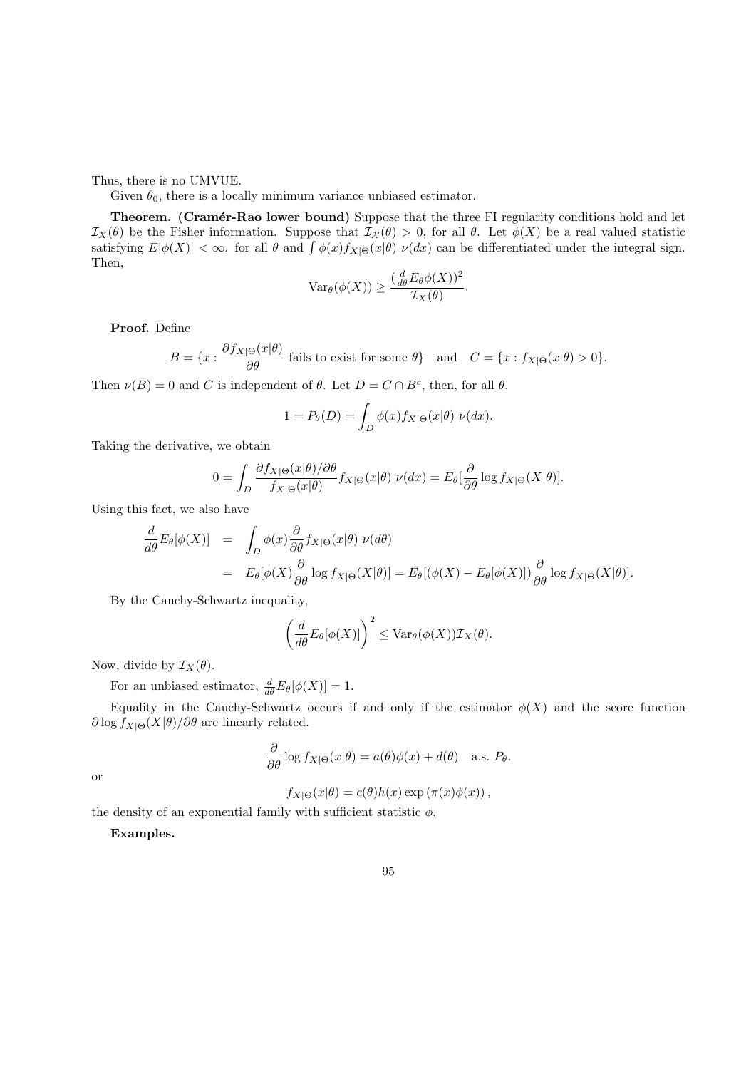Thus, there is no UMVUE.

Given  $\theta_0$ , there is a locally minimum variance unbiased estimator.

Theorem. (Cramér-Rao lower bound) Suppose that the three FI regularity conditions hold and let  $\mathcal{I}_X(\theta)$  be the Fisher information. Suppose that  $\mathcal{I}_X(\theta) > 0$ , for all  $\theta$ . Let  $\phi(X)$  be a real valued statistic satisfying  $E|\phi(X)| < \infty$ . for all  $\theta$  and  $\int \phi(x)f_{X|\Theta}(x|\theta) \nu(dx)$  can be differentiated under the integral sign. Then,

$$
\text{Var}_{\theta}(\phi(X)) \ge \frac{(\frac{d}{d\theta} E_{\theta} \phi(X))^2}{\mathcal{I}_X(\theta)}.
$$

Proof. Define

$$
B = \{x : \frac{\partial f_{X|\Theta}(x|\theta)}{\partial \theta} \text{ fails to exist for some } \theta\} \text{ and } C = \{x : f_{X|\Theta}(x|\theta) > 0\}.
$$

Then  $\nu(B) = 0$  and C is independent of  $\theta$ . Let  $D = C \cap B^c$ , then, for all  $\theta$ ,

$$
1 = P_{\theta}(D) = \int_{D} \phi(x) f_{X|\Theta}(x|\theta) \ \nu(dx).
$$

Taking the derivative, we obtain

$$
0 = \int_{D} \frac{\partial f_{X|\Theta}(x|\theta)/\partial \theta}{f_{X|\Theta}(x|\theta)} f_{X|\Theta}(x|\theta) \ \nu(dx) = E_{\theta}[\frac{\partial}{\partial \theta} \log f_{X|\Theta}(X|\theta)].
$$

Using this fact, we also have

$$
\frac{d}{d\theta} E_{\theta}[\phi(X)] = \int_{D} \phi(x) \frac{\partial}{\partial \theta} f_{X|\Theta}(x|\theta) \nu(d\theta)
$$
  
\n
$$
= E_{\theta}[\phi(X) \frac{\partial}{\partial \theta} \log f_{X|\Theta}(X|\theta)] = E_{\theta}[(\phi(X) - E_{\theta}[\phi(X)]) \frac{\partial}{\partial \theta} \log f_{X|\Theta}(X|\theta)].
$$

By the Cauchy-Schwartz inequality,

$$
\left(\frac{d}{d\theta}E_{\theta}[\phi(X)]\right)^2 \leq \text{Var}_{\theta}(\phi(X))\mathcal{I}_X(\theta).
$$

Now, divide by  $\mathcal{I}_X(\theta)$ .

For an unbiased estimator,  $\frac{d}{d\theta}E_{\theta}[\phi(X)] = 1$ .

Equality in the Cauchy-Schwartz occurs if and only if the estimator  $\phi(X)$  and the score function  $\partial \log f_{X|\Theta}(X|\theta) / \partial \theta$  are linearly related.

$$
\frac{\partial}{\partial \theta} \log f_{X|\Theta}(x|\theta) = a(\theta)\phi(x) + d(\theta) \quad \text{a.s. } P_{\theta}.
$$

or

$$
f_{X|\Theta}(x|\theta) = c(\theta)h(x)\exp\left(\pi(x)\phi(x)\right),
$$

the density of an exponential family with sufficient statistic  $\phi$ .

Examples.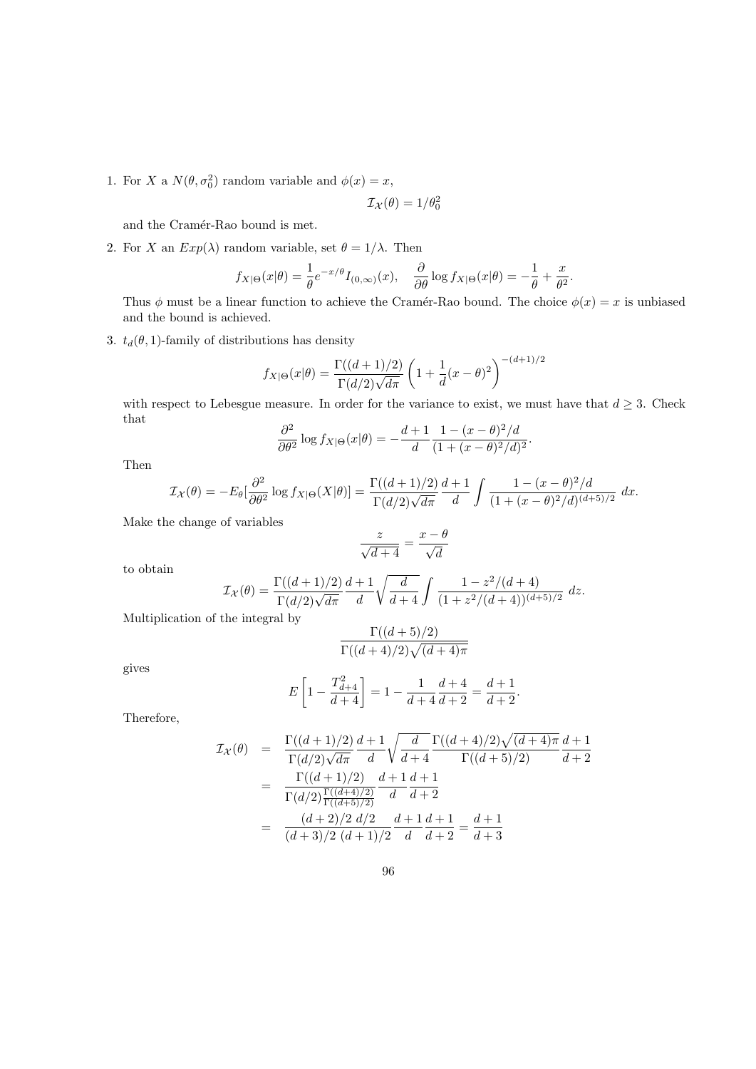1. For X a  $N(\theta, \sigma_0^2)$  random variable and  $\phi(x) = x$ ,

$$
\mathcal{I}_{\mathcal{X}}(\theta) = 1/\theta_0^2
$$

and the Cramér-Rao bound is met.

2. For X an  $Exp(\lambda)$  random variable, set  $\theta = 1/\lambda$ . Then

$$
f_{X|\Theta}(x|\theta)=\frac{1}{\theta}e^{-x/\theta}I_{(0,\infty)}(x),\quad \frac{\partial}{\partial \theta}\log f_{X|\Theta}(x|\theta)=-\frac{1}{\theta}+\frac{x}{\theta^2}.
$$

Thus  $\phi$  must be a linear function to achieve the Cramér-Rao bound. The choice  $\phi(x) = x$  is unbiased and the bound is achieved.

3.  $t_d(\theta, 1)$ -family of distributions has density

$$
f_{X|\Theta}(x|\theta) = \frac{\Gamma((d+1)/2)}{\Gamma(d/2)\sqrt{d\pi}} \left(1 + \frac{1}{d}(x-\theta)^2\right)^{-(d+1)/2}
$$

with respect to Lebesgue measure. In order for the variance to exist, we must have that  $d \geq 3$ . Check that

$$
\frac{\partial^2}{\partial \theta^2} \log f_{X|\Theta}(x|\theta) = -\frac{d+1}{d} \frac{1 - (x - \theta)^2 / d}{(1 + (x - \theta)^2 / d)^2}
$$

.

Then

$$
\mathcal{I}_{\mathcal{X}}(\theta) = -E_{\theta}[\frac{\partial^{2}}{\partial \theta^{2}} \log f_{X|\Theta}(X|\theta)] = \frac{\Gamma((d+1)/2)}{\Gamma(d/2)\sqrt{d\pi}} \frac{d+1}{d} \int \frac{1 - (x - \theta)^{2}/d}{(1 + (x - \theta)^{2}/d)^{(d+5)/2}} dx.
$$

Make the change of variables

$$
\frac{z}{\sqrt{d+4}} = \frac{x-\theta}{\sqrt{d}}
$$

to obtain

$$
\mathcal{I}_{\mathcal{X}}(\theta) = \frac{\Gamma((d+1)/2)}{\Gamma(d/2)\sqrt{d\pi}} \frac{d+1}{d} \sqrt{\frac{d}{d+4}} \int \frac{1-z^2/(d+4)}{(1+z^2/(d+4))^{(d+5)/2}} dz.
$$

Multiplication of the integral by

$$
\frac{\Gamma((d+5)/2)}{\Gamma((d+4)/2)\sqrt{(d+4)\pi}}
$$

gives

$$
E\left[1 - \frac{T_{d+4}^2}{d+4}\right] = 1 - \frac{1}{d+4} \frac{d+4}{d+2} = \frac{d+1}{d+2}.
$$

Therefore,

$$
\mathcal{I}_{\mathcal{X}}(\theta) = \frac{\Gamma((d+1)/2)}{\Gamma(d/2)\sqrt{d\pi}} \frac{d+1}{d} \sqrt{\frac{d}{d+4}} \frac{\Gamma((d+4)/2)\sqrt{(d+4)\pi}}{\Gamma((d+5)/2)} \frac{d+1}{d+2}
$$
\n
$$
= \frac{\Gamma((d+1)/2)}{\Gamma(d/2)\frac{\Gamma((d+4)/2)}{\Gamma((d+5)/2)}} \frac{d+1}{d} \frac{d+1}{d+2}
$$
\n
$$
= \frac{(d+2)/2}{(d+3)/2} \frac{d+1}{(d+1)/2} \frac{d+1}{d} \frac{d+1}{d+2} = \frac{d+1}{d+3}
$$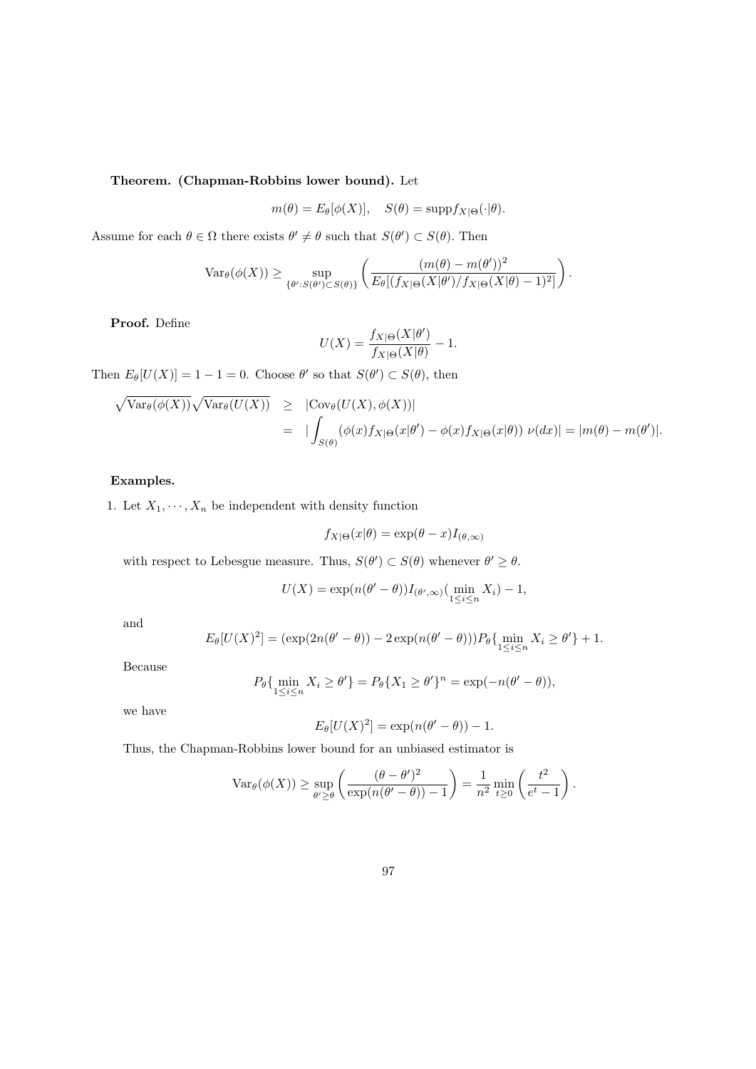## Theorem. (Chapman-Robbins lower bound). Let

$$
m(\theta) = E_{\theta}[\phi(X)], \quad S(\theta) = \text{supp} f_{X|\Theta}(\cdot|\theta).
$$

Assume for each  $\theta \in \Omega$  there exists  $\theta' \neq \theta$  such that  $S(\theta') \subset S(\theta)$ . Then

$$
\text{Var}_{\theta}(\phi(X)) \geq \sup_{\{\theta': S(\theta') \subset S(\theta)\}} \left( \frac{(m(\theta) - m(\theta'))^2}{E_{\theta}[(f_{X|\Theta}(X|\theta')/f_{X|\Theta}(X|\theta) - 1)^2]} \right).
$$

Proof. Define

$$
U(X) = \frac{f_{X|\Theta}(X|\theta')}{f_{X|\Theta}(X|\theta)} - 1.
$$

Then  $E_{\theta}[U(X)] = 1 - 1 = 0$ . Choose  $\theta'$  so that  $S(\theta') \subset S(\theta)$ , then

$$
\sqrt{\text{Var}_{\theta}(\phi(X))}\sqrt{\text{Var}_{\theta}(U(X))} \geq |\text{Cov}_{\theta}(U(X), \phi(X))|
$$
  
= 
$$
|\int_{S(\theta)} (\phi(x)f_{X|\Theta}(x|\theta') - \phi(x)f_{X|\Theta}(x|\theta)) \nu(dx)| = |m(\theta) - m(\theta')|.
$$

#### Examples.

1. Let  $X_1, \dots, X_n$  be independent with density function

$$
f_{X|\Theta}(x|\theta) = \exp(\theta - x)I_{(\theta,\infty)}
$$

with respect to Lebesgue measure. Thus,  $S(\theta') \subset S(\theta)$  whenever  $\theta' \geq \theta$ .

$$
U(X) = \exp(n(\theta' - \theta))I_{(\theta', \infty)}(\min_{1 \le i \le n} X_i) - 1,
$$

and

$$
E_{\theta}[U(X)^{2}] = (\exp(2n(\theta' - \theta)) - 2\exp(n(\theta' - \theta)))P_{\theta}\{\min_{1 \leq i \leq n} X_{i} \geq \theta'\} + 1.
$$

Because

$$
P_{\theta}\{\min_{1\leq i\leq n} X_i \geq \theta'\} = P_{\theta}\{X_1 \geq \theta'\}^n = \exp(-n(\theta'-\theta)),
$$

we have

$$
E_{\theta}[U(X)^{2}] = \exp(n(\theta' - \theta)) - 1.
$$

Thus, the Chapman-Robbins lower bound for an unbiased estimator is

$$
\operatorname{Var}_{\theta}(\phi(X)) \ge \sup_{\theta' \ge \theta} \left( \frac{(\theta - \theta')^2}{\exp(n(\theta' - \theta)) - 1} \right) = \frac{1}{n^2} \min_{t \ge 0} \left( \frac{t^2}{e^t - 1} \right).
$$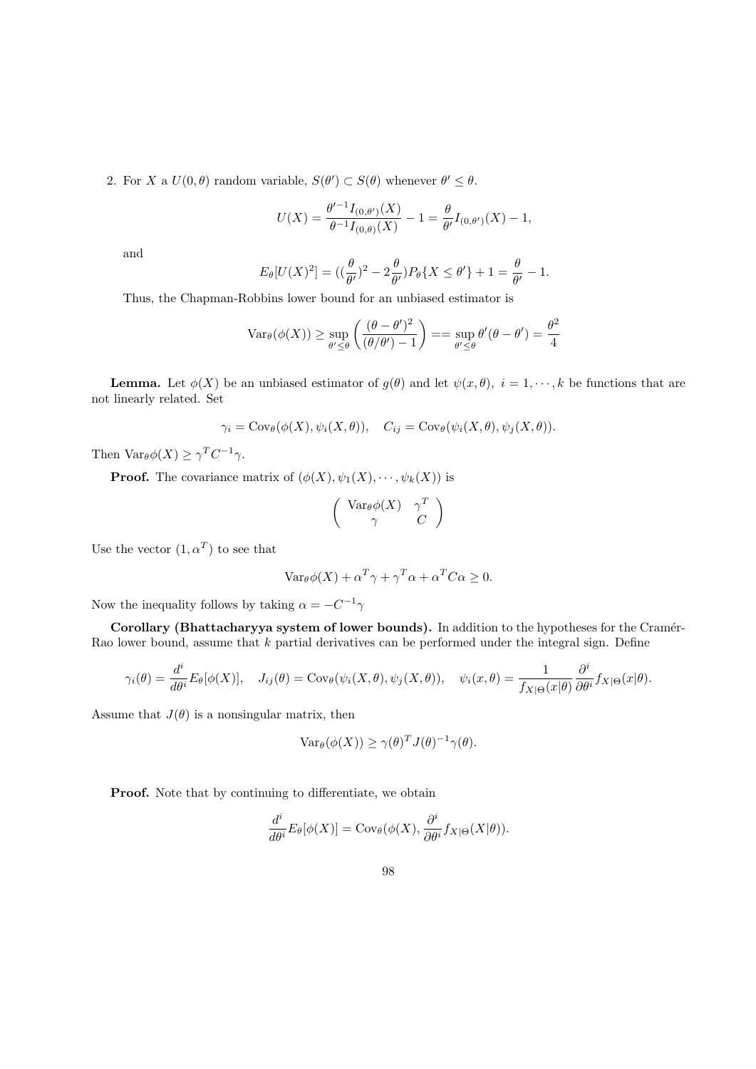2. For X a  $U(0, \theta)$  random variable,  $S(\theta') \subset S(\theta)$  whenever  $\theta' \leq \theta$ .

$$
U(X) = \frac{\theta'^{-1}I_{(0,\theta')}(X)}{\theta^{-1}I_{(0,\theta)}(X)} - 1 = \frac{\theta}{\theta'}I_{(0,\theta')}(X) - 1,
$$

and

$$
E_{\theta}[U(X)^{2}] = \left( (\frac{\theta}{\theta'})^{2} - 2\frac{\theta}{\theta'})P_{\theta}\{X \leq \theta'\} + 1 = \frac{\theta}{\theta'} - 1.
$$

Thus, the Chapman-Robbins lower bound for an unbiased estimator is

$$
\text{Var}_{\theta}(\phi(X)) \ge \sup_{\theta' \le \theta} \left( \frac{(\theta - \theta')^2}{(\theta/\theta') - 1} \right) = \sup_{\theta' \le \theta} \theta'(\theta - \theta') = \frac{\theta^2}{4}
$$

**Lemma.** Let  $\phi(X)$  be an unbiased estimator of  $g(\theta)$  and let  $\psi(x, \theta)$ ,  $i = 1, \dots, k$  be functions that are not linearly related. Set

$$
\gamma_i = \text{Cov}_{\theta}(\phi(X), \psi_i(X, \theta)), \quad C_{ij} = \text{Cov}_{\theta}(\psi_i(X, \theta), \psi_j(X, \theta)).
$$

Then Var $_{\theta}\phi(X) \geq \gamma^T C^{-1} \gamma$ .

**Proof.** The covariance matrix of  $(\phi(X), \psi_1(X), \dots, \psi_k(X))$  is

$$
\left(\begin{array}{cc}\operatorname{Var}_{\theta}\phi(X) & \gamma^T\\ \gamma & C\end{array}\right)
$$

Use the vector  $(1, \alpha^T)$  to see that

$$
\text{Var}_{\theta} \phi(X) + \alpha^T \gamma + \gamma^T \alpha + \alpha^T C \alpha \ge 0.
$$

Now the inequality follows by taking  $\alpha = -C^{-1}\gamma$ 

Corollary (Bhattacharyya system of lower bounds). In addition to the hypotheses for the Cramér-Rao lower bound, assume that  $k$  partial derivatives can be performed under the integral sign. Define

$$
\gamma_i(\theta) = \frac{d^i}{d\theta^i} E_{\theta}[\phi(X)], \quad J_{ij}(\theta) = \text{Cov}_{\theta}(\psi_i(X, \theta), \psi_j(X, \theta)), \quad \psi_i(x, \theta) = \frac{1}{f_{X|\Theta}(x|\theta)} \frac{\partial^i}{\partial \theta^i} f_{X|\Theta}(x|\theta).
$$

Assume that  $J(\theta)$  is a nonsingular matrix, then

$$
\text{Var}_{\theta}(\phi(X)) \ge \gamma(\theta)^T J(\theta)^{-1} \gamma(\theta).
$$

Proof. Note that by continuing to differentiate, we obtain

$$
\frac{d^i}{d\theta^i} E_{\theta}[\phi(X)] = \text{Cov}_{\theta}(\phi(X), \frac{\partial^i}{\partial \theta^i} f_{X|\Theta}(X|\theta)).
$$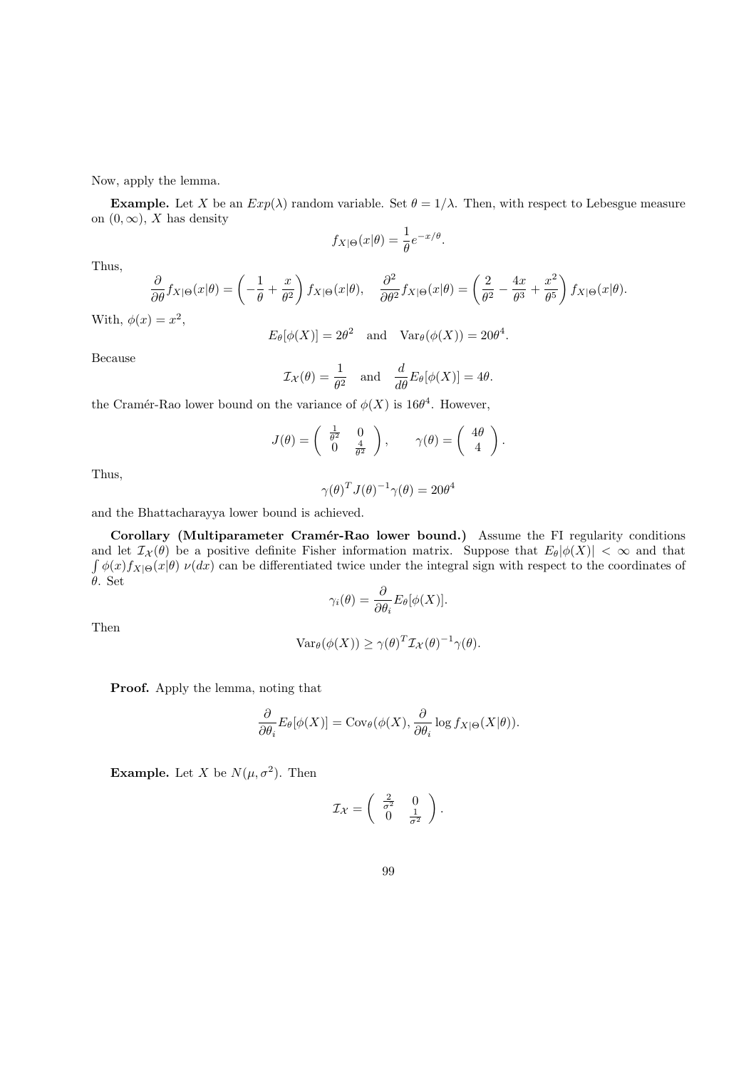Now, apply the lemma.

**Example.** Let X be an  $Exp(\lambda)$  random variable. Set  $\theta = 1/\lambda$ . Then, with respect to Lebesgue measure on  $(0, \infty)$ , X has density

$$
f_{X|\Theta}(x|\theta) = \frac{1}{\theta}e^{-x/\theta}.
$$

Thus,

$$
\frac{\partial}{\partial \theta} f_{X|\Theta}(x|\theta) = \left(-\frac{1}{\theta} + \frac{x}{\theta^2}\right) f_{X|\Theta}(x|\theta), \quad \frac{\partial^2}{\partial \theta^2} f_{X|\Theta}(x|\theta) = \left(\frac{2}{\theta^2} - \frac{4x}{\theta^3} + \frac{x^2}{\theta^5}\right) f_{X|\Theta}(x|\theta).
$$

With,  $\phi(x) = x^2$ ,

 $E_{\theta}[\phi(X)] = 2\theta^2$  and  $Var_{\theta}(\phi(X)) = 20\theta^4$ .

Because

$$
\mathcal{I}_{\mathcal{X}}(\theta) = \frac{1}{\theta^2}
$$
 and  $\frac{d}{d\theta} E_{\theta}[\phi(X)] = 4\theta$ .

the Cramér-Rao lower bound on the variance of  $\phi(X)$  is 16 $\theta^4$ . However,

$$
J(\theta) = \begin{pmatrix} \frac{1}{\theta^2} & 0 \\ 0 & \frac{4}{\theta^2} \end{pmatrix}, \quad \gamma(\theta) = \begin{pmatrix} 4\theta \\ 4 \end{pmatrix}.
$$

Thus,

$$
\gamma(\theta)^T J(\theta)^{-1} \gamma(\theta) = 20\theta^4
$$

and the Bhattacharayya lower bound is achieved.

Corollary (Multiparameter Cramér-Rao lower bound.) Assume the FI regularity conditions and let  $\mathcal{I}_{\mathcal{X}}(\theta)$  be a positive definite Fisher information matrix. Suppose that  $E_{\theta}|\phi(X)| < \infty$  and that  $\int \phi(x) f_{X|\Theta}(x|\theta) \nu(dx)$  can be differentiated twice under the integral sign with respect to the coordinates of θ. Set

$$
\gamma_i(\theta) = \frac{\partial}{\partial \theta_i} E_{\theta}[\phi(X)].
$$

Then

$$
\text{Var}_{\theta}(\phi(X)) \ge \gamma(\theta)^{T} \mathcal{I}_{\mathcal{X}}(\theta)^{-1} \gamma(\theta).
$$

Proof. Apply the lemma, noting that

$$
\frac{\partial}{\partial \theta_i} E_{\theta}[\phi(X)] = \text{Cov}_{\theta}(\phi(X), \frac{\partial}{\partial \theta_i} \log f_{X|\Theta}(X|\theta)).
$$

**Example.** Let X be  $N(\mu, \sigma^2)$ . Then

$$
\mathcal{I}_{\mathcal{X}} = \begin{pmatrix} \frac{2}{\sigma^2} & 0\\ 0 & \frac{1}{\sigma^2} \end{pmatrix}.
$$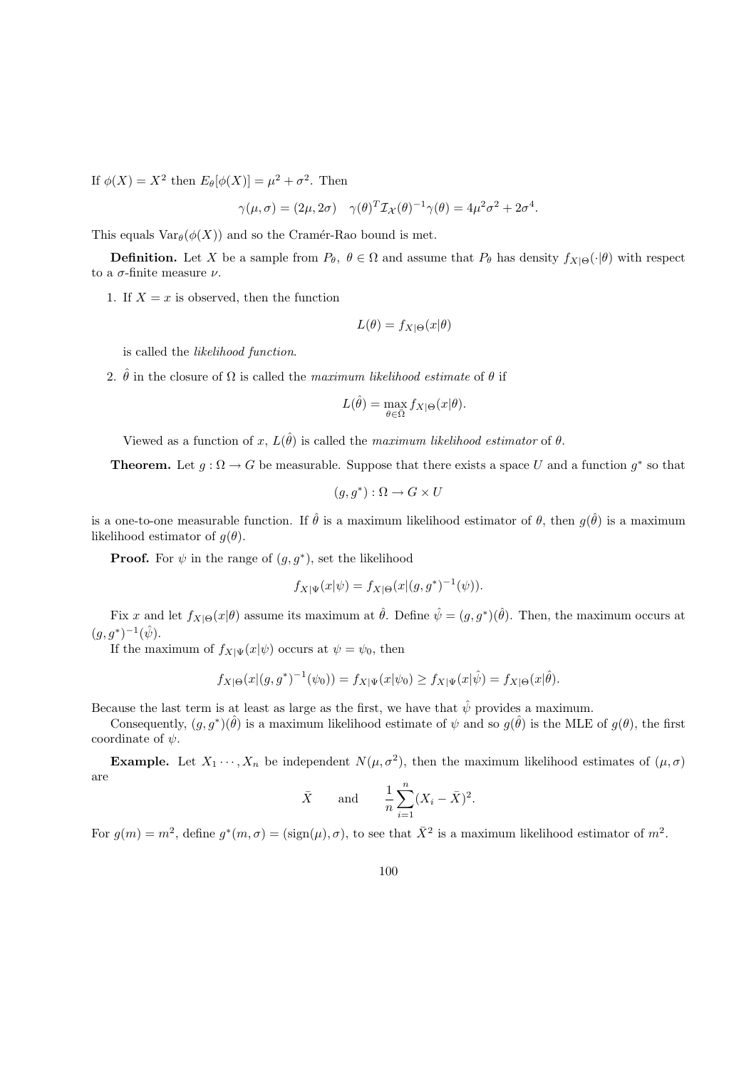If  $\phi(X) = X^2$  then  $E_{\theta}[\phi(X)] = \mu^2 + \sigma^2$ . Then

$$
\gamma(\mu,\sigma) = (2\mu,2\sigma) \quad \gamma(\theta)^T \mathcal{I}_{\mathcal{X}}(\theta)^{-1} \gamma(\theta) = 4\mu^2 \sigma^2 + 2\sigma^4.
$$

This equals  $\text{Var}_{\theta}(\phi(X))$  and so the Cramér-Rao bound is met.

**Definition.** Let X be a sample from  $P_{\theta}$ ,  $\theta \in \Omega$  and assume that  $P_{\theta}$  has density  $f_{X|\Theta}(\cdot|\theta)$  with respect to a σ-finite measure ν.

1. If  $X = x$  is observed, then the function

$$
L(\theta) = f_{X|\Theta}(x|\theta)
$$

is called the likelihood function.

2.  $\hat{\theta}$  in the closure of  $\Omega$  is called the maximum likelihood estimate of  $\theta$  if

$$
L(\hat{\theta}) = \max_{\theta \in \bar{\Omega}} f_{X|\Theta}(x|\theta).
$$

Viewed as a function of x,  $L(\hat{\theta})$  is called the maximum likelihood estimator of  $\theta$ .

**Theorem.** Let  $g : \Omega \to G$  be measurable. Suppose that there exists a space U and a function  $g^*$  so that

$$
(g, g^*) : \Omega \to G \times U
$$

is a one-to-one measurable function. If  $\hat{\theta}$  is a maximum likelihood estimator of  $\theta$ , then  $g(\hat{\theta})$  is a maximum likelihood estimator of  $q(\theta)$ .

**Proof.** For  $\psi$  in the range of  $(g, g^*)$ , set the likelihood

$$
f_{X|\Psi}(x|\psi) = f_{X|\Theta}(x|(g, g^*)^{-1}(\psi)).
$$

Fix x and let  $f_{X|\Theta}(x|\theta)$  assume its maximum at  $\hat{\theta}$ . Define  $\hat{\psi} = (g, g^*)(\hat{\theta})$ . Then, the maximum occurs at  $(g, g^*)^{-1}(\hat{\psi}).$ 

If the maximum of  $f_{X|\Psi}(x|\psi)$  occurs at  $\psi = \psi_0$ , then

$$
f_{X|\Theta}(x|(g,g^*)^{-1}(\psi_0)) = f_{X|\Psi}(x|\psi_0) \ge f_{X|\Psi}(x|\hat{\psi}) = f_{X|\Theta}(x|\hat{\theta}).
$$

Because the last term is at least as large as the first, we have that  $\hat{\psi}$  provides a maximum.

Consequently,  $(g, g^*)(\hat{\theta})$  is a maximum likelihood estimate of  $\psi$  and so  $g(\hat{\theta})$  is the MLE of  $g(\theta)$ , the first coordinate of  $\psi$ .

**Example.** Let  $X_1 \cdots, X_n$  be independent  $N(\mu, \sigma^2)$ , then the maximum likelihood estimates of  $(\mu, \sigma)$ are

$$
\bar{X}
$$
 and  $\frac{1}{n} \sum_{i=1}^{n} (X_i - \bar{X})^2$ .

For  $g(m) = m^2$ , define  $g^*(m, \sigma) = (\text{sign}(\mu), \sigma)$ , to see that  $\overline{X}^2$  is a maximum likelihood estimator of  $m^2$ .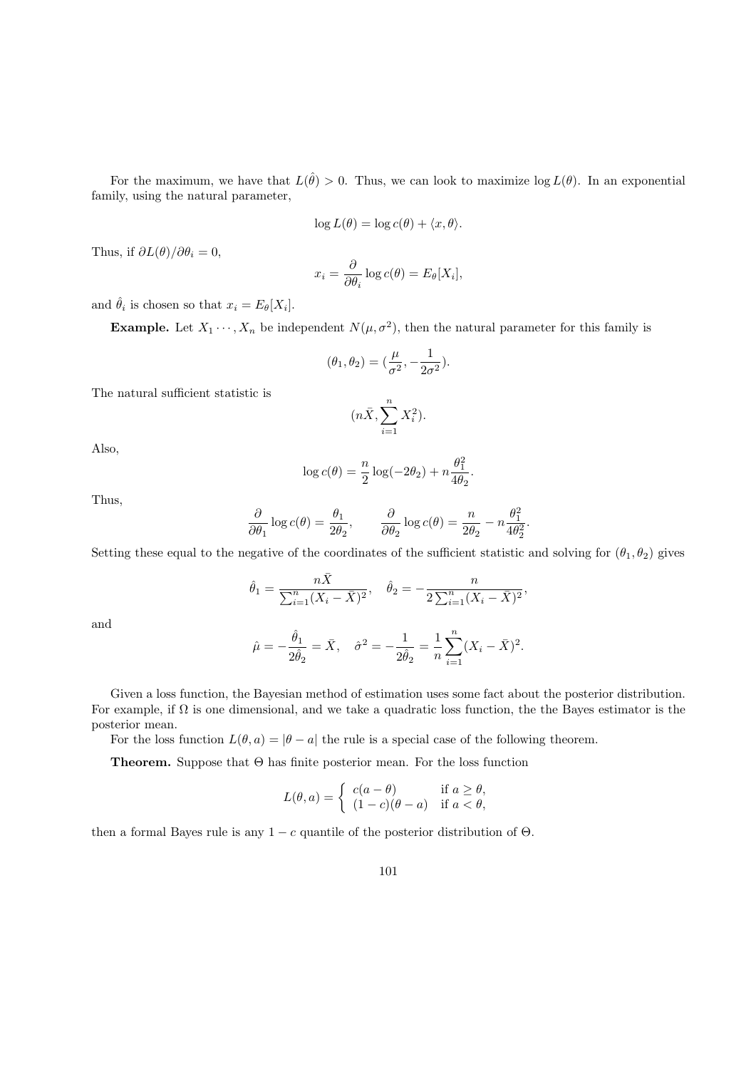For the maximum, we have that  $L(\hat{\theta}) > 0$ . Thus, we can look to maximize  $\log L(\theta)$ . In an exponential family, using the natural parameter,

$$
\log L(\theta) = \log c(\theta) + \langle x, \theta \rangle.
$$

Thus, if  $\partial L(\theta)/\partial \theta_i = 0$ ,

$$
x_i = \frac{\partial}{\partial \theta_i} \log c(\theta) = E_{\theta}[X_i],
$$

and  $\hat{\theta}_i$  is chosen so that  $x_i = E_{\theta}[X_i]$ .

**Example.** Let  $X_1 \cdots, X_n$  be independent  $N(\mu, \sigma^2)$ , then the natural parameter for this family is

$$
(\theta_1, \theta_2) = (\frac{\mu}{\sigma^2}, -\frac{1}{2\sigma^2}).
$$

The natural sufficient statistic is

$$
(n\bar{X}, \sum_{i=1}^{n} X_i^2).
$$

Also,

$$
\log c(\theta) = \frac{n}{2} \log(-2\theta_2) + n \frac{\theta_1^2}{4\theta_2}.
$$

Thus,

$$
\frac{\partial}{\partial \theta_1} \log c(\theta) = \frac{\theta_1}{2\theta_2}, \qquad \frac{\partial}{\partial \theta_2} \log c(\theta) = \frac{n}{2\theta_2} - n \frac{\theta_1^2}{4\theta_2^2}.
$$

Setting these equal to the negative of the coordinates of the sufficient statistic and solving for  $(\theta_1, \theta_2)$  gives

$$
\hat{\theta}_1 = \frac{n\bar{X}}{\sum_{i=1}^n (X_i - \bar{X})^2}, \quad \hat{\theta}_2 = -\frac{n}{2\sum_{i=1}^n (X_i - \bar{X})^2},
$$

and

$$
\hat{\mu} = -\frac{\hat{\theta}_1}{2\hat{\theta}_2} = \bar{X}, \quad \hat{\sigma}^2 = -\frac{1}{2\hat{\theta}_2} = \frac{1}{n} \sum_{i=1}^n (X_i - \bar{X})^2.
$$

Given a loss function, the Bayesian method of estimation uses some fact about the posterior distribution. For example, if  $\Omega$  is one dimensional, and we take a quadratic loss function, the the Bayes estimator is the posterior mean.

For the loss function  $L(\theta, a) = |\theta - a|$  the rule is a special case of the following theorem.

Theorem. Suppose that Θ has finite posterior mean. For the loss function

$$
L(\theta, a) = \begin{cases} c(a - \theta) & \text{if } a \ge \theta, \\ (1 - c)(\theta - a) & \text{if } a < \theta, \end{cases}
$$

then a formal Bayes rule is any  $1 - c$  quantile of the posterior distribution of  $\Theta$ .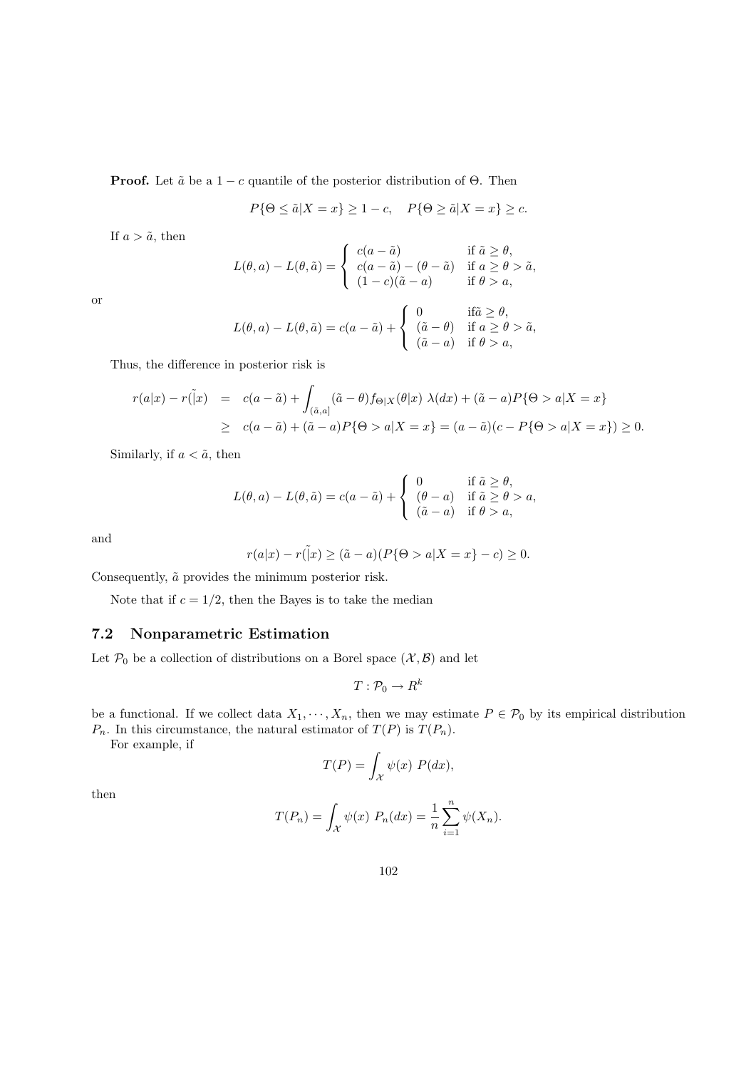**Proof.** Let  $\tilde{a}$  be a 1 – c quantile of the posterior distribution of  $\Theta$ . Then

$$
P\{\Theta \le \tilde{a}|X=x\} \ge 1-c, \quad P\{\Theta \ge \tilde{a}|X=x\} \ge c.
$$

If  $a > \tilde{a}$ , then

$$
L(\theta, a) - L(\theta, \tilde{a}) = \begin{cases} c(a - \tilde{a}) & \text{if } \tilde{a} \ge \theta, \\ c(a - \tilde{a}) - (\theta - \tilde{a}) & \text{if } a \ge \theta > \tilde{a}, \\ (1 - c)(\tilde{a} - a) & \text{if } \theta > a, \end{cases}
$$

or

$$
L(\theta, a) - L(\theta, \tilde{a}) = c(a - \tilde{a}) + \begin{cases} 0 & \text{if } \tilde{a} \ge \theta, \\ (\tilde{a} - \theta) & \text{if } a \ge \theta > \tilde{a}, \\ (\tilde{a} - a) & \text{if } \theta > a, \end{cases}
$$

Thus, the difference in posterior risk is

$$
r(a|x) - r(\tilde{1}x) = c(a - \tilde{a}) + \int_{(\tilde{a},a]} (\tilde{a} - \theta) f_{\Theta|X}(\theta|x) \lambda(dx) + (\tilde{a} - a) P\{\Theta > a | X = x\}
$$
  
 
$$
\geq c(a - \tilde{a}) + (\tilde{a} - a) P\{\Theta > a | X = x\} = (a - \tilde{a})(c - P\{\Theta > a | X = x\}) \geq 0.
$$

Similarly, if  $a < \tilde{a}$ , then

$$
L(\theta, a) - L(\theta, \tilde{a}) = c(a - \tilde{a}) + \begin{cases} 0 & \text{if } \tilde{a} \ge \theta, \\ (\theta - a) & \text{if } \tilde{a} \ge \theta > a, \\ (\tilde{a} - a) & \text{if } \theta > a, \end{cases}
$$

and

$$
r(a|x) - r(\tilde{|}x) \ge (\tilde{a} - a)(P{\Theta > a|X = x} - c) \ge 0.
$$

Consequently,  $\tilde{a}$  provides the minimum posterior risk.

Note that if  $c = 1/2$ , then the Bayes is to take the median

## 7.2 Nonparametric Estimation

Let  $\mathcal{P}_0$  be a collection of distributions on a Borel space  $(\mathcal{X}, \mathcal{B})$  and let

$$
T:\mathcal{P}_0\to R^k
$$

be a functional. If we collect data  $X_1, \dots, X_n$ , then we may estimate  $P \in \mathcal{P}_0$  by its empirical distribution  $P_n$ . In this circumstance, the natural estimator of  $T(P)$  is  $T(P_n)$ .

For example, if

$$
T(P) = \int_{\mathcal{X}} \psi(x) \ P(dx),
$$

then

$$
T(P_n) = \int_{\mathcal{X}} \psi(x) \, P_n(dx) = \frac{1}{n} \sum_{i=1}^n \psi(X_n).
$$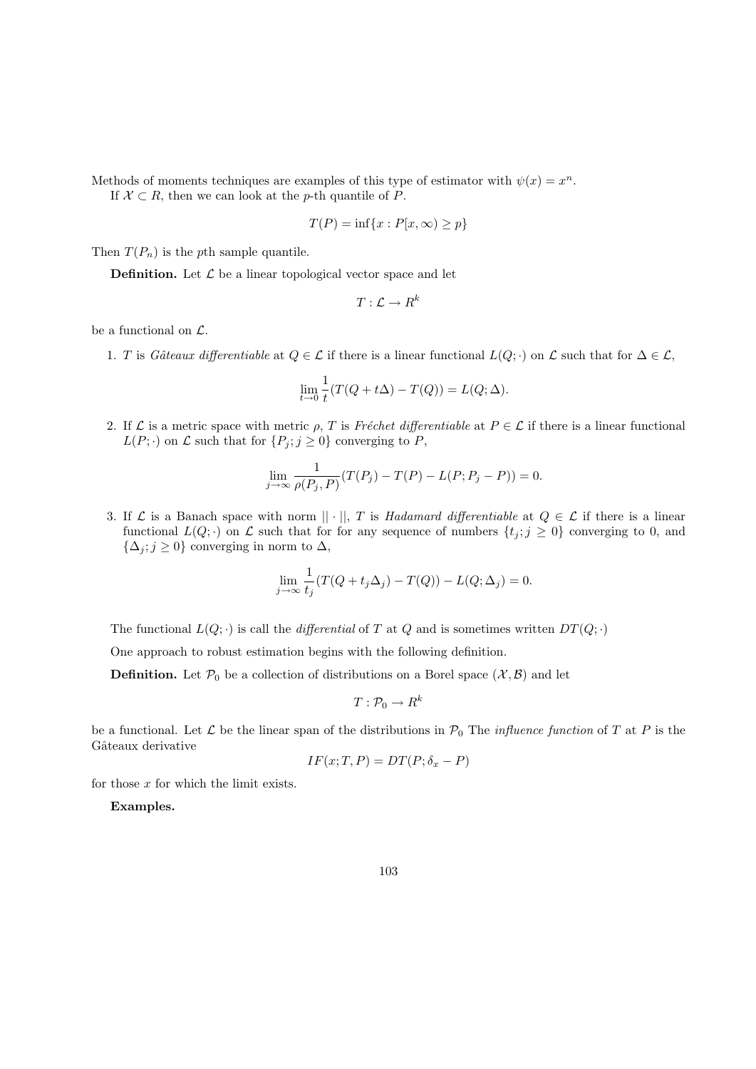Methods of moments techniques are examples of this type of estimator with  $\psi(x) = x^n$ . If  $X \subset R$ , then we can look at the p-th quantile of P.

$$
T(P) = \inf\{x : P[x, \infty) \ge p\}
$$

Then  $T(P_n)$  is the pth sample quantile.

**Definition.** Let  $\mathcal{L}$  be a linear topological vector space and let

$$
T: \mathcal{L} \rightarrow R^k
$$

be a functional on  $\mathcal{L}$ .

1. T is Gâteaux differentiable at  $Q \in \mathcal{L}$  if there is a linear functional  $L(Q; \cdot)$  on  $\mathcal{L}$  such that for  $\Delta \in \mathcal{L}$ ,

$$
\lim_{t \to 0} \frac{1}{t} (T(Q + t\Delta) - T(Q)) = L(Q; \Delta).
$$

2. If  $\mathcal L$  is a metric space with metric  $\rho$ , T is Fréchet differentiable at  $P \in \mathcal L$  if there is a linear functional  $L(P; \cdot)$  on  $\mathcal L$  such that for  $\{P_j : j \geq 0\}$  converging to P,

$$
\lim_{j \to \infty} \frac{1}{\rho(P_j, P)} (T(P_j) - T(P) - L(P; P_j - P)) = 0.
$$

3. If  $\mathcal L$  is a Banach space with norm  $|| \cdot ||$ , T is Hadamard differentiable at  $Q \in \mathcal L$  if there is a linear functional  $L(Q; \cdot)$  on  $\mathcal L$  such that for for any sequence of numbers  $\{t_j : j \geq 0\}$  converging to 0, and  $\{\Delta_j; j\geq 0\}$  converging in norm to  $\Delta$ ,

$$
\lim_{j \to \infty} \frac{1}{t_j} (T(Q + t_j \Delta_j) - T(Q)) - L(Q; \Delta_j) = 0.
$$

The functional  $L(Q; \cdot)$  is call the *differential* of T at Q and is sometimes written  $DT(Q; \cdot)$ 

One approach to robust estimation begins with the following definition.

**Definition.** Let  $\mathcal{P}_0$  be a collection of distributions on a Borel space  $(\mathcal{X}, \mathcal{B})$  and let

$$
T:\mathcal{P}_0\to R^k
$$

be a functional. Let  $\mathcal L$  be the linear span of the distributions in  $\mathcal P_0$  The *influence function* of T at P is the Gâteaux derivative

$$
IF(x; T, P) = DT(P; \delta_x - P)
$$

for those  $x$  for which the limit exists.

Examples.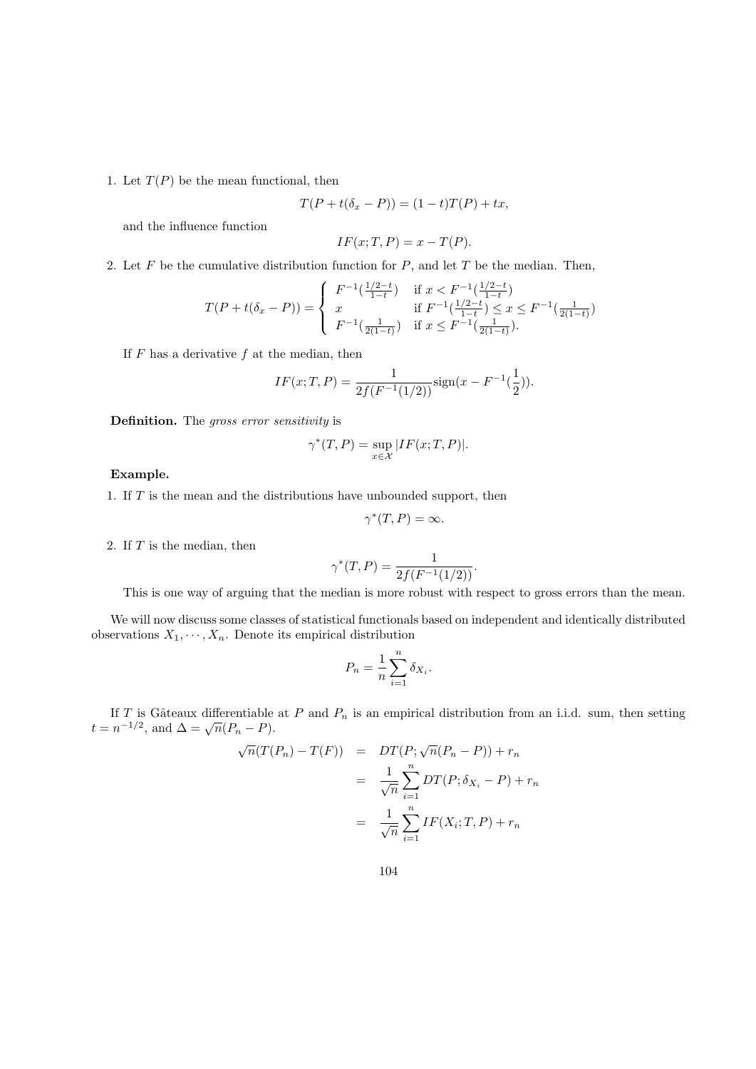1. Let  $T(P)$  be the mean functional, then

$$
T(P+t(\delta_x-P))=(1-t)T(P)+tx,
$$

and the influence function

$$
IF(x; T, P) = x - T(P).
$$

2. Let F be the cumulative distribution function for  $P$ , and let T be the median. Then,

$$
T(P+t(\delta_x - P)) = \begin{cases} F^{-1}(\frac{1/2-t}{1-t}) & \text{if } x < F^{-1}(\frac{1/2-t}{1-t})\\ x & \text{if } F^{-1}(\frac{1/2-t}{1-t}) \le x \le F^{-1}(\frac{1}{2(1-t)})\\ F^{-1}(\frac{1}{2(1-t)}) & \text{if } x \le F^{-1}(\frac{1}{2(1-t)}). \end{cases}
$$

If  $F$  has a derivative  $f$  at the median, then

$$
IF(x;T,P) = \frac{1}{2f(F^{-1}(1/2))}\text{sign}(x - F^{-1}(\frac{1}{2})).
$$

Definition. The gross error sensitivity is

$$
\gamma^*(T, P) = \sup_{x \in \mathcal{X}} |IF(x; T, P)|.
$$

#### Example.

1. If T is the mean and the distributions have unbounded support, then

$$
\gamma^*(T, P) = \infty.
$$

2. If  $T$  is the median, then

$$
\gamma^*(T,P) = \frac{1}{2f(F^{-1}(1/2))}.
$$

This is one way of arguing that the median is more robust with respect to gross errors than the mean.

We will now discuss some classes of statistical functionals based on independent and identically distributed observations  $X_1, \dots, X_n$ . Denote its empirical distribution

$$
P_n = \frac{1}{n} \sum_{i=1}^n \delta_{X_i}.
$$

If T is Gâteaux differentiable at P and  $P_n$  is an empirical distribution from an i.i.d. sum, then setting If T is Gateaux differentiable<br> $t = n^{-1/2}$ , and  $\Delta = \sqrt{n}(P_n - P)$ .

$$
\sqrt{n}(T(P_n) - T(F)) = DT(P; \sqrt{n}(P_n - P)) + r_n
$$

$$
= \frac{1}{\sqrt{n}} \sum_{i=1}^n DT(P; \delta_{X_i} - P) + r_n
$$

$$
= \frac{1}{\sqrt{n}} \sum_{i=1}^n IF(X_i; T, P) + r_n
$$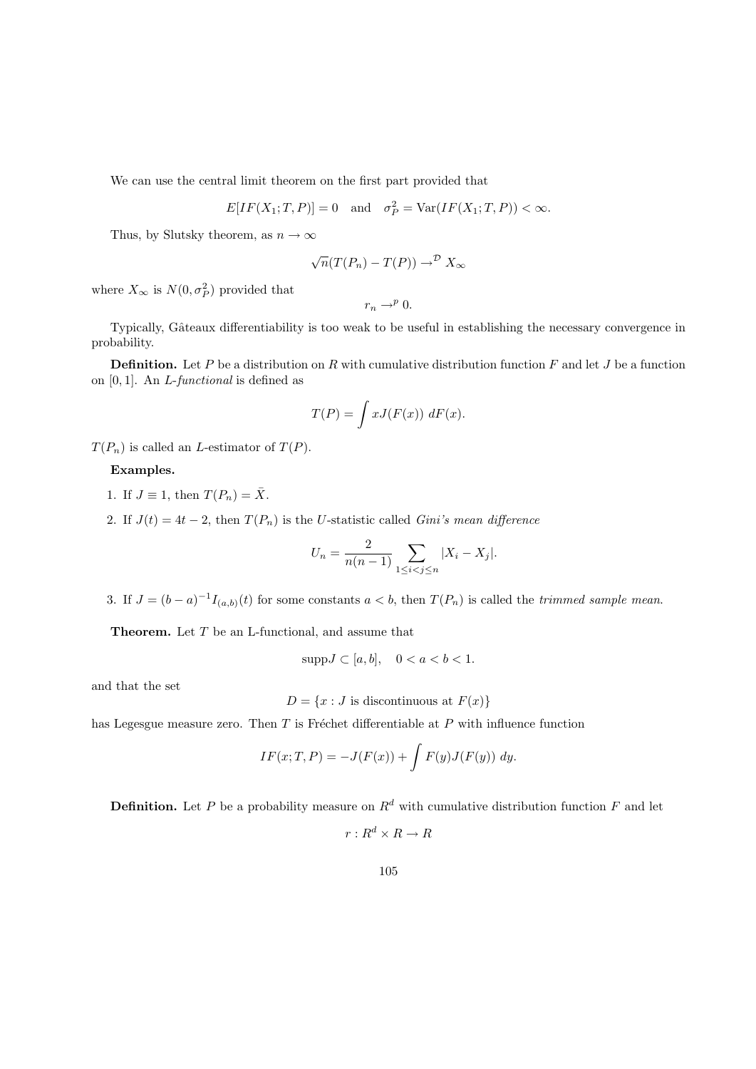We can use the central limit theorem on the first part provided that

$$
E[IF(X1; T, P)] = 0 \text{ and } \sigma_P^2 = \text{Var}(IF(X1; T, P)) < \infty.
$$

Thus, by Slutsky theorem, as  $n \to \infty$ 

$$
\sqrt{n}(T(P_n) - T(P)) \to^{\mathcal{D}} X_{\infty}
$$

where  $X_{\infty}$  is  $N(0, \sigma_P^2)$  provided that

$$
r_n\to^p 0.
$$

Typically, Gâteaux differentiability is too weak to be useful in establishing the necessary convergence in probability.

**Definition.** Let P be a distribution on R with cumulative distribution function F and let J be a function on [0, 1]. An L-functional is defined as

$$
T(P) = \int x J(F(x)) \, dF(x).
$$

 $T(P_n)$  is called an *L*-estimator of  $T(P)$ .

Examples.

- 1. If  $J \equiv 1$ , then  $T(P_n) = \overline{X}$ .
- 2. If  $J(t) = 4t 2$ , then  $T(P_n)$  is the U-statistic called *Gini's mean difference*

$$
U_n = \frac{2}{n(n-1)} \sum_{1 \le i < j \le n} |X_i - X_j|.
$$

3. If  $J = (b - a)^{-1} I_{(a,b)}(t)$  for some constants  $a < b$ , then  $T(P_n)$  is called the *trimmed sample mean*.

**Theorem.** Let  $T$  be an L-functional, and assume that

$$
supp J \subset [a, b], \quad 0 < a < b < 1.
$$

and that the set

$$
D = \{x : J \text{ is discontinuous at } F(x)\}\
$$

has Legesgue measure zero. Then  $T$  is Fréchet differentiable at  $P$  with influence function

$$
IF(x;T,P) = -J(F(x)) + \int F(y)J(F(y)) dy.
$$

**Definition.** Let P be a probability measure on  $R^d$  with cumulative distribution function F and let

 $r: R^d \times R \to R$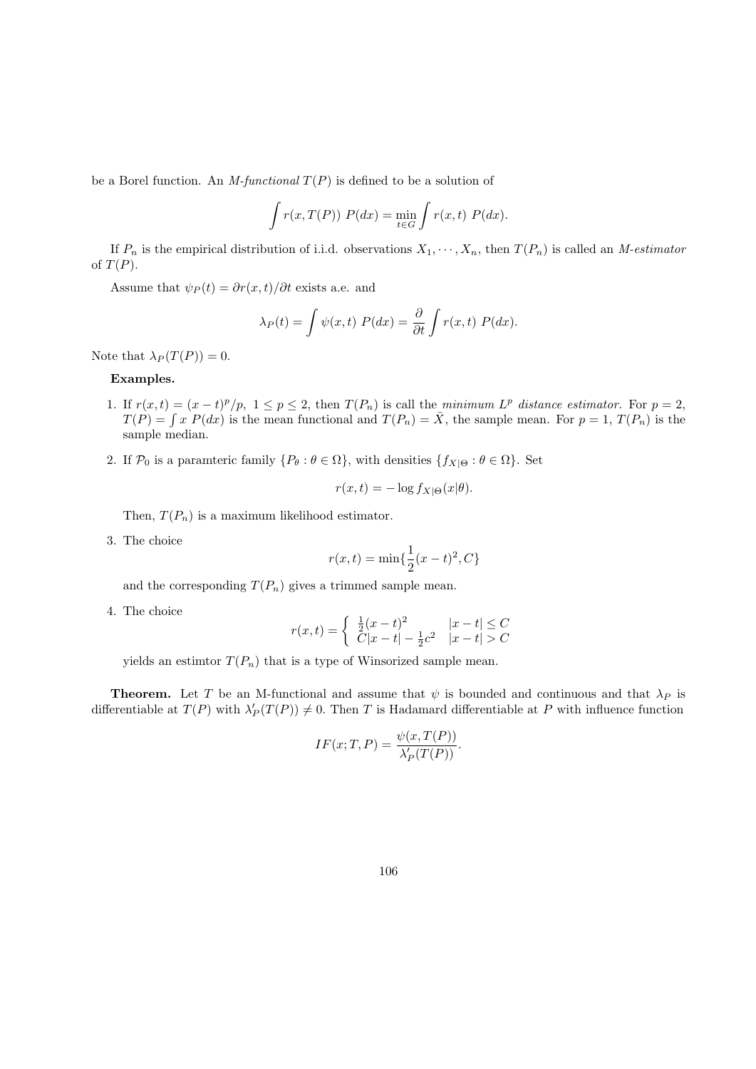be a Borel function. An M-functional  $T(P)$  is defined to be a solution of

$$
\int r(x, T(P)) P(dx) = \min_{t \in G} \int r(x, t) P(dx).
$$

If  $P_n$  is the empirical distribution of i.i.d. observations  $X_1, \dots, X_n$ , then  $T(P_n)$  is called an M-estimator of  $T(P)$ .

Assume that  $\psi_P(t) = \frac{\partial r(x,t)}{\partial t}$  exists a.e. and

$$
\lambda_P(t) = \int \psi(x, t) P(dx) = \frac{\partial}{\partial t} \int r(x, t) P(dx).
$$

Note that  $\lambda_P (T(P)) = 0$ .

### Examples.

- 1. If  $r(x,t) = (x-t)^p/p$ ,  $1 \le p \le 2$ , then  $T(P_n)$  is call the minimum  $L^p$  distance estimator. For  $p = 2$ ,  $T(P) = \int x P(dx)$  is the mean functional and  $T(P_n) = \overline{X}$ , the sample mean. For  $p = 1, T(P_n)$  is the sample median.
- 2. If  $\mathcal{P}_0$  is a paramteric family  $\{P_\theta : \theta \in \Omega\}$ , with densities  $\{f_{X|\Theta} : \theta \in \Omega\}$ . Set

$$
r(x,t) = -\log f_{X|\Theta}(x|\theta).
$$

Then,  $T(P_n)$  is a maximum likelihood estimator.

3. The choice

$$
r(x,t) = \min\{\frac{1}{2}(x-t)^2, C\}
$$

and the corresponding  $T(P_n)$  gives a trimmed sample mean.

4. The choice

$$
r(x,t) = \begin{cases} \frac{1}{2}(x-t)^2 & |x-t| \le C \\ C|x-t| - \frac{1}{2}c^2 & |x-t| > C \end{cases}
$$

yields an estimtor  $T(P_n)$  that is a type of Winsorized sample mean.

**Theorem.** Let T be an M-functional and assume that  $\psi$  is bounded and continuous and that  $\lambda_P$  is differentiable at  $T(P)$  with  $\lambda'_P(T(P)) \neq 0$ . Then T is Hadamard differentiable at P with influence function

$$
IF(x;T,P) = \frac{\psi(x,T(P))}{\lambda'_P(T(P))}.
$$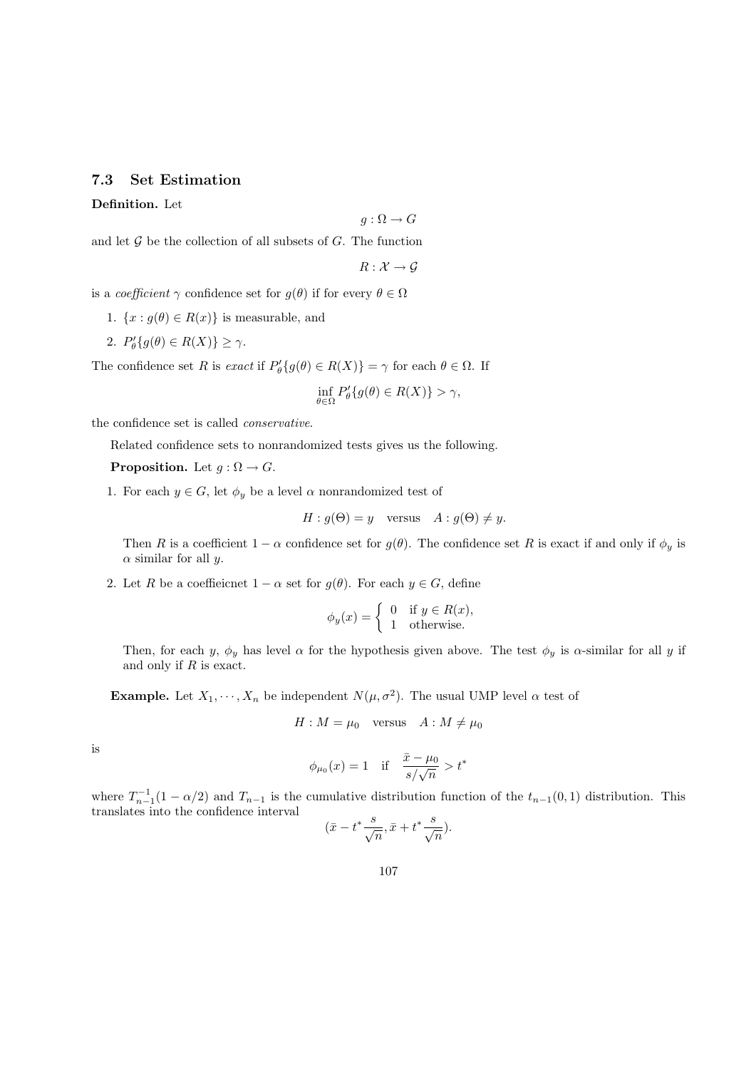## 7.3 Set Estimation

Definition. Let

$$
g:\Omega\to G
$$

and let  $G$  be the collection of all subsets of  $G$ . The function

$$
R:\mathcal{X}\to\mathcal{G}
$$

is a *coefficient*  $\gamma$  confidence set for  $g(\theta)$  if for every  $\theta \in \Omega$ 

- 1.  $\{x : g(\theta) \in R(x)\}\$ is measurable, and
- 2.  $P'_{\theta}\{g(\theta) \in R(X)\} \geq \gamma$ .

The confidence set R is exact if  $P'_{\theta}{g(\theta) \in R(X)} = \gamma$  for each  $\theta \in \Omega$ . If

$$
\inf_{\theta \in \Omega} P_{\theta}'\{g(\theta) \in R(X)\} > \gamma,
$$

the confidence set is called conservative.

Related confidence sets to nonrandomized tests gives us the following.

**Proposition.** Let  $q : \Omega \to G$ .

1. For each  $y \in G$ , let  $\phi_y$  be a level  $\alpha$  nonrandomized test of

$$
H: g(\Theta) = y \quad \text{versus} \quad A: g(\Theta) \neq y.
$$

Then R is a coefficient  $1 - \alpha$  confidence set for  $g(\theta)$ . The confidence set R is exact if and only if  $\phi_y$  is  $\alpha$  similar for all y.

2. Let R be a coefficient  $1 - \alpha$  set for  $q(\theta)$ . For each  $y \in G$ , define

$$
\phi_y(x) = \begin{cases} 0 & \text{if } y \in R(x), \\ 1 & \text{otherwise.} \end{cases}
$$

Then, for each y,  $\phi_y$  has level  $\alpha$  for the hypothesis given above. The test  $\phi_y$  is  $\alpha$ -similar for all y if and only if  $R$  is exact.

**Example.** Let  $X_1, \dots, X_n$  be independent  $N(\mu, \sigma^2)$ . The usual UMP level  $\alpha$  test of

$$
H: M = \mu_0 \quad \text{versus} \quad A: M \neq \mu_0
$$

is

$$
\phi_{\mu_0}(x) = 1
$$
 if  $\frac{\bar{x} - \mu_0}{s / \sqrt{n}} > t^*$ 

where  $T_{n-1}^{-1}(1-\alpha/2)$  and  $T_{n-1}$  is the cumulative distribution function of the  $t_{n-1}(0,1)$  distribution. This translates into the confidence interval

$$
(\bar{x} - t^* \frac{s}{\sqrt{n}}, \bar{x} + t^* \frac{s}{\sqrt{n}}).
$$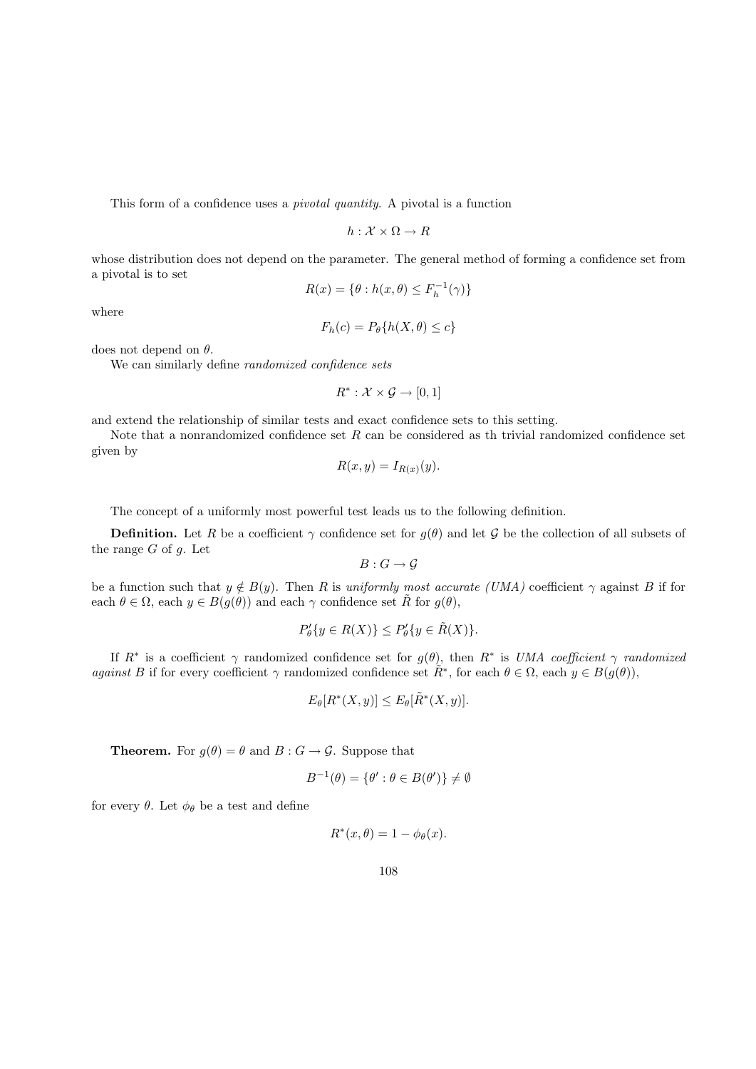This form of a confidence uses a pivotal quantity. A pivotal is a function

$$
h:\mathcal{X}\times\Omega\to R
$$

whose distribution does not depend on the parameter. The general method of forming a confidence set from a pivotal is to set

$$
R(x) = \{ \theta : h(x, \theta) \le F_h^{-1}(\gamma) \}
$$

where

$$
F_h(c) = P_{\theta}\{h(X, \theta) \le c\}
$$

does not depend on  $\theta$ .

We can similarly define randomized confidence sets

$$
R^*: \mathcal{X} \times \mathcal{G} \rightarrow [0,1]
$$

and extend the relationship of similar tests and exact confidence sets to this setting.

Note that a nonrandomized confidence set  $R$  can be considered as the trivial randomized confidence set given by

$$
R(x, y) = I_{R(x)}(y).
$$

The concept of a uniformly most powerful test leads us to the following definition.

**Definition.** Let R be a coefficient  $\gamma$  confidence set for  $g(\theta)$  and let G be the collection of all subsets of the range  $G$  of  $g$ . Let

 $B: G \to G$ 

be a function such that  $y \notin B(y)$ . Then R is uniformly most accurate (UMA) coefficient  $\gamma$  against B if for each  $\theta \in \Omega$ , each  $y \in B(g(\theta))$  and each  $\gamma$  confidence set R for  $g(\theta)$ ,

$$
P'_{\theta}\{y \in R(X)\} \le P'_{\theta}\{y \in \tilde{R}(X)\}.
$$

If  $R^*$  is a coefficient  $\gamma$  randomized confidence set for  $g(\theta)$ , then  $R^*$  is UMA coefficient  $\gamma$  randomized against B if for every coefficient  $\gamma$  randomized confidence set  $\tilde{R}^*$ , for each  $\theta \in \Omega$ , each  $y \in B(g(\theta))$ ,

$$
E_{\theta}[R^*(X, y)] \le E_{\theta}[\tilde{R}^*(X, y)].
$$

**Theorem.** For  $g(\theta) = \theta$  and  $B : G \to \mathcal{G}$ . Suppose that

$$
B^{-1}(\theta) = \{\theta' : \theta \in B(\theta')\} \neq \emptyset
$$

for every  $\theta$ . Let  $\phi_{\theta}$  be a test and define

$$
R^*(x,\theta) = 1 - \phi_\theta(x).
$$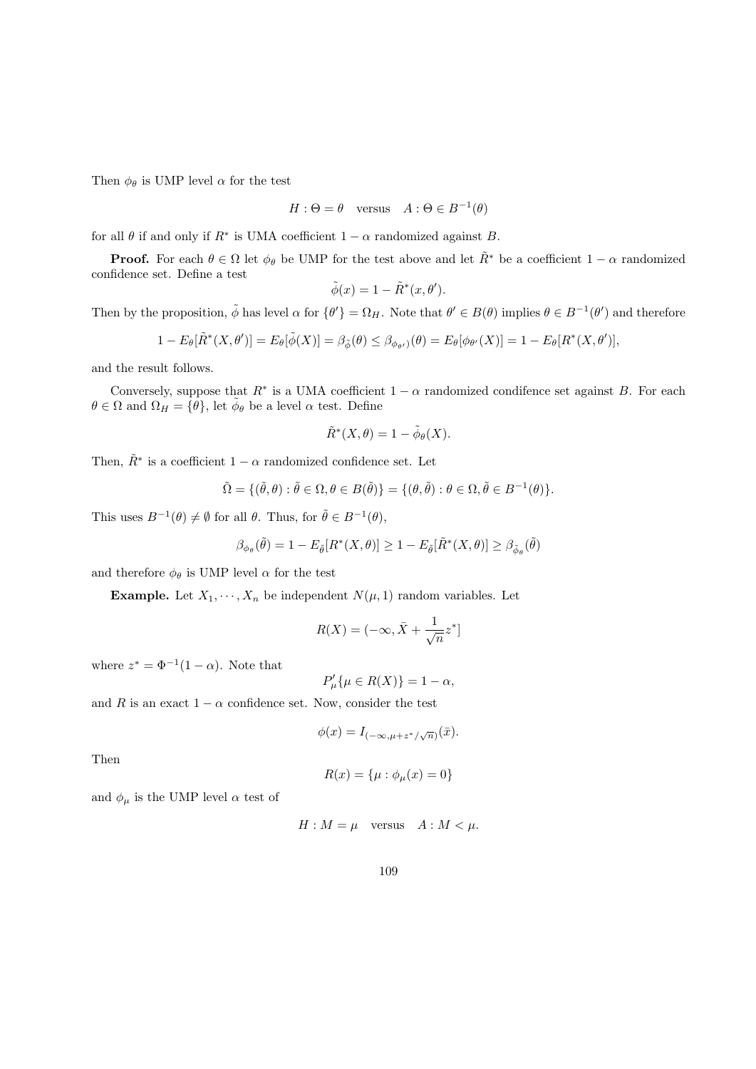Then  $\phi_{\theta}$  is UMP level  $\alpha$  for the test

$$
H: \Theta = \theta \quad \text{versus} \quad A: \Theta \in B^{-1}(\theta)
$$

for all  $\theta$  if and only if  $R^*$  is UMA coefficient  $1 - \alpha$  randomized against B.

**Proof.** For each  $\theta \in \Omega$  let  $\phi_{\theta}$  be UMP for the test above and let  $\tilde{R}^*$  be a coefficient  $1 - \alpha$  randomized confidence set. Define a test

$$
\tilde{\phi}(x) = 1 - \tilde{R}^*(x, \theta').
$$

Then by the proposition,  $\tilde{\phi}$  has level  $\alpha$  for  $\{\theta'\} = \Omega_H$ . Note that  $\theta' \in B(\theta)$  implies  $\theta \in B^{-1}(\theta')$  and therefore

$$
1 - E_{\theta}[\tilde{R}^*(X, \theta')] = E_{\theta}[\tilde{\phi}(X)] = \beta_{\tilde{\phi}}(\theta) \leq \beta_{\phi_{\theta'}}(\theta) = E_{\theta}[\phi_{\theta'}(X)] = 1 - E_{\theta}[R^*(X, \theta')],
$$

and the result follows.

Conversely, suppose that  $R^*$  is a UMA coefficient  $1 - \alpha$  randomized condifence set against B. For each  $\theta \in \Omega$  and  $\Omega_H = {\theta}$ , let  $\tilde{\phi}_{\theta}$  be a level  $\alpha$  test. Define

$$
\tilde{R}^*(X,\theta) = 1 - \tilde{\phi}_{\theta}(X).
$$

Then,  $\tilde{R}^*$  is a coefficient  $1 - \alpha$  randomized confidence set. Let

$$
\tilde{\Omega} = \{(\tilde{\theta}, \theta) : \tilde{\theta} \in \Omega, \theta \in B(\tilde{\theta})\} = \{(\theta, \tilde{\theta}) : \theta \in \Omega, \tilde{\theta} \in B^{-1}(\theta)\}.
$$

This uses  $B^{-1}(\theta) \neq \emptyset$  for all  $\theta$ . Thus, for  $\tilde{\theta} \in B^{-1}(\theta)$ ,

$$
\beta_{\phi_{\theta}}(\tilde{\theta}) = 1 - E_{\tilde{\theta}}[R^*(X, \theta)] \ge 1 - E_{\tilde{\theta}}[\tilde{R}^*(X, \theta)] \ge \beta_{\tilde{\phi}_{\theta}}(\tilde{\theta})
$$

and therefore  $\phi_{\theta}$  is UMP level  $\alpha$  for the test

**Example.** Let  $X_1, \dots, X_n$  be independent  $N(\mu, 1)$  random variables. Let

$$
R(X) = (-\infty, \bar{X} + \frac{1}{\sqrt{n}} z^*]
$$

where  $z^* = \Phi^{-1}(1-\alpha)$ . Note that

$$
P'_{\mu}\{\mu \in R(X)\} = 1 - \alpha,
$$

and R is an exact  $1 - \alpha$  confidence set. Now, consider the test

$$
\phi(x) = I_{(-\infty,\mu+z^*/\sqrt{n})}(\bar{x}).
$$

Then

$$
R(x)=\{\mu:\phi_\mu(x)=0\}
$$

and  $\phi_{\mu}$  is the UMP level  $\alpha$  test of

$$
H: M = \mu \quad \text{versus} \quad A: M < \mu.
$$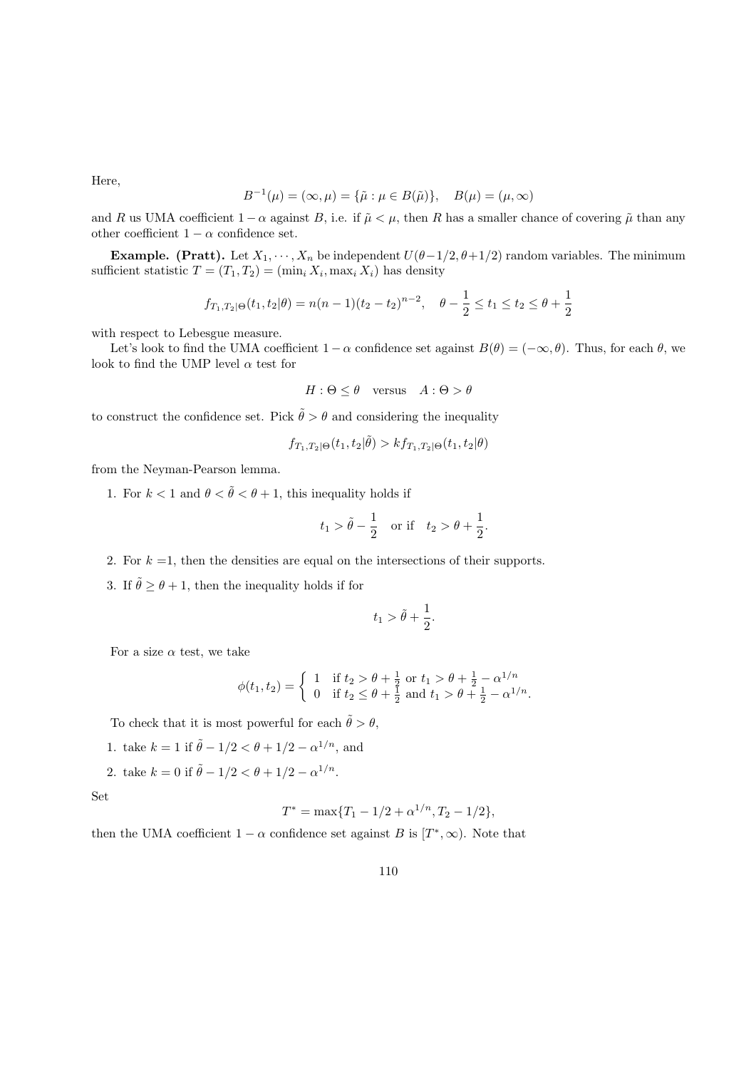Here,

$$
B^{-1}(\mu) = (\infty, \mu) = {\tilde{\mu} : \mu \in B(\tilde{\mu})}, \quad B(\mu) = (\mu, \infty)
$$

and R us UMA coefficient  $1 - \alpha$  against B, i.e. if  $\tilde{\mu} \leq \mu$ , then R has a smaller chance of covering  $\tilde{\mu}$  than any other coefficient  $1 - \alpha$  confidence set.

**Example.** (Pratt). Let  $X_1, \dots, X_n$  be independent  $U(\theta-1/2, \theta+1/2)$  random variables. The minimum sufficient statistic  $T = (T_1, T_2) = (\min_i X_i, \max_i X_i)$  has density

$$
f_{T_1,T_2|\Theta}(t_1,t_2|\theta) = n(n-1)(t_2-t_2)^{n-2}, \quad \theta - \frac{1}{2} \le t_1 \le t_2 \le \theta + \frac{1}{2}
$$

with respect to Lebesgue measure.

Let's look to find the UMA coefficient  $1 - \alpha$  confidence set against  $B(\theta) = (-\infty, \theta)$ . Thus, for each  $\theta$ , we look to find the UMP level  $\alpha$  test for

$$
H: \Theta \le \theta \quad \text{versus} \quad A: \Theta > \theta
$$

to construct the confidence set. Pick  $\tilde{\theta} > \theta$  and considering the inequality

$$
f_{T_1, T_2 | \Theta}(t_1, t_2 | \tilde{\theta}) > k f_{T_1, T_2 | \Theta}(t_1, t_2 | \theta)
$$

from the Neyman-Pearson lemma.

1. For  $k < 1$  and  $\theta < \tilde{\theta} < \theta + 1$ , this inequality holds if

$$
t_1 > \tilde{\theta} - \frac{1}{2}
$$
 or if  $t_2 > \theta + \frac{1}{2}$ .

- 2. For  $k = 1$ , then the densities are equal on the intersections of their supports.
- 3. If  $\tilde{\theta} \ge \theta + 1$ , then the inequality holds if for

$$
t_1 > \tilde{\theta} + \frac{1}{2}.
$$

For a size  $\alpha$  test, we take

$$
\phi(t_1, t_2) = \begin{cases} 1 & \text{if } t_2 > \theta + \frac{1}{2} \text{ or } t_1 > \theta + \frac{1}{2} - \alpha^{1/n} \\ 0 & \text{if } t_2 \le \theta + \frac{1}{2} \text{ and } t_1 > \theta + \frac{1}{2} - \alpha^{1/n} . \end{cases}
$$

To check that it is most powerful for each  $\tilde{\theta} > \theta$ ,

- 1. take  $k = 1$  if  $\tilde{\theta} 1/2 < \theta + 1/2 \alpha^{1/n}$ , and
- 2. take  $k = 0$  if  $\tilde{\theta} 1/2 < \theta + 1/2 \alpha^{1/n}$ .

Set

$$
T^* = \max\{T_1 - 1/2 + \alpha^{1/n}, T_2 - 1/2\},\
$$

then the UMA coefficient  $1 - \alpha$  confidence set against B is  $[T^*, \infty)$ . Note that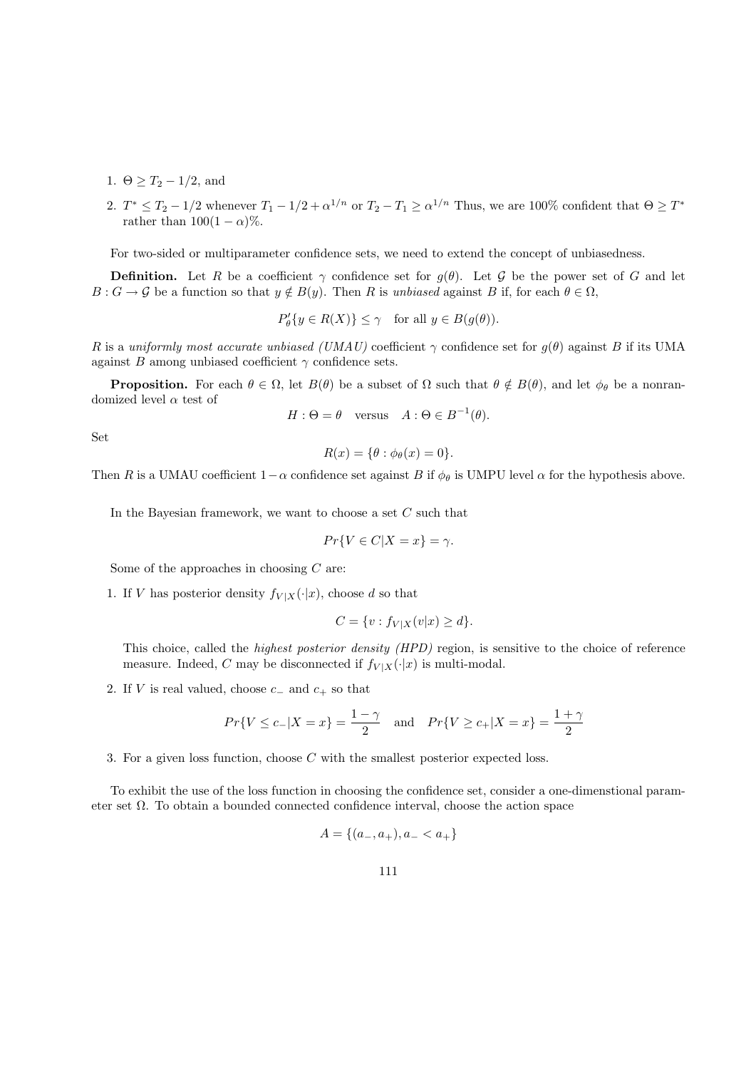- 1.  $\Theta \geq T_2 1/2$ , and
- 2.  $T^* \leq T_2 1/2$  whenever  $T_1 1/2 + \alpha^{1/n}$  or  $T_2 T_1 \geq \alpha^{1/n}$  Thus, we are 100% confident that  $\Theta \geq T^*$ rather than  $100(1 - \alpha)\%$ .

For two-sided or multiparameter confidence sets, we need to extend the concept of unbiasedness.

**Definition.** Let R be a coefficient  $\gamma$  confidence set for  $g(\theta)$ . Let G be the power set of G and let  $B: G \to \mathcal{G}$  be a function so that  $y \notin B(y)$ . Then R is unbiased against B if, for each  $\theta \in \Omega$ ,

$$
P'_{\theta}\{y \in R(X)\} \le \gamma \quad \text{for all } y \in B(g(\theta)).
$$

R is a uniformly most accurate unbiased (UMAU) coefficient  $\gamma$  confidence set for  $g(\theta)$  against B if its UMA against B among unbiased coefficient  $\gamma$  confidence sets.

**Proposition.** For each  $\theta \in \Omega$ , let  $B(\theta)$  be a subset of  $\Omega$  such that  $\theta \notin B(\theta)$ , and let  $\phi_{\theta}$  be a nonrandomized level  $\alpha$  test of

$$
H: \Theta = \theta \quad \text{versus} \quad A: \Theta \in B^{-1}(\theta).
$$

Set

$$
R(x) = \{\theta : \phi_{\theta}(x) = 0\}.
$$

Then R is a UMAU coefficient  $1-\alpha$  confidence set against B if  $\phi_\theta$  is UMPU level  $\alpha$  for the hypothesis above.

In the Bayesian framework, we want to choose a set  $C$  such that

$$
Pr\{V \in C | X = x\} = \gamma.
$$

Some of the approaches in choosing  $C$  are:

1. If V has posterior density  $f_{V|X}(\cdot|x)$ , choose d so that

$$
C = \{v : f_{V|X}(v|x) \ge d\}.
$$

This choice, called the highest posterior density (HPD) region, is sensitive to the choice of reference measure. Indeed, C may be disconnected if  $f_{V|X}(\cdot|x)$  is multi-modal.

2. If V is real valued, choose  $c_-\$  and  $c_+$  so that

$$
Pr{V \le c_- | X = x} = \frac{1 - \gamma}{2}
$$
 and  $Pr{V \ge c_+ | X = x} = \frac{1 + \gamma}{2}$ 

3. For a given loss function, choose C with the smallest posterior expected loss.

To exhibit the use of the loss function in choosing the confidence set, consider a one-dimenstional parameter set Ω. To obtain a bounded connected confidence interval, choose the action space

$$
A = \{(a_-, a_+), a_- < a_+\}
$$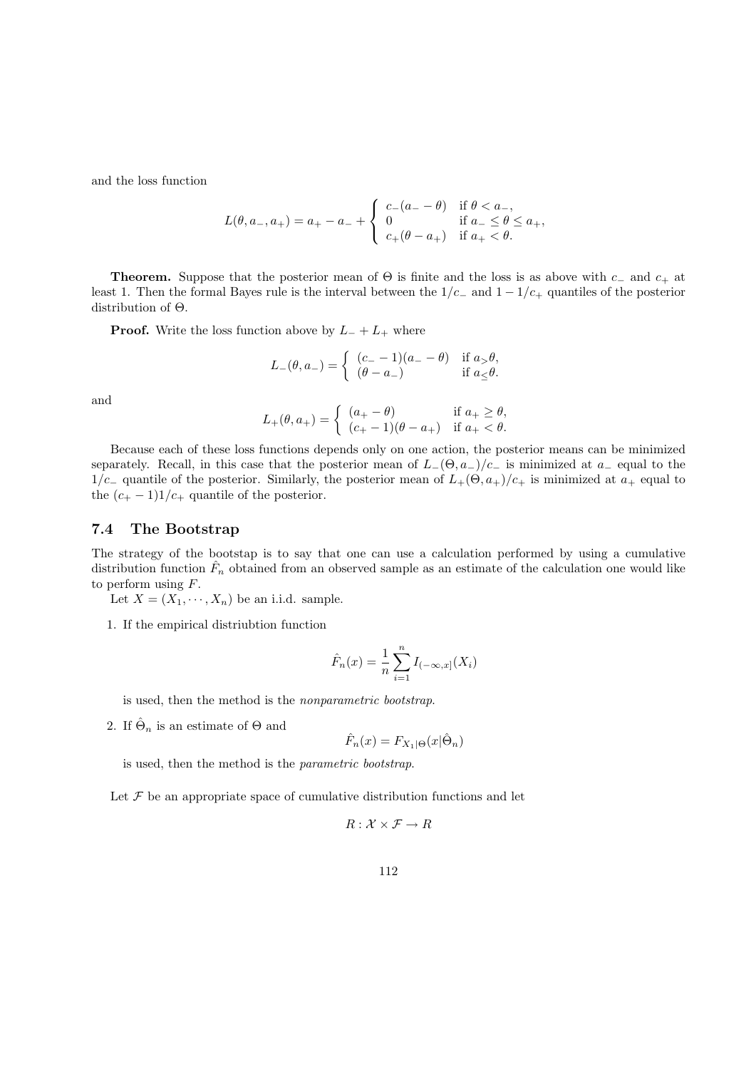and the loss function

$$
L(\theta, a_-, a_+) = a_+ - a_- + \begin{cases} c_-(a_- - \theta) & \text{if } \theta < a_-, \\ 0 & \text{if } a_- \le \theta \le a_+, \\ c_+(\theta - a_+) & \text{if } a_+ < \theta. \end{cases}
$$

**Theorem.** Suppose that the posterior mean of  $\Theta$  is finite and the loss is as above with c<sub>−</sub> and c<sub>+</sub> at least 1. Then the formal Bayes rule is the interval between the  $1/c_$  and  $1 - 1/c_$  quantiles of the posterior distribution of Θ.

**Proof.** Write the loss function above by  $L_{-} + L_{+}$  where

$$
L_-(\theta,a_-)=\left\{\begin{array}{ll} (c_--1)(a_--\theta) & \text{if } a_>\theta,\\ (\theta-a_-) & \text{if } a_ \leq \theta.\end{array}\right.
$$

and

$$
L_{+}(\theta, a_{+}) = \begin{cases} (a_{+} - \theta) & \text{if } a_{+} \geq \theta, \\ (c_{+} - 1)(\theta - a_{+}) & \text{if } a_{+} < \theta. \end{cases}
$$

Because each of these loss functions depends only on one action, the posterior means can be minimized separately. Recall, in this case that the posterior mean of  $L_-(\Theta, a_-)/c_-$  is minimized at  $a_-$  equal to the  $1/c_$ – quantile of the posterior. Similarly, the posterior mean of  $L_{+}(\Theta, a_+)/c_+$  is minimized at  $a_+$  equal to the  $(c_{+} - 1)1/c_{+}$  quantile of the posterior.

### 7.4 The Bootstrap

The strategy of the bootstap is to say that one can use a calculation performed by using a cumulative distribution function  $\hat{F}_n$  obtained from an observed sample as an estimate of the calculation one would like to perform using F.

Let  $X = (X_1, \dots, X_n)$  be an i.i.d. sample.

1. If the empirical distriubtion function

$$
\hat{F}_n(x) = \frac{1}{n} \sum_{i=1}^n I_{(-\infty, x]}(X_i)
$$

is used, then the method is the nonparametric bootstrap.

2. If  $\hat{\Theta}_n$  is an estimate of  $\Theta$  and

$$
\hat{F}_n(x) = F_{X_1|\Theta}(x|\hat{\Theta}_n)
$$

is used, then the method is the parametric bootstrap.

Let  $\mathcal F$  be an appropriate space of cumulative distribution functions and let

$$
R: \mathcal{X} \times \mathcal{F} \to R
$$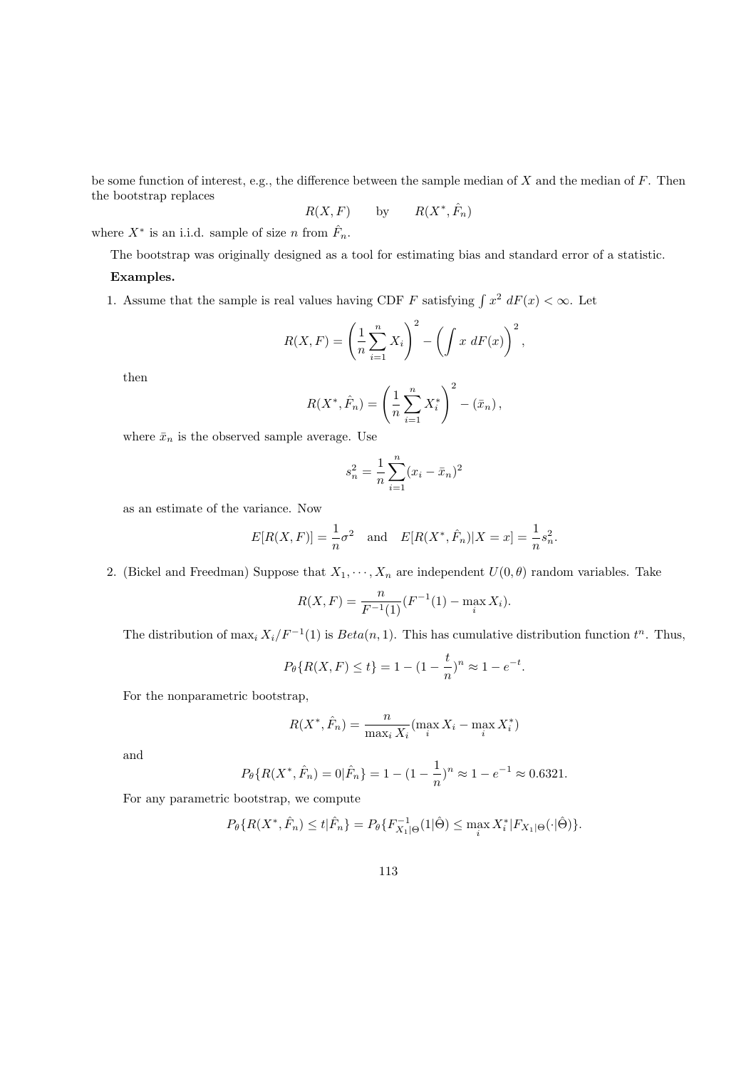be some function of interest, e.g., the difference between the sample median of  $X$  and the median of  $F$ . Then the bootstrap replaces

$$
R(X, F) \qquad \text{by} \qquad R(X^*, \hat{F}_n)
$$

where  $X^*$  is an i.i.d. sample of size n from  $\hat{F}_n$ .

The bootstrap was originally designed as a tool for estimating bias and standard error of a statistic.

#### Examples.

1. Assume that the sample is real values having CDF F satisfying  $\int x^2 dF(x) < \infty$ . Let

$$
R(X,F) = \left(\frac{1}{n}\sum_{i=1}^{n}X_i\right)^2 - \left(\int x \, dF(x)\right)^2,
$$

then

$$
R(X^*, \hat{F}_n) = \left(\frac{1}{n} \sum_{i=1}^n X_i^*\right)^2 - (\bar{x}_n),
$$

where  $\bar{x}_n$  is the observed sample average. Use

$$
s_n^2 = \frac{1}{n} \sum_{i=1}^n (x_i - \bar{x}_n)^2
$$

as an estimate of the variance. Now

$$
E[R(X, F)] = \frac{1}{n}\sigma^2
$$
 and  $E[R(X^*, \hat{F}_n)|X = x] = \frac{1}{n}s_n^2$ .

2. (Bickel and Freedman) Suppose that  $X_1, \dots, X_n$  are independent  $U(0, \theta)$  random variables. Take

$$
R(X, F) = \frac{n}{F^{-1}(1)}(F^{-1}(1) - \max_{i} X_i).
$$

The distribution of  $\max_i X_i/F^{-1}(1)$  is  $Beta(n, 1)$ . This has cumulative distribution function  $t^n$ . Thus,

$$
P_{\theta}\{R(X,F) \le t\} = 1 - (1 - \frac{t}{n})^n \approx 1 - e^{-t}.
$$

For the nonparametric bootstrap,

$$
R(X^*, \hat{F}_n) = \frac{n}{\max_i X_i} (\max_i X_i - \max_i X_i^*)
$$

and

$$
P_{\theta}\{R(X^*, \hat{F}_n) = 0 | \hat{F}_n\} = 1 - (1 - \frac{1}{n})^n \approx 1 - e^{-1} \approx 0.6321.
$$

For any parametric bootstrap, we compute

$$
P_{\theta}\{R(X^*,\hat{F}_n) \le t|\hat{F}_n\} = P_{\theta}\{F_{X_1|\Theta}^{-1}(1|\hat{\Theta}) \le \max_i X_i^*|F_{X_1|\Theta}(\cdot|\hat{\Theta})\}.
$$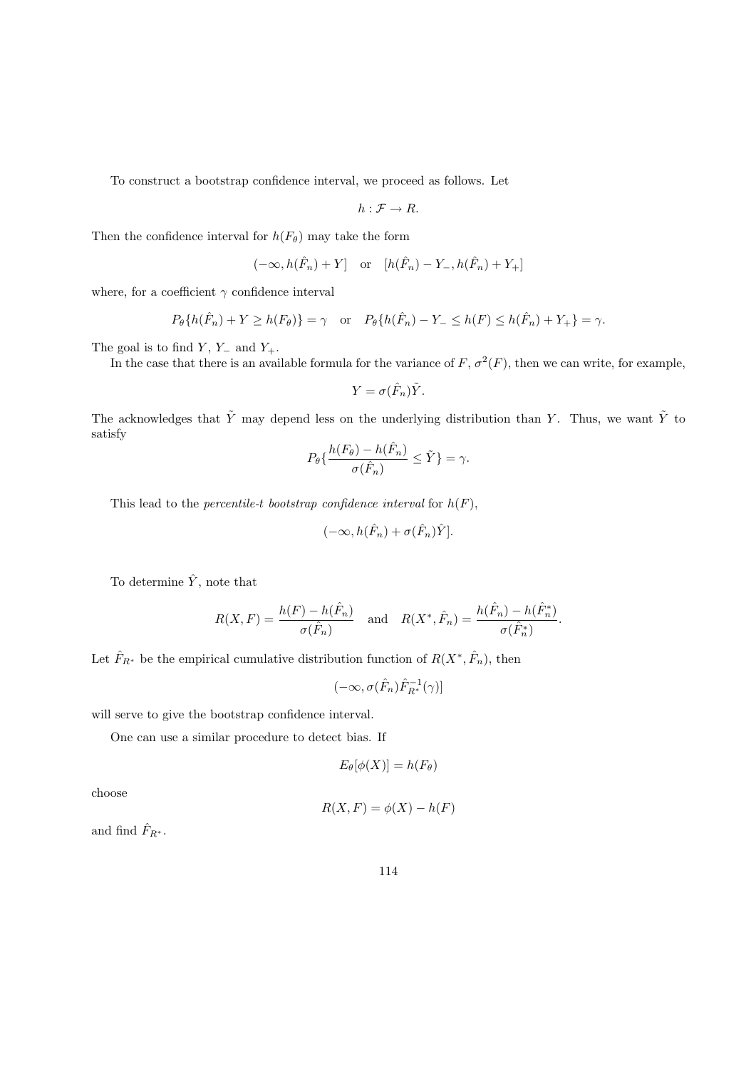To construct a bootstrap confidence interval, we proceed as follows. Let

$$
h:\mathcal{F}\to R.
$$

Then the confidence interval for  $h(F_{\theta})$  may take the form

$$
(-\infty, h(\hat{F}_n) + Y] \quad \text{or} \quad [h(\hat{F}_n) - Y_-, h(\hat{F}_n) + Y_+]
$$

where, for a coefficient  $\gamma$  confidence interval

$$
P_{\theta}\{h(\hat{F}_n) + Y \ge h(F_{\theta})\} = \gamma \quad \text{or} \quad P_{\theta}\{h(\hat{F}_n) - Y_{-} \le h(F) \le h(\hat{F}_n) + Y_{+}\} = \gamma.
$$

The goal is to find  $Y$ ,  $Y_$  and  $Y_+$ .

In the case that there is an available formula for the variance of  $F$ ,  $\sigma^2(F)$ , then we can write, for example,

$$
Y = \sigma(\hat{F}_n)\tilde{Y}.
$$

The acknowledges that  $\tilde{Y}$  may depend less on the underlying distribution than Y. Thus, we want  $\tilde{Y}$  to satisfy

$$
P_{\theta}\{\frac{h(F_{\theta}) - h(\hat{F}_n)}{\sigma(\hat{F}_n)} \le \tilde{Y}\} = \gamma.
$$

This lead to the *percentile-t bootstrap confidence interval* for  $h(F)$ ,

$$
(-\infty, h(\hat{F}_n) + \sigma(\hat{F}_n)\hat{Y}].
$$

To determine  $\hat{Y},$  note that

$$
R(X, F) = \frac{h(F) - h(\hat{F}_n)}{\sigma(\hat{F}_n)} \quad \text{and} \quad R(X^*, \hat{F}_n) = \frac{h(\hat{F}_n) - h(\hat{F}_n^*)}{\sigma(\hat{F}_n^*)}.
$$

Let  $\hat{F}_{R^*}$  be the empirical cumulative distribution function of  $R(X^*, \hat{F}_n)$ , then

$$
(-\infty, \sigma(\hat{F}_n)\hat{F}_{R^*}^{-1}(\gamma)]
$$

will serve to give the bootstrap confidence interval.

One can use a similar procedure to detect bias. If

$$
E_{\theta}[\phi(X)] = h(F_{\theta})
$$

choose

$$
R(X, F) = \phi(X) - h(F)
$$

and find  $\hat{F}_{R^*}$ .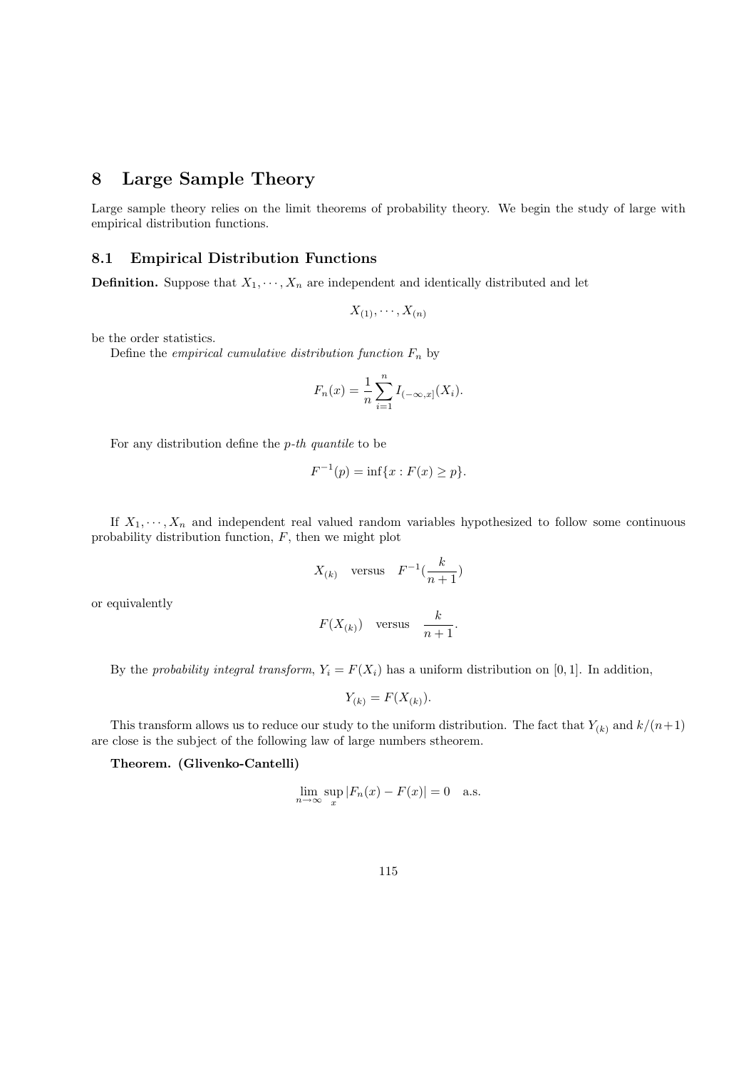# 8 Large Sample Theory

Large sample theory relies on the limit theorems of probability theory. We begin the study of large with empirical distribution functions.

# 8.1 Empirical Distribution Functions

**Definition.** Suppose that  $X_1, \dots, X_n$  are independent and identically distributed and let

$$
X_{(1)},\cdots,X_{(n)}
$$

be the order statistics.

Define the *empirical cumulative distribution function*  $F_n$  by

$$
F_n(x) = \frac{1}{n} \sum_{i=1}^n I_{(-\infty, x]}(X_i).
$$

For any distribution define the  $p$ -th quantile to be

$$
F^{-1}(p) = \inf\{x : F(x) \ge p\}.
$$

If  $X_1, \dots, X_n$  and independent real valued random variables hypothesized to follow some continuous probability distribution function,  $F$ , then we might plot

$$
X_{(k)} \quad \text{versus} \quad F^{-1}(\frac{k}{n+1})
$$

or equivalently

$$
F(X_{(k)})\quad\text{versus}\quad \frac{k}{n+1}.
$$

By the probability integral transform,  $Y_i = F(X_i)$  has a uniform distribution on [0, 1]. In addition,

$$
Y_{(k)} = F(X_{(k)}).
$$

This transform allows us to reduce our study to the uniform distribution. The fact that  $Y_{(k)}$  and  $k/(n+1)$ are close is the subject of the following law of large numbers stheorem.

Theorem. (Glivenko-Cantelli)

$$
\lim_{n \to \infty} \sup_x |F_n(x) - F(x)| = 0 \quad \text{a.s.}
$$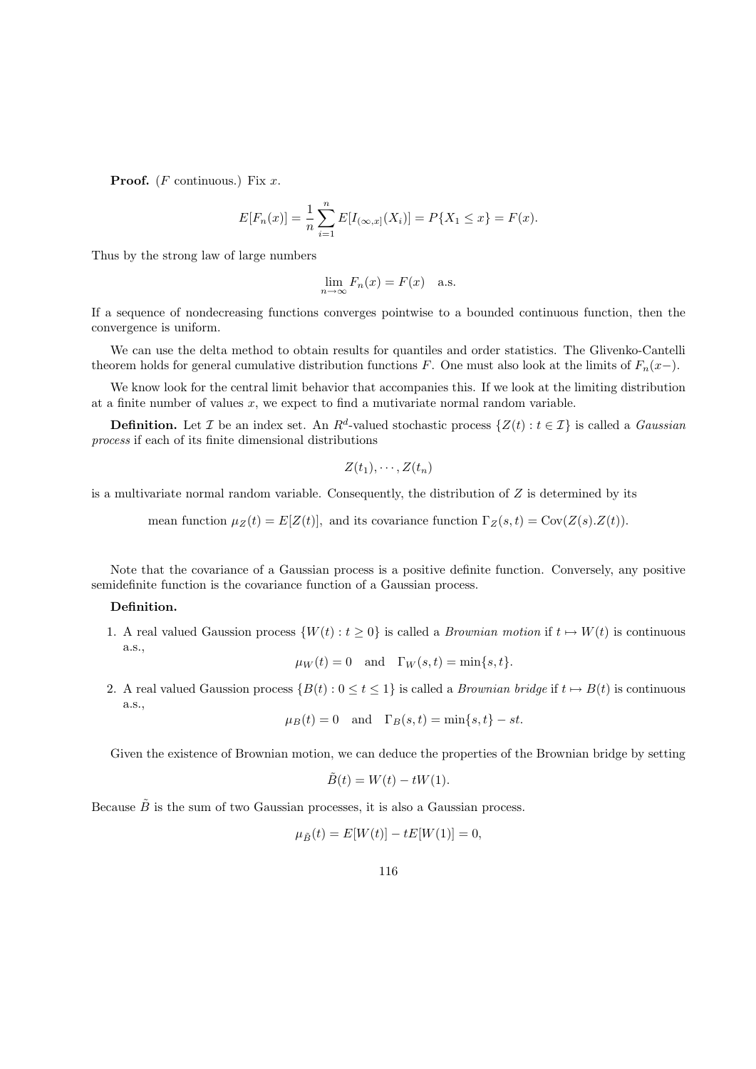**Proof.** (*F* continuous.) Fix  $x$ .

$$
E[F_n(x)] = \frac{1}{n} \sum_{i=1}^n E[I_{(\infty,x]}(X_i)] = P\{X_1 \le x\} = F(x).
$$

Thus by the strong law of large numbers

$$
\lim_{n \to \infty} F_n(x) = F(x) \quad \text{a.s.}
$$

If a sequence of nondecreasing functions converges pointwise to a bounded continuous function, then the convergence is uniform.

We can use the delta method to obtain results for quantiles and order statistics. The Glivenko-Cantelli theorem holds for general cumulative distribution functions F. One must also look at the limits of  $F_n(x-)$ .

We know look for the central limit behavior that accompanies this. If we look at the limiting distribution at a finite number of values  $x$ , we expect to find a mutivariate normal random variable.

**Definition.** Let *I* be an index set. An  $R^d$ -valued stochastic process  $\{Z(t): t \in I\}$  is called a *Gaussian* process if each of its finite dimensional distributions

$$
Z(t_1),\cdots,Z(t_n)
$$

is a multivariate normal random variable. Consequently, the distribution of  $Z$  is determined by its

mean function  $\mu_Z(t) = E[Z(t)]$ , and its covariance function  $\Gamma_Z(s,t) = \text{Cov}(Z(s).Z(t)).$ 

Note that the covariance of a Gaussian process is a positive definite function. Conversely, any positive semidefinite function is the covariance function of a Gaussian process.

### Definition.

1. A real valued Gaussion process  $\{W(t): t \geq 0\}$  is called a *Brownian motion* if  $t \mapsto W(t)$  is continuous a.s.,

$$
\mu_W(t) = 0
$$
 and  $\Gamma_W(s,t) = \min\{s,t\}.$ 

2. A real valued Gaussion process  $\{B(t): 0 \le t \le 1\}$  is called a *Brownian bridge* if  $t \mapsto B(t)$  is continuous a.s.,

$$
\mu_B(t) = 0
$$
 and  $\Gamma_B(s,t) = \min\{s,t\} - st.$ 

Given the existence of Brownian motion, we can deduce the properties of the Brownian bridge by setting

$$
\tilde{B}(t) = W(t) - tW(1).
$$

Because  $\tilde{B}$  is the sum of two Gaussian processes, it is also a Gaussian process.

$$
\mu_{\tilde{B}}(t) = E[W(t)] - tE[W(1)] = 0,
$$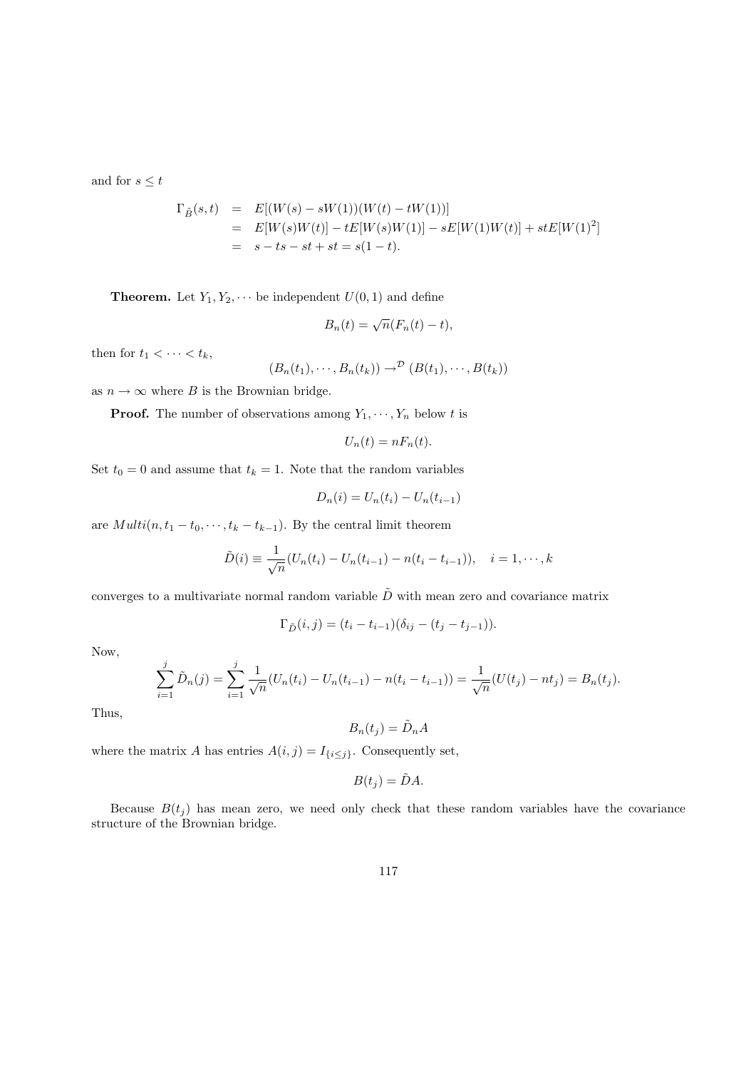and for  $s\leq t$ 

$$
\Gamma_{\tilde{B}}(s,t) = E[(W(s) - sW(1))(W(t) - tW(1))]
$$
  
=  $E[W(s)W(t)] - tE[W(s)W(1)] - sE[W(1)W(t)] + stE[W(1)^{2}]$   
=  $s - ts - st + st = s(1 - t).$ 

**Theorem.** Let  $Y_1, Y_2, \cdots$  be independent  $U(0, 1)$  and define

$$
B_n(t) = \sqrt{n}(F_n(t) - t),
$$

then for  $t_1 < \cdots < t_k$ ,

$$
(B_n(t_1),\cdots,B_n(t_k))\to^{\mathcal{D}}(B(t_1),\cdots,B(t_k))
$$

as  $n \to \infty$  where B is the Brownian bridge.

**Proof.** The number of observations among  $Y_1, \dots, Y_n$  below t is

$$
U_n(t) = nF_n(t).
$$

Set  $t_0 = 0$  and assume that  $t_k = 1$ . Note that the random variables

$$
D_n(i) = U_n(t_i) - U_n(t_{i-1})
$$

are  $Multi(n, t_1 - t_0, \dots, t_k - t_{k-1})$ . By the central limit theorem

$$
\tilde{D}(i) \equiv \frac{1}{\sqrt{n}}(U_n(t_i) - U_n(t_{i-1}) - n(t_i - t_{i-1})), \quad i = 1, \cdots, k
$$

converges to a multivariate normal random variable  $\tilde{D}$  with mean zero and covariance matrix

$$
\Gamma_{\tilde{D}}(i,j) = (t_i - t_{i-1})(\delta_{ij} - (t_j - t_{j-1})).
$$

Now,

$$
\sum_{i=1}^{j} \tilde{D}_n(j) = \sum_{i=1}^{j} \frac{1}{\sqrt{n}} (U_n(t_i) - U_n(t_{i-1}) - n(t_i - t_{i-1})) = \frac{1}{\sqrt{n}} (U(t_j) - nt_j) = B_n(t_j).
$$

Thus,

$$
B_n(t_j) = \tilde{D}_n A
$$

where the matrix  $A$  has entries  $A(i, j) = I_{\{i \leq j\}}$ . Consequently set,

$$
B(t_j)=\tilde{D}A.
$$

Because  $B(t_j)$  has mean zero, we need only check that these random variables have the covariance structure of the Brownian bridge.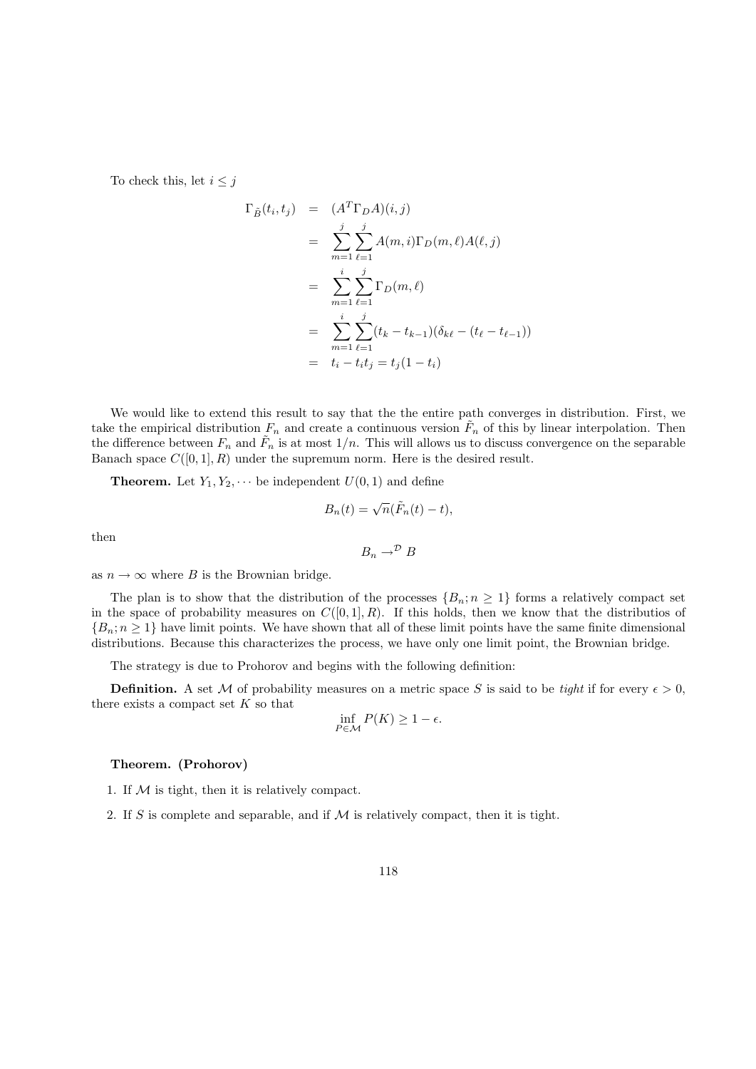To check this, let  $i \leq j$ 

$$
\Gamma_{\tilde{B}}(t_i, t_j) = (A^T \Gamma_D A)(i, j)
$$
\n
$$
= \sum_{m=1}^j \sum_{\ell=1}^j A(m, i) \Gamma_D(m, \ell) A(\ell, j)
$$
\n
$$
= \sum_{m=1}^i \sum_{\ell=1}^j \Gamma_D(m, \ell)
$$
\n
$$
= \sum_{m=1}^i \sum_{\ell=1}^j (t_k - t_{k-1})(\delta_{k\ell} - (t_{\ell} - t_{\ell-1}))
$$
\n
$$
= t_i - t_i t_j = t_j (1 - t_i)
$$

We would like to extend this result to say that the the entire path converges in distribution. First, we take the empirical distribution  $F_n$  and create a continuous version  $\tilde{F}_n$  of this by linear interpolation. Then the difference between  $F_n$  and  $\tilde{F}_n$  is at most  $1/n$ . This will allows us to discuss convergence on the separable Banach space  $C([0, 1], R)$  under the supremum norm. Here is the desired result.

**Theorem.** Let  $Y_1, Y_2, \cdots$  be independent  $U(0, 1)$  and define

$$
B_n(t) = \sqrt{n}(\tilde{F}_n(t) - t),
$$

then

$$
B_n \to^{\mathcal{D}} B
$$

as  $n \to \infty$  where B is the Brownian bridge.

The plan is to show that the distribution of the processes  $\{B_n; n \geq 1\}$  forms a relatively compact set in the space of probability measures on  $C([0,1], R)$ . If this holds, then we know that the distributios of  ${B_n; n \geq 1}$  have limit points. We have shown that all of these limit points have the same finite dimensional distributions. Because this characterizes the process, we have only one limit point, the Brownian bridge.

The strategy is due to Prohorov and begins with the following definition:

**Definition.** A set M of probability measures on a metric space S is said to be tight if for every  $\epsilon > 0$ , there exists a compact set  $K$  so that

$$
\inf_{P \in \mathcal{M}} P(K) \ge 1 - \epsilon.
$$

#### Theorem. (Prohorov)

- 1. If  $M$  is tight, then it is relatively compact.
- 2. If S is complete and separable, and if  $\mathcal M$  is relatively compact, then it is tight.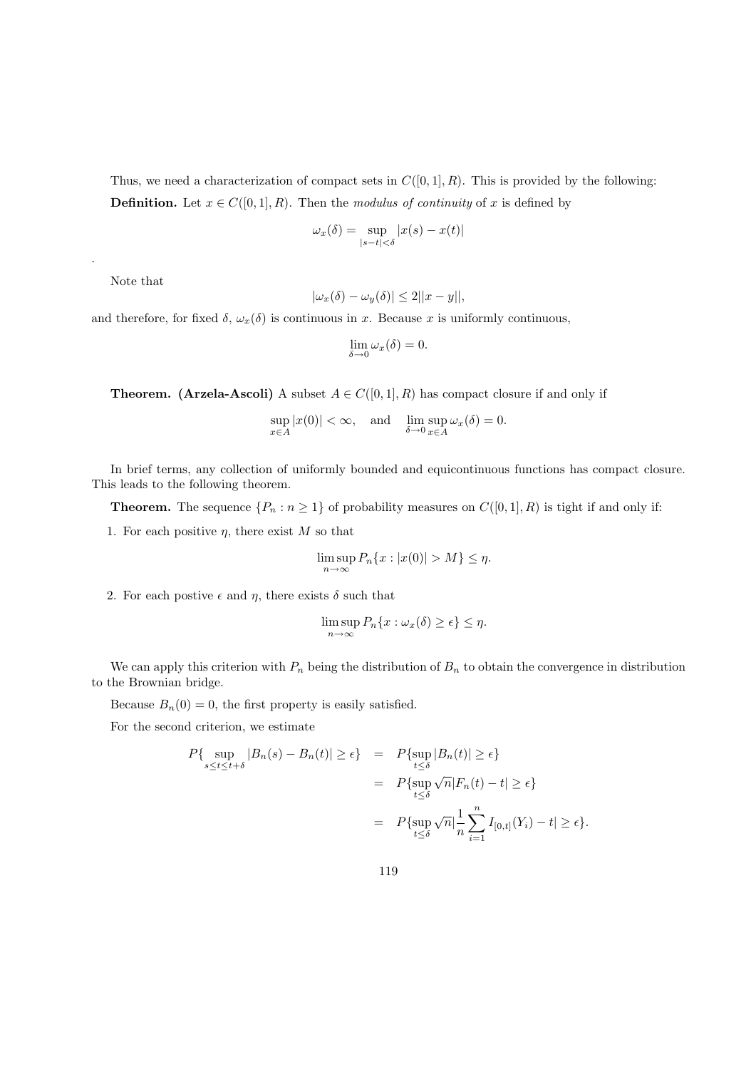Thus, we need a characterization of compact sets in  $C([0, 1], R)$ . This is provided by the following:

**Definition.** Let  $x \in C([0,1], R)$ . Then the *modulus of continuity* of x is defined by

$$
\omega_x(\delta) = \sup_{|s-t| < \delta} |x(s) - x(t)|
$$

Note that

.

$$
|\omega_x(\delta) - \omega_y(\delta)| \le 2||x - y||,
$$

and therefore, for fixed  $\delta$ ,  $\omega_x(\delta)$  is continuous in x. Because x is uniformly continuous,

$$
\lim_{\delta \to 0} \omega_x(\delta) = 0.
$$

**Theorem.** (Arzela-Ascoli) A subset  $A \in C([0,1], R)$  has compact closure if and only if

$$
\sup_{x \in A} |x(0)| < \infty, \text{ and } \lim_{\delta \to 0} \sup_{x \in A} \omega_x(\delta) = 0.
$$

In brief terms, any collection of uniformly bounded and equicontinuous functions has compact closure. This leads to the following theorem.

**Theorem.** The sequence  $\{P_n : n \geq 1\}$  of probability measures on  $C([0, 1], R)$  is tight if and only if:

1. For each positive  $\eta$ , there exist M so that

$$
\limsup_{n \to \infty} P_n\{x : |x(0)| > M\} \le \eta.
$$

2. For each postive  $\epsilon$  and  $\eta$ , there exists  $\delta$  such that

$$
\limsup_{n \to \infty} P_n\{x : \omega_x(\delta) \ge \epsilon\} \le \eta.
$$

We can apply this criterion with  $P_n$  being the distribution of  $B_n$  to obtain the convergence in distribution to the Brownian bridge.

Because  $B_n(0) = 0$ , the first property is easily satisfied.

For the second criterion, we estimate

$$
P\{\sup_{s\leq t\leq t+\delta} |B_n(s) - B_n(t)| \geq \epsilon\} = P\{\sup_{t\leq \delta} |B_n(t)| \geq \epsilon\}
$$
  

$$
= P\{\sup_{t\leq \delta} \sqrt{n}|F_n(t) - t| \geq \epsilon\}
$$
  

$$
= P\{\sup_{t\leq \delta} \sqrt{n}|\frac{1}{n}\sum_{i=1}^n I_{[0,t]}(Y_i) - t| \geq \epsilon\}.
$$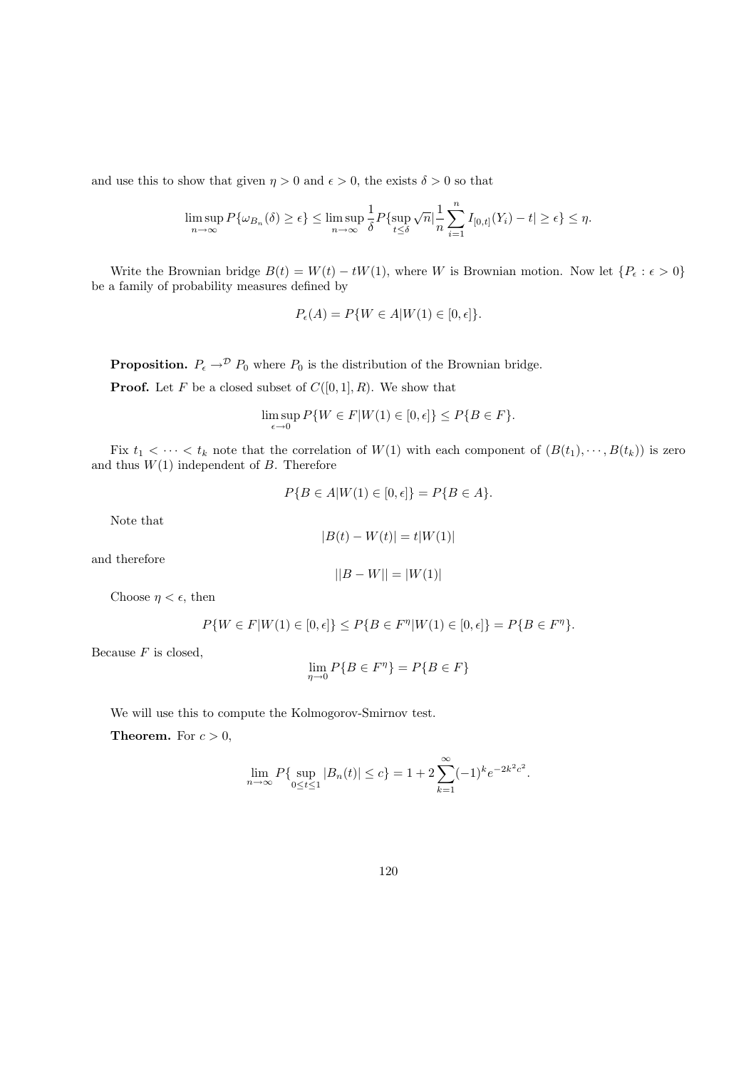and use this to show that given  $\eta > 0$  and  $\epsilon > 0$ , the exists  $\delta > 0$  so that

$$
\limsup_{n\to\infty} P\{\omega_{B_n}(\delta)\geq \epsilon\} \leq \limsup_{n\to\infty} \frac{1}{\delta} P\{\sup_{t\leq \delta} \sqrt{n} \big|\frac{1}{n}\sum_{i=1}^n I_{[0,t]}(Y_i)-t|\geq \epsilon\} \leq \eta.
$$

Write the Brownian bridge  $B(t) = W(t) - tW(1)$ , where W is Brownian motion. Now let  $\{P_{\epsilon} : \epsilon > 0\}$ be a family of probability measures defined by

$$
P_{\epsilon}(A) = P\{W \in A | W(1) \in [0, \epsilon]\}.
$$

**Proposition.**  $P_{\epsilon} \rightarrow^{\mathcal{D}} P_0$  where  $P_0$  is the distribution of the Brownian bridge.

**Proof.** Let F be a closed subset of  $C([0, 1], R)$ . We show that

$$
\limsup_{\epsilon \to 0} P\{W \in F | W(1) \in [0, \epsilon] \} \le P\{B \in F\}.
$$

Fix  $t_1 < \cdots < t_k$  note that the correlation of  $W(1)$  with each component of  $(B(t_1), \cdots, B(t_k))$  is zero and thus  $W(1)$  independent of B. Therefore

$$
P\{B \in A | W(1) \in [0, \epsilon] \} = P\{B \in A\}.
$$

Note that

$$
\vert B(t)-W(t)\vert = t\vert W(1)\vert
$$

and therefore

$$
||B - W|| = |W(1)|
$$

Choose  $\eta < \epsilon$ , then

$$
P\{W \in F|W(1) \in [0, \epsilon]\} \le P\{B \in F^{\eta}|W(1) \in [0, \epsilon]\} = P\{B \in F^{\eta}\}.
$$

Because  $F$  is closed,

$$
\lim_{\eta \to 0} P\{B \in F^{\eta}\} = P\{B \in F\}
$$

We will use this to compute the Kolmogorov-Smirnov test.

**Theorem.** For  $c > 0$ ,

$$
\lim_{n \to \infty} P\{\sup_{0 \le t \le 1} |B_n(t)| \le c\} = 1 + 2 \sum_{k=1}^{\infty} (-1)^k e^{-2k^2 c^2}.
$$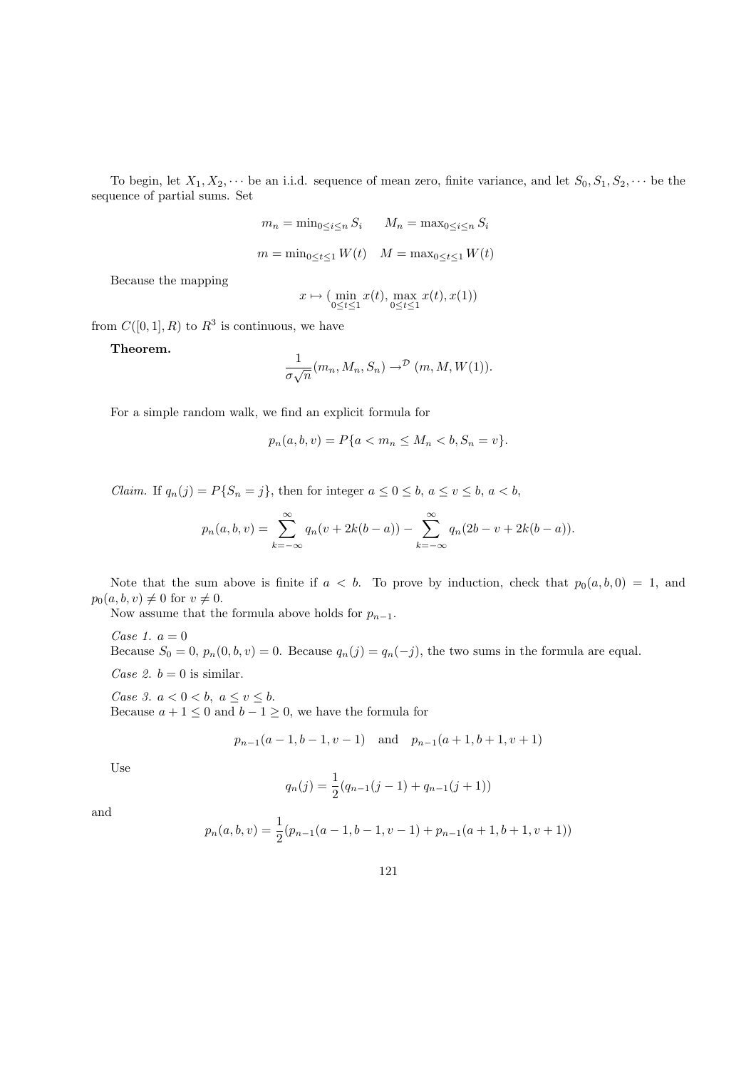To begin, let  $X_1, X_2, \cdots$  be an i.i.d. sequence of mean zero, finite variance, and let  $S_0, S_1, S_2, \cdots$  be the sequence of partial sums. Set

$$
m_n = \min_{0 \le i \le n} S_i \qquad M_n = \max_{0 \le i \le n} S_i
$$

$$
m = \min_{0 \le t \le 1} W(t) \qquad M = \max_{0 \le t \le 1} W(t)
$$

Because the mapping

$$
x \mapsto (\min_{0 \le t \le 1} x(t), \max_{0 \le t \le 1} x(t), x(1))
$$

from  $C([0,1], R)$  to  $R^3$  is continuous, we have

Theorem.

$$
\frac{1}{\sigma\sqrt{n}}(m_n, M_n, S_n) \to^{\mathcal{D}} (m, M, W(1)).
$$

For a simple random walk, we find an explicit formula for

$$
p_n(a, b, v) = P\{a < m_n \le M_n < b, S_n = v\}.
$$

Claim. If  $q_n(j) = P\{S_n = j\}$ , then for integer  $a \leq 0 \leq b, a \leq v \leq b, a < b$ ,

$$
p_n(a, b, v) = \sum_{k=-\infty}^{\infty} q_n(v + 2k(b - a)) - \sum_{k=-\infty}^{\infty} q_n(2b - v + 2k(b - a)).
$$

Note that the sum above is finite if  $a < b$ . To prove by induction, check that  $p_0(a, b, 0) = 1$ , and  $p_0(a, b, v) \neq 0$  for  $v \neq 0$ .

Now assume that the formula above holds for  $p_{n-1}$ .

Case 1.  $a = 0$ Because  $S_0 = 0$ ,  $p_n(0, b, v) = 0$ . Because  $q_n(j) = q_n(-j)$ , the two sums in the formula are equal. Case 2.  $b = 0$  is similar.

Case 3.  $a < 0 < b$ ,  $a \le v \le b$ . Because  $a + 1 \leq 0$  and  $b - 1 \geq 0$ , we have the formula for

$$
p_{n-1}(a-1,b-1,v-1)
$$
 and  $p_{n-1}(a+1,b+1,v+1)$ 

Use

$$
q_n(j) = \frac{1}{2}(q_{n-1}(j-1) + q_{n-1}(j+1))
$$

and

$$
p_n(a,b,v) = \frac{1}{2}(p_{n-1}(a-1,b-1,v-1) + p_{n-1}(a+1,b+1,v+1))
$$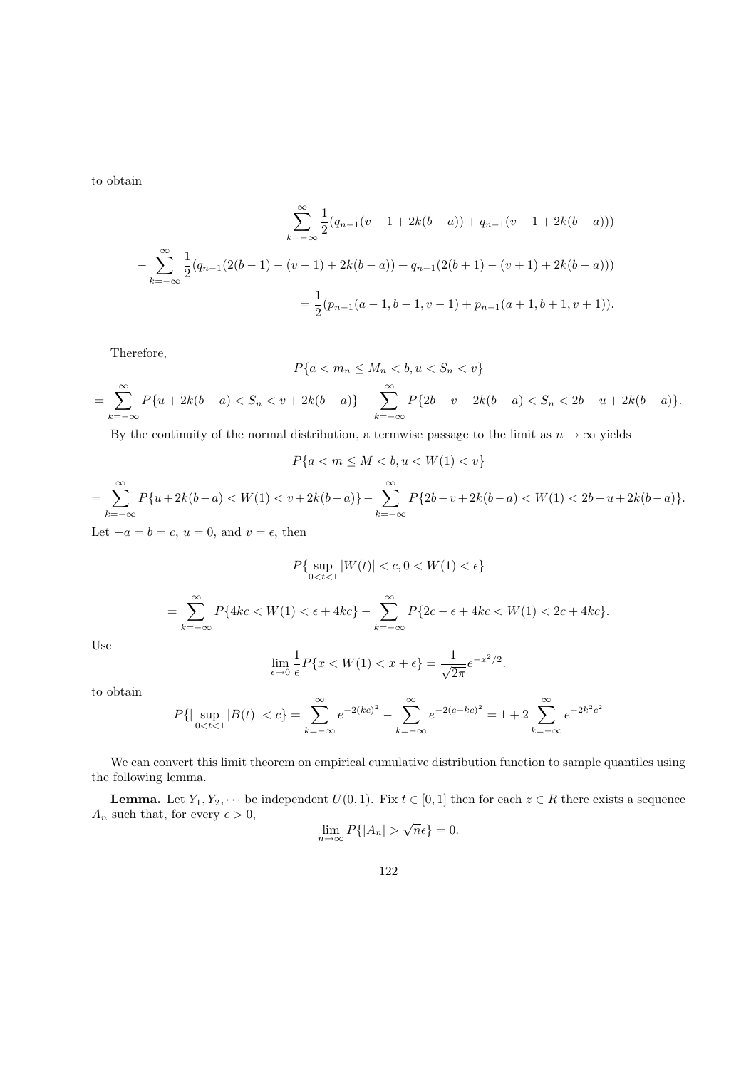to obtain

$$
\sum_{k=-\infty}^{\infty} \frac{1}{2} (q_{n-1}(v-1+2k(b-a)) + q_{n-1}(v+1+2k(b-a)))
$$
  

$$
-\sum_{k=-\infty}^{\infty} \frac{1}{2} (q_{n-1}(2(b-1)-(v-1)+2k(b-a)) + q_{n-1}(2(b+1)-(v+1)+2k(b-a)))
$$
  

$$
=\frac{1}{2} (p_{n-1}(a-1,b-1,v-1) + p_{n-1}(a+1,b+1,v+1)).
$$

Therefore,

$$
P\{a < m_n \le M_n < b, u < S_n < v\}
$$
\n
$$
= \sum_{k=-\infty}^{\infty} P\{u + 2k(b - a) < S_n < v + 2k(b - a)\} - \sum_{k=-\infty}^{\infty} P\{2b - v + 2k(b - a) < S_n < 2b - u + 2k(b - a)\}.
$$

By the continuity of the normal distribution, a termwise passage to the limit as  $n \to \infty$  yields

$$
P\{a < m \le M < b, u < W(1) < v\}
$$

$$
= \sum_{k=-\infty}^{\infty} P\{u + 2k(b-a) < W(1) < v + 2k(b-a)\} - \sum_{k=-\infty}^{\infty} P\{2b - v + 2k(b-a) < W(1) < 2b - u + 2k(b-a)\}.
$$
\nLet  $-a = b = c$ ,  $u = 0$  and  $v = \epsilon$ , then

 $et -a = b = c, u = 0, \text{ and } v = \epsilon, \text{ the }$ 

$$
P\{\sup_{0
$$

$$
= \sum_{k=-\infty}^{\infty} P\{4kc < W(1) < \epsilon + 4kc\} - \sum_{k=-\infty}^{\infty} P\{2c - \epsilon + 4kc < W(1) < 2c + 4kc\}.
$$

Use

$$
\lim_{\epsilon \to 0} \frac{1}{\epsilon} P\{x < W(1) < x + \epsilon\} = \frac{1}{\sqrt{2\pi}} e^{-x^2/2}.
$$

to obtain

$$
P\{\sup_{0
$$

We can convert this limit theorem on empirical cumulative distribution function to sample quantiles using the following lemma.

**Lemma.** Let  $Y_1, Y_2, \dots$  be independent  $U(0, 1)$ . Fix  $t \in [0, 1]$  then for each  $z \in R$  there exists a sequence  $A_n$  such that, for every  $\epsilon > 0$ , √

$$
\lim_{n \to \infty} P\{|A_n| > \sqrt{n}\epsilon\} = 0.
$$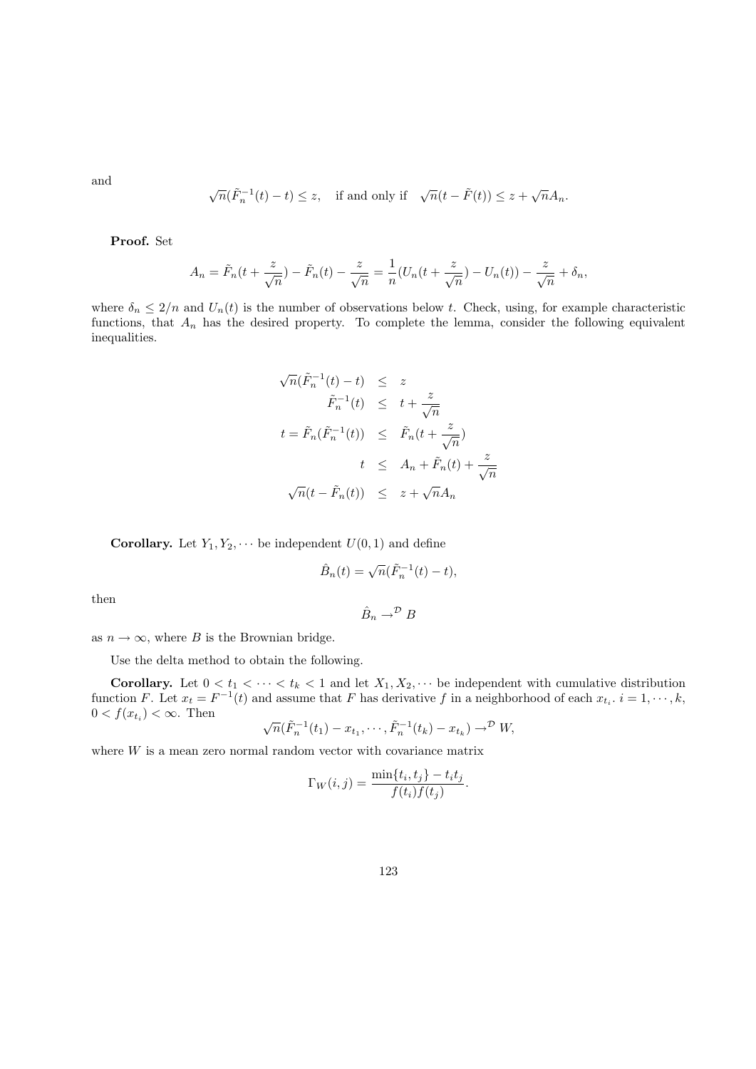and

$$
\sqrt{n}(\tilde{F}_n^{-1}(t) - t) \le z, \quad \text{if and only if} \quad \sqrt{n}(t - \tilde{F}(t)) \le z + \sqrt{n}A_n.
$$

Proof. Set

$$
A_n = \tilde{F}_n(t + \frac{z}{\sqrt{n}}) - \tilde{F}_n(t) - \frac{z}{\sqrt{n}} = \frac{1}{n}(U_n(t + \frac{z}{\sqrt{n}}) - U_n(t)) - \frac{z}{\sqrt{n}} + \delta_n,
$$

where  $\delta_n \leq 2/n$  and  $U_n(t)$  is the number of observations below t. Check, using, for example characteristic functions, that  $A_n$  has the desired property. To complete the lemma, consider the following equivalent inequalities.

$$
\sqrt{n}(\tilde{F}_n^{-1}(t) - t) \leq z
$$
  
\n
$$
\tilde{F}_n^{-1}(t) \leq t + \frac{z}{\sqrt{n}}
$$
  
\n
$$
t = \tilde{F}_n(\tilde{F}_n^{-1}(t)) \leq \tilde{F}_n(t + \frac{z}{\sqrt{n}})
$$
  
\n
$$
t \leq A_n + \tilde{F}_n(t) + \frac{z}{\sqrt{n}}
$$
  
\n
$$
\sqrt{n}(t - \tilde{F}_n(t)) \leq z + \sqrt{n}A_n
$$

**Corollary.** Let  $Y_1, Y_2, \cdots$  be independent  $U(0, 1)$  and define

$$
\hat{B}_n(t) = \sqrt{n}(\tilde{F}_n^{-1}(t) - t),
$$

then

$$
\hat{B}_n \to^{\mathcal{D}} B
$$

as  $n \to \infty$ , where B is the Brownian bridge.

Use the delta method to obtain the following.

**Corollary.** Let  $0 < t_1 < \cdots < t_k < 1$  and let  $X_1, X_2, \cdots$  be independent with cumulative distribution function F. Let  $x_t = F^{-1}(t)$  and assume that F has derivative f in a neighborhood of each  $x_{t_i}$ .  $i = 1, \dots, k$ ,  $0 < f(x_{t_i}) < \infty$ . Then √

$$
\sqrt{n}(\tilde{F}_n^{-1}(t_1) - x_{t_1}, \cdots, \tilde{F}_n^{-1}(t_k) - x_{t_k}) \to^{\mathcal{D}} W
$$

where W is a mean zero normal random vector with covariance matrix

$$
\Gamma_W(i,j) = \frac{\min\{t_i, t_j\} - t_i t_j}{f(t_i)f(t_j)}.
$$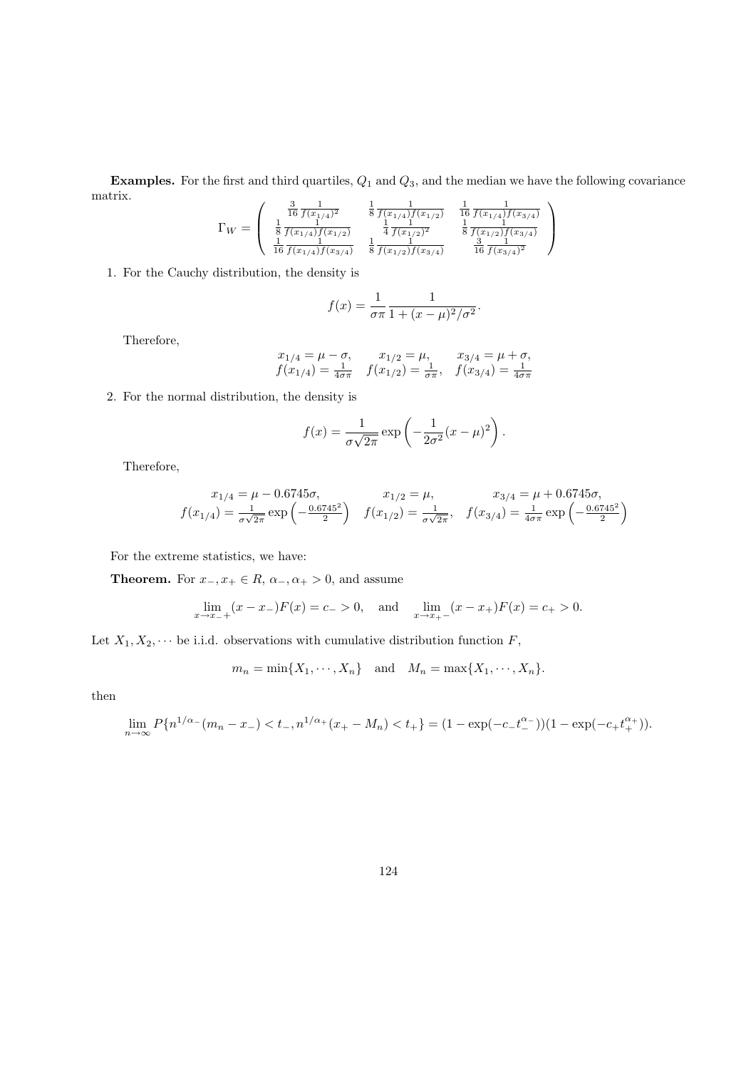**Examples.** For the first and third quartiles,  $Q_1$  and  $Q_3$ , and the median we have the following covariance matrix.  $\overline{ }$ 

$$
\Gamma_W = \begin{pmatrix} \frac{3}{16} \frac{1}{f(x_{1/4})^2} & \frac{1}{8} \frac{1}{f(x_{1/4})f(x_{1/2})} & \frac{1}{16} \frac{1}{f(x_{1/4})f(x_{3/4})} \\ \frac{1}{8} \frac{1}{f(x_{1/4})f(x_{1/2})} & \frac{1}{4} \frac{1}{f(x_{1/2})^2} & \frac{1}{8} \frac{1}{f(x_{1/2})f(x_{3/4})} \\ \frac{1}{16} \frac{1}{f(x_{1/4})f(x_{3/4})} & \frac{1}{8} \frac{1}{f(x_{1/2})f(x_{3/4})} & \frac{3}{16} \frac{1}{f(x_{3/4})^2} \end{pmatrix}
$$

1. For the Cauchy distribution, the density is

$$
f(x) = \frac{1}{\sigma \pi} \frac{1}{1 + (x - \mu)^2 / \sigma^2}.
$$

Therefore,

$$
\begin{array}{ccc} x_{1/4}=\mu-\sigma, & x_{1/2}=\mu, & x_{3/4}=\mu+\sigma, \\ f(x_{1/4})=\frac{1}{4\sigma\pi} & f(x_{1/2})=\frac{1}{\sigma\pi}, & f(x_{3/4})=\frac{1}{4\sigma\pi} \end{array}
$$

2. For the normal distribution, the density is

$$
f(x) = \frac{1}{\sigma\sqrt{2\pi}} \exp\left(-\frac{1}{2\sigma^2}(x-\mu)^2\right).
$$

Therefore,

$$
x_{1/4} = \mu - 0.6745\sigma, \qquad x_{1/2} = \mu, \qquad x_{3/4} = \mu + 0.6745\sigma,
$$
  

$$
f(x_{1/4}) = \frac{1}{\sigma\sqrt{2\pi}} \exp\left(-\frac{0.6745^2}{2}\right) \quad f(x_{1/2}) = \frac{1}{\sigma\sqrt{2\pi}}, \quad f(x_{3/4}) = \frac{1}{4\sigma\pi} \exp\left(-\frac{0.6745^2}{2}\right)
$$

For the extreme statistics, we have:

**Theorem.** For  $x_-, x_+ \in R$ ,  $\alpha_-, \alpha_+ > 0$ , and assume

$$
\lim_{x \to x_{-+}} (x - x_{-})F(x) = c_{-} > 0, \text{ and } \lim_{x \to x_{+-}} (x - x_{+})F(x) = c_{+} > 0.
$$

Let  $X_1, X_2, \dots$  be i.i.d. observations with cumulative distribution function  $F$ ,

$$
m_n = \min\{X_1, \cdots, X_n\} \quad \text{and} \quad M_n = \max\{X_1, \cdots, X_n\}.
$$

then

$$
\lim_{n \to \infty} P\{n^{1/\alpha - (m_n - x_-)} < t_-, n^{1/\alpha + (x_+ - M_n)} < t_+\} = (1 - \exp(-c_- t_-^{\alpha_-})) (1 - \exp(-c_+ t_+^{\alpha_+})).
$$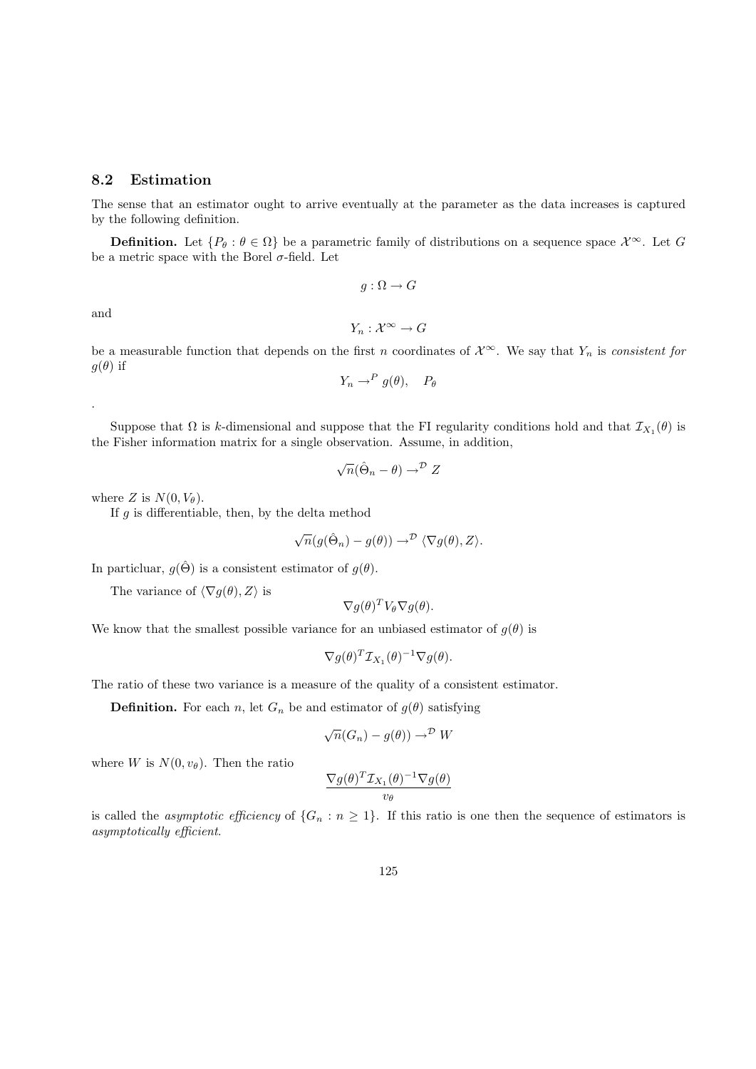### 8.2 Estimation

The sense that an estimator ought to arrive eventually at the parameter as the data increases is captured by the following definition.

**Definition.** Let  $\{P_\theta : \theta \in \Omega\}$  be a parametric family of distributions on a sequence space  $\mathcal{X}^\infty$ . Let G be a metric space with the Borel  $\sigma$ -field. Let

 $g : \Omega \to G$ 

and

.

$$
Y_n:\mathcal{X}^\infty\to G
$$

be a measurable function that depends on the first n coordinates of  $\mathcal{X}^{\infty}$ . We say that  $Y_n$  is consistent for  $g(\theta)$  if

$$
Y_n \to^P g(\theta), \quad P_\theta
$$

Suppose that  $\Omega$  is k-dimensional and suppose that the FI regularity conditions hold and that  $\mathcal{I}_{X_1}(\theta)$  is the Fisher information matrix for a single observation. Assume, in addition,

$$
\sqrt{n}(\hat{\Theta}_n - \theta) \to^{\mathcal{D}} Z
$$

where Z is  $N(0, V_{\theta})$ .

If  $g$  is differentiable, then, by the delta method

$$
\sqrt{n}(g(\hat{\Theta}_n) - g(\theta)) \rightarrow^{\mathcal{D}} \langle \nabla g(\theta), Z \rangle.
$$

In particluar,  $g(\hat{\Theta})$  is a consistent estimator of  $g(\theta)$ .

The variance of  $\langle \nabla g(\theta), Z \rangle$  is

$$
\nabla g(\theta)^T V_{\theta} \nabla g(\theta).
$$

We know that the smallest possible variance for an unbiased estimator of  $g(\theta)$  is

$$
\nabla g(\theta)^T \mathcal{I}_{X_1}(\theta)^{-1} \nabla g(\theta).
$$

The ratio of these two variance is a measure of the quality of a consistent estimator.

**Definition.** For each n, let  $G_n$  be and estimator of  $g(\theta)$  satisfying

$$
\sqrt{n}(G_n) - g(\theta)) \to^{\mathcal{D}} W
$$

where W is  $N(0, v_{\theta})$ . Then the ratio

$$
\frac{\nabla g(\theta)^T\mathcal{I}_{X_1}(\theta)^{-1}\nabla g(\theta)}{v_{\theta}}
$$

is called the *asymptotic efficiency* of  $\{G_n : n \geq 1\}$ . If this ratio is one then the sequence of estimators is asymptotically efficient.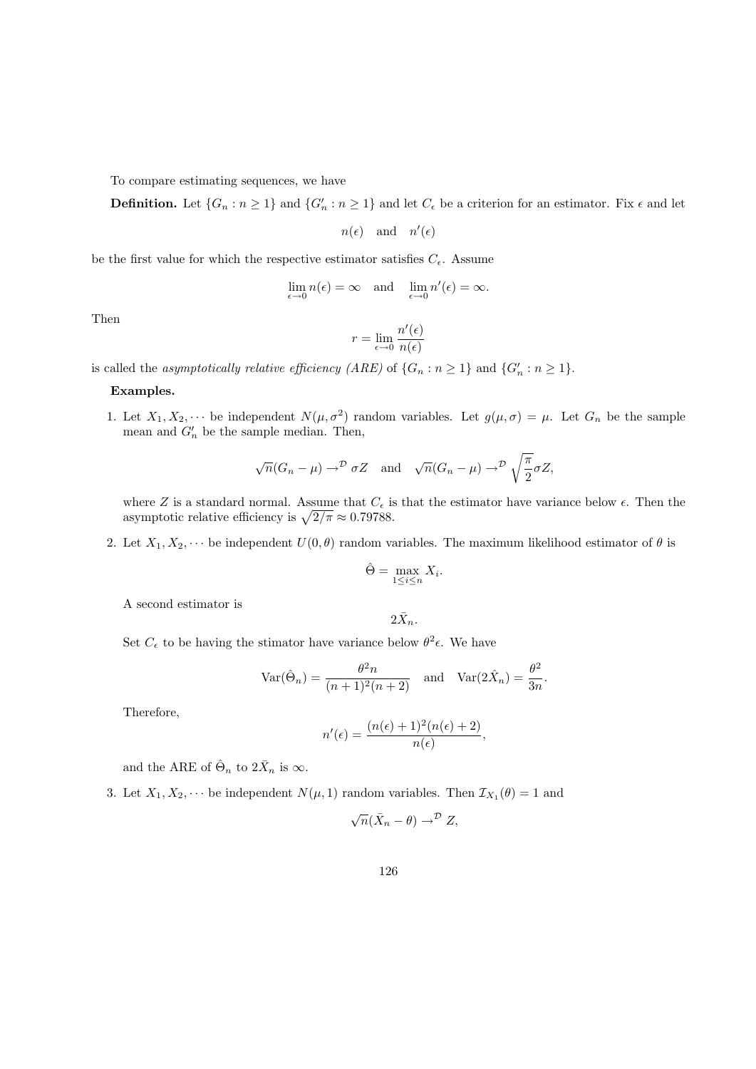To compare estimating sequences, we have

**Definition.** Let  $\{G_n : n \geq 1\}$  and  $\{G'_n : n \geq 1\}$  and let  $C_{\epsilon}$  be a criterion for an estimator. Fix  $\epsilon$  and let

 $n(\epsilon)$  and  $n'(\epsilon)$ 

be the first value for which the respective estimator satisfies  $C_{\epsilon}$ . Assume

$$
\lim_{\epsilon \to 0} n(\epsilon) = \infty \quad \text{and} \quad \lim_{\epsilon \to 0} n'(\epsilon) = \infty.
$$

Then

$$
r = \lim_{\epsilon \to 0} \frac{n'(\epsilon)}{n(\epsilon)}
$$

is called the *asymptotically relative efficiency* (*ARE*) of  $\{G_n : n \ge 1\}$  and  $\{G'_n : n \ge 1\}$ .

#### Examples.

1. Let  $X_1, X_2, \dots$  be independent  $N(\mu, \sigma^2)$  random variables. Let  $g(\mu, \sigma) = \mu$ . Let  $G_n$  be the sample mean and  $G'_n$  be the sample median. Then,

$$
\sqrt{n}(G_n - \mu) \to^{\mathcal{D}} \sigma Z
$$
 and  $\sqrt{n}(G_n - \mu) \to^{\mathcal{D}} \sqrt{\frac{\pi}{2}} \sigma Z$ ,

where Z is a standard normal. Assume that  $C_{\epsilon}$  is that the estimator have variance below  $\epsilon$ . Then the asymptotic relative efficiency is  $\sqrt{2/\pi} \approx 0.79788$ .

2. Let  $X_1, X_2, \cdots$  be independent  $U(0, \theta)$  random variables. The maximum likelihood estimator of  $\theta$  is

$$
\hat{\Theta} = \max_{1 \le i \le n} X_i.
$$

A second estimator is

$$
2\bar{X}_n.
$$

Set  $C_{\epsilon}$  to be having the stimator have variance below  $\theta^2 \epsilon$ . We have

$$
\operatorname{Var}(\hat{\Theta}_n) = \frac{\theta^2 n}{(n+1)^2(n+2)} \quad \text{and} \quad \operatorname{Var}(2\hat{X}_n) = \frac{\theta^2}{3n}.
$$

Therefore,

$$
n'(\epsilon) = \frac{(n(\epsilon) + 1)^2(n(\epsilon) + 2)}{n(\epsilon)},
$$

and the ARE of  $\hat{\Theta}_n$  to  $2\bar{X}_n$  is  $\infty$ .

3. Let  $X_1, X_2, \dots$  be independent  $N(\mu, 1)$  random variables. Then  $\mathcal{I}_{X_1}(\theta) = 1$  and

$$
\sqrt{n}(\bar{X}_n - \theta) \to^{\mathcal{D}} Z,
$$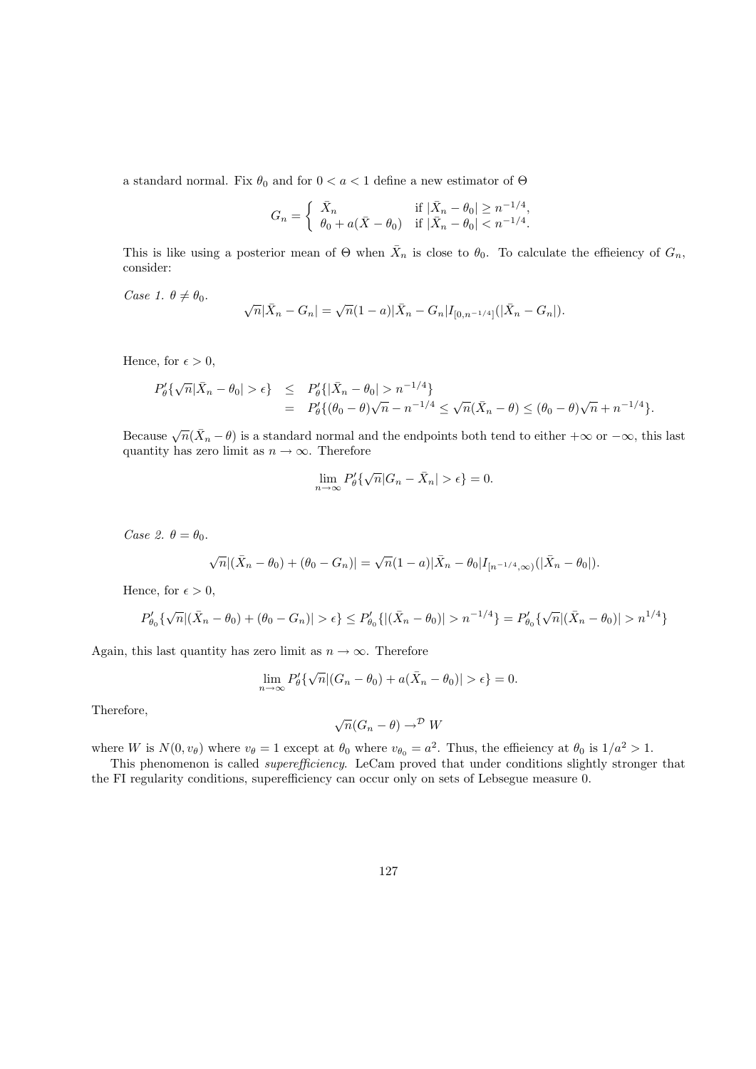a standard normal. Fix  $\theta_0$  and for  $0 < a < 1$  define a new estimator of  $\Theta$ 

$$
G_n = \begin{cases} \bar{X}_n & \text{if } |\bar{X}_n - \theta_0| \ge n^{-1/4}, \\ \theta_0 + a(\bar{X} - \theta_0) & \text{if } |\bar{X}_n - \theta_0| < n^{-1/4}. \end{cases}
$$

This is like using a posterior mean of  $\Theta$  when  $\bar{X}_n$  is close to  $\theta_0$ . To calculate the efficiency of  $G_n$ , consider:

Case 1.  $\theta \neq \theta_0$ .

$$
\sqrt{n}|\bar{X}_n - G_n| = \sqrt{n}(1 - a)|\bar{X}_n - G_n|I_{[0, n^{-1/4}]}(|\bar{X}_n - G_n|).
$$

Hence, for  $\epsilon > 0$ ,

$$
P'_{\theta}\{\sqrt{n}|\bar{X}_n - \theta_0| > \epsilon\} \leq P'_{\theta}\{|\bar{X}_n - \theta_0| > n^{-1/4}\}\
$$
  
= 
$$
P'_{\theta}\{(\theta_0 - \theta)\sqrt{n} - n^{-1/4} \leq \sqrt{n}(\bar{X}_n - \theta) \leq (\theta_0 - \theta)\sqrt{n} + n^{-1/4}\}.
$$

Because  $\sqrt{n}(\bar{X}_n - \theta)$  is a standard normal and the endpoints both tend to either  $+\infty$  or  $-\infty$ , this last quantity has zero limit as  $n \to \infty$ . Therefore

$$
\lim_{n \to \infty} P_{\theta}'\{\sqrt{n}|G_n - \bar{X}_n| > \epsilon\} = 0.
$$

Case 2.  $\theta = \theta_0$ .

$$
\sqrt{n}|(\bar{X}_n - \theta_0) + (\theta_0 - G_n)| = \sqrt{n}(1 - a)|\bar{X}_n - \theta_0|I_{[n^{-1/4},\infty)}(|\bar{X}_n - \theta_0|).
$$

Hence, for  $\epsilon > 0$ ,

$$
P'_{\theta_0}\{\sqrt{n}|(\bar{X}_n - \theta_0) + (\theta_0 - G_n)| > \epsilon\} \le P'_{\theta_0}\{ |(\bar{X}_n - \theta_0)| > n^{-1/4} \} = P'_{\theta_0}\{\sqrt{n}|(\bar{X}_n - \theta_0)| > n^{1/4} \}
$$

Again, this last quantity has zero limit as  $n \to \infty$ . Therefore

$$
\lim_{n \to \infty} P_{\theta}'\{\sqrt{n} |(G_n - \theta_0) + a(\bar{X}_n - \theta_0)| > \epsilon\} = 0.
$$

Therefore,

$$
\sqrt{n}(G_n - \theta) \to^{\mathcal{D}} W
$$

where W is  $N(0, v_{\theta})$  where  $v_{\theta} = 1$  except at  $\theta_0$  where  $v_{\theta_0} = a^2$ . Thus, the efficiency at  $\theta_0$  is  $1/a^2 > 1$ .

This phenomenon is called *superefficiency*. LeCam proved that under conditions slightly stronger that the FI regularity conditions, superefficiency can occur only on sets of Lebsegue measure 0.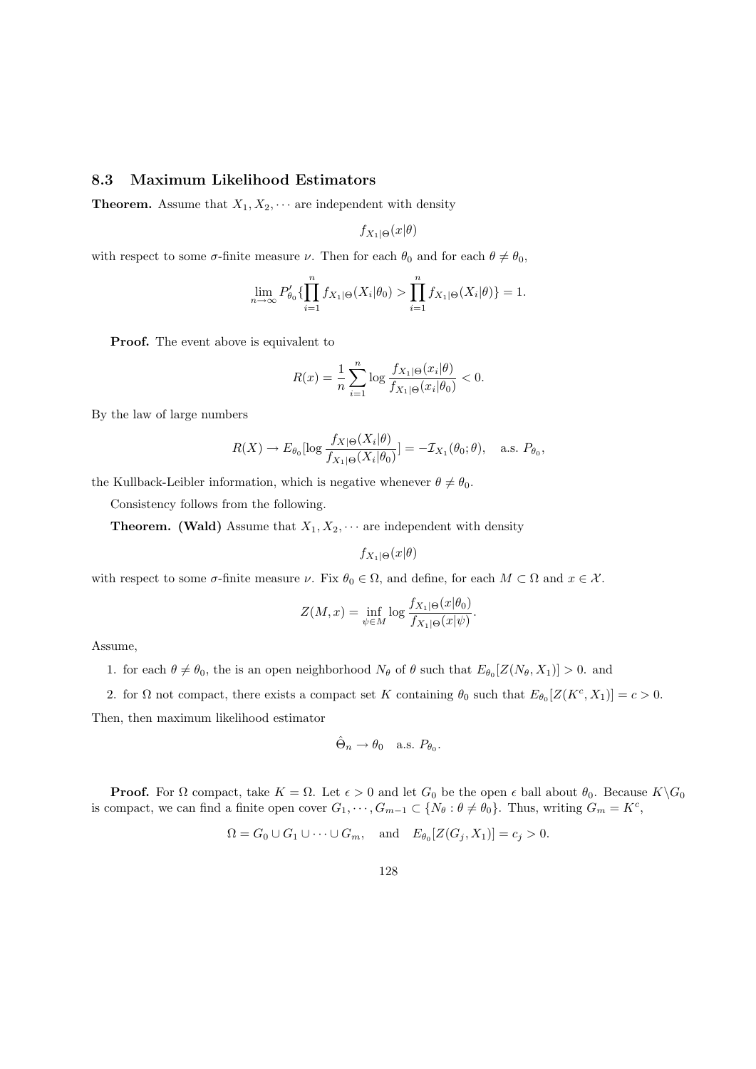### 8.3 Maximum Likelihood Estimators

**Theorem.** Assume that  $X_1, X_2, \cdots$  are independent with density

 $f_{X_1|\Theta}(x|\theta)$ 

with respect to some  $\sigma$ -finite measure  $\nu$ . Then for each  $\theta_0$  and for each  $\theta \neq \theta_0$ ,

$$
\lim_{n \to \infty} P'_{\theta_0} \{ \prod_{i=1}^n f_{X_1 | \Theta}(X_i | \theta_0) > \prod_{i=1}^n f_{X_1 | \Theta}(X_i | \theta) \} = 1.
$$

Proof. The event above is equivalent to

$$
R(x) = \frac{1}{n} \sum_{i=1}^{n} \log \frac{f_{X_1|\Theta}(x_i|\theta)}{f_{X_1|\Theta}(x_i|\theta_0)} < 0.
$$

By the law of large numbers

$$
R(X) \to E_{\theta_0}[\log \frac{f_{X|\Theta}(X_i|\theta)}{f_{X_1|\Theta}(X_i|\theta_0)}] = -\mathcal{I}_{X_1}(\theta_0;\theta), \quad \text{a.s. } P_{\theta_0},
$$

the Kullback-Leibler information, which is negative whenever  $\theta \neq \theta_0$ .

Consistency follows from the following.

**Theorem.** (Wald) Assume that  $X_1, X_2, \cdots$  are independent with density

$$
f_{X_1|\Theta}(x|\theta)
$$

with respect to some  $\sigma$ -finite measure  $\nu$ . Fix  $\theta_0 \in \Omega$ , and define, for each  $M \subset \Omega$  and  $x \in \mathcal{X}$ .

$$
Z(M, x) = \inf_{\psi \in M} \log \frac{f_{X_1|\Theta}(x|\theta_0)}{f_{X_1|\Theta}(x|\psi)}.
$$

Assume,

1. for each  $\theta \neq \theta_0$ , the is an open neighborhood  $N_{\theta}$  of  $\theta$  such that  $E_{\theta_0}[Z(N_{\theta}, X_1)] > 0$ . and

2. for  $\Omega$  not compact, there exists a compact set K containing  $\theta_0$  such that  $E_{\theta_0}[Z(K^c, X_1)] = c > 0$ .

Then, then maximum likelihood estimator

$$
\hat{\Theta}_n \to \theta_0 \quad \text{a.s. } P_{\theta_0}.
$$

**Proof.** For  $\Omega$  compact, take  $K = \Omega$ . Let  $\epsilon > 0$  and let  $G_0$  be the open  $\epsilon$  ball about  $\theta_0$ . Because  $K \backslash G_0$ is compact, we can find a finite open cover  $G_1, \dots, G_{m-1} \subset \{N_\theta : \theta \neq \theta_0\}$ . Thus, writing  $G_m = K^c$ ,

$$
\Omega = G_0 \cup G_1 \cup \cdots \cup G_m, \quad \text{and} \quad E_{\theta_0}[Z(G_j, X_1)] = c_j > 0.
$$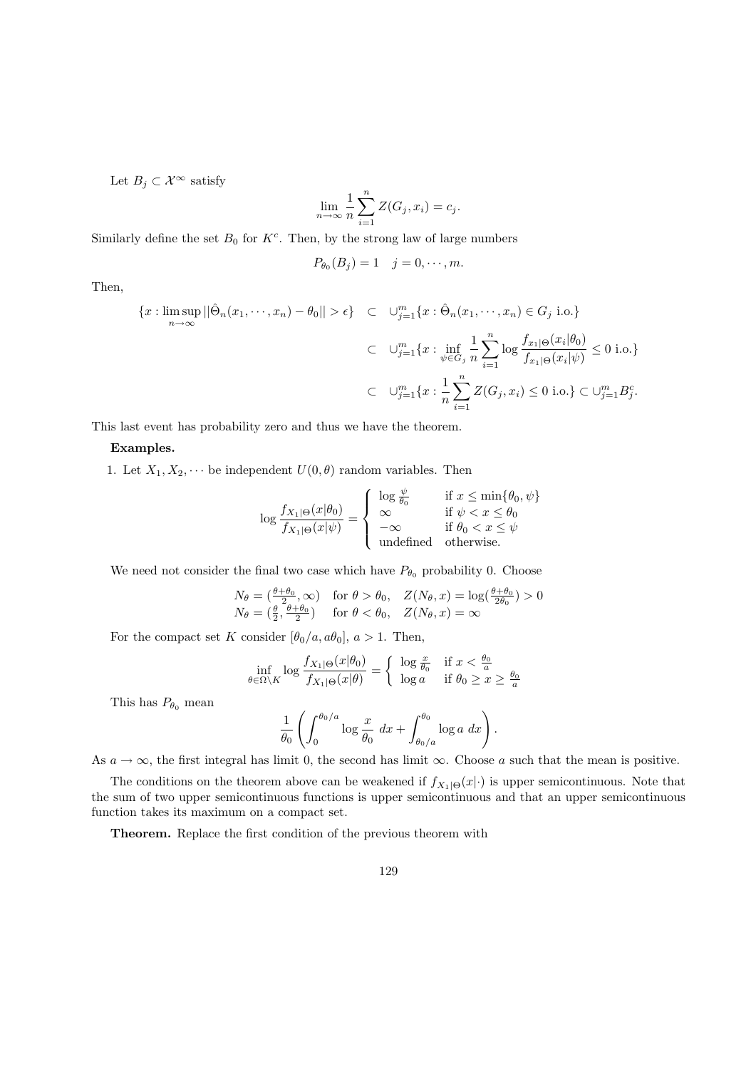Let  $B_j \subset \mathcal{X}^{\infty}$  satisfy

$$
\lim_{n \to \infty} \frac{1}{n} \sum_{i=1}^{n} Z(G_j, x_i) = c_j.
$$

Similarly define the set  $B_0$  for  $K^c$ . Then, by the strong law of large numbers

$$
P_{\theta_0}(B_j) = 1 \quad j = 0, \cdots, m.
$$

Then,

$$
\{x : \limsup_{n \to \infty} ||\hat{\Theta}_n(x_1, \dots, x_n) - \theta_0|| > \epsilon\} \quad \subset \quad \bigcup_{j=1}^m \{x : \hat{\Theta}_n(x_1, \dots, x_n) \in G_j \text{ i.o.}\}\
$$

$$
\subset \quad \bigcup_{j=1}^m \{x : \inf_{\psi \in G_j} \frac{1}{n} \sum_{i=1}^n \log \frac{f_{x_1|\Theta}(x_i|\theta_0)}{f_{x_1|\Theta}(x_i|\psi)} \le 0 \text{ i.o.}\}\
$$

$$
\subset \quad \bigcup_{j=1}^m \{x : \frac{1}{n} \sum_{i=1}^n Z(G_j, x_i) \le 0 \text{ i.o.}\} \subset \bigcup_{j=1}^m B_j^c.
$$

This last event has probability zero and thus we have the theorem.

#### Examples.

1. Let  $X_1, X_2, \dots$  be independent  $U(0, \theta)$  random variables. Then

$$
\log \frac{f_{X_1|\Theta}(x|\theta_0)}{f_{X_1|\Theta}(x|\psi)} = \begin{cases} \log \frac{\psi}{\theta_0} & \text{if } x \le \min\{\theta_0, \psi\} \\ \infty & \text{if } \psi < x \le \theta_0 \\ -\infty & \text{if } \theta_0 < x \le \psi \\ \text{undefined} & \text{otherwise.} \end{cases}
$$

We need not consider the final two case which have  $P_{\theta_0}$  probability 0. Choose

$$
N_{\theta} = \left(\frac{\theta + \theta_0}{2}, \infty\right) \quad \text{for } \theta > \theta_0, \quad Z(N_{\theta}, x) = \log\left(\frac{\theta + \theta_0}{2\theta_0}\right) > 0
$$
  

$$
N_{\theta} = \left(\frac{\theta}{2}, \frac{\theta + \theta_0}{2}\right) \quad \text{for } \theta < \theta_0, \quad Z(N_{\theta}, x) = \infty
$$

For the compact set K consider  $[\theta_0/a, a\theta_0]$ ,  $a > 1$ . Then,

$$
\inf_{\theta \in \Omega \backslash K} \log \frac{f_{X_1|\Theta}(x|\theta_0)}{f_{X_1|\Theta}(x|\theta)} = \begin{cases} \log \frac{x}{\theta_0} & \text{if } x < \frac{\theta_0}{a} \\ \log a & \text{if } \theta_0 \ge x \ge \frac{\theta_0}{a} \end{cases}
$$

This has  $P_{\theta_0}$  mean

$$
\frac{1}{\theta_0} \left( \int_0^{\theta_0/a} \log \frac{x}{\theta_0} \, dx + \int_{\theta_0/a}^{\theta_0} \log a \, dx \right).
$$

As  $a \to \infty$ , the first integral has limit 0, the second has limit  $\infty$ . Choose a such that the mean is positive.

The conditions on the theorem above can be weakened if  $f_{X_1|\Theta}(x|\cdot)$  is upper semicontinuous. Note that the sum of two upper semicontinuous functions is upper semicontinuous and that an upper semicontinuous function takes its maximum on a compact set.

Theorem. Replace the first condition of the previous theorem with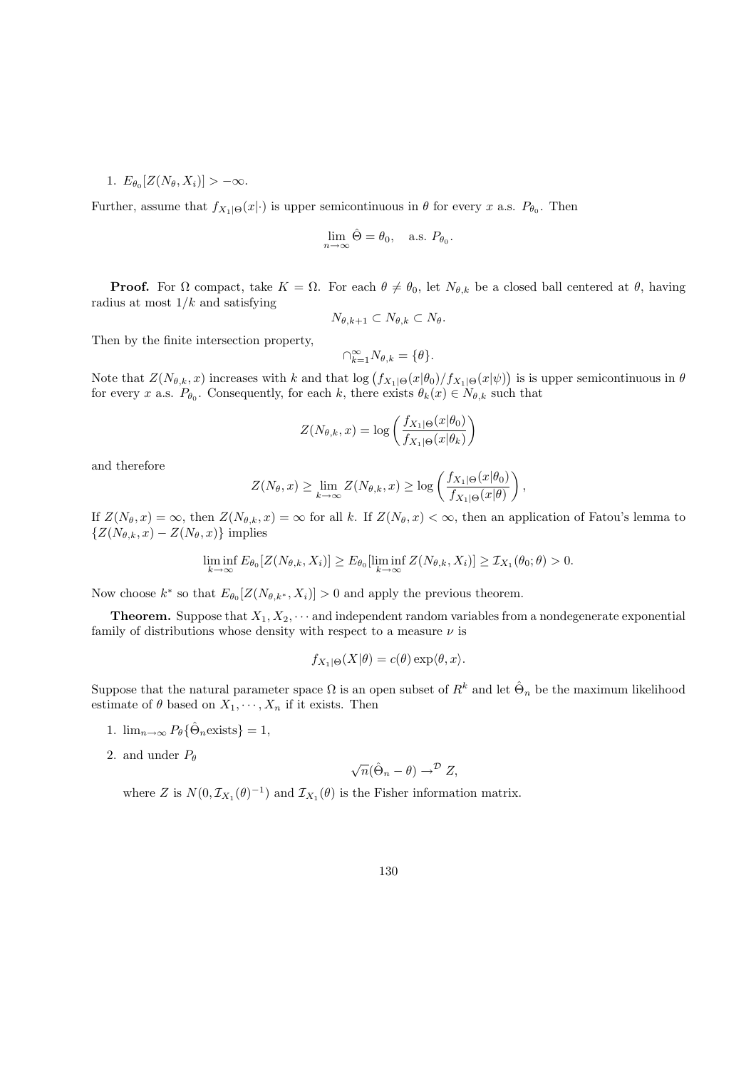1.  $E_{\theta_0}[Z(N_{\theta}, X_i)] > -\infty$ .

Further, assume that  $f_{X_1|\Theta}(x|\cdot)$  is upper semicontinuous in  $\theta$  for every x a.s.  $P_{\theta_0}$ . Then

$$
\lim_{n \to \infty} \hat{\Theta} = \theta_0, \quad \text{a.s. } P_{\theta_0}.
$$

**Proof.** For  $\Omega$  compact, take  $K = \Omega$ . For each  $\theta \neq \theta_0$ , let  $N_{\theta,k}$  be a closed ball centered at  $\theta$ , having radius at most  $1/k$  and satisfying

$$
N_{\theta,k+1} \subset N_{\theta,k} \subset N_{\theta}.
$$

Then by the finite intersection property,

$$
\cap_{k=1}^{\infty} N_{\theta,k} = \{\theta\}.
$$

Note that  $Z(N_{\theta,k},x)$  increases with k and that  $\log (f_{X_1|\Theta}(x|\theta_0)/f_{X_1|\Theta}(x|\psi))$  is is upper semicontinuous in  $\theta$ for every x a.s.  $P_{\theta_0}$ . Consequently, for each k, there exists  $\theta_k(x) \in N_{\theta,k}$  such that

$$
Z(N_{\theta,k}, x) = \log \left( \frac{f_{X_1|\Theta}(x|\theta_0)}{f_{X_1|\Theta}(x|\theta_k)} \right)
$$

and therefore

$$
Z(N_{\theta}, x) \geq \lim_{k \to \infty} Z(N_{\theta,k}, x) \geq \log \left( \frac{f_{X_1|\Theta}(x|\theta_0)}{f_{X_1|\Theta}(x|\theta)} \right),
$$

If  $Z(N_{\theta}, x) = \infty$ , then  $Z(N_{\theta,k}, x) = \infty$  for all k. If  $Z(N_{\theta}, x) < \infty$ , then an application of Fatou's lemma to  $\{Z(N_{\theta,k}, x) - Z(N_{\theta}, x)\}\$ implies

$$
\liminf_{k \to \infty} E_{\theta_0}[Z(N_{\theta,k}, X_i)] \ge E_{\theta_0}[\liminf_{k \to \infty} Z(N_{\theta,k}, X_i)] \ge \mathcal{I}_{X_1}(\theta_0; \theta) > 0.
$$

Now choose  $k^*$  so that  $E_{\theta_0}[Z(N_{\theta,k^*}, X_i)] > 0$  and apply the previous theorem.

**Theorem.** Suppose that  $X_1, X_2, \cdots$  and independent random variables from a nondegenerate exponential family of distributions whose density with respect to a measure  $\nu$  is

$$
f_{X_1|\Theta}(X|\theta) = c(\theta) \exp\langle \theta, x \rangle.
$$

Suppose that the natural parameter space  $\Omega$  is an open subset of  $R^k$  and let  $\hat{\Theta}_n$  be the maximum likelihood estimate of  $\theta$  based on  $X_1, \dots, X_n$  if it exists. Then

- 1.  $\lim_{n\to\infty} P_\theta\{\hat{\Theta}_n \text{exists}\}=1,$
- 2. and under  $P_{\theta}$

$$
\sqrt{n}(\hat{\Theta}_n - \theta) \to^{\mathcal{D}} Z,
$$

where Z is  $N(0, \mathcal{I}_{X_1}(\theta)^{-1})$  and  $\mathcal{I}_{X_1}(\theta)$  is the Fisher information matrix.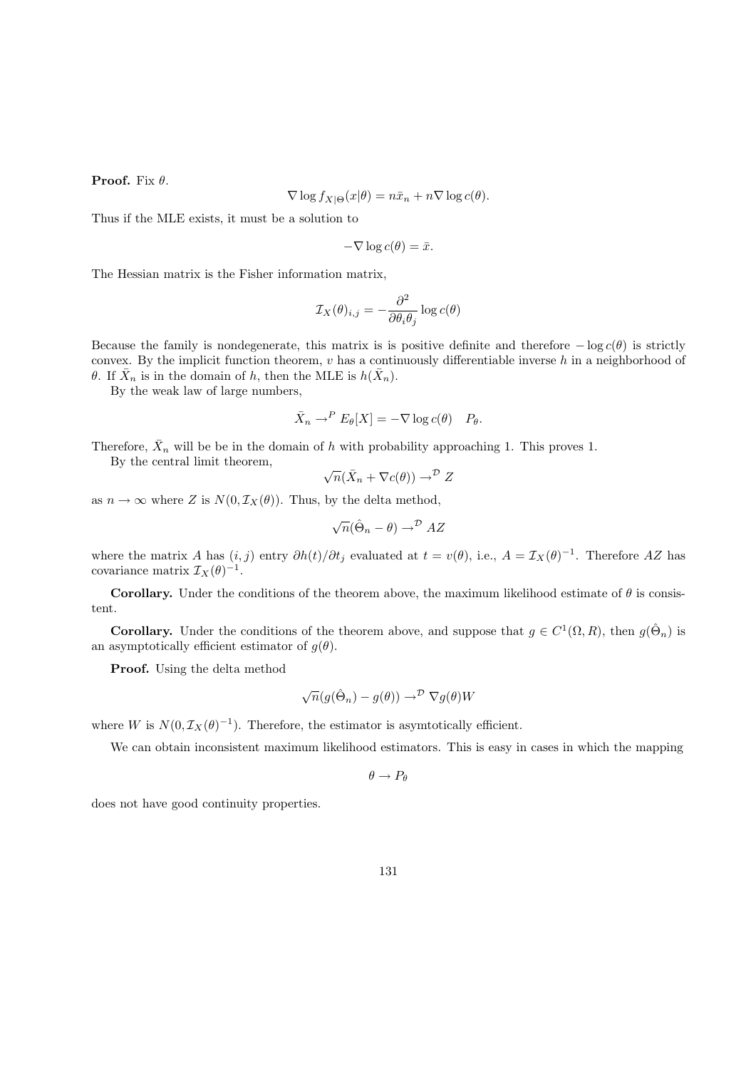**Proof.** Fix  $\theta$ .

$$
\nabla \log f_{X|\Theta}(x|\theta) = n\bar{x}_n + n\nabla \log c(\theta).
$$

Thus if the MLE exists, it must be a solution to

$$
-\nabla \log c(\theta) = \bar{x}.
$$

The Hessian matrix is the Fisher information matrix,

$$
\mathcal{I}_X(\theta)_{i,j} = -\frac{\partial^2}{\partial \theta_i \theta_j} \log c(\theta)
$$

Because the family is nondegenerate, this matrix is is positive definite and therefore  $-\log c(\theta)$  is strictly convex. By the implicit function theorem,  $v$  has a continuously differentiable inverse  $h$  in a neighborhood of θ. If  $\bar{X}_n$  is in the domain of h, then the MLE is  $h(\bar{X}_n)$ .

By the weak law of large numbers,

$$
\bar{X}_n \to^P E_\theta[X] = -\nabla \log c(\theta) \quad P_\theta.
$$

Therefore,  $\bar{X}_n$  will be be in the domain of h with probability approaching 1. This proves 1.

By the central limit theorem, 
$$
\overline{\phantom{C}}(x)
$$

$$
\sqrt{n}(\bar{X}_n + \nabla c(\theta)) \to^{\mathcal{D}} Z
$$

as  $n \to \infty$  where Z is  $N(0, \mathcal{I}_X(\theta))$ . Thus, by the delta method,

$$
\sqrt{n}(\hat{\Theta}_n - \theta) \to^{\mathcal{D}} AZ
$$

where the matrix A has  $(i, j)$  entry  $\partial h(t)/\partial t_j$  evaluated at  $t = v(\theta)$ , i.e.,  $A = \mathcal{I}_X(\theta)^{-1}$ . Therefore AZ has covariance matrix  $\mathcal{I}_X(\theta)^{-1}$ .

Corollary. Under the conditions of the theorem above, the maximum likelihood estimate of  $\theta$  is consistent.

**Corollary.** Under the conditions of the theorem above, and suppose that  $g \in C^1(\Omega, R)$ , then  $g(\hat{\Theta}_n)$  is an asymptotically efficient estimator of  $g(\theta)$ .

Proof. Using the delta method

$$
\sqrt{n}(g(\hat{\Theta}_n) - g(\theta)) \to^{\mathcal{D}} \nabla g(\theta)W
$$

where W is  $N(0, \mathcal{I}_X(\theta)^{-1})$ . Therefore, the estimator is asymtotically efficient.

We can obtain inconsistent maximum likelihood estimators. This is easy in cases in which the mapping

$$
\theta \to P_\theta
$$

does not have good continuity properties.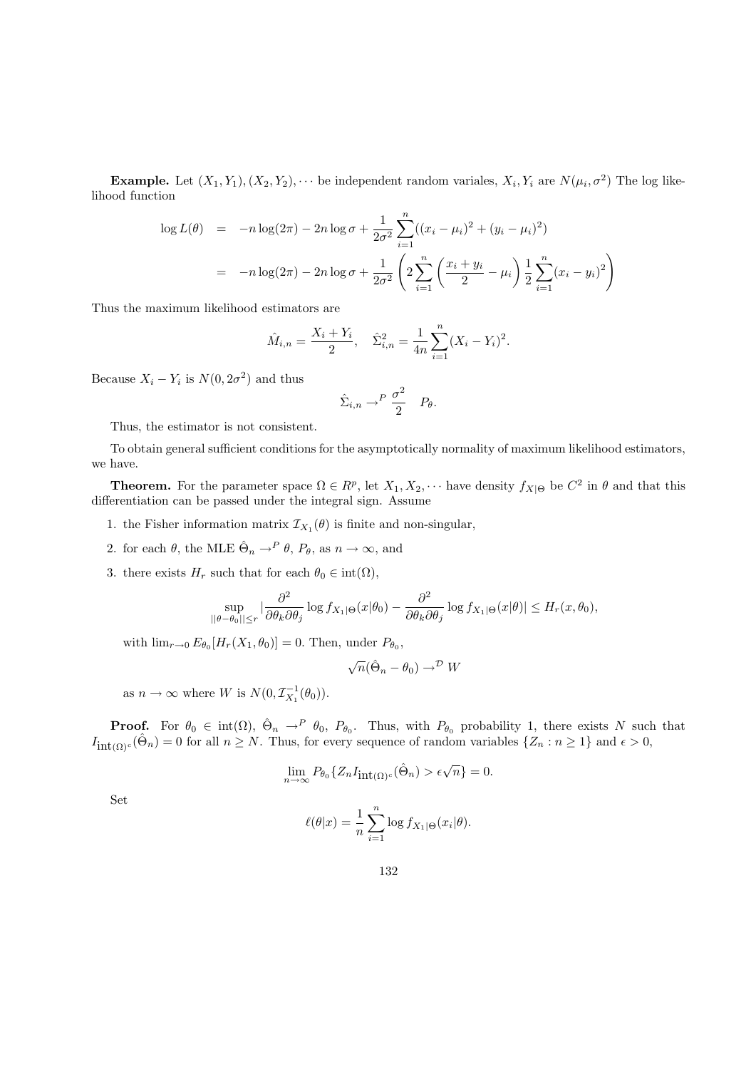**Example.** Let  $(X_1, Y_1), (X_2, Y_2), \cdots$  be independent random variales,  $X_i, Y_i$  are  $N(\mu_i, \sigma^2)$  The log likelihood function

$$
\log L(\theta) = -n \log(2\pi) - 2n \log \sigma + \frac{1}{2\sigma^2} \sum_{i=1}^n ((x_i - \mu_i)^2 + (y_i - \mu_i)^2)
$$
  
= 
$$
-n \log(2\pi) - 2n \log \sigma + \frac{1}{2\sigma^2} \left( 2 \sum_{i=1}^n \left( \frac{x_i + y_i}{2} - \mu_i \right) \frac{1}{2} \sum_{i=1}^n (x_i - y_i)^2 \right)
$$

Thus the maximum likelihood estimators are

$$
\hat{M}_{i,n} = \frac{X_i + Y_i}{2}, \quad \hat{\Sigma}_{i,n}^2 = \frac{1}{4n} \sum_{i=1}^n (X_i - Y_i)^2.
$$

Because  $X_i - Y_i$  is  $N(0, 2\sigma^2)$  and thus

$$
\hat{\Sigma}_{i,n} \to^P \frac{\sigma^2}{2} \quad P_{\theta}.
$$

Thus, the estimator is not consistent.

To obtain general sufficient conditions for the asymptotically normality of maximum likelihood estimators, we have.

**Theorem.** For the parameter space  $\Omega \in R^p$ , let  $X_1, X_2, \cdots$  have density  $f_{X|\Theta}$  be  $C^2$  in  $\theta$  and that this differentiation can be passed under the integral sign. Assume

- 1. the Fisher information matrix  $\mathcal{I}_{X_1}(\theta)$  is finite and non-singular,
- 2. for each  $\theta$ , the MLE  $\hat{\Theta}_n \to^P \theta$ ,  $P_{\theta}$ , as  $n \to \infty$ , and
- 3. there exists  $H_r$  such that for each  $\theta_0 \in \text{int}(\Omega)$ ,

$$
\sup_{||\theta-\theta_0||\leq r} \left|\frac{\partial^2}{\partial \theta_k \partial \theta_j}\log f_{X_1|\Theta}(x|\theta_0) - \frac{\partial^2}{\partial \theta_k \partial \theta_j}\log f_{X_1|\Theta}(x|\theta)\right| \leq H_r(x,\theta_0),
$$

with  $\lim_{r\to 0} E_{\theta_0}[H_r(X_1,\theta_0)] = 0$ . Then, under  $P_{\theta_0}$ ,

$$
\sqrt{n}(\hat{\Theta}_n - \theta_0) \to^{\mathcal{D}} W
$$

as  $n \to \infty$  where W is  $N(0, \mathcal{I}_{X_1}^{-1}(\theta_0)).$ 

**Proof.** For  $\theta_0 \in \text{int}(\Omega)$ ,  $\hat{\Theta}_n \to^P \theta_0$ ,  $P_{\theta_0}$ . Thus, with  $P_{\theta_0}$  probability 1, there exists N such that  $I_{\text{int}(\Omega)^c}(\hat{\Theta}_n) = 0$  for all  $n \geq N$ . Thus, for every sequence of random variables  $\{Z_n : n \geq 1\}$  and  $\epsilon > 0$ ,

$$
\lim_{n \to \infty} P_{\theta_0} \{ Z_n I_{\mathrm{int}(\Omega)^c}(\hat{\Theta}_n) > \epsilon \sqrt{n} \} = 0.
$$

Set

$$
\ell(\theta|x) = \frac{1}{n} \sum_{i=1}^{n} \log f_{X_1|\Theta}(x_i|\theta).
$$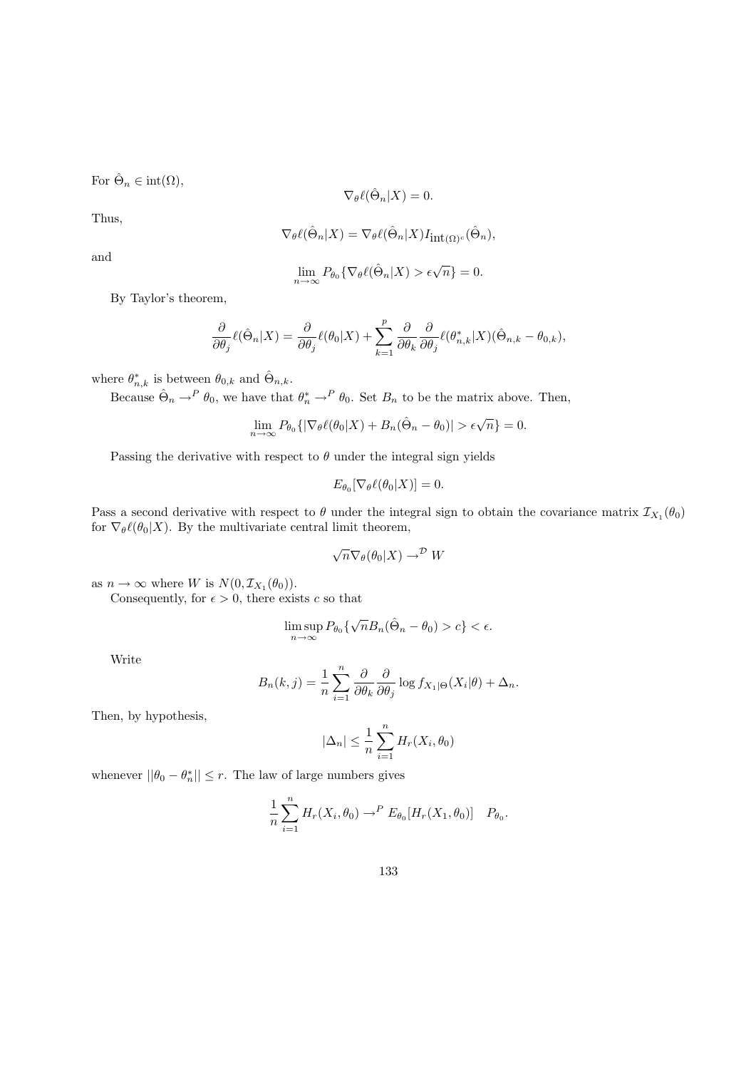For  $\hat{\Theta}_n \in \text{int}(\Omega)$ ,

$$
\nabla_{\theta} \ell(\hat{\Theta}_n | X) = 0.
$$

Thus,

$$
\nabla_{\theta} \ell(\hat{\Theta}_n | X) = \nabla_{\theta} \ell(\hat{\Theta}_n | X) I_{\mathrm{int}(\Omega)^c}(\hat{\Theta}_n),
$$

and

$$
\lim_{n \to \infty} P_{\theta_0} \{ \nabla_{\theta} \ell(\hat{\Theta}_n | X) > \epsilon \sqrt{n} \} = 0.
$$

By Taylor's theorem,

$$
\frac{\partial}{\partial \theta_j} \ell(\hat{\Theta}_n|X) = \frac{\partial}{\partial \theta_j} \ell(\theta_0|X) + \sum_{k=1}^p \frac{\partial}{\partial \theta_k} \frac{\partial}{\partial \theta_j} \ell(\theta^*_{n,k}|X) (\hat{\Theta}_{n,k} - \theta_{0,k}),
$$

where  $\theta_{n,k}^*$  is between  $\theta_{0,k}$  and  $\hat{\Theta}_{n,k}$ .

Because  $\hat{\Theta}_n \to^P \theta_0$ , we have that  $\theta_n^* \to^P \theta_0$ . Set  $B_n$  to be the matrix above. Then,

$$
\lim_{n \to \infty} P_{\theta_0} \{ |\nabla_{\theta} \ell(\theta_0|X) + B_n(\hat{\Theta}_n - \theta_0)| > \epsilon \sqrt{n} \} = 0.
$$

Passing the derivative with respect to  $\theta$  under the integral sign yields

$$
E_{\theta_0}[\nabla_{\theta}\ell(\theta_0|X)] = 0.
$$

Pass a second derivative with respect to  $\theta$  under the integral sign to obtain the covariance matrix  $\mathcal{I}_{X_1}(\theta_0)$ for  $\nabla_{\theta} \ell(\theta_0|X)$ . By the multivariate central limit theorem,

$$
\sqrt{n} \nabla_{\theta}(\theta_0|X) \to^{\mathcal{D}} W
$$

as  $n \to \infty$  where W is  $N(0, \mathcal{I}_{X_1}(\theta_0)).$ 

Consequently, for  $\epsilon > 0$ , there exists c so that

$$
\limsup_{n\to\infty} P_{\theta_0}\{\sqrt{n}B_n(\hat{\Theta}_n-\theta_0)>c\}<\epsilon.
$$

Write

$$
B_n(k,j) = \frac{1}{n} \sum_{i=1}^n \frac{\partial}{\partial \theta_k} \frac{\partial}{\partial \theta_j} \log f_{X_1|\Theta}(X_i|\theta) + \Delta_n.
$$

Then, by hypothesis,

$$
|\Delta_n| \le \frac{1}{n} \sum_{i=1}^n H_r(X_i, \theta_0)
$$

whenever  $||\theta_0 - \theta_n^*|| \le r$ . The law of large numbers gives

$$
\frac{1}{n}\sum_{i=1}^n H_r(X_i,\theta_0) \to^P E_{\theta_0}[H_r(X_1,\theta_0)] \quad P_{\theta_0}.
$$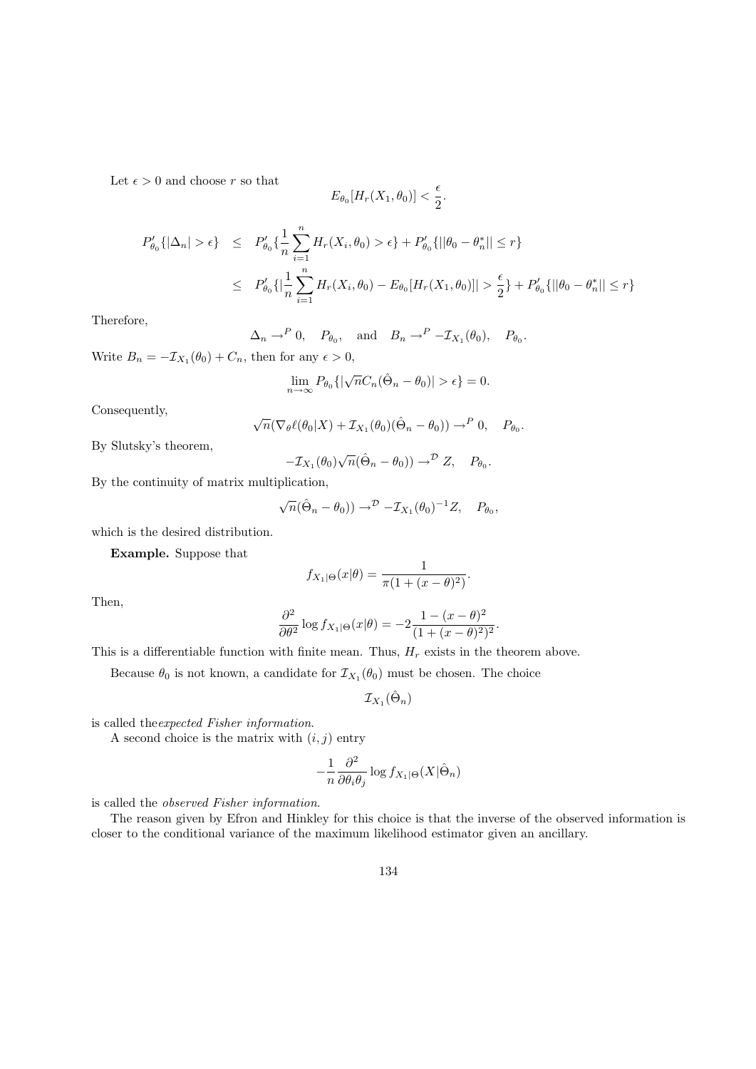Let  $\epsilon > 0$  and choose r so that

$$
E_{\theta_0}[H_r(X_1, \theta_0)] < \frac{\epsilon}{2}.
$$

$$
P'_{\theta_0}\{|\Delta_n| > \epsilon\} \le P'_{\theta_0}\{\frac{1}{n}\sum_{i=1}^n H_r(X_i, \theta_0) > \epsilon\} + P'_{\theta_0}\{\|\theta_0 - \theta_n^*\| \le r\}
$$
  

$$
\le P'_{\theta_0}\{\left|\frac{1}{n}\sum_{i=1}^n H_r(X_i, \theta_0) - E_{\theta_0}[H_r(X_1, \theta_0)]\right| > \frac{\epsilon}{2}\} + P'_{\theta_0}\{\|\theta_0 - \theta_n^*\| \le r\}
$$

Therefore,

$$
\Delta_n \to^P 0, \quad P_{\theta_0}, \quad \text{and} \quad B_n \to^P -\mathcal{I}_{X_1}(\theta_0), \quad P_{\theta_0}.
$$

Write  $B_n = -\mathcal{I}_{X_1}(\theta_0) + C_n$ , then for any  $\epsilon > 0$ ,

$$
\lim_{n \to \infty} P_{\theta_0} \{ |\sqrt{n} C_n(\hat{\Theta}_n - \theta_0)| > \epsilon \} = 0.
$$

Consequently,

$$
\sqrt{n}(\nabla_{\theta}\ell(\theta_0|X) + \mathcal{I}_{X_1}(\theta_0)(\hat{\Theta}_n - \theta_0)) \to^P 0, \quad P_{\theta_0}.
$$

By Slutsky's theorem,

$$
-\mathcal{I}_{X_1}(\theta_0)\sqrt{n}(\hat{\Theta}_n-\theta_0))\to^{\mathcal{D}}Z,\quad P_{\theta_0}.
$$

By the continuity of matrix multiplication,

$$
\sqrt{n}(\hat{\Theta}_n - \theta_0) \rightarrow^{\mathcal{D}} -\mathcal{I}_{X_1}(\theta_0)^{-1}Z, \quad P_{\theta_0},
$$

which is the desired distribution.

Example. Suppose that

$$
f_{X_1|\Theta}(x|\theta) = \frac{1}{\pi(1 + (x - \theta)^2)}.
$$

Then,

$$
\frac{\partial^2}{\partial \theta^2} \log f_{X_1|\Theta}(x|\theta) = -2 \frac{1 - (x - \theta)^2}{(1 + (x - \theta)^2)^2}.
$$

This is a differentiable function with finite mean. Thus,  $H_r$  exists in the theorem above.

Because  $\theta_0$  is not known, a candidate for  $\mathcal{I}_{X_1}(\theta_0)$  must be chosen. The choice

 ${\mathcal I}_{X_1}(\hat{\Theta}_n)$ 

is called theexpected Fisher information.

A second choice is the matrix with  $(i, j)$  entry

$$
-\frac{1}{n}\frac{\partial^2}{\partial\theta_i\theta_j}\log f_{X_1|\Theta}(X|\hat{\Theta}_n)
$$

is called the observed Fisher information.

The reason given by Efron and Hinkley for this choice is that the inverse of the observed information is closer to the conditional variance of the maximum likelihood estimator given an ancillary.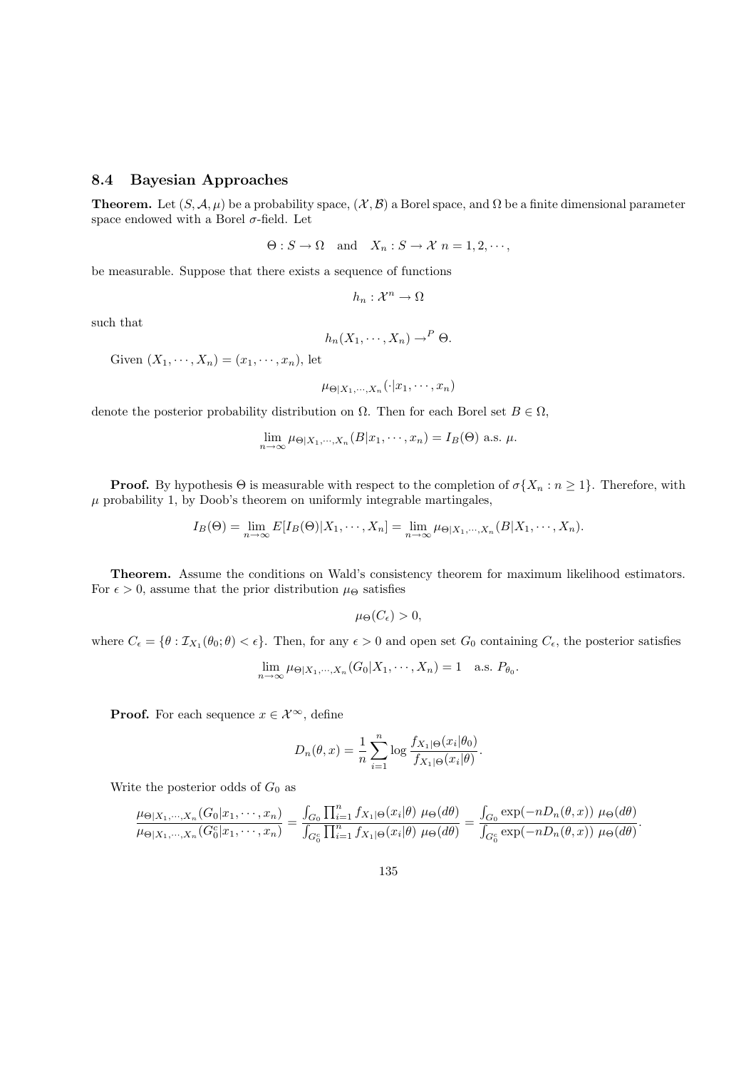## 8.4 Bayesian Approaches

**Theorem.** Let  $(S, \mathcal{A}, \mu)$  be a probability space,  $(\mathcal{X}, \mathcal{B})$  a Borel space, and  $\Omega$  be a finite dimensional parameter space endowed with a Borel  $\sigma$ -field. Let

$$
\Theta: S \to \Omega \quad \text{and} \quad X_n: S \to \mathcal{X} \quad n = 1, 2, \cdots,
$$

be measurable. Suppose that there exists a sequence of functions

$$
h_n:\mathcal{X}^n\to\Omega
$$

such that

$$
h_n(X_1,\cdots,X_n)\to^P\Theta.
$$

Given  $(X_1, \dots, X_n) = (x_1, \dots, x_n)$ , let

$$
\mu_{\Theta|X_1,\cdots,X_n}(\cdot|x_1,\cdots,x_n)
$$

denote the posterior probability distribution on  $\Omega$ . Then for each Borel set  $B \in \Omega$ ,

$$
\lim_{n \to \infty} \mu_{\Theta|X_1, \cdots, X_n}(B|x_1, \cdots, x_n) = I_B(\Theta)
$$
 a.s.  $\mu$ 

**Proof.** By hypothesis  $\Theta$  is measurable with respect to the completion of  $\sigma\{X_n : n \geq 1\}$ . Therefore, with  $\mu$  probability 1, by Doob's theorem on uniformly integrable martingales,

$$
I_B(\Theta) = \lim_{n \to \infty} E[I_B(\Theta)|X_1, \cdots, X_n] = \lim_{n \to \infty} \mu_{\Theta|X_1, \cdots, X_n}(B|X_1, \cdots, X_n).
$$

Theorem. Assume the conditions on Wald's consistency theorem for maximum likelihood estimators. For  $\epsilon > 0$ , assume that the prior distribution  $\mu_{\Theta}$  satisfies

$$
\mu_{\Theta}(C_{\epsilon}) > 0,
$$

where  $C_{\epsilon} = \{\theta : \mathcal{I}_{X_1}(\theta_0; \theta) < \epsilon\}$ . Then, for any  $\epsilon > 0$  and open set  $G_0$  containing  $C_{\epsilon}$ , the posterior satisfies

$$
\lim_{n \to \infty} \mu_{\Theta|X_1, \cdots, X_n}(G_0|X_1, \cdots, X_n) = 1 \quad \text{a.s. } P_{\theta_0}.
$$

**Proof.** For each sequence  $x \in \mathcal{X}^{\infty}$ , define

$$
D_n(\theta, x) = \frac{1}{n} \sum_{i=1}^n \log \frac{f_{X_1|\Theta}(x_i|\theta_0)}{f_{X_1|\Theta}(x_i|\theta)}.
$$

Write the posterior odds of  $G_0$  as

$$
\frac{\mu_{\Theta|X_1,\cdots,X_n}(G_0|x_1,\cdots,x_n)}{\mu_{\Theta|X_1,\cdots,X_n}(G_0^c|x_1,\cdots,x_n)}=\frac{\int_{G_0}\prod_{i=1}^nf_{X_1|\Theta}(x_i|\theta)\,\mu_{\Theta}(d\theta)}{\int_{G_0^c}\prod_{i=1}^nf_{X_1|\Theta}(x_i|\theta)\,\mu_{\Theta}(d\theta)}=\frac{\int_{G_0}\exp(-nD_n(\theta,x))\,\mu_{\Theta}(d\theta)}{\int_{G_0^c}\exp(-nD_n(\theta,x))\,\mu_{\Theta}(d\theta)}.
$$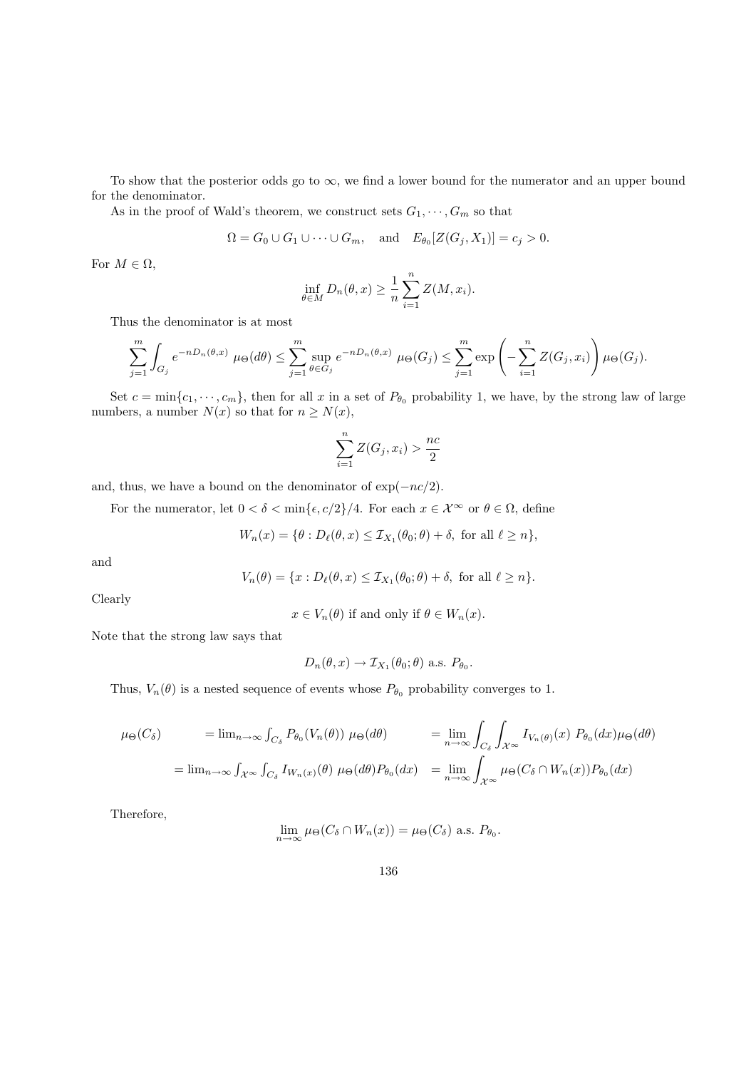To show that the posterior odds go to  $\infty$ , we find a lower bound for the numerator and an upper bound for the denominator.

As in the proof of Wald's theorem, we construct sets  $G_1, \cdots, G_m$  so that

$$
\Omega = G_0 \cup G_1 \cup \cdots \cup G_m, \quad \text{and} \quad E_{\theta_0}[Z(G_j, X_1)] = c_j > 0.
$$

For  $M \in \Omega$ ,

$$
\inf_{\theta \in M} D_n(\theta, x) \ge \frac{1}{n} \sum_{i=1}^n Z(M, x_i).
$$

Thus the denominator is at most

$$
\sum_{j=1}^m \int_{G_j} e^{-nD_n(\theta, x)} \mu_{\Theta}(d\theta) \le \sum_{j=1}^m \sup_{\theta \in G_j} e^{-nD_n(\theta, x)} \mu_{\Theta}(G_j) \le \sum_{j=1}^m \exp\left(-\sum_{i=1}^n Z(G_j, x_i)\right) \mu_{\Theta}(G_j).
$$

Set  $c = \min\{c_1, \dots, c_m\}$ , then for all x in a set of  $P_{\theta_0}$  probability 1, we have, by the strong law of large numbers, a number  $N(x)$  so that for  $n \geq N(x)$ ,

$$
\sum_{i=1}^{n} Z(G_j, x_i) > \frac{nc}{2}
$$

and, thus, we have a bound on the denominator of  $\exp(-nc/2)$ .

For the numerator, let  $0 < \delta < \min{\lbrace \epsilon, c/2 \rbrace}/4$ . For each  $x \in \mathcal{X}^{\infty}$  or  $\theta \in \Omega$ , define

$$
W_n(x) = \{ \theta : D_{\ell}(\theta, x) \leq \mathcal{I}_{X_1}(\theta_0; \theta) + \delta, \text{ for all } \ell \geq n \},
$$

and

$$
V_n(\theta) = \{x : D_{\ell}(\theta, x) \leq \mathcal{I}_{X_1}(\theta_0; \theta) + \delta, \text{ for all } \ell \geq n\}.
$$

Clearly

$$
x \in V_n(\theta)
$$
 if and only if  $\theta \in W_n(x)$ .

Note that the strong law says that

$$
D_n(\theta, x) \to \mathcal{I}_{X_1}(\theta_0; \theta)
$$
 a.s.  $P_{\theta_0}$ .

Thus,  $V_n(\theta)$  is a nested sequence of events whose  $P_{\theta_0}$  probability converges to 1.

$$
\mu_{\Theta}(C_{\delta}) = \lim_{n \to \infty} \int_{C_{\delta}} P_{\theta_{0}}(V_{n}(\theta)) \mu_{\Theta}(d\theta) = \lim_{n \to \infty} \int_{C_{\delta}} \int_{\mathcal{X}^{\infty}} I_{V_{n}(\theta)}(x) P_{\theta_{0}}(dx) \mu_{\Theta}(d\theta)
$$

$$
= \lim_{n \to \infty} \int_{\mathcal{X}^{\infty}} \int_{C_{\delta}} I_{W_{n}(x)}(\theta) \mu_{\Theta}(d\theta) P_{\theta_{0}}(dx) = \lim_{n \to \infty} \int_{\mathcal{X}^{\infty}} \mu_{\Theta}(C_{\delta} \cap W_{n}(x)) P_{\theta_{0}}(dx)
$$

Therefore,

$$
\lim_{n \to \infty} \mu_{\Theta}(C_{\delta} \cap W_n(x)) = \mu_{\Theta}(C_{\delta}) \text{ a.s. } P_{\theta_0}.
$$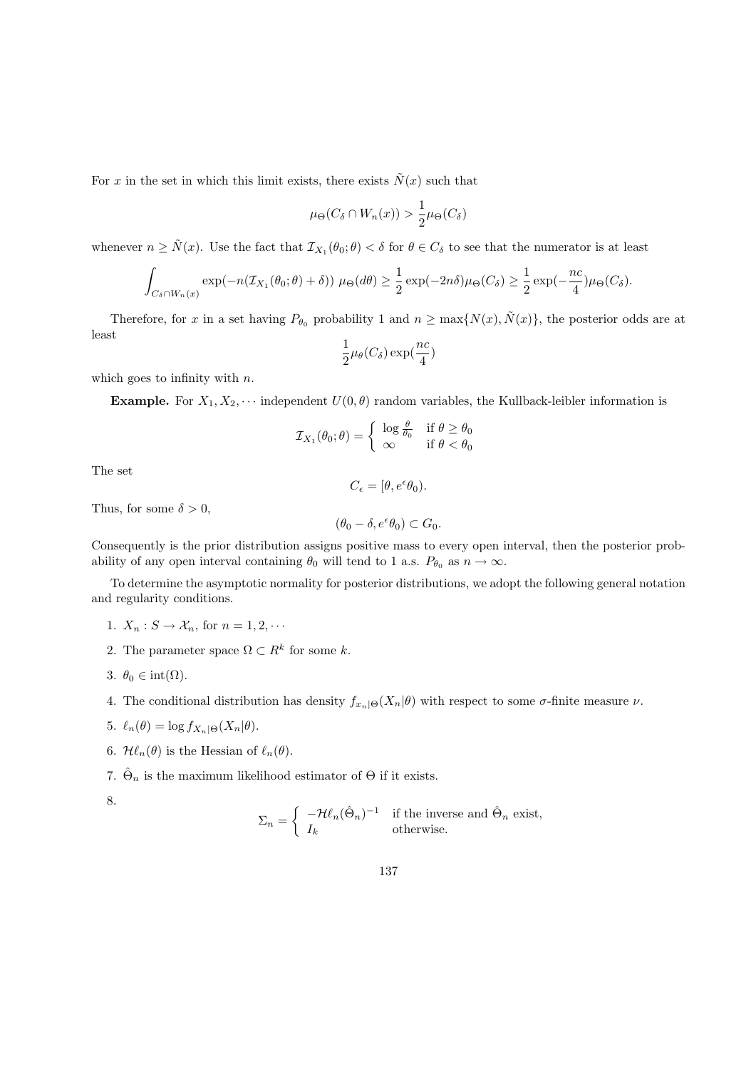For x in the set in which this limit exists, there exists  $\tilde{N}(x)$  such that

$$
\mu_{\Theta}(C_{\delta} \cap W_n(x)) > \frac{1}{2} \mu_{\Theta}(C_{\delta})
$$

whenever  $n \geq \tilde{N}(x)$ . Use the fact that  $\mathcal{I}_{X_1}(\theta_0;\theta) < \delta$  for  $\theta \in C_\delta$  to see that the numerator is at least

$$
\int_{C_{\delta} \cap W_n(x)} \exp(-n(\mathcal{I}_{X_1}(\theta_0; \theta) + \delta)) \mu_{\Theta}(d\theta) \geq \frac{1}{2} \exp(-2n\delta) \mu_{\Theta}(C_{\delta}) \geq \frac{1}{2} \exp(-\frac{nc}{4}) \mu_{\Theta}(C_{\delta}).
$$

Therefore, for x in a set having  $P_{\theta_0}$  probability 1 and  $n \ge \max\{N(x), \tilde{N}(x)\}\)$ , the posterior odds are at least

$$
\frac{1}{2}\mu_\theta(C_\delta)\exp(\frac{nc}{4})
$$

which goes to infinity with  $n$ .

**Example.** For  $X_1, X_2, \cdots$  independent  $U(0, \theta)$  random variables, the Kullback-leibler information is

$$
\mathcal{I}_{X_1}(\theta_0; \theta) = \begin{cases} \log \frac{\theta}{\theta_0} & \text{if } \theta \ge \theta_0 \\ \infty & \text{if } \theta < \theta_0 \end{cases}
$$

The set

 $C_{\epsilon}=[\theta, e^{\epsilon}\theta_0).$ 

Thus, for some  $\delta > 0$ ,

$$
(\theta_0 - \delta, e^{\epsilon}\theta_0) \subset G_0.
$$

Consequently is the prior distribution assigns positive mass to every open interval, then the posterior probability of any open interval containing  $\theta_0$  will tend to 1 a.s.  $P_{\theta_0}$  as  $n \to \infty$ .

To determine the asymptotic normality for posterior distributions, we adopt the following general notation and regularity conditions.

- 1.  $X_n : S \to \mathcal{X}_n$ , for  $n = 1, 2, \cdots$
- 2. The parameter space  $\Omega \subset R^k$  for some k.
- 3.  $\theta_0 \in \text{int}(\Omega)$ .
- 4. The conditional distribution has density  $f_{x_n|\Theta}(X_n|\theta)$  with respect to some  $\sigma$ -finite measure  $\nu$ .
- 5.  $\ell_n(\theta) = \log f_{X_n|\Theta}(X_n|\theta).$
- 6.  $\mathcal{H}\ell_n(\theta)$  is the Hessian of  $\ell_n(\theta)$ .

7.  $\hat{\Theta}_n$  is the maximum likelihood estimator of  $\Theta$  if it exists.

8.

$$
\Sigma_n = \begin{cases}\n-\mathcal{H}\ell_n(\hat{\Theta}_n)^{-1} & \text{if the inverse and } \hat{\Theta}_n \text{ exist,} \\
I_k & \text{otherwise.}\n\end{cases}
$$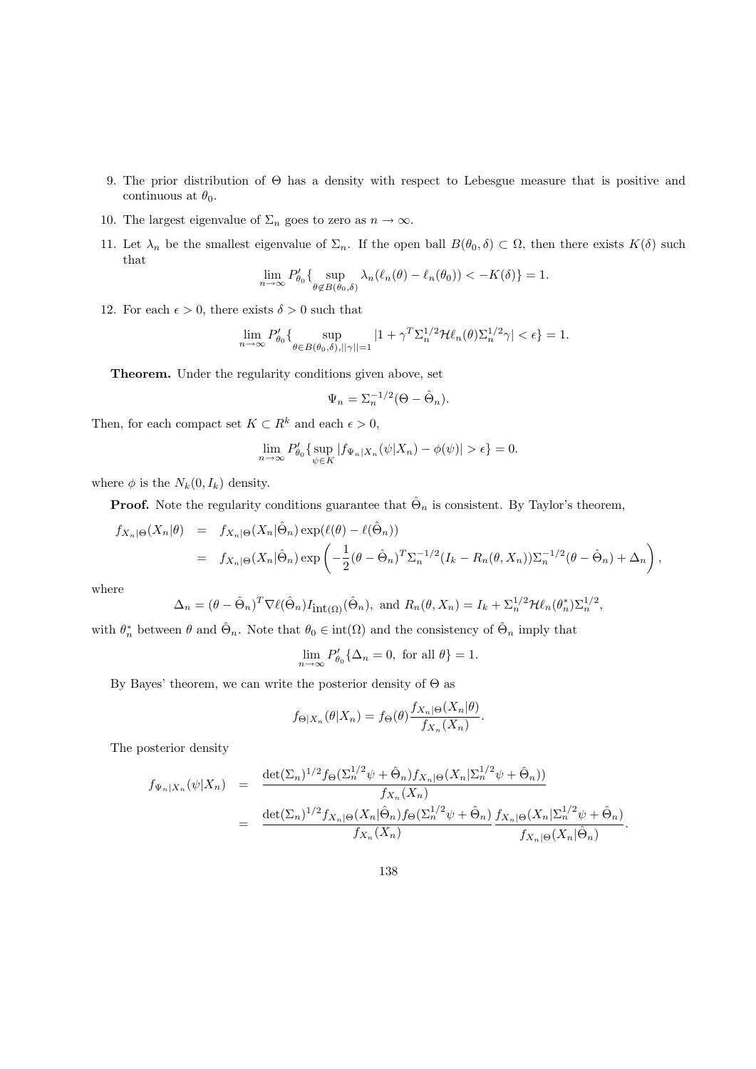- 9. The prior distribution of Θ has a density with respect to Lebesgue measure that is positive and continuous at  $\theta_0$ .
- 10. The largest eigenvalue of  $\Sigma_n$  goes to zero as  $n \to \infty$ .
- 11. Let  $\lambda_n$  be the smallest eigenvalue of  $\Sigma_n$ . If the open ball  $B(\theta_0, \delta) \subset \Omega$ , then there exists  $K(\delta)$  such that

$$
\lim_{n \to \infty} P'_{\theta_0} \{ \sup_{\theta \notin B(\theta_0, \delta)} \lambda_n(\ell_n(\theta) - \ell_n(\theta_0)) < -K(\delta) \} = 1.
$$

12. For each  $\epsilon > 0$ , there exists  $\delta > 0$  such that

$$
\lim_{n \to \infty} P'_{\theta_0} \{ \sup_{\theta \in B(\theta_0, \delta), ||\gamma|| = 1} |1 + \gamma^T \Sigma_n^{1/2} \mathcal{H} \ell_n(\theta) \Sigma_n^{1/2} \gamma| < \epsilon \} = 1.
$$

Theorem. Under the regularity conditions given above, set

$$
\Psi_n = \Sigma_n^{-1/2} (\Theta - \hat{\Theta}_n).
$$

Then, for each compact set  $K \subset R^k$  and each  $\epsilon > 0$ ,

$$
\lim_{n \to \infty} P'_{\theta_0} \{ \sup_{\psi \in K} |f_{\Psi_n|X_n}(\psi|X_n) - \phi(\psi)| > \epsilon \} = 0.
$$

where  $\phi$  is the  $N_k(0, I_k)$  density.

**Proof.** Note the regularity conditions guarantee that  $\hat{\Theta}_n$  is consistent. By Taylor's theorem,

$$
f_{X_n|\Theta}(X_n|\theta) = f_{X_n|\Theta}(X_n|\hat{\Theta}_n) \exp(\ell(\theta) - \ell(\hat{\Theta}_n))
$$
  
=  $f_{X_n|\Theta}(X_n|\hat{\Theta}_n) \exp\left(-\frac{1}{2}(\theta - \hat{\Theta}_n)^T \Sigma_n^{-1/2} (I_k - R_n(\theta, X_n)) \Sigma_n^{-1/2} (\theta - \hat{\Theta}_n) + \Delta_n\right),$ 

where

$$
\Delta_n = (\theta - \hat{\Theta}_n)^T \nabla \ell(\hat{\Theta}_n) I_{\mathrm{int}(\Omega)}(\hat{\Theta}_n), \text{ and } R_n(\theta, X_n) = I_k + \Sigma_n^{1/2} \mathcal{H} \ell_n(\theta_n^*) \Sigma_n^{1/2},
$$

with  $\theta_n^*$  between  $\theta$  and  $\hat{\Theta}_n$ . Note that  $\theta_0 \in \text{int}(\Omega)$  and the consistency of  $\hat{\Theta}_n$  imply that

$$
\lim_{n \to \infty} P'_{\theta_0} \{ \Delta_n = 0, \text{ for all } \theta \} = 1.
$$

By Bayes' theorem, we can write the posterior density of  $\Theta$  as

$$
f_{\Theta|X_n}(\theta|X_n) = f_{\Theta}(\theta) \frac{f_{X_n|\Theta}(X_n|\theta)}{f_{X_n}(X_n)}.
$$

The posterior density

$$
f_{\Psi_n|X_n}(\psi|X_n) = \frac{\det(\Sigma_n)^{1/2} f_{\Theta}(\Sigma_n^{1/2} \psi + \hat{\Theta}_n) f_{X_n|\Theta}(X_n | \Sigma_n^{1/2} \psi + \hat{\Theta}_n))}{f_{X_n}(X_n)} = \frac{\det(\Sigma_n)^{1/2} f_{X_n|\Theta}(X_n | \hat{\Theta}_n) f_{\Theta}(\Sigma_n^{1/2} \psi + \hat{\Theta}_n) f_{X_n|\Theta}(X_n | \Sigma_n^{1/2} \psi + \hat{\Theta}_n)}{f_{X_n}(\mathcal{X}_n)}.
$$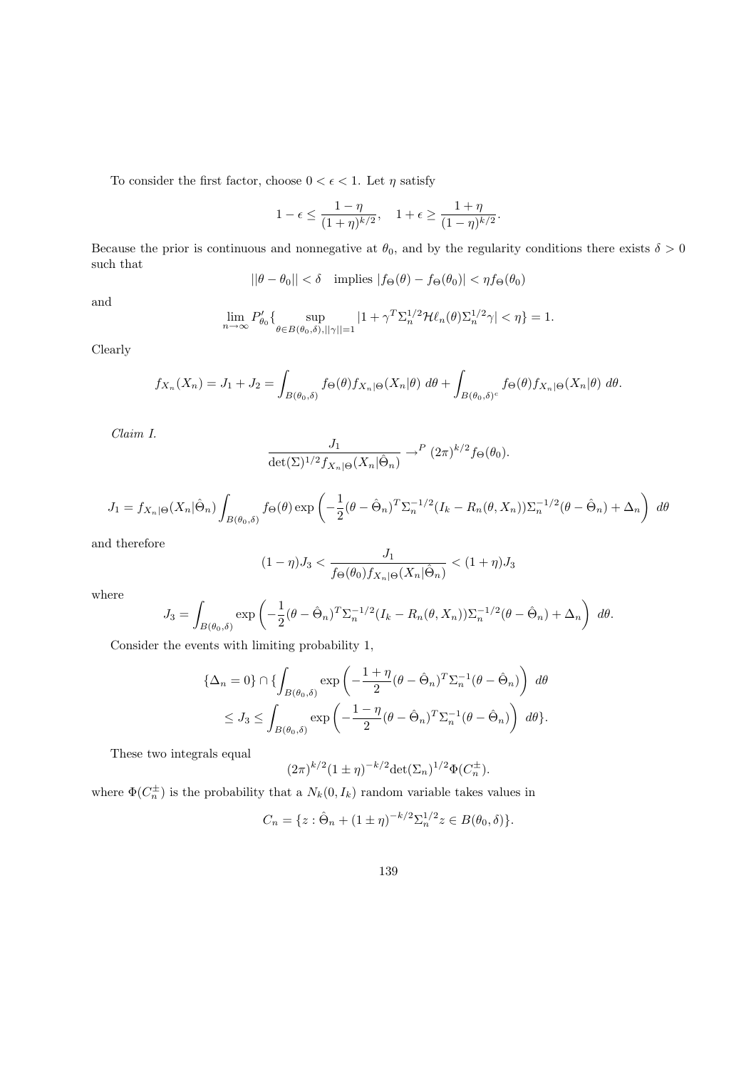To consider the first factor, choose  $0 < \epsilon < 1$ . Let  $\eta$  satisfy

$$
1-\epsilon\leq \frac{1-\eta}{(1+\eta)^{k/2}},\quad 1+\epsilon\geq \frac{1+\eta}{(1-\eta)^{k/2}}.
$$

Because the prior is continuous and nonnegative at  $\theta_0$ , and by the regularity conditions there exists  $\delta > 0$ such that

$$
||\theta - \theta_0|| < \delta \quad \text{implies} \quad |f_{\Theta}(\theta) - f_{\Theta}(\theta_0)| < \eta f_{\Theta}(\theta_0)
$$

and

$$
\lim_{n \to \infty} P'_{\theta_0} \{ \sup_{\theta \in B(\theta_0, \delta), ||\gamma|| = 1} |1 + \gamma^T \Sigma_n^{1/2} \mathcal{H} \ell_n(\theta) \Sigma_n^{1/2} \gamma| < \eta \} = 1.
$$

Clearly

$$
f_{X_n}(X_n) = J_1 + J_2 = \int_{B(\theta_0,\delta)} f_{\Theta}(\theta) f_{X_n|\Theta}(X_n|\theta) d\theta + \int_{B(\theta_0,\delta)^c} f_{\Theta}(\theta) f_{X_n|\Theta}(X_n|\theta) d\theta.
$$

Claim I.

$$
\frac{J_1}{\det(\Sigma)^{1/2} f_{X_n|\Theta}(X_n|\hat{\Theta}_n)} \to^P (2\pi)^{k/2} f_{\Theta}(\theta_0).
$$

$$
J_1 = f_{X_n|\Theta}(X_n|\hat{\Theta}_n) \int_{B(\theta_0,\delta)} f_{\Theta}(\theta) \exp\left(-\frac{1}{2}(\theta - \hat{\Theta}_n)^T \Sigma_n^{-1/2} (I_k - R_n(\theta, X_n)) \Sigma_n^{-1/2} (\theta - \hat{\Theta}_n) + \Delta_n\right) d\theta
$$

and therefore

$$
(1 - \eta)J_3 < \frac{J_1}{f_{\Theta}(\theta_0)f_{X_n|\Theta}(X_n|\hat{\Theta}_n)} < (1 + \eta)J_3
$$

where

$$
J_3 = \int_{B(\theta_0,\delta)} \exp\left(-\frac{1}{2}(\theta - \hat{\Theta}_n)^T \Sigma_n^{-1/2} (I_k - R_n(\theta, X_n)) \Sigma_n^{-1/2} (\theta - \hat{\Theta}_n) + \Delta_n\right) d\theta.
$$

Consider the events with limiting probability 1,

$$
\{\Delta_n = 0\} \cap \{\int_{B(\theta_0, \delta)} \exp\left(-\frac{1+\eta}{2}(\theta - \hat{\Theta}_n)^T \Sigma_n^{-1}(\theta - \hat{\Theta}_n)\right) d\theta
$$
  

$$
\leq J_3 \leq \int_{B(\theta_0, \delta)} \exp\left(-\frac{1-\eta}{2}(\theta - \hat{\Theta}_n)^T \Sigma_n^{-1}(\theta - \hat{\Theta}_n)\right) d\theta\}.
$$

These two integrals equal

$$
(2\pi)^{k/2} (1 \pm \eta)^{-k/2} \det(\Sigma_n)^{1/2} \Phi(C_n^{\pm}).
$$

where  $\Phi(C_n^{\pm})$  is the probability that a  $N_k(0, I_k)$  random variable takes values in

$$
C_n = \{ z : \hat{\Theta}_n + (1 \pm \eta)^{-k/2} \Sigma_n^{1/2} z \in B(\theta_0, \delta) \}.
$$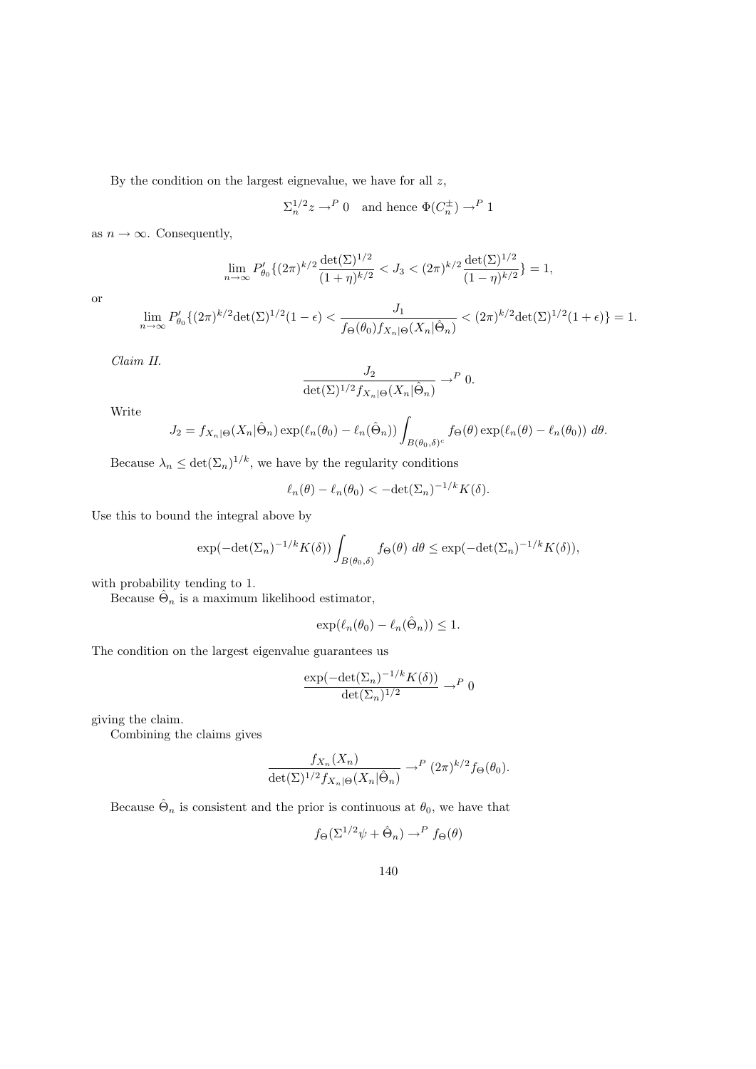By the condition on the largest eignevalue, we have for all  $z$ ,

 $\Sigma_n^{1/2} z \to^P 0$  and hence  $\Phi(C_n^{\pm}) \to^P 1$ 

as  $n \to \infty$ . Consequently,

$$
\lim_{n \to \infty} P'_{\theta_0} \{ (2\pi)^{k/2} \frac{\det(\Sigma)^{1/2}}{(1+\eta)^{k/2}} < J_3 < (2\pi)^{k/2} \frac{\det(\Sigma)^{1/2}}{(1-\eta)^{k/2}} \} = 1,
$$

or

$$
\lim_{n \to \infty} P'_{\theta_0} \{ (2\pi)^{k/2} \det(\Sigma)^{1/2} (1 - \epsilon) < \frac{J_1}{f_{\Theta}(\theta_0) f_{X_n | \Theta}(X_n | \hat{\Theta}_n)} < (2\pi)^{k/2} \det(\Sigma)^{1/2} (1 + \epsilon) \} = 1.
$$

Claim II.

$$
\frac{J_2}{\det(\Sigma)^{1/2} f_{X_n|\Theta}(X_n|\hat{\Theta}_n)} \to^P 0.
$$

Write

$$
J_2 = f_{X_n|\Theta}(X_n|\hat{\Theta}_n) \exp(\ell_n(\theta_0) - \ell_n(\hat{\Theta}_n)) \int_{B(\theta_0,\delta)^c} f_{\Theta}(\theta) \exp(\ell_n(\theta) - \ell_n(\theta_0)) d\theta.
$$

Because  $\lambda_n \leq \det(\Sigma_n)^{1/k}$ , we have by the regularity conditions

$$
\ell_n(\theta) - \ell_n(\theta_0) < -\det(\Sigma_n)^{-1/k} K(\delta).
$$

Use this to bound the integral above by

$$
\exp(-\det(\Sigma_n)^{-1/k}K(\delta))\int_{B(\theta_0,\delta)}f_{\Theta}(\theta)\ d\theta \le \exp(-\det(\Sigma_n)^{-1/k}K(\delta)),
$$

with probability tending to 1.

Because  $\hat{\Theta}_n$  is a maximum likelihood estimator,

$$
\exp(\ell_n(\theta_0) - \ell_n(\hat{\Theta}_n)) \le 1.
$$

The condition on the largest eigenvalue guarantees us

$$
\frac{\exp(-\det(\Sigma_n)^{-1/k}K(\delta))}{\det(\Sigma_n)^{1/2}} \to^P 0
$$

giving the claim.

Combining the claims gives

$$
\frac{f_{X_n}(X_n)}{\det(\Sigma)^{1/2} f_{X_n|\Theta}(X_n|\hat{\Theta}_n)} \to^P (2\pi)^{k/2} f_{\Theta}(\theta_0).
$$

Because  $\hat{\Theta}_n$  is consistent and the prior is continuous at  $\theta_0$ , we have that

$$
f_{\Theta}(\Sigma^{1/2}\psi + \hat{\Theta}_n) \to^P f_{\Theta}(\theta)
$$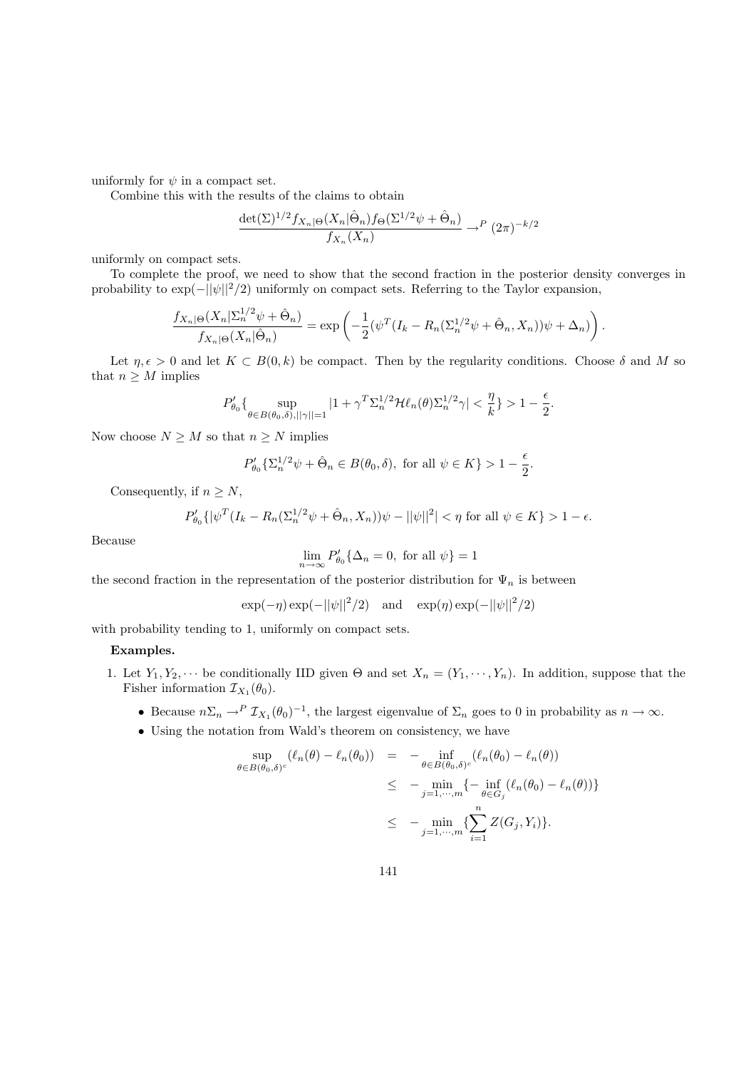uniformly for  $\psi$  in a compact set.

Combine this with the results of the claims to obtain

$$
\frac{\det(\Sigma)^{1/2} f_{X_n|\Theta}(X_n|\hat{\Theta}_n) f_{\Theta}(\Sigma^{1/2}\psi + \hat{\Theta}_n)}{f_{X_n}(X_n)} \to^P (2\pi)^{-k/2}
$$

uniformly on compact sets.

To complete the proof, we need to show that the second fraction in the posterior density converges in probability to  $\exp(-||\psi||^2/2)$  uniformly on compact sets. Referring to the Taylor expansion,

$$
\frac{f_{X_n|\Theta}(X_n|\Sigma_n^{1/2}\psi + \hat{\Theta}_n)}{f_{X_n|\Theta}(X_n|\hat{\Theta}_n)} = \exp\left(-\frac{1}{2}(\psi^T(I_k - R_n(\Sigma_n^{1/2}\psi + \hat{\Theta}_n, X_n))\psi + \Delta_n)\right).
$$

Let  $\eta, \epsilon > 0$  and let  $K \subset B(0, k)$  be compact. Then by the regularity conditions. Choose  $\delta$  and M so that  $n \geq M$  implies

$$
P_{\theta_0}'\{\sup_{\theta\in B(\theta_0,\delta),||\gamma||=1}|1+\gamma^T\Sigma_n^{1/2}\mathcal{H}\ell_n(\theta)\Sigma_n^{1/2}\gamma|<\frac{\eta}{k}\}>1-\frac{\epsilon}{2}.
$$

Now choose  $N \geq M$  so that  $n \geq N$  implies

$$
P'_{\theta_0}\{\Sigma_n^{1/2}\psi + \hat{\Theta}_n \in B(\theta_0, \delta), \text{ for all } \psi \in K\} > 1 - \frac{\epsilon}{2}.
$$

Consequently, if  $n \geq N$ ,

$$
P'_{\theta_0}\{|\psi^T(I_k - R_n(\Sigma_n^{1/2}\psi + \hat{\Theta}_n, X_n))\psi - ||\psi||^2| < \eta \text{ for all } \psi \in K\} > 1 - \epsilon.
$$

Because

$$
\lim_{n \to \infty} P'_{\theta_0} \{ \Delta_n = 0, \text{ for all } \psi \} = 1
$$

the second fraction in the representation of the posterior distribution for  $\Psi_n$  is between

$$
\exp(-\eta) \exp(-||\psi||^2/2)
$$
 and  $\exp(\eta) \exp(-||\psi||^2/2)$ 

with probability tending to 1, uniformly on compact sets.

#### Examples.

- 1. Let  $Y_1, Y_2, \cdots$  be conditionally IID given  $\Theta$  and set  $X_n = (Y_1, \cdots, Y_n)$ . In addition, suppose that the Fisher information  $\mathcal{I}_{X_1}(\theta_0)$ .
	- Because  $n\Sigma_n \to^P \mathcal{I}_{X_1}(\theta_0)^{-1}$ , the largest eigenvalue of  $\Sigma_n$  goes to 0 in probability as  $n \to \infty$ .
	- Using the notation from Wald's theorem on consistency, we have

$$
\sup_{\theta \in B(\theta_0, \delta)^c} (\ell_n(\theta) - \ell_n(\theta_0)) = - \inf_{\theta \in B(\theta_0, \delta)^c} (\ell_n(\theta_0) - \ell_n(\theta))
$$
  
\n
$$
\leq - \min_{j=1, \dots, m} \{ - \inf_{\theta \in G_j} (\ell_n(\theta_0) - \ell_n(\theta)) \}
$$
  
\n
$$
\leq - \min_{j=1, \dots, m} \{ \sum_{i=1}^n Z(G_j, Y_i) \}.
$$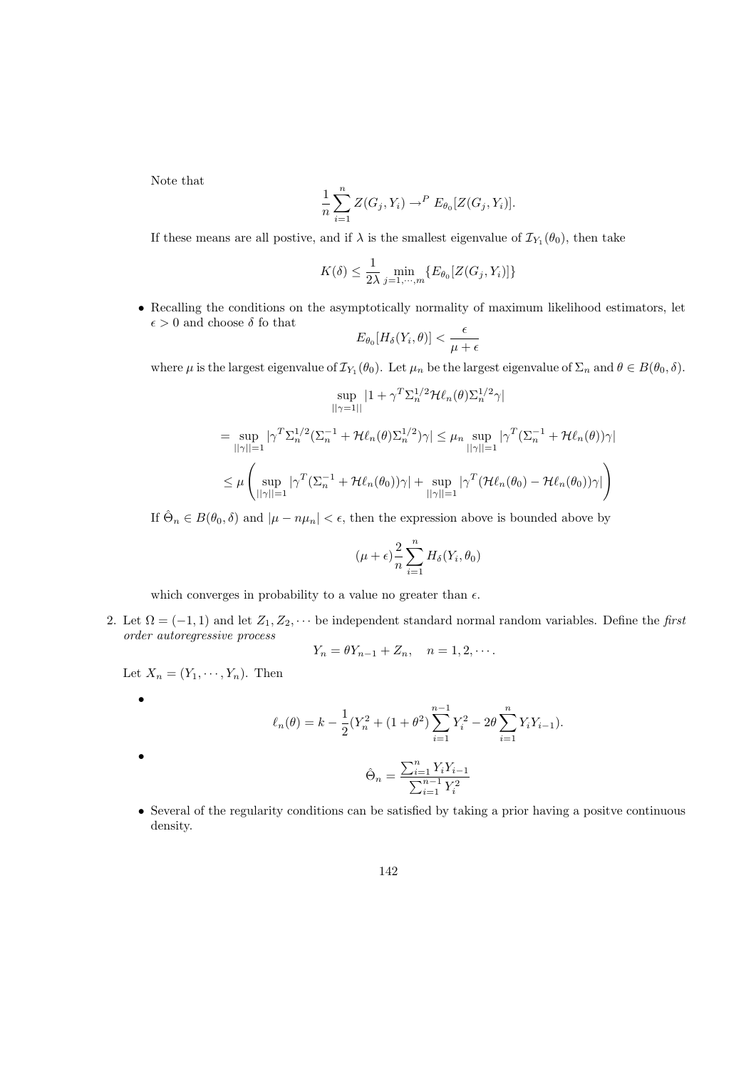Note that

$$
\frac{1}{n}\sum_{i=1}^n Z(G_j, Y_i) \to^P E_{\theta_0}[Z(G_j, Y_i)].
$$

If these means are all postive, and if  $\lambda$  is the smallest eigenvalue of  $\mathcal{I}_{Y_1}(\theta_0)$ , then take

$$
K(\delta) \le \frac{1}{2\lambda} \min_{j=1,\cdots,m} \{ E_{\theta_0}[Z(G_j, Y_i)] \}
$$

• Recalling the conditions on the asymptotically normality of maximum likelihood estimators, let  $\epsilon > 0$  and choose  $\delta$  fo that

$$
E_{\theta_0}[H_\delta(Y_i,\theta)] < \frac{\epsilon}{\mu+\epsilon}
$$

where  $\mu$  is the largest eigenvalue of  $\mathcal{I}_{Y_1}(\theta_0)$ . Let  $\mu_n$  be the largest eigenvalue of  $\Sigma_n$  and  $\theta \in B(\theta_0, \delta)$ .

$$
\sup_{||\gamma=1||} |1+\gamma^T \Sigma_n^{1/2} \mathcal{H}\ell_n(\theta) \Sigma_n^{1/2} \gamma|
$$
  
\n
$$
= \sup_{||\gamma||=1} |\gamma^T \Sigma_n^{1/2} (\Sigma_n^{-1} + \mathcal{H}\ell_n(\theta) \Sigma_n^{1/2}) \gamma| \leq \mu_n \sup_{||\gamma||=1} |\gamma^T (\Sigma_n^{-1} + \mathcal{H}\ell_n(\theta)) \gamma|
$$
  
\n
$$
\leq \mu \left( \sup_{||\gamma||=1} |\gamma^T (\Sigma_n^{-1} + \mathcal{H}\ell_n(\theta_0)) \gamma| + \sup_{||\gamma||=1} |\gamma^T (\mathcal{H}\ell_n(\theta_0) - \mathcal{H}\ell_n(\theta_0)) \gamma| \right)
$$

If  $\hat{\Theta}_n \in B(\theta_0, \delta)$  and  $|\mu - n\mu_n| < \epsilon$ , then the expression above is bounded above by

$$
(\mu + \epsilon) \frac{2}{n} \sum_{i=1}^{n} H_{\delta}(Y_i, \theta_0)
$$

which converges in probability to a value no greater than  $\epsilon$ .

2. Let  $\Omega = (-1, 1)$  and let  $Z_1, Z_2, \cdots$  be independent standard normal random variables. Define the first order autoregressive process

$$
Y_n = \theta Y_{n-1} + Z_n, \quad n = 1, 2, \cdots.
$$

Let  $X_n = (Y_1, \dots, Y_n)$ . Then

•

•

$$
\ell_n(\theta) = k - \frac{1}{2}(Y_n^2 + (1 + \theta^2) \sum_{i=1}^{n-1} Y_i^2 - 2\theta \sum_{i=1}^n Y_i Y_{i-1}).
$$

$$
\hat{\Theta}_n = \frac{\sum_{i=1}^n Y_i Y_{i-1}}{\sum_{i=1}^{n-1} Y_i^2}
$$

• Several of the regularity conditions can be satisfied by taking a prior having a positve continuous density.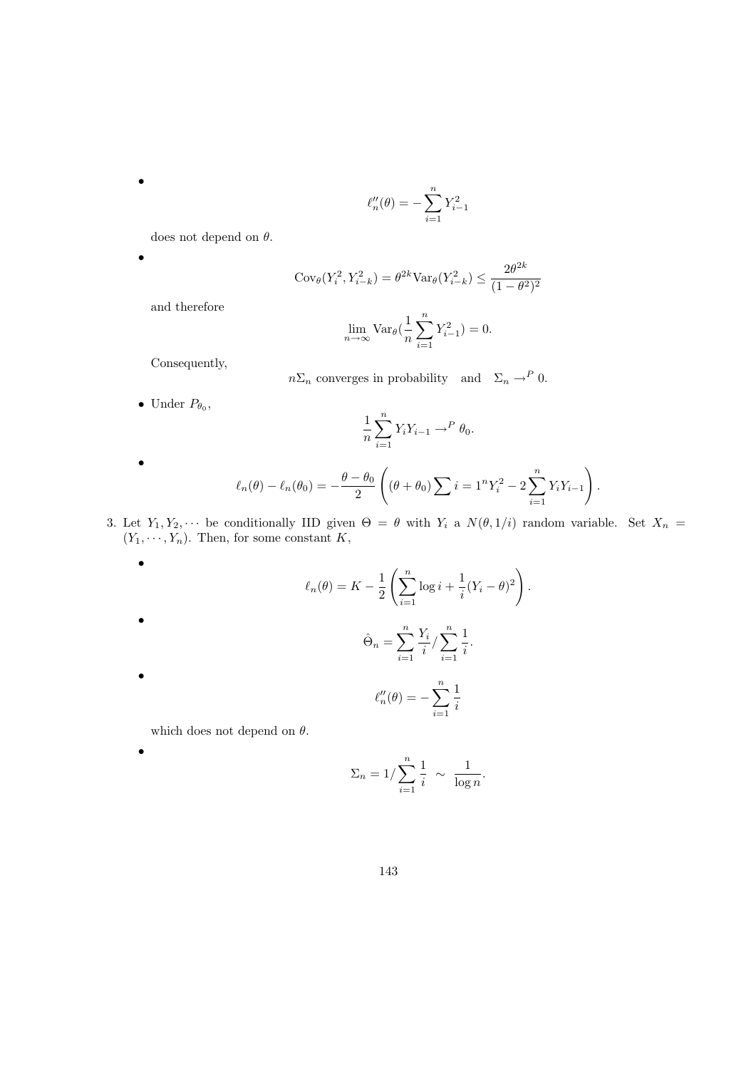$$
\ell''_n(\theta) = -\sum_{i=1}^n Y_{i-1}^2
$$

does not depend on  $\theta.$ 

$$
Cov_{\theta}(Y_i^2, Y_{i-k}^2) = \theta^{2k} Var_{\theta}(Y_{i-k}^2) \le \frac{2\theta^{2k}}{(1 - \theta^2)^2}
$$

$$
\lim_{n \to \infty} \text{Var}_{\theta} \left( \frac{1}{n} \sum_{i=1}^{n} Y_{i-1}^{2} \right) = 0.
$$

Consequently,

and therefore

$$
n\Sigma_n
$$
 converges in probability and  $\Sigma_n \to^P 0$ .

• Under  $P_{\theta_0}$ ,

$$
\frac{1}{n}\sum_{i=1}^n Y_i Y_{i-1} \to^P \theta_0.
$$

$$
\bullet
$$

•

•

•

•

•

•

$$
\ell_n(\theta) - \ell_n(\theta_0) = -\frac{\theta - \theta_0}{2} \left( (\theta + \theta_0) \sum_{i=1}^n i = 1^n Y_i^2 - 2 \sum_{i=1}^n Y_i Y_{i-1} \right).
$$

3. Let  $Y_1, Y_2, \cdots$  be conditionally IID given  $\Theta = \theta$  with  $Y_i$  a  $N(\theta, 1/i)$  random variable. Set  $X_n =$  $(Y_1, \dots, Y_n)$ . Then, for some constant K,

$$
\ell_n(\theta) = K - \frac{1}{2} \left( \sum_{i=1}^n \log i + \frac{1}{i} (Y_i - \theta)^2 \right).
$$
  

$$
\hat{\Theta}_n = \sum_{i=1}^n \frac{Y_i}{i} / \sum_{i=1}^n \frac{1}{i}.
$$
  

$$
\ell''_n(\theta) = - \sum_{i=1}^n \frac{1}{i}
$$
  
which does not depend on  $\theta$ .

$$
\Sigma_n = 1/\sum_{i=1}^n \frac{1}{i} \sim \frac{1}{\log n}.
$$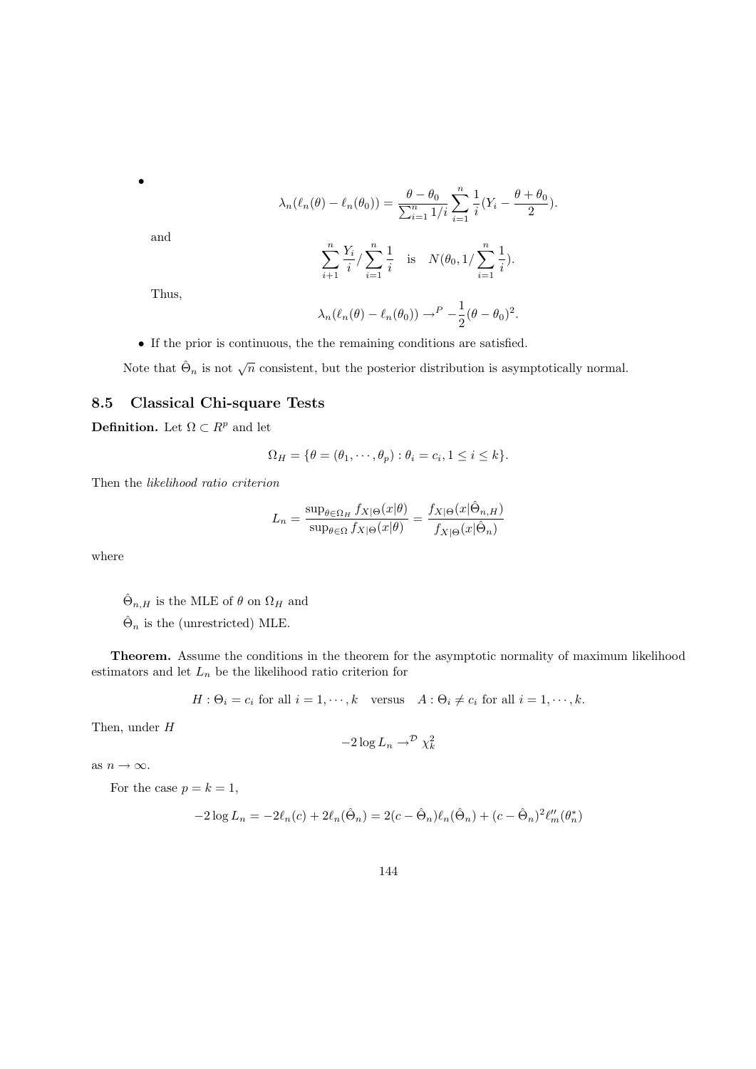$$
\lambda_n(\ell_n(\theta) - \ell_n(\theta_0)) = \frac{\theta - \theta_0}{\sum_{i=1}^n 1/i} \sum_{i=1}^n \frac{1}{i} (Y_i - \frac{\theta + \theta_0}{2}).
$$

$$
\sum_{i=1}^n \frac{Y_i}{i} / \sum_{i=1}^n \frac{1}{i} \text{ is } N(\theta_0, 1 / \sum_{i=1}^n \frac{1}{i}).
$$

and

•

$$
\sum_{i+1} \frac{Y_i}{i} / \sum_{i=1} \frac{1}{i}
$$
 is  $N(\theta_0, 1/\sum_{i=1}^n)$ 

Thus,

$$
\lambda_n(\ell_n(\theta) - \ell_n(\theta_0)) \to^P -\frac{1}{2}(\theta - \theta_0)^2.
$$

• If the prior is continuous, the the remaining conditions are satisfied.

Note that  $\hat{\Theta}_n$  is not  $\sqrt{n}$  consistent, but the posterior distribution is asymptotically normal.

## 8.5 Classical Chi-square Tests

**Definition.** Let  $\Omega \subset R^p$  and let

$$
\Omega_H = \{ \theta = (\theta_1, \cdots, \theta_p) : \theta_i = c_i, 1 \le i \le k \}.
$$

Then the likelihood ratio criterion

$$
L_n = \frac{\sup_{\theta \in \Omega_H} f_{X|\Theta}(x|\theta)}{\sup_{\theta \in \Omega} f_{X|\Theta}(x|\theta)} = \frac{f_{X|\Theta}(x|\hat{\Theta}_{n,H})}{f_{X|\Theta}(x|\hat{\Theta}_n)}
$$

where

 $\hat{\Theta}_{n,H}$  is the MLE of  $\theta$  on  $\Omega_H$  and

 $\hat{\Theta}_n$  is the (unrestricted) MLE.

Theorem. Assume the conditions in the theorem for the asymptotic normality of maximum likelihood estimators and let  $L_n$  be the likelihood ratio criterion for

$$
H: \Theta_i = c_i \text{ for all } i = 1, \cdots, k \quad \text{versus} \quad A: \Theta_i \neq c_i \text{ for all } i = 1, \cdots, k.
$$

Then, under H

$$
-2\log L_n\to^{\mathcal{D}}\chi^2_k
$$

as  $n \to \infty$ .

For the case  $p = k = 1$ ,

$$
-2\log L_n = -2\ell_n(c) + 2\ell_n(\hat{\Theta}_n) = 2(c - \hat{\Theta}_n)\ell_n(\hat{\Theta}_n) + (c - \hat{\Theta}_n)^2\ell_m''(\theta_n^*)
$$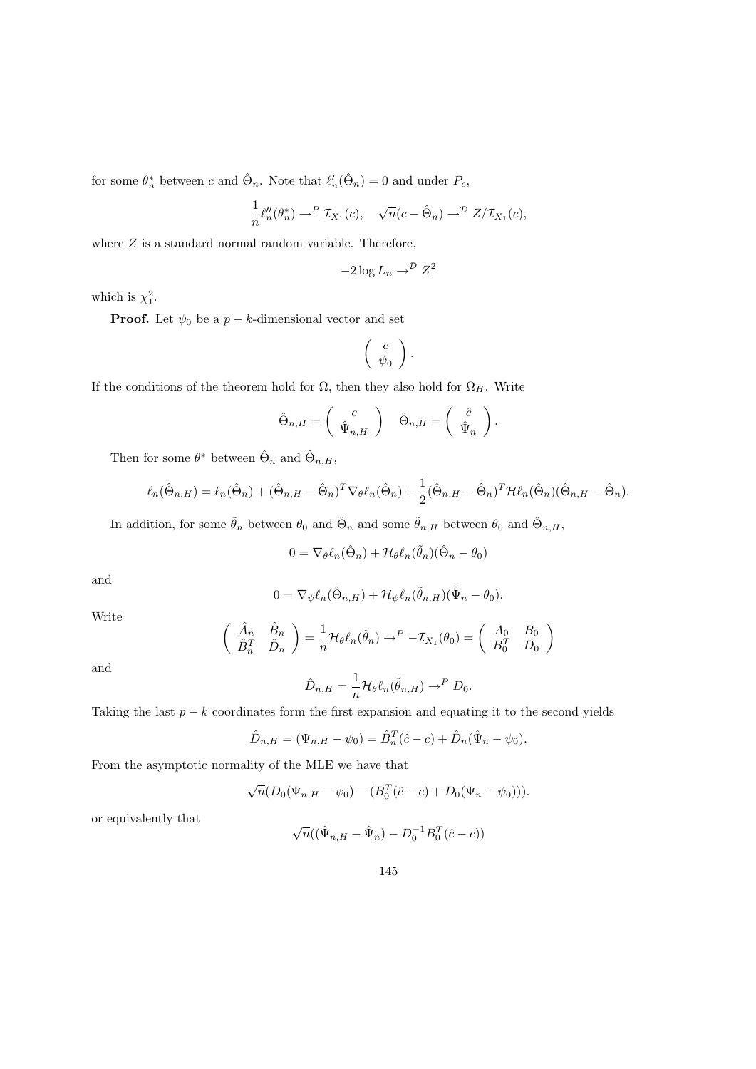for some  $\theta_n^*$  between c and  $\hat{\Theta}_n$ . Note that  $\ell'_n(\hat{\Theta}_n) = 0$  and under  $P_c$ ,

$$
\frac{1}{n}\ell''_n(\theta^*_n) \to^P \mathcal{I}_{X_1}(c), \quad \sqrt{n}(c - \hat{\Theta}_n) \to^{\mathcal{D}} Z/\mathcal{I}_{X_1}(c),
$$

where  $Z$  is a standard normal random variable. Therefore,

$$
-2\log L_n \to^{\mathcal{D}} Z^2
$$

which is  $\chi_1^2$ .

**Proof.** Let  $\psi_0$  be a  $p - k$ -dimensional vector and set

$$
\left(\begin{array}{c}c\\ \psi_0\end{array}\right).
$$

If the conditions of the theorem hold for  $\Omega$ , then they also hold for  $\Omega_H$ . Write

$$
\hat{\Theta}_{n,H} = \begin{pmatrix} c \\ \hat{\Psi}_{n,H} \end{pmatrix} \quad \hat{\Theta}_{n,H} = \begin{pmatrix} \hat{c} \\ \hat{\Psi}_n \end{pmatrix}.
$$

Then for some  $\theta^*$  between  $\hat{\Theta}_n$  and  $\hat{\Theta}_{n,H}$ ,

$$
\ell_n(\hat{\Theta}_{n,H}) = \ell_n(\hat{\Theta}_n) + (\hat{\Theta}_{n,H} - \hat{\Theta}_n)^T \nabla_{\theta} \ell_n(\hat{\Theta}_n) + \frac{1}{2} (\hat{\Theta}_{n,H} - \hat{\Theta}_n)^T \mathcal{H} \ell_n(\hat{\Theta}_n) (\hat{\Theta}_{n,H} - \hat{\Theta}_n).
$$

In addition, for some  $\tilde{\theta}_n$  between  $\theta_0$  and  $\hat{\Theta}_n$  and some  $\tilde{\theta}_{n,H}$  between  $\theta_0$  and  $\hat{\Theta}_{n,H}$ ,

$$
0 = \nabla_{\theta} \ell_n(\hat{\Theta}_n) + \mathcal{H}_{\theta} \ell_n(\tilde{\theta}_n)(\hat{\Theta}_n - \theta_0)
$$

and

$$
0 = \nabla_{\psi} \ell_n(\hat{\Theta}_{n,H}) + \mathcal{H}_{\psi} \ell_n(\tilde{\theta}_{n,H})(\hat{\Psi}_n - \theta_0).
$$

Write

$$
\begin{pmatrix}\n\hat{A}_n & \hat{B}_n \\
\hat{B}_n^T & \hat{D}_n\n\end{pmatrix} = \frac{1}{n} \mathcal{H}_{\theta} \ell_n(\tilde{\theta}_n) \rightarrow^P -\mathcal{I}_{X_1}(\theta_0) = \begin{pmatrix} A_0 & B_0 \\
B_0^T & D_0\n\end{pmatrix}
$$

and

$$
\hat{D}_{n,H} = \frac{1}{n} \mathcal{H}_{\theta} \ell_n(\tilde{\theta}_{n,H}) \to^P D_0.
$$

Taking the last  $p - k$  coordinates form the first expansion and equating it to the second yields

$$
\hat{D}_{n,H} = (\Psi_{n,H} - \psi_0) = \hat{B}_n^T(\hat{c} - c) + \hat{D}_n(\hat{\Psi}_n - \psi_0).
$$

From the asymptotic normality of the MLE we have that

$$
\sqrt{n}(D_0(\Psi_{n,H} - \psi_0) - (B_0^T(\hat{c} - c) + D_0(\Psi_n - \psi_0))).
$$

or equivalently that

$$
\sqrt{n}((\hat{\Psi}_{n,H} - \hat{\Psi}_n) - D_0^{-1}B_0^T(\hat{c} - c))
$$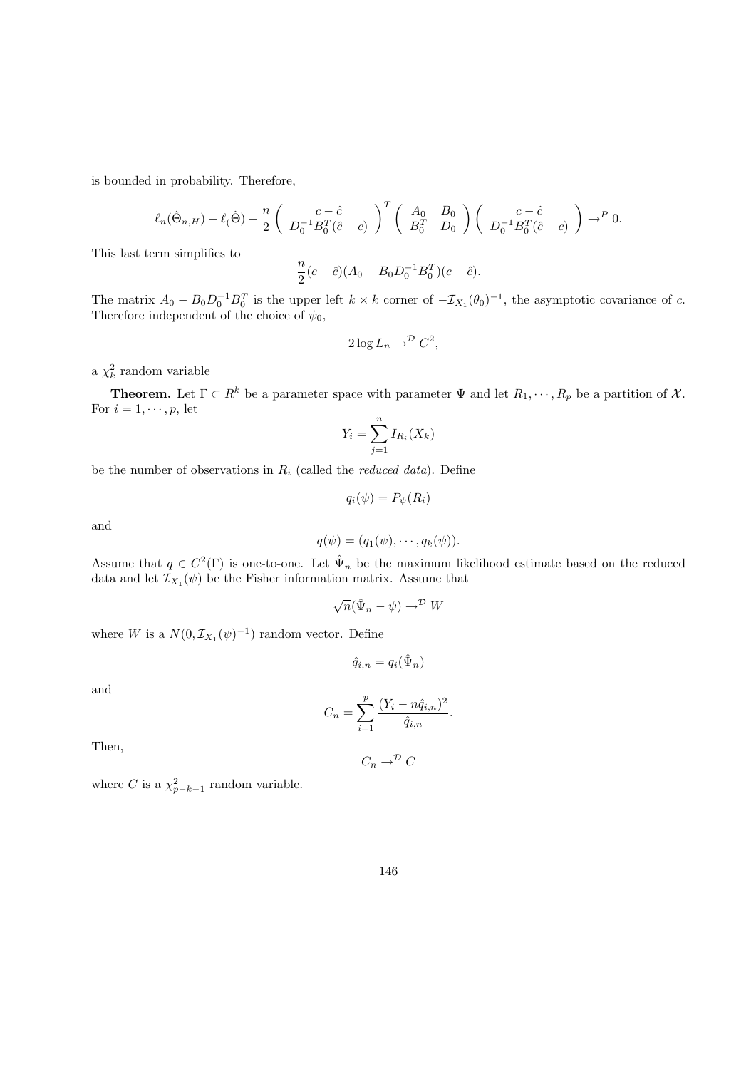is bounded in probability. Therefore,

$$
\ell_n(\hat{\Theta}_{n,H}) - \ell(\hat{\Theta}) - \frac{n}{2} \left( \begin{array}{c} c - \hat{c} \\ D_0^{-1} B_0^T(\hat{c} - c) \end{array} \right)^T \left( \begin{array}{cc} A_0 & B_0 \\ B_0^T & D_0 \end{array} \right) \left( \begin{array}{c} c - \hat{c} \\ D_0^{-1} B_0^T(\hat{c} - c) \end{array} \right) \to^P 0.
$$

This last term simplifies to

$$
\frac{n}{2}(c-\hat{c})(A_0 - B_0 D_0^{-1} B_0^T)(c-\hat{c}).
$$

The matrix  $A_0 - B_0 D_0^{-1} B_0^T$  is the upper left  $k \times k$  corner of  $-\mathcal{I}_{X_1}(\theta_0)^{-1}$ , the asymptotic covariance of c. Therefore independent of the choice of  $\psi_0$ ,

$$
-2\log L_n \to^{\mathcal{D}} C^2,
$$

a  $\chi^2_k$  random variable

**Theorem.** Let  $\Gamma \subset R^k$  be a parameter space with parameter  $\Psi$  and let  $R_1, \dots, R_p$  be a partition of X. For  $i = 1, \dots, p$ , let

$$
Y_i = \sum_{j=1}^n I_{R_i}(X_k)
$$

be the number of observations in  $R_i$  (called the *reduced data*). Define

$$
q_i(\psi) = P_{\psi}(R_i)
$$

and

$$
q(\psi)=(q_1(\psi),\cdots,q_k(\psi)).
$$

Assume that  $q \in C^2(\Gamma)$  is one-to-one. Let  $\hat{\Psi}_n$  be the maximum likelihood estimate based on the reduced data and let  $\mathcal{I}_{X_1}(\psi)$  be the Fisher information matrix. Assume that

$$
\sqrt{n}(\hat{\Psi}_n - \psi) \to^{\mathcal{D}} W
$$

where W is a  $N(0, \mathcal{I}_{X_1}(\psi)^{-1})$  random vector. Define

$$
\hat{q}_{i,n} = q_i(\hat{\Psi}_n)
$$

and

$$
C_n = \sum_{i=1}^{p} \frac{(Y_i - n\hat{q}_{i,n})^2}{\hat{q}_{i,n}}
$$

.

Then,

$$
C_n \to^{\mathcal{D}} C
$$

where C is a  $\chi^2_{p-k-1}$  random variable.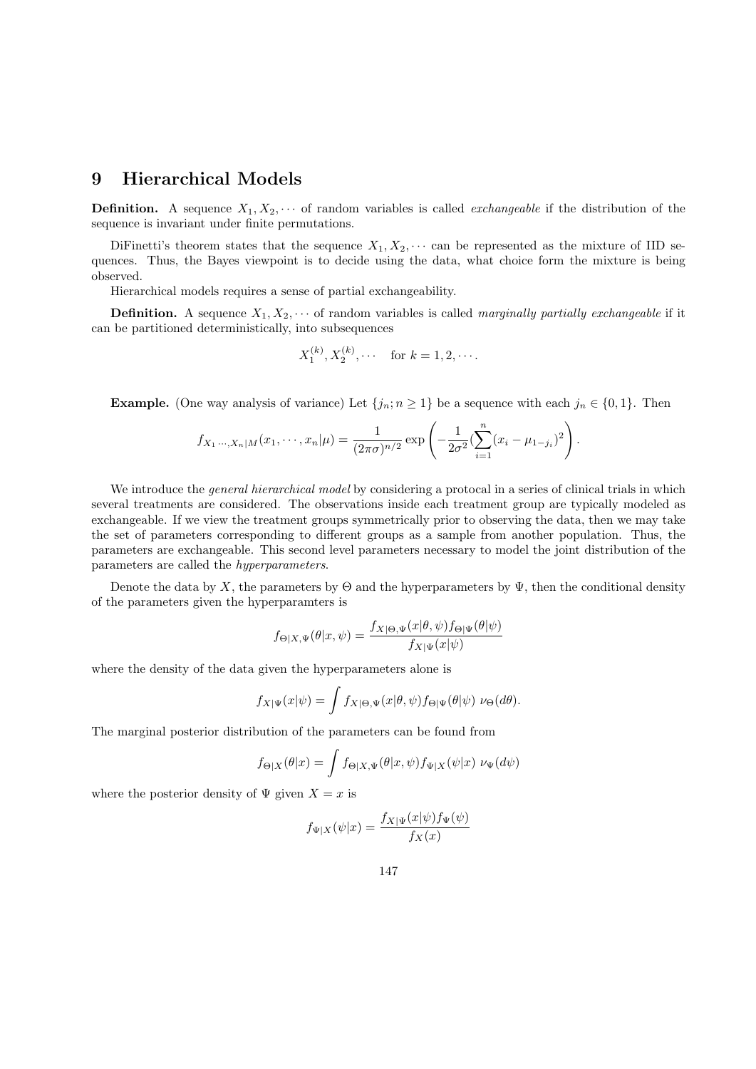# 9 Hierarchical Models

**Definition.** A sequence  $X_1, X_2, \cdots$  of random variables is called *exchangeable* if the distribution of the sequence is invariant under finite permutations.

Diffinetti's theorem states that the sequence  $X_1, X_2, \cdots$  can be represented as the mixture of IID sequences. Thus, the Bayes viewpoint is to decide using the data, what choice form the mixture is being observed.

Hierarchical models requires a sense of partial exchangeability.

**Definition.** A sequence  $X_1, X_2, \cdots$  of random variables is called marginally partially exchangeable if it can be partitioned deterministically, into subsequences

$$
X_1^{(k)}, X_2^{(k)}, \cdots
$$
 for  $k = 1, 2, \cdots$ .

**Example.** (One way analysis of variance) Let  $\{j_n; n \geq 1\}$  be a sequence with each  $j_n \in \{0, 1\}$ . Then

$$
f_{X_1\cdots,X_n|M}(x_1,\cdots,x_n|\mu) = \frac{1}{(2\pi\sigma)^{n/2}} \exp\left(-\frac{1}{2\sigma^2}(\sum_{i=1}^n(x_i-\mu_{1-j_i})^2)\right).
$$

We introduce the *general hierarchical model* by considering a protocal in a series of clinical trials in which several treatments are considered. The observations inside each treatment group are typically modeled as exchangeable. If we view the treatment groups symmetrically prior to observing the data, then we may take the set of parameters corresponding to different groups as a sample from another population. Thus, the parameters are exchangeable. This second level parameters necessary to model the joint distribution of the parameters are called the hyperparameters.

Denote the data by X, the parameters by  $\Theta$  and the hyperparameters by  $\Psi$ , then the conditional density of the parameters given the hyperparamters is

$$
f_{\Theta|X,\Psi}(\theta|x,\psi) = \frac{f_{X|\Theta,\Psi}(x|\theta,\psi) f_{\Theta|\Psi}(\theta|\psi)}{f_{X|\Psi}(x|\psi)}
$$

where the density of the data given the hyperparameters alone is

$$
f_{X|\Psi}(x|\psi) = \int f_{X|\Theta,\Psi}(x|\theta,\psi) f_{\Theta|\Psi}(\theta|\psi) \ \nu_{\Theta}(d\theta).
$$

The marginal posterior distribution of the parameters can be found from

$$
f_{\Theta|X}(\theta|x) = \int f_{\Theta|X,\Psi}(\theta|x,\psi) f_{\Psi|X}(\psi|x) \nu_{\Psi}(d\psi)
$$

where the posterior density of  $\Psi$  given  $X = x$  is

$$
f_{\Psi|X}(\psi|x) = \frac{f_{X|\Psi}(x|\psi) f_{\Psi}(\psi)}{f_X(x)}
$$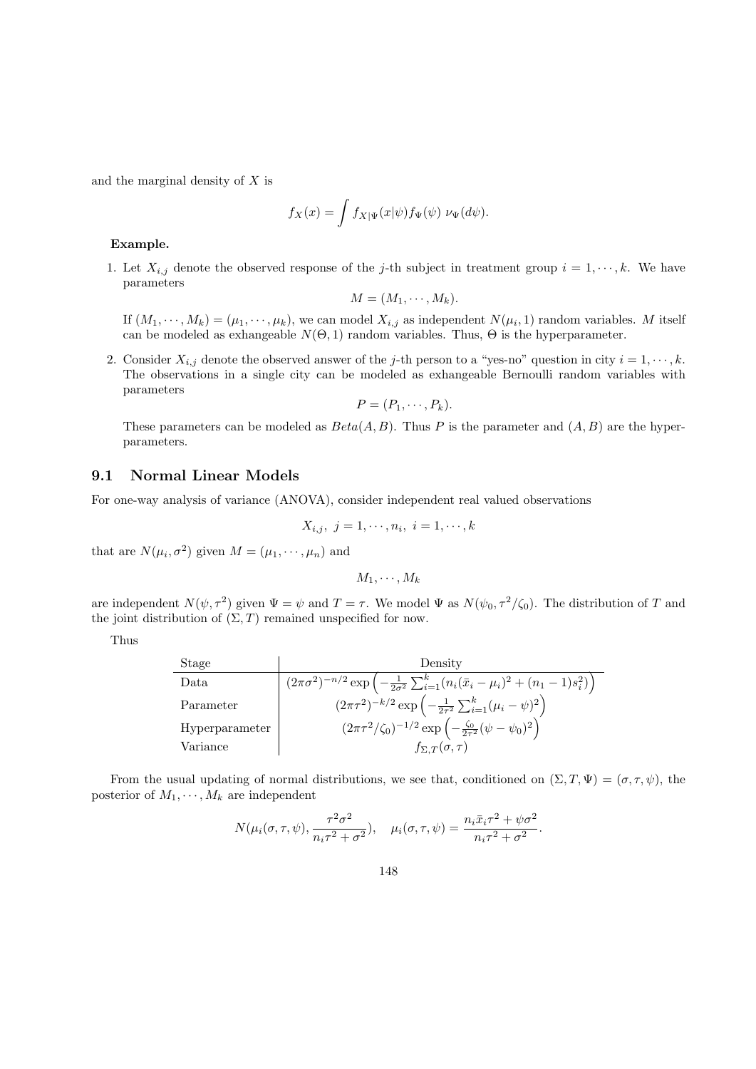and the marginal density of  $X$  is

$$
f_X(x) = \int f_{X|\Psi}(x|\psi) f_{\Psi}(\psi) \ \nu_{\Psi}(d\psi).
$$

Example.

1. Let  $X_{i,j}$  denote the observed response of the j-th subject in treatment group  $i = 1, \dots, k$ . We have parameters

$$
M=(M_1,\cdots,M_k).
$$

If  $(M_1, \dots, M_k) = (\mu_1, \dots, \mu_k)$ , we can model  $X_{i,j}$  as independent  $N(\mu_i, 1)$  random variables. M itself can be modeled as exhangeable  $N(\Theta, 1)$  random variables. Thus,  $\Theta$  is the hyperparameter.

2. Consider  $X_{i,j}$  denote the observed answer of the j-th person to a "yes-no" question in city  $i = 1, \dots, k$ . The observations in a single city can be modeled as exhangeable Bernoulli random variables with parameters

$$
P=(P_1,\cdots,P_k).
$$

These parameters can be modeled as  $Beta(A, B)$ . Thus P is the parameter and  $(A, B)$  are the hyperparameters.

### 9.1 Normal Linear Models

For one-way analysis of variance (ANOVA), consider independent real valued observations

$$
X_{i,j},\ j=1,\cdots,n_i,\ i=1,\cdots,k
$$

that are  $N(\mu_i, \sigma^2)$  given  $M = (\mu_1, \cdots, \mu_n)$  and

$$
M_1,\cdots,M_k
$$

are independent  $N(\psi, \tau^2)$  given  $\Psi = \psi$  and  $T = \tau$ . We model  $\Psi$  as  $N(\psi_0, \tau^2/\zeta_0)$ . The distribution of T and the joint distribution of  $(\Sigma, T)$  remained unspecified for now.

Thus

 $\overline{a}$ 

| Stage          | Density                                                                                                           |
|----------------|-------------------------------------------------------------------------------------------------------------------|
| Data           | $(2\pi\sigma^2)^{-n/2} \exp\left(-\frac{1}{2\sigma^2}\sum_{i=1}^k (n_i(\bar{x}_i-\mu_i)^2 + (n_1-1)s_i^2)\right)$ |
| Parameter      | $(2\pi\tau^2)^{-k/2} \exp\left(-\frac{1}{2\tau^2}\sum_{i=1}^k(\mu_i-\psi)^2\right)$                               |
| Hyperparameter | $(2\pi\tau^2/\zeta_0)^{-1/2} \exp\left(-\frac{\zeta_0}{2\tau^2}(\psi-\psi_0)^2\right)$                            |
| Variance       | $f_{\Sigma,T}(\sigma,\tau)$                                                                                       |

From the usual updating of normal distributions, we see that, conditioned on  $(\Sigma, T, \Psi) = (\sigma, \tau, \psi)$ , the posterior of  $M_1, \cdots, M_k$  are independent

$$
N(\mu_i(\sigma,\tau,\psi),\frac{\tau^2\sigma^2}{n_i\tau^2+\sigma^2}), \quad \mu_i(\sigma,\tau,\psi) = \frac{n_i\bar{x}_i\tau^2+\psi\sigma^2}{n_i\tau^2+\sigma^2}.
$$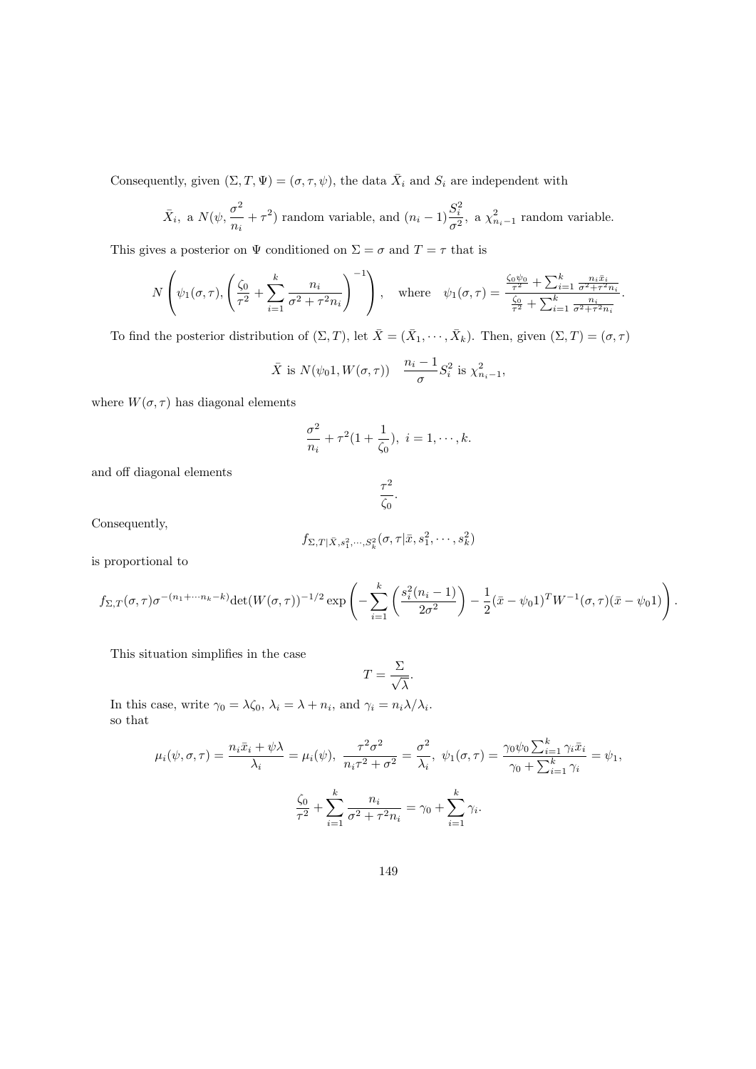Consequently, given  $(\Sigma, T, \Psi) = (\sigma, \tau, \psi)$ , the data  $\bar{X}_i$  and  $S_i$  are independent with

$$
\bar{X}_i
$$
, a  $N(\psi, \frac{\sigma^2}{n_i} + \tau^2)$  random variable, and  $(n_i - 1)\frac{S_i^2}{\sigma^2}$ , a  $\chi^2_{n_i-1}$  random variable.

This gives a posterior on  $\Psi$  conditioned on  $\Sigma = \sigma$  and  $T = \tau$  that is

$$
N\left(\psi_1(\sigma,\tau), \left(\frac{\zeta_0}{\tau^2} + \sum_{i=1}^k \frac{n_i}{\sigma^2 + \tau^2 n_i}\right)^{-1}\right), \text{ where } \psi_1(\sigma,\tau) = \frac{\frac{\zeta_0 \psi_0}{\tau^2} + \sum_{i=1}^k \frac{n_i \bar{x}_i}{\sigma^2 + \tau^2 n_i}}{\frac{\zeta_0}{\tau^2} + \sum_{i=1}^k \frac{n_i}{\sigma^2 + \tau^2 n_i}}.
$$

To find the posterior distribution of  $(\Sigma, T)$ , let  $\overline{X} = (\overline{X}_1, \cdots, \overline{X}_k)$ . Then, given  $(\Sigma, T) = (\sigma, \tau)$ 

$$
\bar{X} \text{ is } N(\psi_0 1, W(\sigma, \tau)) \quad \frac{n_i - 1}{\sigma} S_i^2 \text{ is } \chi^2_{n_i - 1},
$$

where  $W(\sigma, \tau)$  has diagonal elements

$$
\frac{\sigma^2}{n_i} + \tau^2 (1 + \frac{1}{\zeta_0}), \ i = 1, \cdots, k.
$$

and off diagonal elements

$$
\frac{\tau^2}{\zeta_0}.
$$

Consequently,

$$
f_{\Sigma,T|\bar{X},s_1^2,\cdots,S_k^2}(\sigma,\tau|\bar{x},s_1^2,\cdots,s_k^2)
$$

is proportional to

$$
f_{\Sigma,T}(\sigma,\tau)\sigma^{-(n_1+\cdots n_k-k)}\det(W(\sigma,\tau))^{-1/2}\exp\left(-\sum_{i=1}^k\left(\frac{s_i^2(n_i-1)}{2\sigma^2}\right)-\frac{1}{2}(\bar{x}-\psi_01)^TW^{-1}(\sigma,\tau)(\bar{x}-\psi_01)\right).
$$

This situation simplifies in the case

$$
T=\frac{\Sigma}{\sqrt{\lambda}}.
$$

In this case, write  $\gamma_0 = \lambda \zeta_0$ ,  $\lambda_i = \lambda + n_i$ , and  $\gamma_i = n_i \lambda / \lambda_i$ . so that

$$
\mu_i(\psi, \sigma, \tau) = \frac{n_i \bar{x}_i + \psi \lambda}{\lambda_i} = \mu_i(\psi), \quad \frac{\tau^2 \sigma^2}{n_i \tau^2 + \sigma^2} = \frac{\sigma^2}{\lambda_i}, \quad \psi_1(\sigma, \tau) = \frac{\gamma_0 \psi_0 \sum_{i=1}^k \gamma_i \bar{x}_i}{\gamma_0 + \sum_{i=1}^k \gamma_i} = \psi_1,
$$

$$
\frac{\zeta_0}{\tau^2} + \sum_{i=1}^k \frac{n_i}{\sigma^2 + \tau^2 n_i} = \gamma_0 + \sum_{i=1}^k \gamma_i.
$$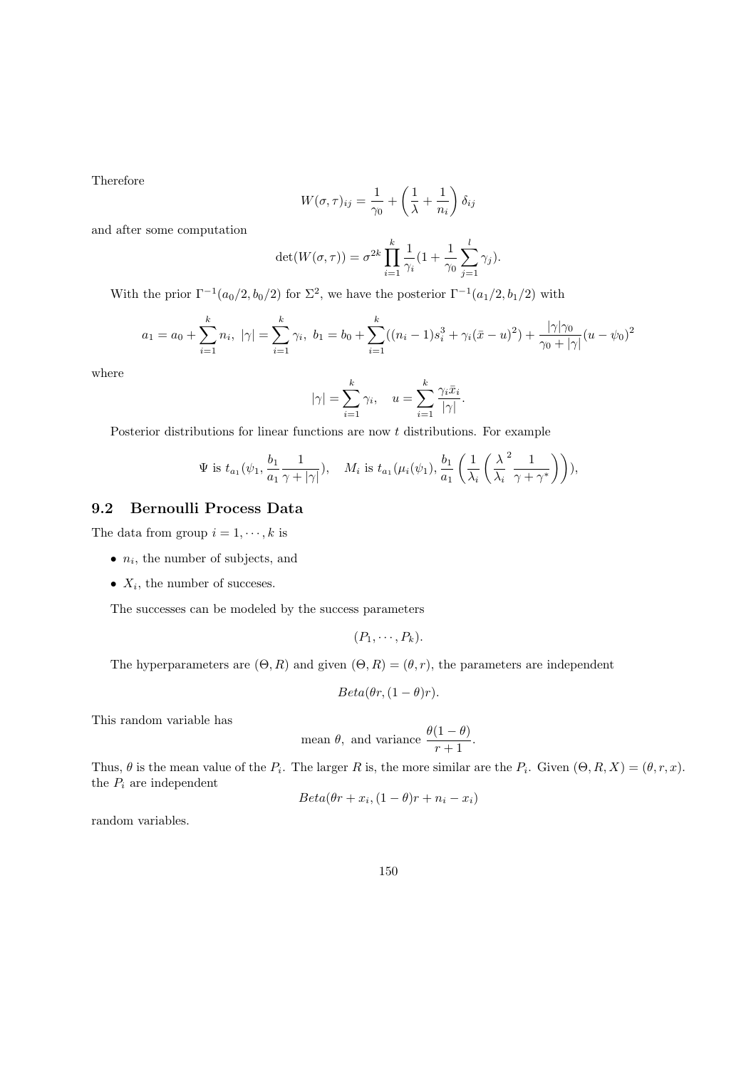Therefore

$$
W(\sigma,\tau)_{ij} = \frac{1}{\gamma_0} + \left(\frac{1}{\lambda} + \frac{1}{n_i}\right)\delta_{ij}
$$

and after some computation

$$
\det(W(\sigma, \tau)) = \sigma^{2k} \prod_{i=1}^{k} \frac{1}{\gamma_i} (1 + \frac{1}{\gamma_0} \sum_{j=1}^{l} \gamma_j).
$$

With the prior  $\Gamma^{-1}(a_0/2, b_0/2)$  for  $\Sigma^2$ , we have the posterior  $\Gamma^{-1}(a_1/2, b_1/2)$  with

$$
a_1 = a_0 + \sum_{i=1}^k n_i, \ |\gamma| = \sum_{i=1}^k \gamma_i, \ b_1 = b_0 + \sum_{i=1}^k ((n_i - 1)s_i^3 + \gamma_i(\bar{x} - u)^2) + \frac{|\gamma|\gamma_0}{\gamma_0 + |\gamma|}(u - \psi_0)^2
$$

where

$$
|\gamma| = \sum_{i=1}^k \gamma_i
$$
,  $u = \sum_{i=1}^k \frac{\gamma_i \bar{x}_i}{|\gamma|}$ .

Posterior distributions for linear functions are now  $t$  distributions. For example

$$
\Psi \text{ is } t_{a_1}(\psi_1, \frac{b_1}{a_1} \frac{1}{\gamma + |\gamma|}), \quad M_i \text{ is } t_{a_1}(\mu_i(\psi_1), \frac{b_1}{a_1} \left( \frac{1}{\lambda_i} \left( \frac{\lambda^2}{\lambda_i} \frac{1}{\gamma + \gamma^*} \right) \right)),
$$

## 9.2 Bernoulli Process Data

The data from group  $i = 1, \dots, k$  is

- $\bullet$   $n_i$ , the number of subjects, and
- $X_i$ , the number of succeses.

The successes can be modeled by the success parameters

 $(P_1, \cdots, P_k).$ 

The hyperparameters are  $(\Theta, R)$  and given  $(\Theta, R) = (\theta, r)$ , the parameters are independent

$$
Beta(\theta r, (1 - \theta)r).
$$

This random variable has

mean 
$$
\theta
$$
, and variance  $\frac{\theta(1-\theta)}{r+1}$ .

Thus,  $\theta$  is the mean value of the  $P_i$ . The larger R is, the more similar are the  $P_i$ . Given  $(\Theta, R, X) = (\theta, r, x)$ . the  $P_i$  are independent

$$
Beta(\theta r + x_i, (1 - \theta)r + n_i - x_i)
$$

random variables.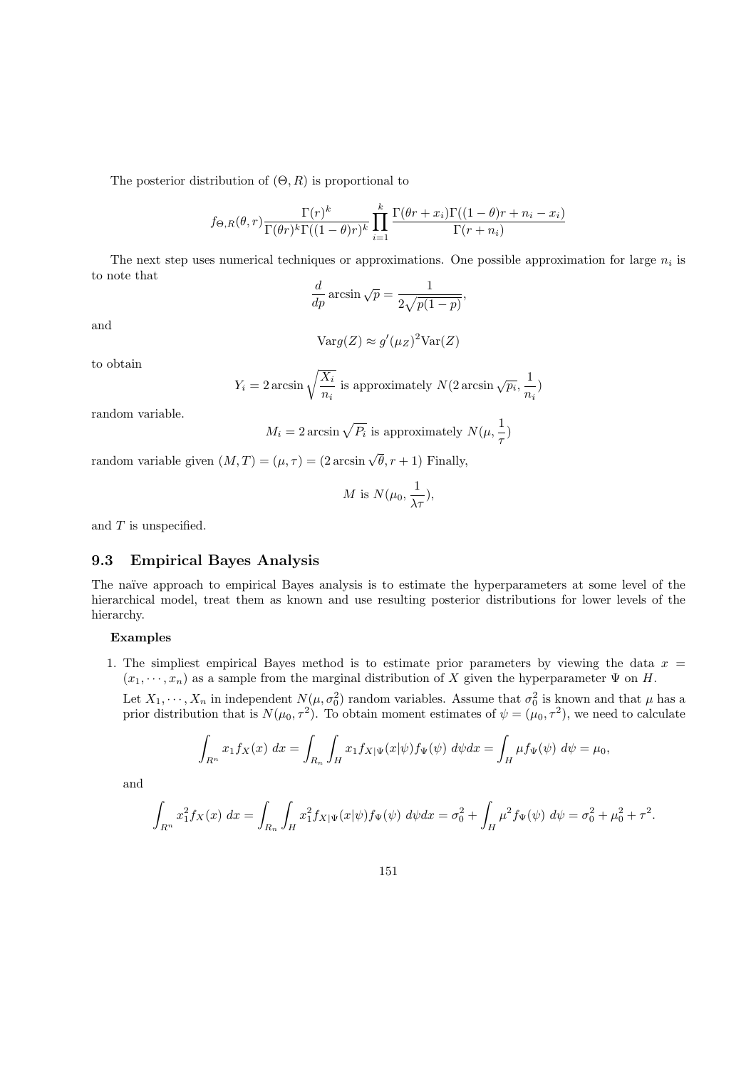The posterior distribution of  $(\Theta, R)$  is proportional to

$$
f_{\Theta,R}(\theta,r) \frac{\Gamma(r)^k}{\Gamma(\theta r)^k \Gamma((1-\theta)r)^k} \prod_{i=1}^k \frac{\Gamma(\theta r + x_i)\Gamma((1-\theta)r + n_i - x_i)}{\Gamma(r + n_i)}
$$

The next step uses numerical techniques or approximations. One possible approximation for large  $n_i$  is to note that

$$
\frac{d}{dp}\arcsin\sqrt{p} = \frac{1}{2\sqrt{p(1-p)}},
$$

and

$$
Var g(Z) \approx g'(\mu_Z)^2 Var(Z)
$$

to obtain

$$
Y_i = 2 \arcsin \sqrt{\frac{X_i}{n_i}}
$$
 is approximately  $N(2 \arcsin \sqrt{p_i}, \frac{1}{n_i})$ 

random variable.

 $M_i = 2 \arcsin \sqrt{P_i}$  is approximately  $N(\mu, \frac{1}{2})$  $\frac{1}{\tau})$ 

random variable given  $(M,T) = (\mu, \tau) = (2 \arcsin \sqrt{\theta}, r+1)$  Finally,

M is 
$$
N(\mu_0, \frac{1}{\lambda \tau}),
$$

and T is unspecified.

### 9.3 Empirical Bayes Analysis

The naïve approach to empirical Bayes analysis is to estimate the hyperparameters at some level of the hierarchical model, treat them as known and use resulting posterior distributions for lower levels of the hierarchy.

#### Examples

1. The simpliest empirical Bayes method is to estimate prior parameters by viewing the data  $x =$  $(x_1, \dots, x_n)$  as a sample from the marginal distribution of X given the hyperparameter  $\Psi$  on H.

Let  $X_1, \dots, X_n$  in independent  $N(\mu, \sigma_0^2)$  random variables. Assume that  $\sigma_0^2$  is known and that  $\mu$  has a prior distribution that is  $N(\mu_0, \tau^2)$ . To obtain moment estimates of  $\psi = (\mu_0, \tau^2)$ , we need to calculate

$$
\int_{R^n} x_1 f_X(x) dx = \int_{R_n} \int_H x_1 f_{X|\Psi}(x|\psi) f_{\Psi}(\psi) d\psi dx = \int_H \mu f_{\Psi}(\psi) d\psi = \mu_0,
$$

and

$$
\int_{R^n} x_1^2 f_X(x) \ dx = \int_{R_n} \int_H x_1^2 f_{X|\Psi}(x|\psi) f_{\Psi}(\psi) \ d\psi dx = \sigma_0^2 + \int_H \mu^2 f_{\Psi}(\psi) \ d\psi = \sigma_0^2 + \mu_0^2 + \tau^2.
$$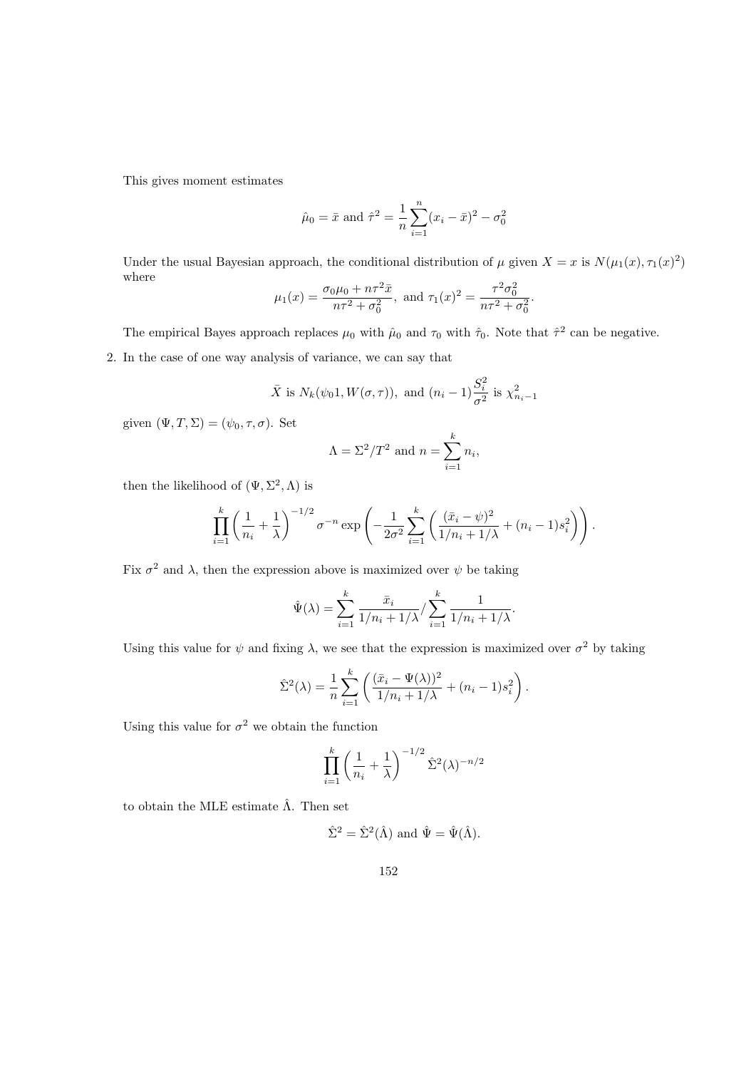This gives moment estimates

$$
\hat{\mu}_0 = \bar{x}
$$
 and  $\hat{\tau}^2 = \frac{1}{n} \sum_{i=1}^n (x_i - \bar{x})^2 - \sigma_0^2$ 

Under the usual Bayesian approach, the conditional distribution of  $\mu$  given  $X = x$  is  $N(\mu_1(x), \tau_1(x)^2)$ where

$$
\mu_1(x) = \frac{\sigma_0 \mu_0 + n\tau^2 \bar{x}}{n\tau^2 + \sigma_0^2}
$$
, and  $\tau_1(x)^2 = \frac{\tau^2 \sigma_0^2}{n\tau^2 + \sigma_0^2}$ .

The empirical Bayes approach replaces  $\mu_0$  with  $\hat{\mu}_0$  and  $\tau_0$  with  $\hat{\tau}_0$ . Note that  $\hat{\tau}^2$  can be negative.

2. In the case of one way analysis of variance, we can say that

$$
\bar{X}
$$
 is  $N_k(\psi_0, 1, W(\sigma, \tau))$ , and  $(n_i - 1) \frac{S_i^2}{\sigma^2}$  is  $\chi^2_{n_i-1}$ 

given  $(\Psi, T, \Sigma) = (\psi_0, \tau, \sigma)$ . Set

$$
\Lambda = \Sigma^2 / T^2
$$
 and 
$$
n = \sum_{i=1}^k n_i
$$

then the likelihood of  $(\Psi, \Sigma^2, \Lambda)$  is

$$
\prod_{i=1}^k \left(\frac{1}{n_i} + \frac{1}{\lambda}\right)^{-1/2} \sigma^{-n} \exp\left(-\frac{1}{2\sigma^2} \sum_{i=1}^k \left(\frac{(\bar{x}_i - \psi)^2}{1/n_i + 1/\lambda} + (n_i - 1)s_i^2\right)\right).
$$

Fix  $\sigma^2$  and  $\lambda$ , then the expression above is maximized over  $\psi$  be taking

$$
\hat{\Psi}(\lambda) = \sum_{i=1}^k \frac{\bar{x}_i}{1/n_i + 1/\lambda} / \sum_{i=1}^k \frac{1}{1/n_i + 1/\lambda}.
$$

Using this value for  $\psi$  and fixing  $\lambda$ , we see that the expression is maximized over  $\sigma^2$  by taking

$$
\hat{\Sigma}^{2}(\lambda) = \frac{1}{n} \sum_{i=1}^{k} \left( \frac{(\bar{x}_{i} - \Psi(\lambda))^{2}}{1/n_{i} + 1/\lambda} + (n_{i} - 1)s_{i}^{2} \right).
$$

Using this value for  $\sigma^2$  we obtain the function

$$
\prod_{i=1}^k \left(\frac{1}{n_i} + \frac{1}{\lambda}\right)^{-1/2} \hat{\Sigma}^2(\lambda)^{-n/2}
$$

to obtain the MLE estimate  $\hat{\Lambda}$ . Then set

$$
\hat{\Sigma}^2 = \hat{\Sigma}^2(\hat{\Lambda}) \text{ and } \hat{\Psi} = \hat{\Psi}(\hat{\Lambda}).
$$